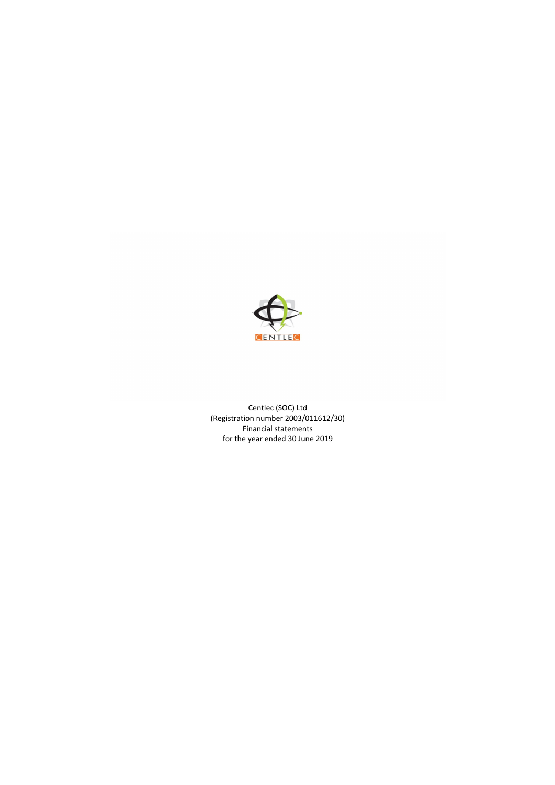

Centlec (SOC) Ltd (Registration number 2003/011612/30) Financial statements for the year ended 30 June 2019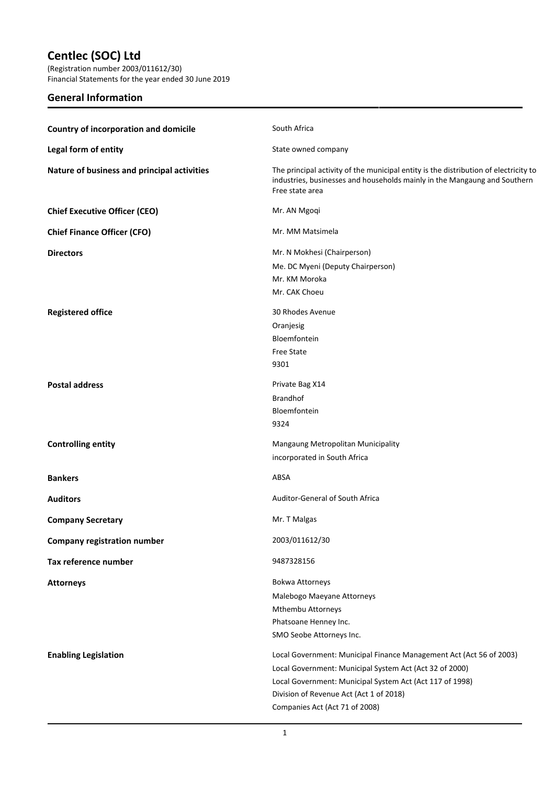(Registration number 2003/011612/30) Financial Statements for the year ended 30 June 2019

## **General Information**

| <b>Country of incorporation and domicile</b> | South Africa                                                                                                                                                                         |
|----------------------------------------------|--------------------------------------------------------------------------------------------------------------------------------------------------------------------------------------|
| Legal form of entity                         | State owned company                                                                                                                                                                  |
| Nature of business and principal activities  | The principal activity of the municipal entity is the distribution of electricity to<br>industries, businesses and households mainly in the Mangaung and Southern<br>Free state area |
| <b>Chief Executive Officer (CEO)</b>         | Mr. AN Mgoqi                                                                                                                                                                         |
| <b>Chief Finance Officer (CFO)</b>           | Mr. MM Matsimela                                                                                                                                                                     |
| <b>Directors</b>                             | Mr. N Mokhesi (Chairperson)                                                                                                                                                          |
|                                              | Me. DC Myeni (Deputy Chairperson)                                                                                                                                                    |
|                                              | Mr. KM Moroka                                                                                                                                                                        |
|                                              | Mr. CAK Choeu                                                                                                                                                                        |
| <b>Registered office</b>                     | 30 Rhodes Avenue                                                                                                                                                                     |
|                                              | Oranjesig                                                                                                                                                                            |
|                                              | Bloemfontein                                                                                                                                                                         |
|                                              | <b>Free State</b>                                                                                                                                                                    |
|                                              | 9301                                                                                                                                                                                 |
| <b>Postal address</b>                        | Private Bag X14                                                                                                                                                                      |
|                                              | <b>Brandhof</b>                                                                                                                                                                      |
|                                              | Bloemfontein                                                                                                                                                                         |
|                                              | 9324                                                                                                                                                                                 |
| <b>Controlling entity</b>                    | Mangaung Metropolitan Municipality                                                                                                                                                   |
|                                              | incorporated in South Africa                                                                                                                                                         |
| <b>Bankers</b>                               | ABSA                                                                                                                                                                                 |
| <b>Auditors</b>                              | Auditor-General of South Africa                                                                                                                                                      |
| <b>Company Secretary</b>                     | Mr. T Malgas                                                                                                                                                                         |
| <b>Company registration number</b>           | 2003/011612/30                                                                                                                                                                       |
| Tax reference number                         | 9487328156                                                                                                                                                                           |
| <b>Attorneys</b>                             | Bokwa Attorneys                                                                                                                                                                      |
|                                              | Malebogo Maeyane Attorneys                                                                                                                                                           |
|                                              | Mthembu Attorneys                                                                                                                                                                    |
|                                              | Phatsoane Henney Inc.                                                                                                                                                                |
|                                              | SMO Seobe Attorneys Inc.                                                                                                                                                             |
| <b>Enabling Legislation</b>                  | Local Government: Municipal Finance Management Act (Act 56 of 2003)                                                                                                                  |
|                                              | Local Government: Municipal System Act (Act 32 of 2000)                                                                                                                              |
|                                              | Local Government: Municipal System Act (Act 117 of 1998)                                                                                                                             |
|                                              | Division of Revenue Act (Act 1 of 2018)                                                                                                                                              |
|                                              | Companies Act (Act 71 of 2008)                                                                                                                                                       |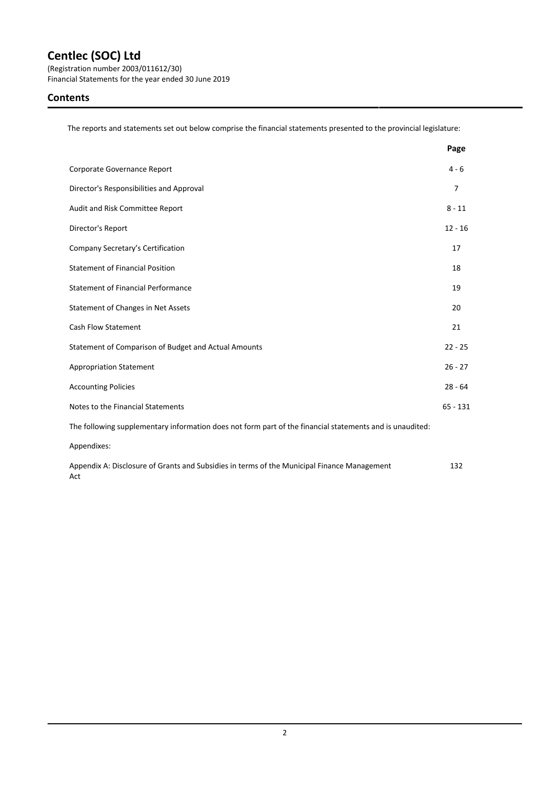(Registration number 2003/011612/30) Financial Statements for the year ended 30 June 2019

## **Contents**

The reports and statements set out below comprise the financial statements presented to the provincial legislature:

|                                                                                                                  | Page           |
|------------------------------------------------------------------------------------------------------------------|----------------|
| Corporate Governance Report                                                                                      | $4 - 6$        |
| Director's Responsibilities and Approval                                                                         | $\overline{7}$ |
| Audit and Risk Committee Report                                                                                  | $8 - 11$       |
| Director's Report                                                                                                | $12 - 16$      |
| Company Secretary's Certification                                                                                | 17             |
| <b>Statement of Financial Position</b>                                                                           | 18             |
| <b>Statement of Financial Performance</b>                                                                        | 19             |
| Statement of Changes in Net Assets                                                                               | 20             |
| <b>Cash Flow Statement</b>                                                                                       | 21             |
| Statement of Comparison of Budget and Actual Amounts                                                             | $22 - 25$      |
| <b>Appropriation Statement</b>                                                                                   | $26 - 27$      |
| <b>Accounting Policies</b>                                                                                       | $28 - 64$      |
| Notes to the Financial Statements                                                                                | $65 - 131$     |
| The following considered and the following and a considered and solution functional capacity of the constitution |                |

The following supplementary information does not form part of the financial statements and is unaudited:

Appendixes:

Appendix A: Disclosure of Grants and Subsidies in terms of the Municipal Finance Management Act 132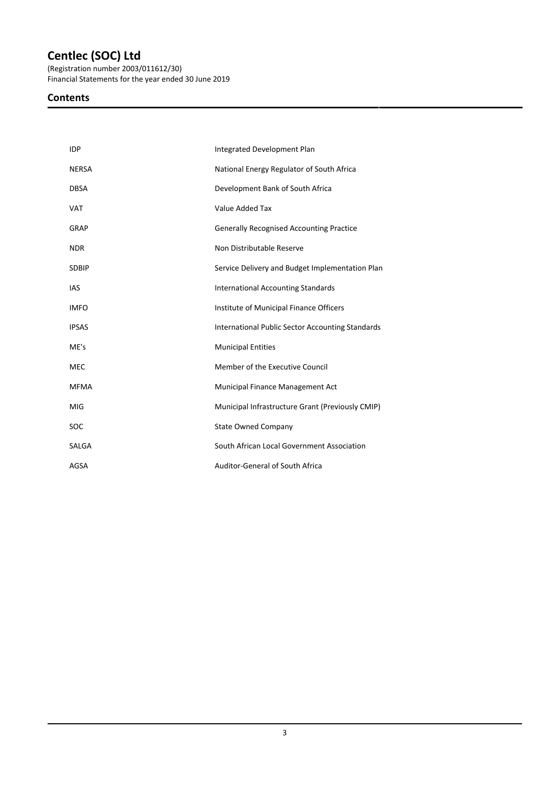(Registration number 2003/011612/30) Financial Statements for the year ended 30 June 2019

## **Contents**

| <b>IDP</b>   | Integrated Development Plan                      |
|--------------|--------------------------------------------------|
| <b>NERSA</b> | National Energy Regulator of South Africa        |
| <b>DBSA</b>  | Development Bank of South Africa                 |
| <b>VAT</b>   | Value Added Tax                                  |
| <b>GRAP</b>  | <b>Generally Recognised Accounting Practice</b>  |
| <b>NDR</b>   | Non Distributable Reserve                        |
| <b>SDBIP</b> | Service Delivery and Budget Implementation Plan  |
| IAS          | <b>International Accounting Standards</b>        |
| <b>IMFO</b>  | Institute of Municipal Finance Officers          |
| <b>IPSAS</b> | International Public Sector Accounting Standards |
| ME's         | <b>Municipal Entities</b>                        |
| <b>MEC</b>   | Member of the Executive Council                  |
| <b>MFMA</b>  | Municipal Finance Management Act                 |
| MIG          | Municipal Infrastructure Grant (Previously CMIP) |
| SOC          | <b>State Owned Company</b>                       |
| SALGA        | South African Local Government Association       |
| AGSA         | <b>Auditor-General of South Africa</b>           |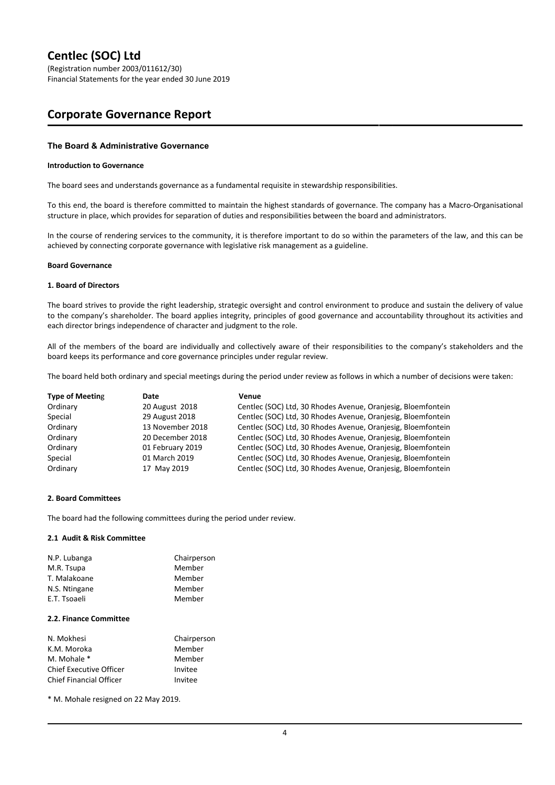(Registration number 2003/011612/30) Financial Statements for the year ended 30 June 2019

## **Corporate Governance Report**

### **The Board & Administrative Governance**

### **Introduction to Governance**

The board sees and understands governance as a fundamental requisite in stewardship responsibilities.

To this end, the board is therefore committed to maintain the highest standards of governance. The company has a Macro-Organisational structure in place, which provides for separation of duties and responsibilities between the board and administrators.

In the course of rendering services to the community, it is therefore important to do so within the parameters of the law, and this can be achieved by connecting corporate governance with legislative risk management as a guideline.

#### **Board Governance**

#### **1. Board of Directors**

The board strives to provide the right leadership, strategic oversight and control environment to produce and sustain the delivery of value to the company's shareholder. The board applies integrity, principles of good governance and accountability throughout its activities and each director brings independence of character and judgment to the role.

All of the members of the board are individually and collectively aware of their responsibilities to the company's stakeholders and the board keeps its performance and core governance principles under regular review.

The board held both ordinary and special meetings during the period under review as follows in which a number of decisions were taken:

| <b>Type of Meeting</b> | Date             | Venue                                                        |
|------------------------|------------------|--------------------------------------------------------------|
| Ordinary               | 20 August 2018   | Centlec (SOC) Ltd, 30 Rhodes Avenue, Oranjesig, Bloemfontein |
| Special                | 29 August 2018   | Centlec (SOC) Ltd, 30 Rhodes Avenue, Oranjesig, Bloemfontein |
| Ordinary               | 13 November 2018 | Centlec (SOC) Ltd, 30 Rhodes Avenue, Oranjesig, Bloemfontein |
| Ordinary               | 20 December 2018 | Centlec (SOC) Ltd, 30 Rhodes Avenue, Oranjesig, Bloemfontein |
| Ordinary               | 01 February 2019 | Centlec (SOC) Ltd, 30 Rhodes Avenue, Oranjesig, Bloemfontein |
| Special                | 01 March 2019    | Centlec (SOC) Ltd, 30 Rhodes Avenue, Oranjesig, Bloemfontein |
| Ordinary               | 17 May 2019      | Centlec (SOC) Ltd, 30 Rhodes Avenue, Oranjesig, Bloemfontein |

#### **2. Board Committees**

The board had the following committees during the period under review.

### **2.1 Audit & Risk Committee**

| N.P. Lubanga  | Chairperson |
|---------------|-------------|
| M.R. Tsupa    | Member      |
| T. Malakoane  | Member      |
| N.S. Ntingane | Member      |
| E.T. Tsoaeli  | Member      |

### **2.2. Finance Committee**

| N. Mokhesi                     | Chairperson |
|--------------------------------|-------------|
| K.M. Moroka                    | Member      |
| M. Mohale *                    | Member      |
| <b>Chief Executive Officer</b> | Invitee     |
| <b>Chief Financial Officer</b> | Invitee     |

\* M. Mohale resigned on 22 May 2019.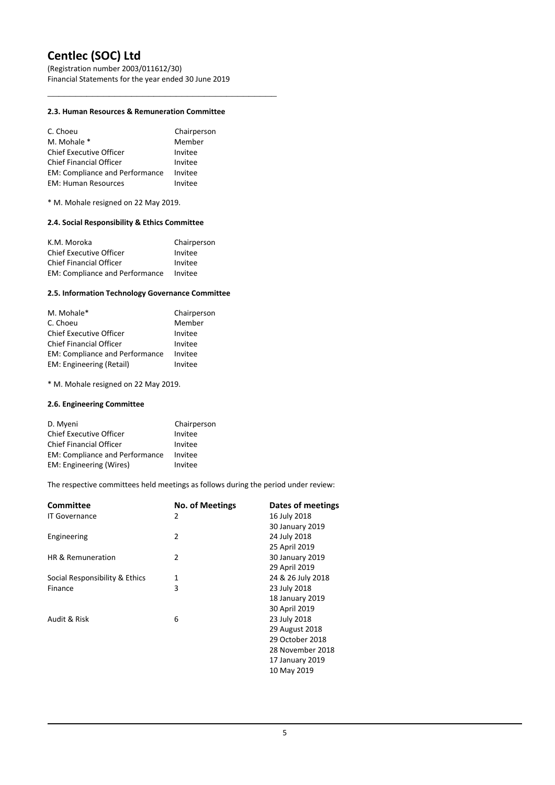(Registration number 2003/011612/30) Financial Statements for the year ended 30 June 2019

\_\_\_\_\_\_\_\_\_\_\_\_\_\_\_\_\_\_\_\_\_\_\_\_\_\_\_\_\_\_\_\_\_\_\_\_\_\_\_\_\_

### **2.3. Human Resources & Remuneration Committee**

| Chairperson |
|-------------|
| Member      |
| Invitee     |
| Invitee     |
| Invitee     |
| Invitee     |
|             |

\* M. Mohale resigned on 22 May 2019.

### **2.4. Social Responsibility & Ethics Committee**

| K.M. Moroka                           | Chairperson |
|---------------------------------------|-------------|
| <b>Chief Executive Officer</b>        | Invitee     |
| <b>Chief Financial Officer</b>        | Invitee     |
| <b>EM: Compliance and Performance</b> | Invitee     |

### **2.5. Information Technology Governance Committee**

| M. Mohale*                            | Chairperson |
|---------------------------------------|-------------|
| C. Choeu                              | Member      |
| <b>Chief Executive Officer</b>        | Invitee     |
| <b>Chief Financial Officer</b>        | Invitee     |
| <b>EM: Compliance and Performance</b> | Invitee     |
| EM: Engineering (Retail)              | Invitee     |

\* M. Mohale resigned on 22 May 2019.

### **2.6. Engineering Committee**

| D. Myeni                              | Chairperson |
|---------------------------------------|-------------|
| <b>Chief Executive Officer</b>        | Invitee     |
| <b>Chief Financial Officer</b>        | Invitee     |
| <b>EM: Compliance and Performance</b> | Invitee     |
| <b>EM: Engineering (Wires)</b>        | Invitee     |

The respective committees held meetings as follows during the period under review:

| Committee                      | <b>No. of Meetings</b> | Dates of meetings |
|--------------------------------|------------------------|-------------------|
| <b>IT Governance</b>           | 2                      | 16 July 2018      |
|                                |                        | 30 January 2019   |
| Engineering                    | $\overline{2}$         | 24 July 2018      |
|                                |                        | 25 April 2019     |
| HR & Remuneration              | $\overline{2}$         | 30 January 2019   |
|                                |                        | 29 April 2019     |
| Social Responsibility & Ethics | 1                      | 24 & 26 July 2018 |
| Finance                        | 3                      | 23 July 2018      |
|                                |                        | 18 January 2019   |
|                                |                        | 30 April 2019     |
| Audit & Risk                   | 6                      | 23 July 2018      |
|                                |                        | 29 August 2018    |
|                                |                        | 29 October 2018   |
|                                |                        | 28 November 2018  |
|                                |                        | 17 January 2019   |
|                                |                        | 10 May 2019       |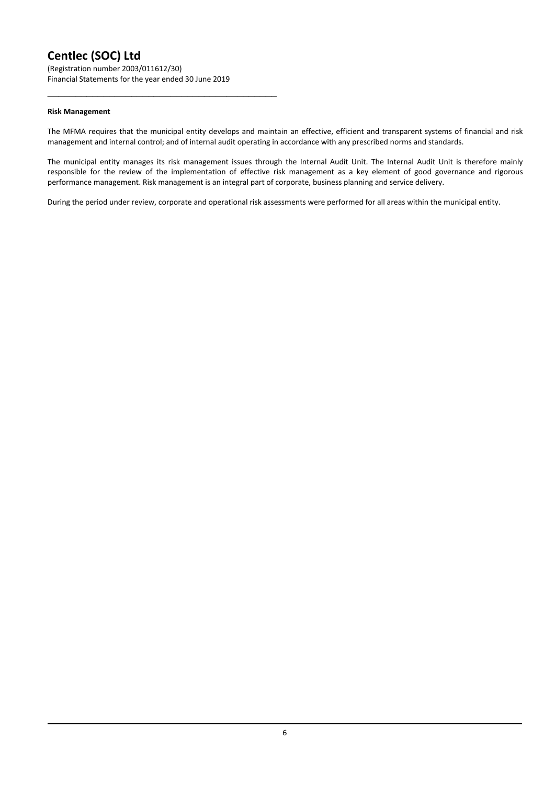(Registration number 2003/011612/30) Financial Statements for the year ended 30 June 2019

\_\_\_\_\_\_\_\_\_\_\_\_\_\_\_\_\_\_\_\_\_\_\_\_\_\_\_\_\_\_\_\_\_\_\_\_\_\_\_\_\_

### **Risk Management**

The MFMA requires that the municipal entity develops and maintain an effective, efficient and transparent systems of financial and risk management and internal control; and of internal audit operating in accordance with any prescribed norms and standards.

The municipal entity manages its risk management issues through the Internal Audit Unit. The Internal Audit Unit is therefore mainly responsible for the review of the implementation of effective risk management as a key element of good governance and rigorous performance management. Risk management is an integral part of corporate, business planning and service delivery.

During the period under review, corporate and operational risk assessments were performed for all areas within the municipal entity.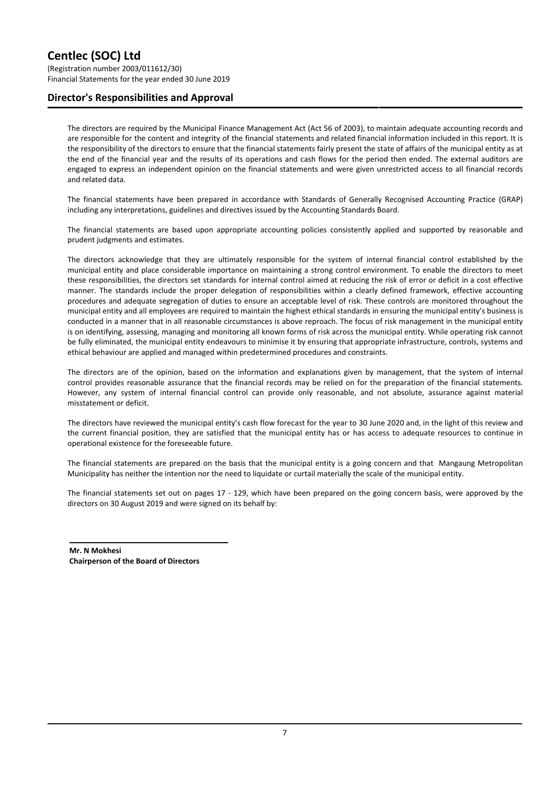(Registration number 2003/011612/30) Financial Statements for the year ended 30 June 2019

## **Director's Responsibilities and Approval**

The directors are required by the Municipal Finance Management Act (Act 56 of 2003), to maintain adequate accounting records and are responsible for the content and integrity of the financial statements and related financial information included in this report. It is the responsibility of the directors to ensure that the financial statements fairly present the state of affairs of the municipal entity as at the end of the financial year and the results of its operations and cash flows for the period then ended. The external auditors are engaged to express an independent opinion on the financial statements and were given unrestricted access to all financial records and related data.

The financial statements have been prepared in accordance with Standards of Generally Recognised Accounting Practice (GRAP) including any interpretations, guidelines and directives issued by the Accounting Standards Board.

The financial statements are based upon appropriate accounting policies consistently applied and supported by reasonable and prudent judgments and estimates.

The directors acknowledge that they are ultimately responsible for the system of internal financial control established by the municipal entity and place considerable importance on maintaining a strong control environment. To enable the directors to meet these responsibilities, the directors set standards for internal control aimed at reducing the risk of error or deficit in a cost effective manner. The standards include the proper delegation of responsibilities within a clearly defined framework, effective accounting procedures and adequate segregation of duties to ensure an acceptable level of risk. These controls are monitored throughout the municipal entity and all employees are required to maintain the highest ethical standards in ensuring the municipal entity's business is conducted in a manner that in all reasonable circumstances is above reproach. The focus of risk management in the municipal entity is on identifying, assessing, managing and monitoring all known forms of risk across the municipal entity. While operating risk cannot be fully eliminated, the municipal entity endeavours to minimise it by ensuring that appropriate infrastructure, controls, systems and ethical behaviour are applied and managed within predetermined procedures and constraints.

The directors are of the opinion, based on the information and explanations given by management, that the system of internal control provides reasonable assurance that the financial records may be relied on for the preparation of the financial statements. However, any system of internal financial control can provide only reasonable, and not absolute, assurance against material misstatement or deficit.

The directors have reviewed the municipal entity's cash flow forecast for the year to 30 June 2020 and, in the light of this review and the current financial position, they are satisfied that the municipal entity has or has access to adequate resources to continue in operational existence for the foreseeable future.

The financial statements are prepared on the basis that the municipal entity is a going concern and that Mangaung Metropolitan Municipality has neither the intention nor the need to liquidate or curtail materially the scale of the municipal entity.

The financial statements set out on pages 17 - 129, which have been prepared on the going concern basis, were approved by the directors on 30 August 2019 and were signed on its behalf by:

**Mr. N Mokhesi Chairperson of the Board of Directors**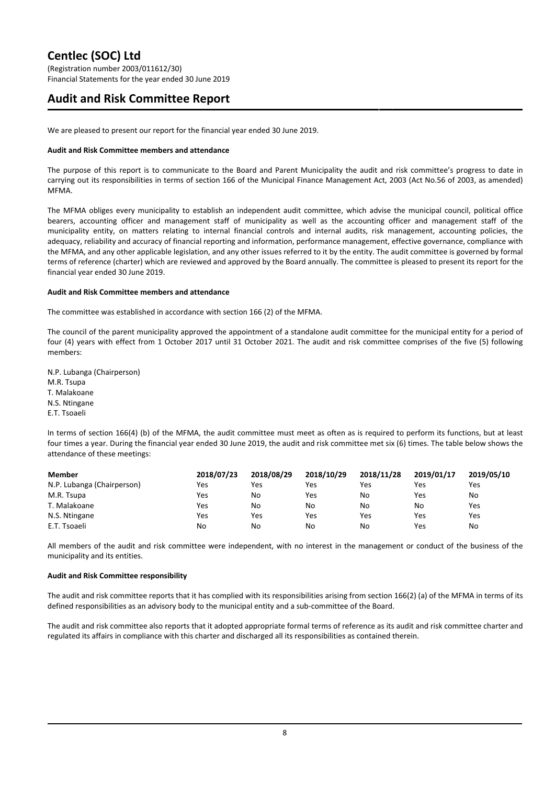(Registration number 2003/011612/30) Financial Statements for the year ended 30 June 2019

## **Audit and Risk Committee Report**

We are pleased to present our report for the financial year ended 30 June 2019.

### **Audit and Risk Committee members and attendance**

The purpose of this report is to communicate to the Board and Parent Municipality the audit and risk committee's progress to date in carrying out its responsibilities in terms of section 166 of the Municipal Finance Management Act, 2003 (Act No.56 of 2003, as amended) MFMA.

The MFMA obliges every municipality to establish an independent audit committee, which advise the municipal council, political office bearers, accounting officer and management staff of municipality as well as the accounting officer and management staff of the municipality entity, on matters relating to internal financial controls and internal audits, risk management, accounting policies, the adequacy, reliability and accuracy of financial reporting and information, performance management, effective governance, compliance with the MFMA, and any other applicable legislation, and any other issues referred to it by the entity. The audit committee is governed by formal terms of reference (charter) which are reviewed and approved by the Board annually. The committee is pleased to present its report for the financial year ended 30 June 2019.

### **Audit and Risk Committee members and attendance**

The committee was established in accordance with section 166 (2) of the MFMA.

The council of the parent municipality approved the appointment of a standalone audit committee for the municipal entity for a period of four (4) years with effect from 1 October 2017 until 31 October 2021. The audit and risk committee comprises of the five (5) following members:

N.P. Lubanga (Chairperson) M.R. Tsupa T. Malakoane N.S. Ntingane E.T. Tsoaeli

In terms of section 166(4) (b) of the MFMA, the audit committee must meet as often as is required to perform its functions, but at least four times a year. During the financial year ended 30 June 2019, the audit and risk committee met six (6) times. The table below shows the attendance of these meetings:

| <b>Member</b>              | 2018/07/23 | 2018/08/29 | 2018/10/29 | 2018/11/28 | 2019/01/17 | 2019/05/10 |
|----------------------------|------------|------------|------------|------------|------------|------------|
| N.P. Lubanga (Chairperson) | Yes        | Yes        | Yes        | Yes        | Yes        | Yes        |
| M.R. Tsupa                 | Yes        | No         | Yes        | No         | Yes        | No         |
| T. Malakoane               | Yes        | No         | No         | No         | No         | Yes        |
| N.S. Ntingane              | Yes        | Yes        | Yes        | Yes        | Yes        | <b>Yes</b> |
| E.T. Tsoaeli               | No         | No         | No         | No         | Yes        | No         |

All members of the audit and risk committee were independent, with no interest in the management or conduct of the business of the municipality and its entities.

### **Audit and Risk Committee responsibility**

The audit and risk committee reports that it has complied with its responsibilities arising from section 166(2) (a) of the MFMA in terms of its defined responsibilities as an advisory body to the municipal entity and a sub-committee of the Board.

The audit and risk committee also reports that it adopted appropriate formal terms of reference as its audit and risk committee charter and regulated its affairs in compliance with this charter and discharged all its responsibilities as contained therein.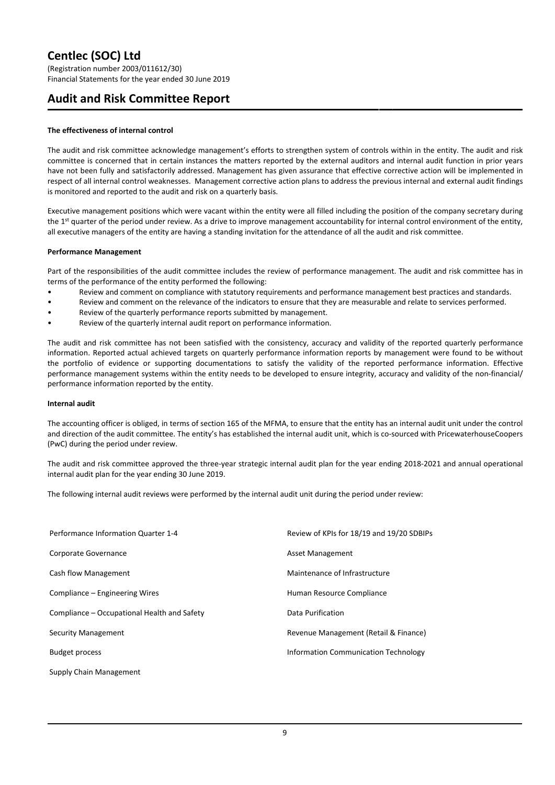(Registration number 2003/011612/30) Financial Statements for the year ended 30 June 2019

## **Audit and Risk Committee Report**

### **The effectiveness of internal control**

The audit and risk committee acknowledge management's efforts to strengthen system of controls within in the entity. The audit and risk committee is concerned that in certain instances the matters reported by the external auditors and internal audit function in prior years have not been fully and satisfactorily addressed. Management has given assurance that effective corrective action will be implemented in respect of all internal control weaknesses. Management corrective action plans to address the previous internal and external audit findings is monitored and reported to the audit and risk on a quarterly basis.

Executive management positions which were vacant within the entity were all filled including the position of the company secretary during the 1<sup>st</sup> quarter of the period under review. As a drive to improve management accountability for internal control environment of the entity, all executive managers of the entity are having a standing invitation for the attendance of all the audit and risk committee.

### **Performance Management**

Part of the responsibilities of the audit committee includes the review of performance management. The audit and risk committee has in terms of the performance of the entity performed the following:

- Review and comment on compliance with statutory requirements and performance management best practices and standards.
- Review and comment on the relevance of the indicators to ensure that they are measurable and relate to services performed.
- Review of the quarterly performance reports submitted by management.
- Review of the quarterly internal audit report on performance information.

The audit and risk committee has not been satisfied with the consistency, accuracy and validity of the reported quarterly performance information. Reported actual achieved targets on quarterly performance information reports by management were found to be without the portfolio of evidence or supporting documentations to satisfy the validity of the reported performance information. Effective performance management systems within the entity needs to be developed to ensure integrity, accuracy and validity of the non-financial/ performance information reported by the entity.

### **Internal audit**

The accounting officer is obliged, in terms of section 165 of the MFMA, to ensure that the entity has an internal audit unit under the control and direction of the audit committee. The entity's has established the internal audit unit, which is co-sourced with PricewaterhouseCoopers (PwC) during the period under review.

The audit and risk committee approved the three-year strategic internal audit plan for the year ending 2018-2021 and annual operational internal audit plan for the year ending 30 June 2019.

The following internal audit reviews were performed by the internal audit unit during the period under review:

| <b>Performance Information Quarter 1-4</b>  | Review of KPIs for 18/19 and 19/20 SDBIPs |
|---------------------------------------------|-------------------------------------------|
| Corporate Governance                        | Asset Management                          |
| Cash flow Management                        | Maintenance of Infrastructure             |
| Compliance – Engineering Wires              | Human Resource Compliance                 |
| Compliance - Occupational Health and Safety | Data Purification                         |
| Security Management                         | Revenue Management (Retail & Finance)     |
| <b>Budget process</b>                       | Information Communication Technology      |
| Supply Chain Management                     |                                           |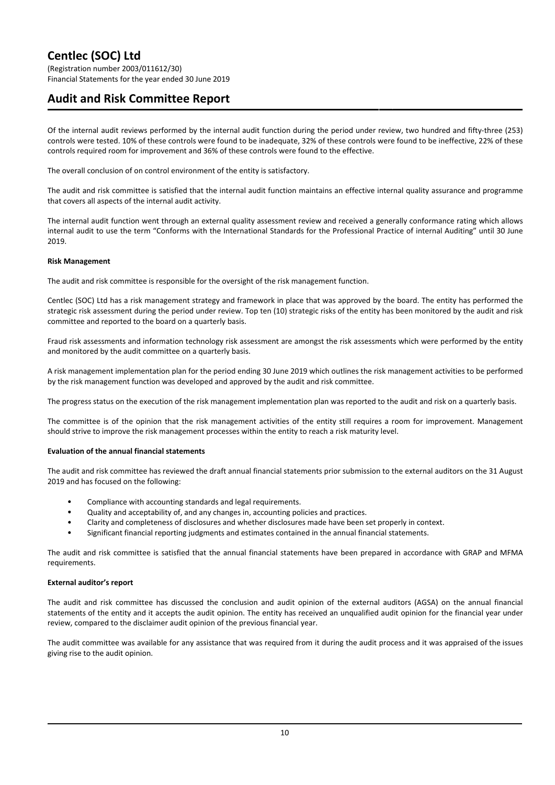(Registration number 2003/011612/30) Financial Statements for the year ended 30 June 2019

## **Audit and Risk Committee Report**

Of the internal audit reviews performed by the internal audit function during the period under review, two hundred and fifty-three (253) controls were tested. 10% of these controls were found to be inadequate, 32% of these controls were found to be ineffective, 22% of these controls required room for improvement and 36% of these controls were found to the effective.

The overall conclusion of on control environment of the entity is satisfactory.

The audit and risk committee is satisfied that the internal audit function maintains an effective internal quality assurance and programme that covers all aspects of the internal audit activity.

The internal audit function went through an external quality assessment review and received a generally conformance rating which allows internal audit to use the term "Conforms with the International Standards for the Professional Practice of internal Auditing" until 30 June 2019.

### **Risk Management**

The audit and risk committee is responsible for the oversight of the risk management function.

Centlec (SOC) Ltd has a risk management strategy and framework in place that was approved by the board. The entity has performed the strategic risk assessment during the period under review. Top ten (10) strategic risks of the entity has been monitored by the audit and risk committee and reported to the board on a quarterly basis.

Fraud risk assessments and information technology risk assessment are amongst the risk assessments which were performed by the entity and monitored by the audit committee on a quarterly basis.

A risk management implementation plan for the period ending 30 June 2019 which outlines the risk management activities to be performed by the risk management function was developed and approved by the audit and risk committee.

The progress status on the execution of the risk management implementation plan was reported to the audit and risk on a quarterly basis.

The committee is of the opinion that the risk management activities of the entity still requires a room for improvement. Management should strive to improve the risk management processes within the entity to reach a risk maturity level.

### **Evaluation of the annual financial statements**

The audit and risk committee has reviewed the draft annual financial statements prior submission to the external auditors on the 31 August 2019 and has focused on the following:

- Compliance with accounting standards and legal requirements.
- Quality and acceptability of, and any changes in, accounting policies and practices.
- Clarity and completeness of disclosures and whether disclosures made have been set properly in context.
- Significant financial reporting judgments and estimates contained in the annual financial statements.

The audit and risk committee is satisfied that the annual financial statements have been prepared in accordance with GRAP and MFMA requirements.

### **External auditor's report**

The audit and risk committee has discussed the conclusion and audit opinion of the external auditors (AGSA) on the annual financial statements of the entity and it accepts the audit opinion. The entity has received an unqualified audit opinion for the financial year under review, compared to the disclaimer audit opinion of the previous financial year.

The audit committee was available for any assistance that was required from it during the audit process and it was appraised of the issues giving rise to the audit opinion.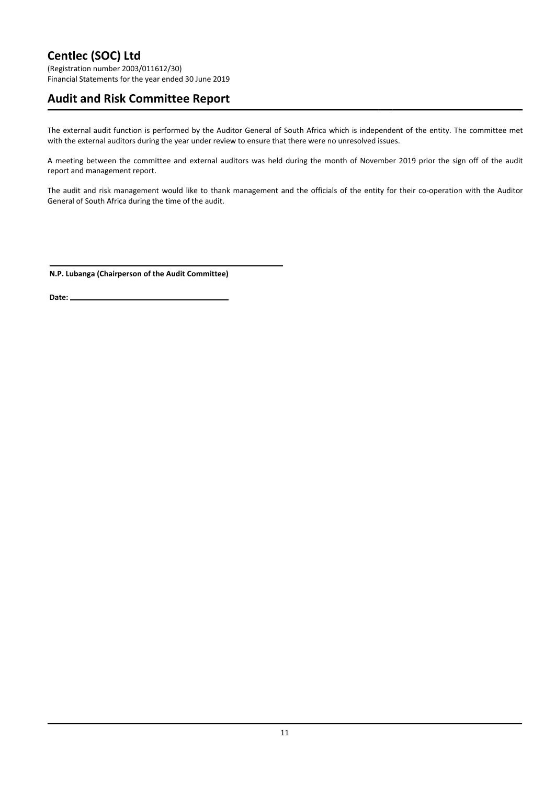(Registration number 2003/011612/30) Financial Statements for the year ended 30 June 2019

# **Audit and Risk Committee Report**

The external audit function is performed by the Auditor General of South Africa which is independent of the entity. The committee met with the external auditors during the year under review to ensure that there were no unresolved issues.

A meeting between the committee and external auditors was held during the month of November 2019 prior the sign off of the audit report and management report.

The audit and risk management would like to thank management and the officials of the entity for their co-operation with the Auditor General of South Africa during the time of the audit.

**N.P. Lubanga (Chairperson of the Audit Committee)**

**Date:**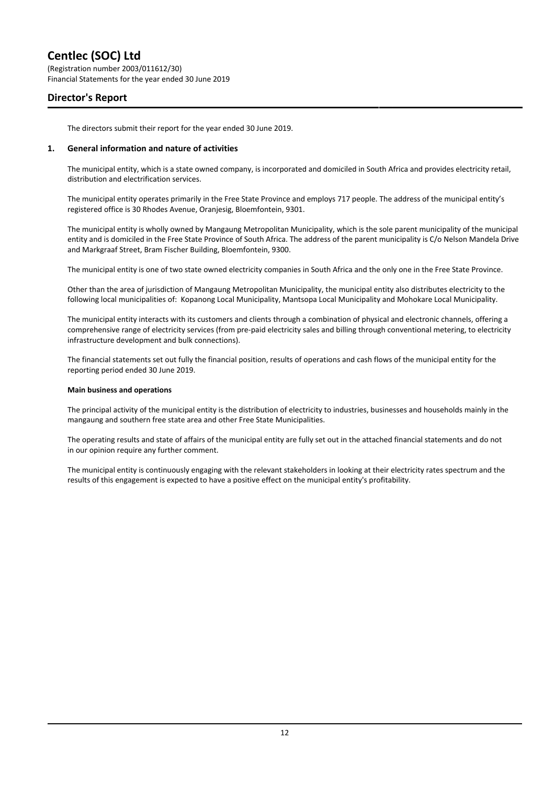(Registration number 2003/011612/30) Financial Statements for the year ended 30 June 2019

## **Director's Report**

The directors submit their report for the year ended 30 June 2019.

### **1. General information and nature of activities**

The municipal entity, which is a state owned company, is incorporated and domiciled in South Africa and provides electricity retail, distribution and electrification services.

The municipal entity operates primarily in the Free State Province and employs 717 people. The address of the municipal entity's registered office is 30 Rhodes Avenue, Oranjesig, Bloemfontein, 9301.

The municipal entity is wholly owned by Mangaung Metropolitan Municipality, which is the sole parent municipality of the municipal entity and is domiciled in the Free State Province of South Africa. The address of the parent municipality is C/o Nelson Mandela Drive and Markgraaf Street, Bram Fischer Building, Bloemfontein, 9300.

The municipal entity is one of two state owned electricity companies in South Africa and the only one in the Free State Province.

Other than the area of jurisdiction of Mangaung Metropolitan Municipality, the municipal entity also distributes electricity to the following local municipalities of: Kopanong Local Municipality, Mantsopa Local Municipality and Mohokare Local Municipality.

The municipal entity interacts with its customers and clients through a combination of physical and electronic channels, offering a comprehensive range of electricity services (from pre-paid electricity sales and billing through conventional metering, to electricity infrastructure development and bulk connections).

The financial statements set out fully the financial position, results of operations and cash flows of the municipal entity for the reporting period ended 30 June 2019.

### **Main business and operations**

The principal activity of the municipal entity is the distribution of electricity to industries, businesses and households mainly in the mangaung and southern free state area and other Free State Municipalities.

The operating results and state of affairs of the municipal entity are fully set out in the attached financial statements and do not in our opinion require any further comment.

The municipal entity is continuously engaging with the relevant stakeholders in looking at their electricity rates spectrum and the results of this engagement is expected to have a positive effect on the municipal entity's profitability.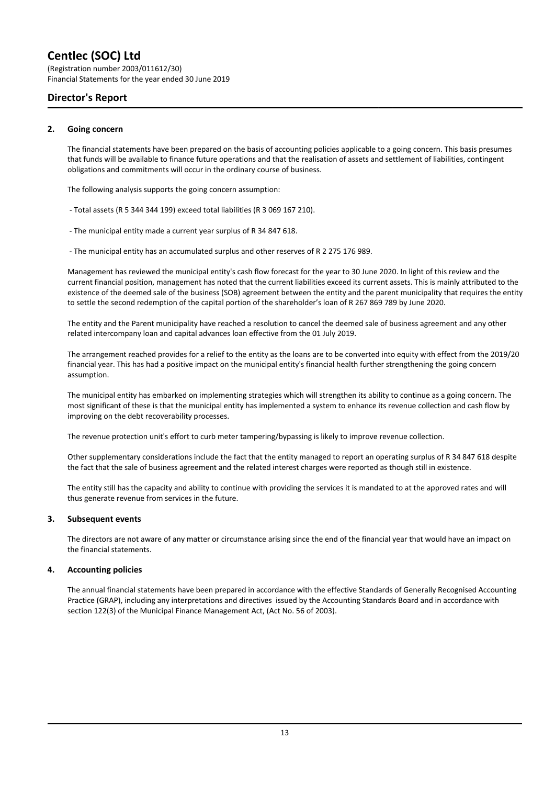(Registration number 2003/011612/30) Financial Statements for the year ended 30 June 2019

## **Director's Report**

### **2. Going concern**

The financial statements have been prepared on the basis of accounting policies applicable to a going concern. This basis presumes that funds will be available to finance future operations and that the realisation of assets and settlement of liabilities, contingent obligations and commitments will occur in the ordinary course of business.

The following analysis supports the going concern assumption:

- Total assets (R 5 344 344 199) exceed total liabilities (R 3 069 167 210).
- The municipal entity made a current year surplus of R 34 847 618.
- The municipal entity has an accumulated surplus and other reserves of R 2 275 176 989.

Management has reviewed the municipal entity's cash flow forecast for the year to 30 June 2020. In light of this review and the current financial position, management has noted that the current liabilities exceed its current assets. This is mainly attributed to the existence of the deemed sale of the business (SOB) agreement between the entity and the parent municipality that requires the entity to settle the second redemption of the capital portion of the shareholder's loan of R 267 869 789 by June 2020.

The entity and the Parent municipality have reached a resolution to cancel the deemed sale of business agreement and any other related intercompany loan and capital advances loan effective from the 01 July 2019.

The arrangement reached provides for a relief to the entity as the loans are to be converted into equity with effect from the 2019/20 financial year. This has had a positive impact on the municipal entity's financial health further strengthening the going concern assumption.

The municipal entity has embarked on implementing strategies which will strengthen its ability to continue as a going concern. The most significant of these is that the municipal entity has implemented a system to enhance its revenue collection and cash flow by improving on the debt recoverability processes.

The revenue protection unit's effort to curb meter tampering/bypassing is likely to improve revenue collection.

Other supplementary considerations include the fact that the entity managed to report an operating surplus of R 34 847 618 despite the fact that the sale of business agreement and the related interest charges were reported as though still in existence.

The entity still has the capacity and ability to continue with providing the services it is mandated to at the approved rates and will thus generate revenue from services in the future.

### **3. Subsequent events**

The directors are not aware of any matter or circumstance arising since the end of the financial year that would have an impact on the financial statements.

### **4. Accounting policies**

The annual financial statements have been prepared in accordance with the effective Standards of Generally Recognised Accounting Practice (GRAP), including any interpretations and directives issued by the Accounting Standards Board and in accordance with section 122(3) of the Municipal Finance Management Act, (Act No. 56 of 2003).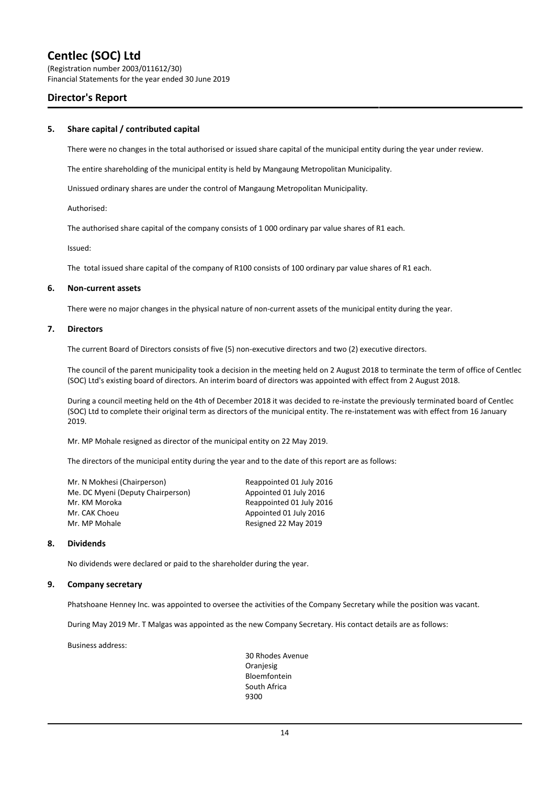(Registration number 2003/011612/30) Financial Statements for the year ended 30 June 2019

## **Director's Report**

### **5. Share capital / contributed capital**

There were no changes in the total authorised or issued share capital of the municipal entity during the year under review.

The entire shareholding of the municipal entity is held by Mangaung Metropolitan Municipality.

Unissued ordinary shares are under the control of Mangaung Metropolitan Municipality.

Authorised:

The authorised share capital of the company consists of 1 000 ordinary par value shares of R1 each.

Issued:

The total issued share capital of the company of R100 consists of 100 ordinary par value shares of R1 each.

### **6. Non-current assets**

There were no major changes in the physical nature of non-current assets of the municipal entity during the year.

### **7. Directors**

The current Board of Directors consists of five (5) non-executive directors and two (2) executive directors.

The council of the parent municipality took a decision in the meeting held on 2 August 2018 to terminate the term of office of Centlec (SOC) Ltd's existing board of directors. An interim board of directors was appointed with effect from 2 August 2018.

During a council meeting held on the 4th of December 2018 it was decided to re-instate the previously terminated board of Centlec (SOC) Ltd to complete their original term as directors of the municipal entity. The re-instatement was with effect from 16 January 2019.

Mr. MP Mohale resigned as director of the municipal entity on 22 May 2019.

The directors of the municipal entity during the year and to the date of this report are as follows:

| Mr. N Mokhesi (Chairperson)       | Reappointed 01 July 2016 |
|-----------------------------------|--------------------------|
| Me. DC Myeni (Deputy Chairperson) | Appointed 01 July 2016   |
| Mr. KM Moroka                     | Reappointed 01 July 2016 |
| Mr. CAK Choeu                     | Appointed 01 July 2016   |
| Mr. MP Mohale                     | Resigned 22 May 2019     |
|                                   |                          |

### **8. Dividends**

No dividends were declared or paid to the shareholder during the year.

### **9. Company secretary**

Phatshoane Henney Inc. was appointed to oversee the activities of the Company Secretary while the position was vacant.

During May 2019 Mr. T Malgas was appointed as the new Company Secretary. His contact details are as follows:

Business address:

30 Rhodes Avenue Oranjesig Bloemfontein South Africa 9300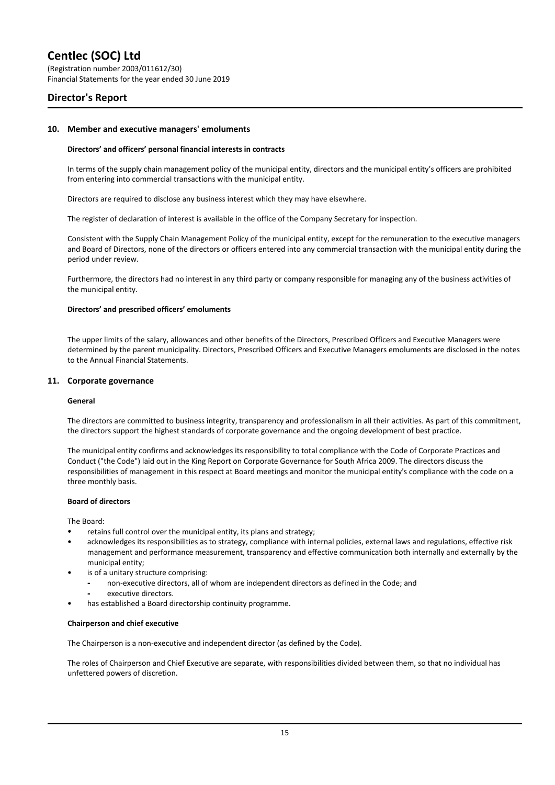(Registration number 2003/011612/30) Financial Statements for the year ended 30 June 2019

### **Director's Report**

### **10. Member and executive managers' emoluments**

### **Directors' and officers' personal financial interests in contracts**

In terms of the supply chain management policy of the municipal entity, directors and the municipal entity's officers are prohibited from entering into commercial transactions with the municipal entity.

Directors are required to disclose any business interest which they may have elsewhere.

The register of declaration of interest is available in the office of the Company Secretary for inspection.

Consistent with the Supply Chain Management Policy of the municipal entity, except for the remuneration to the executive managers and Board of Directors, none of the directors or officers entered into any commercial transaction with the municipal entity during the period under review.

Furthermore, the directors had no interest in any third party or company responsible for managing any of the business activities of the municipal entity.

### **Directors' and prescribed officers' emoluments**

The upper limits of the salary, allowances and other benefits of the Directors, Prescribed Officers and Executive Managers were determined by the parent municipality. Directors, Prescribed Officers and Executive Managers emoluments are disclosed in the notes to the Annual Financial Statements.

### **11. Corporate governance**

### **General**

The directors are committed to business integrity, transparency and professionalism in all their activities. As part of this commitment, the directors support the highest standards of corporate governance and the ongoing development of best practice.

The municipal entity confirms and acknowledges its responsibility to total compliance with the Code of Corporate Practices and Conduct ("the Code") laid out in the King Report on Corporate Governance for South Africa 2009. The directors discuss the responsibilities of management in this respect at Board meetings and monitor the municipal entity's compliance with the code on a three monthly basis.

### **Board of directors**

The Board:

- retains full control over the municipal entity, its plans and strategy;
- acknowledges its responsibilities as to strategy, compliance with internal policies, external laws and regulations, effective risk management and performance measurement, transparency and effective communication both internally and externally by the municipal entity;
- is of a unitary structure comprising:
	- **-** non-executive directors, all of whom are independent directors as defined in the Code; and
	- **-** executive directors.
- has established a Board directorship continuity programme.

### **Chairperson and chief executive**

The Chairperson is a non-executive and independent director (as defined by the Code).

The roles of Chairperson and Chief Executive are separate, with responsibilities divided between them, so that no individual has unfettered powers of discretion.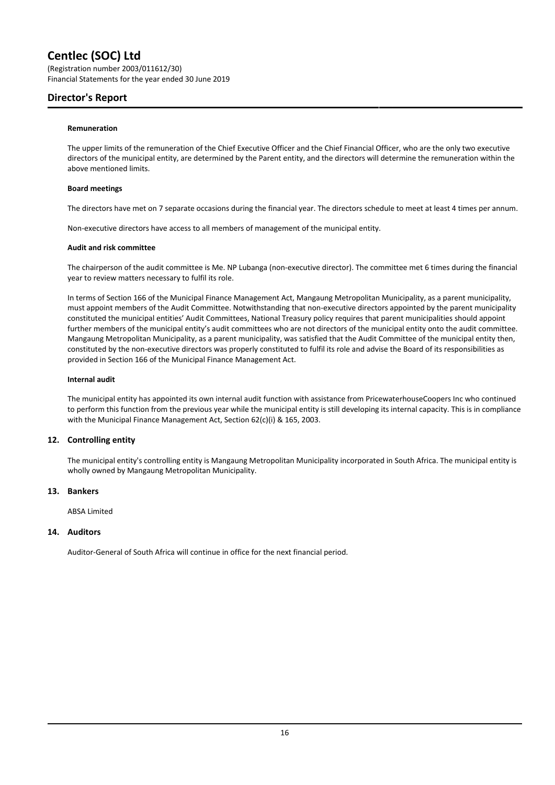(Registration number 2003/011612/30) Financial Statements for the year ended 30 June 2019

### **Director's Report**

### **Remuneration**

The upper limits of the remuneration of the Chief Executive Officer and the Chief Financial Officer, who are the only two executive directors of the municipal entity, are determined by the Parent entity, and the directors will determine the remuneration within the above mentioned limits.

### **Board meetings**

The directors have met on 7 separate occasions during the financial year. The directors schedule to meet at least 4 times per annum.

Non-executive directors have access to all members of management of the municipal entity.

### **Audit and risk committee**

The chairperson of the audit committee is Me. NP Lubanga (non-executive director). The committee met 6 times during the financial year to review matters necessary to fulfil its role.

In terms of Section 166 of the Municipal Finance Management Act, Mangaung Metropolitan Municipality, as a parent municipality, must appoint members of the Audit Committee. Notwithstanding that non-executive directors appointed by the parent municipality constituted the municipal entities' Audit Committees, National Treasury policy requires that parent municipalities should appoint further members of the municipal entity's audit committees who are not directors of the municipal entity onto the audit committee. Mangaung Metropolitan Municipality, as a parent municipality, was satisfied that the Audit Committee of the municipal entity then, constituted by the non-executive directors was properly constituted to fulfil its role and advise the Board of its responsibilities as provided in Section 166 of the Municipal Finance Management Act.

### **Internal audit**

The municipal entity has appointed its own internal audit function with assistance from PricewaterhouseCoopers Inc who continued to perform this function from the previous year while the municipal entity is still developing its internal capacity. This is in compliance with the Municipal Finance Management Act, Section 62(c)(i) & 165, 2003.

### **12. Controlling entity**

The municipal entity's controlling entity is Mangaung Metropolitan Municipality incorporated in South Africa. The municipal entity is wholly owned by Mangaung Metropolitan Municipality.

### **13. Bankers**

ABSA Limited

### **14. Auditors**

Auditor-General of South Africa will continue in office for the next financial period.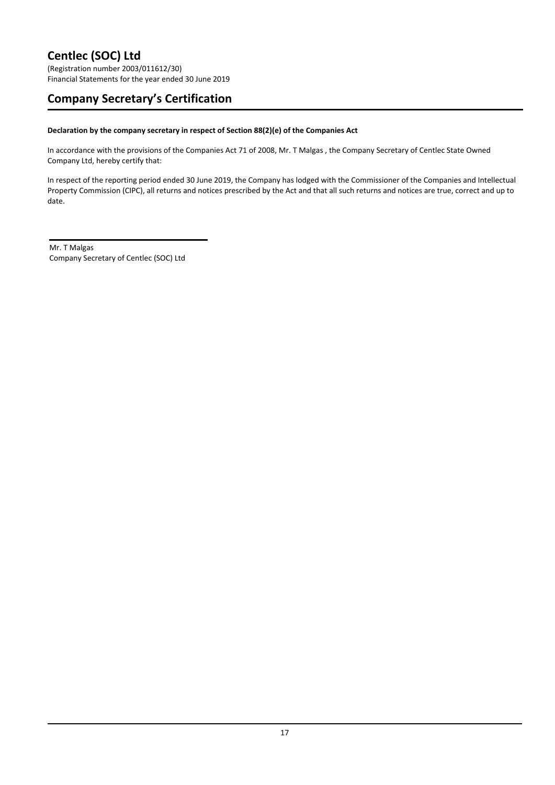(Registration number 2003/011612/30) Financial Statements for the year ended 30 June 2019

# **Company Secretary's Certification**

### **Declaration by the company secretary in respect of Section 88(2)(e) of the Companies Act**

In accordance with the provisions of the Companies Act 71 of 2008, Mr. T Malgas , the Company Secretary of Centlec State Owned Company Ltd, hereby certify that:

In respect of the reporting period ended 30 June 2019, the Company has lodged with the Commissioner of the Companies and Intellectual Property Commission (CIPC), all returns and notices prescribed by the Act and that all such returns and notices are true, correct and up to date.

Mr. T Malgas Company Secretary of Centlec (SOC) Ltd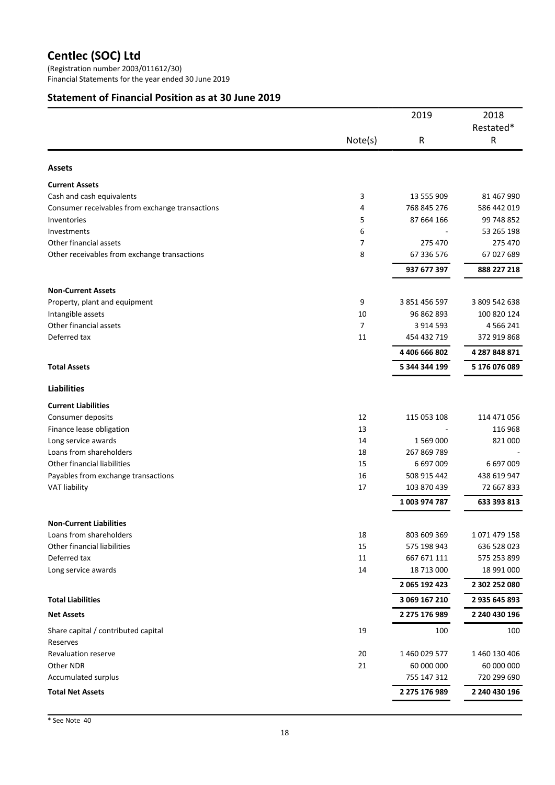(Registration number 2003/011612/30) Financial Statements for the year ended 30 June 2019

## **Statement of Financial Position as at 30 June 2019**

|                                                 |                | 2019          | 2018          |
|-------------------------------------------------|----------------|---------------|---------------|
|                                                 |                |               | Restated*     |
|                                                 | Note(s)        | R             | $\mathsf R$   |
| <b>Assets</b>                                   |                |               |               |
| <b>Current Assets</b>                           |                |               |               |
| Cash and cash equivalents                       | 3              | 13 555 909    | 81 467 990    |
| Consumer receivables from exchange transactions | 4              | 768 845 276   | 586 442 019   |
| Inventories                                     | 5              | 87 664 166    | 99 748 852    |
| Investments                                     | 6              |               | 53 265 198    |
| Other financial assets                          | 7              | 275 470       | 275 470       |
| Other receivables from exchange transactions    | 8              | 67 336 576    | 67 027 689    |
|                                                 |                | 937 677 397   | 888 227 218   |
| <b>Non-Current Assets</b>                       |                |               |               |
| Property, plant and equipment                   | 9              | 3 851 456 597 | 3 809 542 638 |
| Intangible assets                               | 10             | 96 862 893    | 100 820 124   |
| Other financial assets                          | $\overline{7}$ | 3 9 14 5 9 3  | 4 5 6 2 4 1   |
| Deferred tax                                    | 11             | 454 432 719   | 372 919 868   |
|                                                 |                | 4 406 666 802 | 4 287 848 871 |
| <b>Total Assets</b>                             |                | 5 344 344 199 | 5 176 076 089 |
| <b>Liabilities</b>                              |                |               |               |
| <b>Current Liabilities</b>                      |                |               |               |
| Consumer deposits                               | 12             | 115 053 108   | 114 471 056   |
| Finance lease obligation                        | 13             |               | 116 968       |
| Long service awards                             | 14             | 1 569 000     | 821 000       |
| Loans from shareholders                         | 18             | 267 869 789   |               |
| Other financial liabilities                     | 15             | 6 697 009     | 6 697 009     |
| Payables from exchange transactions             | 16             | 508 915 442   | 438 619 947   |
| <b>VAT liability</b>                            | 17             | 103 870 439   | 72 667 833    |
|                                                 |                | 1003974787    | 633 393 813   |
| <b>Non-Current Liabilities</b>                  |                |               |               |
| Loans from shareholders                         | 18             | 803 609 369   | 1071479158    |
| Other financial liabilities                     | 15             | 575 198 943   | 636 528 023   |
| Deferred tax                                    | 11             | 667 671 111   | 575 253 899   |
| Long service awards                             | 14             | 18 713 000    | 18 991 000    |
|                                                 |                | 2 065 192 423 | 2 302 252 080 |
| <b>Total Liabilities</b>                        |                | 3 069 167 210 | 2 935 645 893 |
| <b>Net Assets</b>                               |                | 2 275 176 989 | 2 240 430 196 |
| Share capital / contributed capital<br>Reserves | 19             | 100           | 100           |
| Revaluation reserve                             | 20             | 1 460 029 577 | 1 460 130 406 |
| Other NDR                                       | 21             | 60 000 000    | 60 000 000    |
| Accumulated surplus                             |                | 755 147 312   | 720 299 690   |
| <b>Total Net Assets</b>                         |                | 2 275 176 989 | 2 240 430 196 |
|                                                 |                |               |               |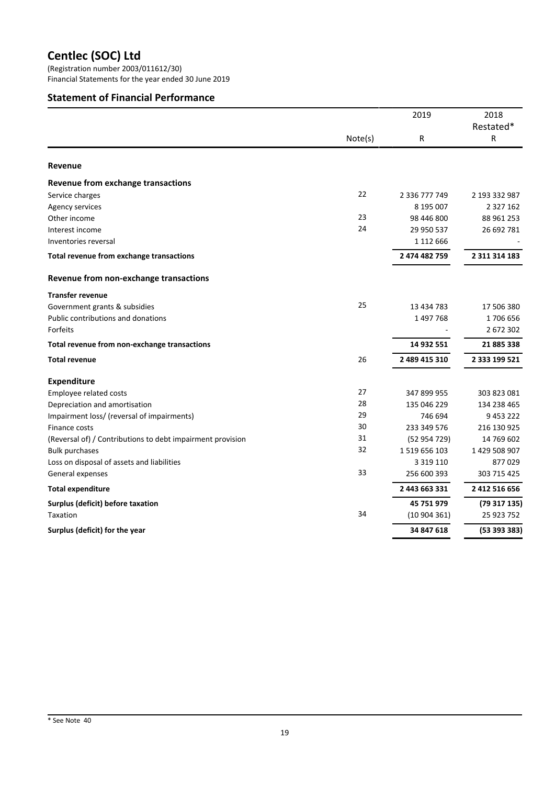(Registration number 2003/011612/30) Financial Statements for the year ended 30 June 2019

## **Statement of Financial Performance**

|                                                            |         | 2019          | 2018              |
|------------------------------------------------------------|---------|---------------|-------------------|
|                                                            |         |               | Restated*         |
|                                                            | Note(s) | R             | R                 |
| Revenue                                                    |         |               |                   |
| Revenue from exchange transactions                         |         |               |                   |
| Service charges                                            | 22      | 2 336 777 749 | 2 193 332 987     |
| Agency services                                            |         | 8 195 007     | 2 3 2 7 1 6 2     |
| Other income                                               | 23      | 98 446 800    | 88 961 253        |
| Interest income                                            | 24      | 29 950 537    | 26 692 781        |
| Inventories reversal                                       |         | 1 1 1 2 6 6 6 |                   |
| Total revenue from exchange transactions                   |         | 2 474 482 759 | 2 3 1 3 1 4 1 8 3 |
| Revenue from non-exchange transactions                     |         |               |                   |
| <b>Transfer revenue</b>                                    |         |               |                   |
| Government grants & subsidies                              | 25      | 13 434 783    | 17 506 380        |
| Public contributions and donations                         |         | 1497768       | 1706 656          |
| Forfeits                                                   |         |               | 2 672 302         |
| Total revenue from non-exchange transactions               |         | 14 932 551    | 21 885 338        |
| <b>Total revenue</b>                                       | 26      | 2 489 415 310 | 2 333 199 521     |
| <b>Expenditure</b>                                         |         |               |                   |
| Employee related costs                                     | 27      | 347 899 955   | 303 823 081       |
| Depreciation and amortisation                              | 28      | 135 046 229   | 134 238 465       |
| Impairment loss/ (reversal of impairments)                 | 29      | 746 694       | 9453222           |
| Finance costs                                              | 30      | 233 349 576   | 216 130 925       |
| (Reversal of) / Contributions to debt impairment provision | 31      | (52954729)    | 14 769 602        |
| <b>Bulk purchases</b>                                      | 32      | 1519656103    | 1 429 508 907     |
| Loss on disposal of assets and liabilities                 |         | 3 3 1 9 1 1 0 | 877029            |
| General expenses                                           | 33      | 256 600 393   | 303 715 425       |
| <b>Total expenditure</b>                                   |         | 2 443 663 331 | 2 412 516 656     |
| Surplus (deficit) before taxation                          |         | 45 751 979    | (79 317 135)      |
| <b>Taxation</b>                                            | 34      | (10904361)    | 25 923 752        |
| Surplus (deficit) for the year                             |         | 34 847 618    | (53 393 383)      |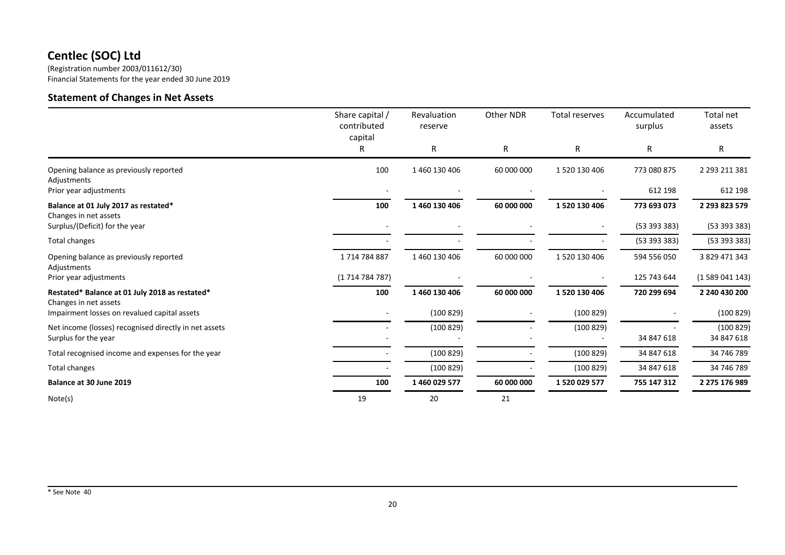(Registration number 2003/011612/30) Financial Statements for the year ended 30 June 2019

## **Statement of Changes in Net Assets**

|                                                                               | Share capital /<br>contributed<br>capital | Revaluation<br>reserve | Other NDR  | Total reserves | Accumulated<br>surplus | Total net<br>assets     |
|-------------------------------------------------------------------------------|-------------------------------------------|------------------------|------------|----------------|------------------------|-------------------------|
|                                                                               | R                                         | R                      | R          | R              | R                      | R                       |
| Opening balance as previously reported<br>Adjustments                         | 100                                       | 1 460 130 406          | 60 000 000 | 1520130406     | 773 080 875            | 2 293 211 381           |
| Prior year adjustments                                                        |                                           |                        |            |                | 612 198                | 612 198                 |
| Balance at 01 July 2017 as restated*<br>Changes in net assets                 | 100                                       | 1 460 130 406          | 60 000 000 | 1520130406     | 773 693 073            | 2 293 823 579           |
| Surplus/(Deficit) for the year                                                |                                           |                        |            |                | (53393383)             | (53393383)              |
| Total changes                                                                 |                                           |                        |            |                | (53393383)             | (53393383)              |
| Opening balance as previously reported<br>Adjustments                         | 1714784887                                | 1 460 130 406          | 60 000 000 | 1520130406     | 594 556 050            | 3 829 471 343           |
| Prior year adjustments                                                        | (1714784787)                              |                        |            |                | 125 743 644            | (1589041143)            |
| Restated* Balance at 01 July 2018 as restated*<br>Changes in net assets       | 100                                       | 1460130406             | 60 000 000 | 1 520 130 406  | 720 299 694            | 2 240 430 200           |
| Impairment losses on revalued capital assets                                  |                                           | (100 829)              |            | (100 829)      |                        | (100 829)               |
| Net income (losses) recognised directly in net assets<br>Surplus for the year |                                           | (100 829)              |            | (100 829)      | 34 847 618             | (100 829)<br>34 847 618 |
| Total recognised income and expenses for the year                             |                                           | (100 829)              |            | (100 829)      | 34 847 618             | 34 746 789              |
| Total changes                                                                 |                                           | (100 829)              |            | (100 829)      | 34 847 618             | 34 746 789              |
| Balance at 30 June 2019                                                       | 100                                       | 1460 029 577           | 60 000 000 | 1 520 029 577  | 755 147 312            | 2 275 176 989           |
| Note(s)                                                                       | 19                                        | 20                     | 21         |                |                        |                         |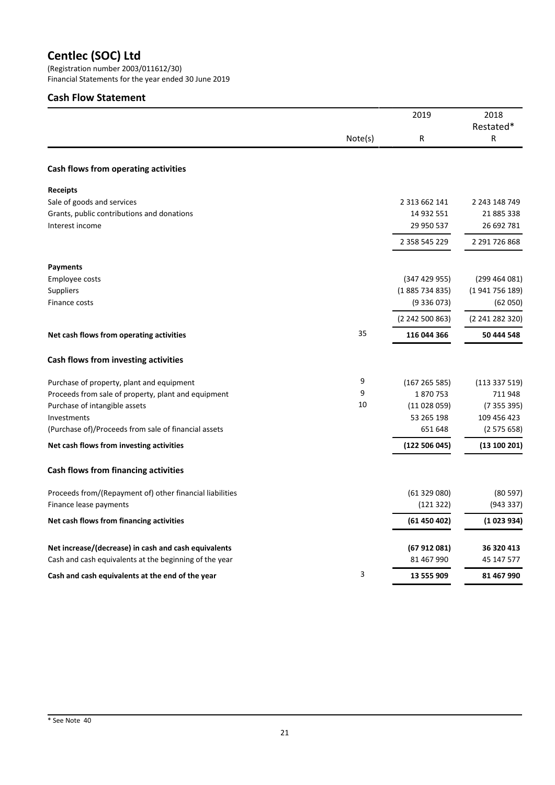(Registration number 2003/011612/30) Financial Statements for the year ended 30 June 2019

## **Cash Flow Statement**

|                                                          |         | 2019                | 2018            |
|----------------------------------------------------------|---------|---------------------|-----------------|
|                                                          |         |                     | Restated*       |
|                                                          | Note(s) | R                   | R               |
| Cash flows from operating activities                     |         |                     |                 |
| <b>Receipts</b>                                          |         |                     |                 |
| Sale of goods and services                               |         | 2 3 1 3 6 6 2 1 4 1 | 2 243 148 749   |
| Grants, public contributions and donations               |         | 14 932 551          | 21 885 338      |
| Interest income                                          |         | 29 950 537          | 26 692 781      |
|                                                          |         | 2 358 545 229       | 2 291 726 868   |
| <b>Payments</b>                                          |         |                     |                 |
| <b>Employee costs</b>                                    |         | (347 429 955)       | (299 464 081)   |
| <b>Suppliers</b>                                         |         | (1885 734 835)      | (1941756189)    |
| Finance costs                                            |         | (9336073)           | (62 050)        |
|                                                          |         | (2242500863)        | (2 241 282 320) |
| Net cash flows from operating activities                 | 35      | 116 044 366         | 50 444 548      |
| Cash flows from investing activities                     |         |                     |                 |
| Purchase of property, plant and equipment                | 9       | (167 265 585)       | (113 337 519)   |
| Proceeds from sale of property, plant and equipment      | 9       | 1870753             | 711 948         |
| Purchase of intangible assets                            | 10      | (11028059)          | (7355395)       |
| Investments                                              |         | 53 265 198          | 109 456 423     |
| (Purchase of)/Proceeds from sale of financial assets     |         | 651 648             | (2575658)       |
| Net cash flows from investing activities                 |         | (122 506 045)       | (13100201)      |
| Cash flows from financing activities                     |         |                     |                 |
| Proceeds from/(Repayment of) other financial liabilities |         | (61329080)          | (80597)         |
| Finance lease payments                                   |         | (12132)             | (943337)        |
| Net cash flows from financing activities                 |         | (61450402)          | (1 023 934)     |
| Net increase/(decrease) in cash and cash equivalents     |         | (67912081)          | 36 320 413      |
| Cash and cash equivalents at the beginning of the year   |         | 81 467 990          | 45 147 577      |
| Cash and cash equivalents at the end of the year         | 3       | 13 555 909          | 81 467 990      |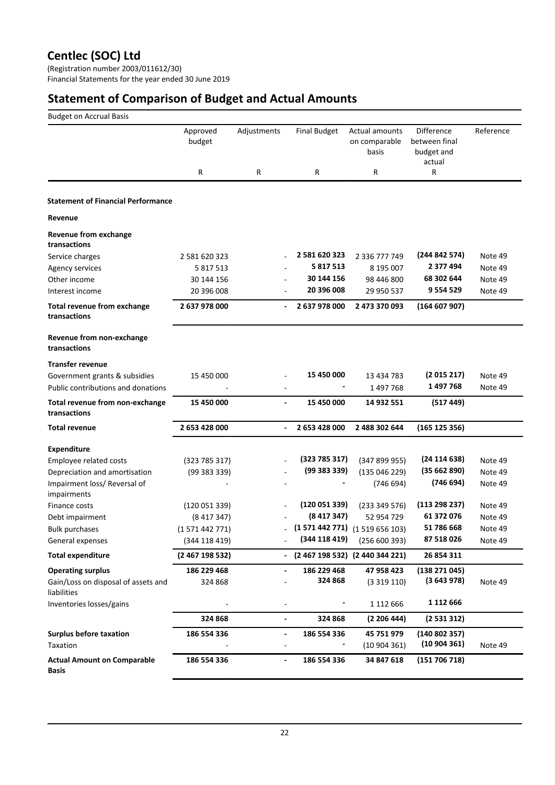(Registration number 2003/011612/30) Financial Statements for the year ended 30 June 2019

## **Statement of Comparison of Budget and Actual Amounts**

|  | <b>Budget on Accrual Basis</b> |  |
|--|--------------------------------|--|
|  |                                |  |

| Daufer om neer aar Dabie                           |                     |                          |                                     |                                                 |                                                     |           |
|----------------------------------------------------|---------------------|--------------------------|-------------------------------------|-------------------------------------------------|-----------------------------------------------------|-----------|
|                                                    | Approved<br>budget  | Adjustments              | <b>Final Budget</b>                 | <b>Actual amounts</b><br>on comparable<br>basis | Difference<br>between final<br>budget and<br>actual | Reference |
|                                                    | R                   | R                        | R                                   | R                                               | R                                                   |           |
| <b>Statement of Financial Performance</b>          |                     |                          |                                     |                                                 |                                                     |           |
| Revenue                                            |                     |                          |                                     |                                                 |                                                     |           |
| <b>Revenue from exchange</b><br>transactions       |                     |                          |                                     |                                                 |                                                     |           |
| Service charges                                    | 2 5 8 1 6 2 0 3 2 3 |                          | 2 581 620 323                       | 2 336 777 749                                   | (244842574)                                         | Note 49   |
| <b>Agency services</b>                             | 5 817 513           |                          | 5 817 513                           | 8 195 007                                       | 2 377 494                                           | Note 49   |
| Other income                                       | 30 144 156          |                          | 30 144 156                          | 98 446 800                                      | 68 302 644                                          | Note 49   |
| Interest income                                    | 20 396 008          |                          | 20 396 008                          | 29 950 537                                      | 9 5 5 4 5 2 9                                       | Note 49   |
| <b>Total revenue from exchange</b><br>transactions | 2 637 978 000       |                          | 2 637 978 000                       | 2 473 370 093                                   | (164607907)                                         |           |
| Revenue from non-exchange<br>transactions          |                     |                          |                                     |                                                 |                                                     |           |
| Transfer revenue                                   |                     |                          |                                     |                                                 |                                                     |           |
| Government grants & subsidies                      | 15 450 000          |                          | 15 450 000                          | 13 434 783                                      | (2015217)                                           | Note 49   |
| <b>Public contributions and donations</b>          |                     |                          |                                     | 1497768                                         | 1497768                                             | Note 49   |
| Total revenue from non-exchange<br>transactions    | 15 450 000          |                          | 15 450 000                          | 14 932 551                                      | (517 449)                                           |           |
| <b>Total revenue</b>                               | 2 653 428 000       |                          | 2 653 428 000                       | 2 488 302 644                                   | (165 125 356)                                       |           |
| <b>Expenditure</b>                                 |                     |                          |                                     |                                                 |                                                     |           |
| Employee related costs                             | (323 785 317)       |                          | (323 785 317)                       | (347899955)                                     | (24114638)                                          | Note 49   |
| Depreciation and amortisation                      | (99383339)          |                          | (99 383 339)                        | (135046229)                                     | (35662890)                                          | Note 49   |
| Impairment loss/ Reversal of                       |                     |                          |                                     | (746694)                                        | (746694)                                            | Note 49   |
| impairments                                        |                     |                          |                                     |                                                 |                                                     |           |
| Finance costs                                      | (120051339)         |                          | (120051339)                         | (233 349 576)                                   | (113 298 237)                                       | Note 49   |
| Debt impairment                                    | (8417347)           |                          | (8417347)                           | 52 954 729                                      | 61 372 076                                          | Note 49   |
| <b>Bulk purchases</b>                              | (1571442771)        |                          |                                     | $(1571442771)$ $(1519656103)$                   | 51 786 668                                          | Note 49   |
| General expenses                                   | (344118419)         |                          | (344 118 419)                       | (256 600 393)                                   | 87 518 026                                          | Note 49   |
| <b>Total expenditure</b>                           | (2 467 198 532)     |                          | $-$ (2 467 198 532) (2 440 344 221) |                                                 | 26 854 311                                          |           |
| <b>Operating surplus</b>                           | 186 229 468         |                          | 186 229 468                         | 47 958 423                                      | (138 271 045)                                       |           |
| Gain/Loss on disposal of assets and<br>liabilities | 324 868             |                          | 324 868                             | (3319110)                                       | (3643978)                                           | Note 49   |
| Inventories losses/gains                           |                     |                          |                                     | 1 112 666                                       | 1 1 1 2 6 6 6                                       |           |
|                                                    | 324 868             | $\overline{\phantom{a}}$ | 324 868                             | (2206444)                                       | (2531312)                                           |           |
| <b>Surplus before taxation</b>                     | 186 554 336         | $\overline{\phantom{a}}$ | 186 554 336                         | 45 751 979                                      | (140 802 357)                                       |           |
| Taxation                                           |                     |                          |                                     | (10904361)                                      | (10904361)                                          | Note 49   |
| <b>Actual Amount on Comparable</b><br>Basis        | 186 554 336         | $\overline{\phantom{a}}$ | 186 554 336                         | 34 847 618                                      | (151706718)                                         |           |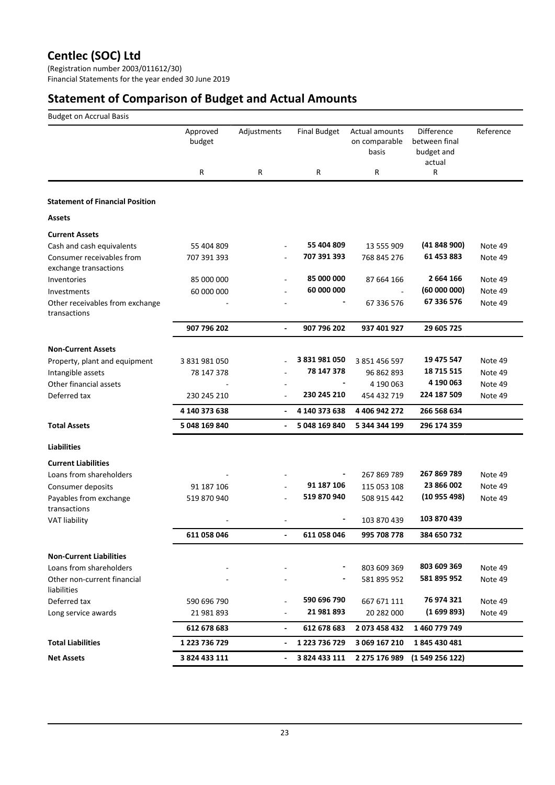(Registration number 2003/011612/30) Financial Statements for the year ended 30 June 2019

# **Statement of Comparison of Budget and Actual Amounts**

|  | <b>Budget on Accrual Basis</b> |  |
|--|--------------------------------|--|
|  |                                |  |

|                                                    | Approved<br>budget | Adjustments              | <b>Final Budget</b> | Actual amounts<br>on comparable<br>basis | Difference<br>between final<br>budget and<br>actual | Reference |
|----------------------------------------------------|--------------------|--------------------------|---------------------|------------------------------------------|-----------------------------------------------------|-----------|
|                                                    | R                  | R                        | R                   | R                                        | R                                                   |           |
| <b>Statement of Financial Position</b>             |                    |                          |                     |                                          |                                                     |           |
| Assets                                             |                    |                          |                     |                                          |                                                     |           |
| <b>Current Assets</b>                              |                    |                          |                     |                                          |                                                     |           |
| Cash and cash equivalents                          | 55 404 809         |                          | 55 404 809          | 13 555 909                               | (41848900)                                          | Note 49   |
| Consumer receivables from<br>exchange transactions | 707 391 393        |                          | 707 391 393         | 768 845 276                              | 61 453 883                                          | Note 49   |
| Inventories                                        | 85 000 000         |                          | 85 000 000          | 87 664 166                               | 2664166                                             | Note 49   |
| Investments                                        | 60 000 000         |                          | 60 000 000          |                                          | (6000000)                                           | Note 49   |
| Other receivables from exchange<br>transactions    |                    |                          |                     | 67 336 576                               | 67 336 576                                          | Note 49   |
|                                                    | 907 796 202        |                          | 907 796 202         | 937 401 927                              | 29 605 725                                          |           |
| <b>Non-Current Assets</b>                          |                    |                          |                     |                                          |                                                     |           |
| Property, plant and equipment                      | 3 831 981 050      |                          | 3 831 981 050       | 3 851 456 597                            | 19 475 547                                          | Note 49   |
| Intangible assets                                  | 78 147 378         |                          | 78 147 378          | 96 862 893                               | 18 715 515                                          | Note 49   |
| Other financial assets                             |                    |                          |                     | 4 190 063                                | 4 190 063                                           | Note 49   |
| Deferred tax                                       | 230 245 210        |                          | 230 245 210         | 454 432 719                              | 224 187 509                                         | Note 49   |
|                                                    | 4 140 373 638      | $\blacksquare$           | 4 140 373 638       | 4 406 942 272                            | 266 568 634                                         |           |
| <b>Total Assets</b>                                | 5 048 169 840      | $\overline{\phantom{a}}$ | 5 048 169 840       | 5 344 344 199                            | 296 174 359                                         |           |
| <b>Liabilities</b>                                 |                    |                          |                     |                                          |                                                     |           |
| <b>Current Liabilities</b>                         |                    |                          |                     |                                          |                                                     |           |
| Loans from shareholders                            |                    |                          |                     | 267 869 789                              | 267 869 789                                         | Note 49   |
| Consumer deposits                                  | 91 187 106         |                          | 91 187 106          | 115 053 108                              | 23 866 002                                          | Note 49   |
| Payables from exchange                             | 519 870 940        |                          | 519 870 940         | 508 915 442                              | (10955498)                                          | Note 49   |
| transactions<br><b>VAT liability</b>               |                    |                          |                     | 103 870 439                              | 103 870 439                                         |           |
|                                                    | 611 058 046        |                          | 611 058 046         | 995 708 778                              | 384 650 732                                         |           |
| <b>Non-Current Liabilities</b>                     |                    |                          |                     |                                          |                                                     |           |
| Loans from shareholders                            |                    |                          |                     | 803 609 369                              | 803 609 369                                         | Note 49   |
| Other non-current financial                        |                    |                          |                     | 581 895 952                              | 581 895 952                                         | Note 49   |
| liabilities                                        |                    |                          |                     |                                          |                                                     |           |
| Deferred tax                                       | 590 696 790        |                          | 590 696 790         | 667 671 111                              | 76 974 321                                          | Note 49   |
| Long service awards                                | 21 981 893         |                          | 21 981 893          | 20 282 000                               | (1699893)                                           | Note 49   |
|                                                    | 612 678 683        |                          | 612 678 683         | 2073 458 432                             | 1 460 779 749                                       |           |
| <b>Total Liabilities</b>                           | 1 223 736 729      |                          | 1 223 736 729       | 3 069 167 210                            | 1845 430 481                                        |           |
| <b>Net Assets</b>                                  | 3 824 433 111      |                          | 3 824 433 111       | 2 275 176 989                            | (1 549 256 122)                                     |           |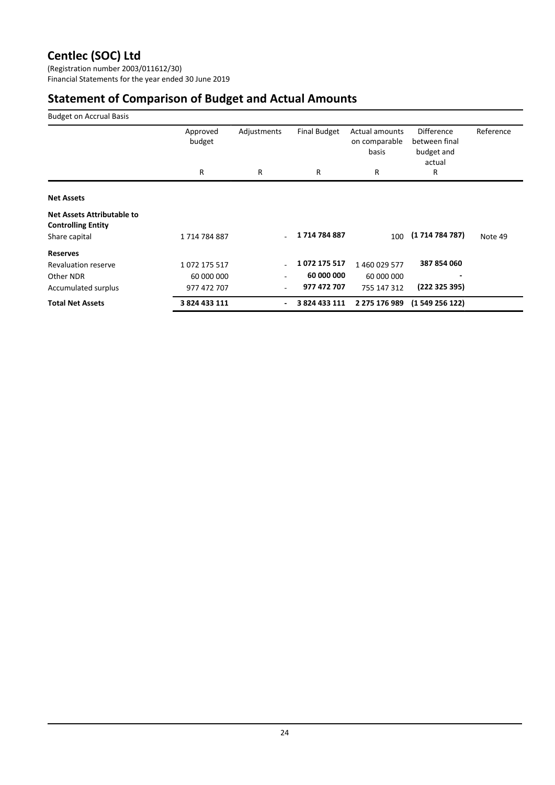(Registration number 2003/011612/30) Financial Statements for the year ended 30 June 2019

# **Statement of Comparison of Budget and Actual Amounts**

Budget on Accrual Basis

|                                                                | Approved<br>budget | Adjustments              | <b>Final Budget</b> | <b>Actual amounts</b><br>on comparable<br>basis | <b>Difference</b><br>between final<br>budget and<br>actual | Reference |
|----------------------------------------------------------------|--------------------|--------------------------|---------------------|-------------------------------------------------|------------------------------------------------------------|-----------|
|                                                                | R                  | R                        | R                   | R                                               | R                                                          |           |
| <b>Net Assets</b>                                              |                    |                          |                     |                                                 |                                                            |           |
| <b>Net Assets Attributable to</b><br><b>Controlling Entity</b> |                    |                          |                     |                                                 |                                                            |           |
| Share capital                                                  | 1714784887         |                          | 1714784887          | 100                                             | (1714784787)                                               | Note 49   |
| <b>Reserves</b>                                                |                    |                          |                     |                                                 |                                                            |           |
| <b>Revaluation reserve</b>                                     | 1072 175 517       |                          | 1072175517          | 1460029577                                      | 387 854 060                                                |           |
| Other NDR                                                      | 60 000 000         | ٠                        | 60 000 000          | 60 000 000                                      |                                                            |           |
| Accumulated surplus                                            | 977 472 707        |                          | 977 472 707         | 755 147 312                                     | (222325395)                                                |           |
| <b>Total Net Assets</b>                                        | 3824433111         | $\overline{\phantom{a}}$ | 3 824 433 111       | 2 275 176 989                                   | (1549256122)                                               |           |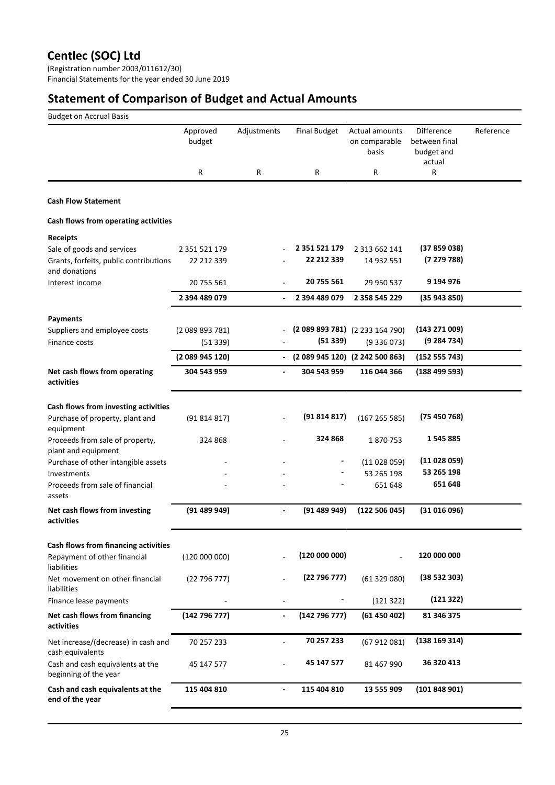(Registration number 2003/011612/30) Financial Statements for the year ended 30 June 2019

## **Statement of Comparison of Budget and Actual Amounts**

|  | <b>Budget on Accrual Basis</b> |  |
|--|--------------------------------|--|
|  |                                |  |

| Duuget UITACCI udi Dasis                                  |                    |                          |                     |                                                 |                                                     |           |
|-----------------------------------------------------------|--------------------|--------------------------|---------------------|-------------------------------------------------|-----------------------------------------------------|-----------|
|                                                           | Approved<br>budget | Adjustments              | <b>Final Budget</b> | <b>Actual amounts</b><br>on comparable<br>basis | Difference<br>between final<br>budget and<br>actual | Reference |
|                                                           | R                  | $\mathsf{R}$             | R                   | R                                               | R                                                   |           |
| <b>Cash Flow Statement</b>                                |                    |                          |                     |                                                 |                                                     |           |
| Cash flows from operating activities                      |                    |                          |                     |                                                 |                                                     |           |
| <b>Receipts</b>                                           |                    |                          |                     |                                                 |                                                     |           |
| Sale of goods and services                                | 2 351 521 179      |                          | 2 351 521 179       | 2 313 662 141                                   | (37859038)                                          |           |
| Grants, forfeits, public contributions<br>and donations   | 22 212 339         |                          | 22 212 339          | 14 932 551                                      | (7279788)                                           |           |
| Interest income                                           | 20 755 561         |                          | 20 755 561          | 29 950 537                                      | 9 194 976                                           |           |
|                                                           | 2 394 489 079      | $\overline{\phantom{a}}$ | 2 394 489 079       | 2 358 545 229                                   | (35943850)                                          |           |
| <b>Payments</b>                                           |                    |                          |                     |                                                 |                                                     |           |
| Suppliers and employee costs                              | (2 089 893 781)    |                          |                     | (2 089 893 781) (2 233 164 790)                 | (143 271 009)                                       |           |
| Finance costs                                             | (51339)            |                          | (51339)             | (9336073)                                       | (9284734)                                           |           |
|                                                           | (2 089 945 120)    | ÷.                       |                     | (2 089 945 120) (2 242 500 863)                 | (152 555 743)                                       |           |
| Net cash flows from operating<br>activities               | 304 543 959        |                          | 304 543 959         | 116 044 366                                     | (188 499 593)                                       |           |
| Cash flows from investing activities                      |                    |                          |                     |                                                 |                                                     |           |
| Purchase of property, plant and<br>equipment              | (91814817)         |                          | (91814817)          | (167265585)                                     | (75450768)                                          |           |
| Proceeds from sale of property,<br>plant and equipment    | 324 868            |                          | 324 868             | 1870753                                         | 1 545 885                                           |           |
| Purchase of other intangible assets                       |                    |                          |                     | (11028059)                                      | (11028059)                                          |           |
| Investments                                               |                    |                          |                     | 53 265 198                                      | 53 265 198                                          |           |
| Proceeds from sale of financial<br>assets                 |                    |                          |                     | 651 648                                         | 651 648                                             |           |
| Net cash flows from investing<br>activities               | (91489949)         |                          | (91489949)          | (122 506 045)                                   | (31016096)                                          |           |
| Cash flows from financing activities                      |                    |                          |                     |                                                 |                                                     |           |
| Repayment of other financial<br>liabilities               | (120000000)        |                          | (120 000 000)       |                                                 | 120 000 000                                         |           |
| Net movement on other financial<br>liabilities            | (22796777)         |                          | (22796777)          | (61329080)                                      | (38532303)                                          |           |
| Finance lease payments                                    |                    |                          |                     | (121 322)                                       | (121322)                                            |           |
| Net cash flows from financing<br>activities               | (142796777)        |                          | (142796777)         | (61450402)                                      | 81 346 375                                          |           |
| Net increase/(decrease) in cash and<br>cash equivalents   | 70 257 233         | ÷.                       | 70 257 233          | (67912081)                                      | (138 169 314)                                       |           |
| Cash and cash equivalents at the<br>beginning of the year | 45 147 577         |                          | 45 147 577          | 81 467 990                                      | 36 320 413                                          |           |
| Cash and cash equivalents at the<br>end of the year       | 115 404 810        |                          | 115 404 810         | 13 555 909                                      | (101848901)                                         |           |
|                                                           |                    |                          |                     |                                                 |                                                     |           |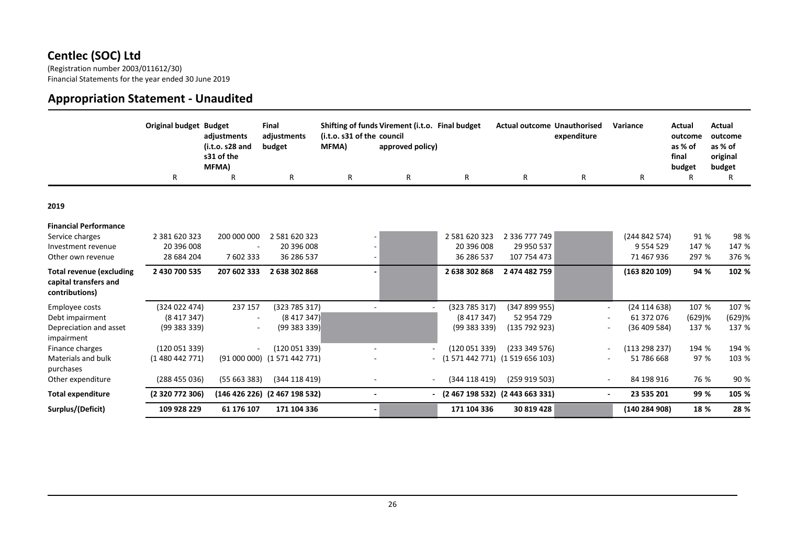(Registration number 2003/011612/30) Financial Statements for the year ended 30 June 2019

# **Appropriation Statement - Unaudited**

|                                                                            | <b>Original budget Budget</b> | adjustments<br>(i.t.o. s28 and<br>s31 of the<br>MFMA) | Final<br>adjustments<br>budget | (i.t.o. s31 of the council<br>MFMA) | Shifting of funds Virement (i.t.o. Final budget<br>approved policy) |                                     | <b>Actual outcome Unauthorised</b> | expenditure | Variance      | Actual<br>outcome<br>as % of<br>final<br>budget | Actual<br>outcome<br>as % of<br>original<br>budget |
|----------------------------------------------------------------------------|-------------------------------|-------------------------------------------------------|--------------------------------|-------------------------------------|---------------------------------------------------------------------|-------------------------------------|------------------------------------|-------------|---------------|-------------------------------------------------|----------------------------------------------------|
|                                                                            | R                             | R                                                     | R                              | R                                   | R                                                                   | R                                   | R                                  | R           | R             | R                                               | R                                                  |
| 2019                                                                       |                               |                                                       |                                |                                     |                                                                     |                                     |                                    |             |               |                                                 |                                                    |
| <b>Financial Performance</b>                                               |                               |                                                       |                                |                                     |                                                                     |                                     |                                    |             |               |                                                 |                                                    |
| Service charges                                                            | 2 381 620 323                 | 200 000 000                                           | 2 581 620 323                  |                                     |                                                                     | 2 581 620 323                       | 2 336 777 749                      |             | (244842574)   | 91 %                                            | 98 %                                               |
| Investment revenue                                                         | 20 396 008                    | $\overline{a}$                                        | 20 396 008                     |                                     |                                                                     | 20 396 008                          | 29 950 537                         |             | 9 5 5 4 5 2 9 | 147 %                                           | 147 %                                              |
| Other own revenue                                                          | 28 684 204                    | 7 602 333                                             | 36 286 537                     |                                     |                                                                     | 36 286 537                          | 107 754 473                        |             | 71 467 936    | 297 %                                           | 376 %                                              |
| <b>Total revenue (excluding</b><br>capital transfers and<br>contributions) | 2 430 700 535                 | 207 602 333                                           | 2 638 302 868                  |                                     |                                                                     | 2638302868                          | 2 474 482 759                      |             | (163 820 109) | 94 %                                            | 102 %                                              |
| Employee costs                                                             | (324022474)                   | 237 157                                               | (323785317)                    |                                     |                                                                     | (323785317)                         | (347899955)                        |             | (24114638)    | 107 %                                           | 107 %                                              |
| Debt impairment                                                            | (8417347)                     |                                                       | (8417347)                      |                                     |                                                                     | (8417347)                           | 52 954 729                         |             | 61 372 076    | $(629)$ %                                       | $(629)$ %                                          |
| Depreciation and asset<br>impairment                                       | (99383339)                    | $\overline{\phantom{a}}$                              | (99 383 339)                   |                                     |                                                                     | (99383339)                          | (135792923)                        |             | (36 409 584)  | 137 %                                           | 137 %                                              |
| Finance charges                                                            | (120051339)                   | $\overline{\phantom{a}}$                              | (120051339)                    |                                     |                                                                     | (120051339)                         | (233349576)                        |             | (113 298 237) | 194 %                                           | 194 %                                              |
| Materials and bulk<br>purchases                                            | (1480442771)                  |                                                       | (91 000 000) (1 571 442 771)   |                                     |                                                                     | $-$ (1 571 442 771) (1 519 656 103) |                                    |             | 51 786 668    | 97 %                                            | 103 %                                              |
| Other expenditure                                                          | (288455036)                   | (55663383)                                            | (344118419)                    |                                     |                                                                     | (344118419)                         | (259919503)                        |             | 84 198 916    | 76 %                                            | 90 %                                               |
| <b>Total expenditure</b>                                                   | (2 320 772 306)               |                                                       | (146 426 226) (2 467 198 532)  |                                     |                                                                     | $-$ (2 467 198 532) (2 443 663 331) |                                    |             | 23 535 201    | 99 %                                            | 105 %                                              |
| Surplus/(Deficit)                                                          | 109 928 229                   | 61 176 107                                            | 171 104 336                    |                                     |                                                                     | 171 104 336                         | 30 819 428                         |             | (140284908)   | 18 %                                            | 28 %                                               |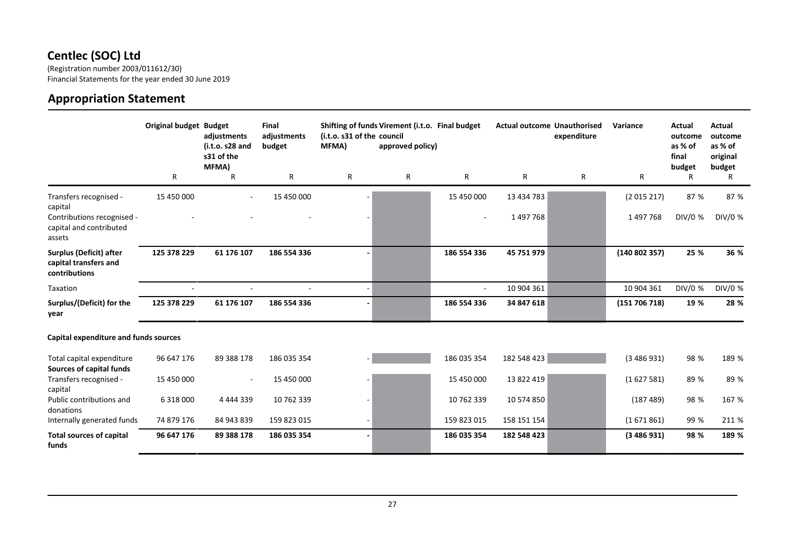(Registration number 2003/011612/30) Financial Statements for the year ended 30 June 2019

# **Appropriation Statement**

|                                                                          | <b>Original budget Budget</b> | adjustments<br>(i.t.o. s28 and<br>s31 of the<br>MFMA) | Final<br>adjustments<br>budget | (i.t.o. s31 of the council<br>MFMA) | Shifting of funds Virement (i.t.o. Final budget<br>approved policy) |             | <b>Actual outcome Unauthorised</b> | expenditure | Variance    | <b>Actual</b><br>outcome<br>as % of<br>final<br>budget | <b>Actual</b><br>outcome<br>as % of<br>original<br>budget |
|--------------------------------------------------------------------------|-------------------------------|-------------------------------------------------------|--------------------------------|-------------------------------------|---------------------------------------------------------------------|-------------|------------------------------------|-------------|-------------|--------------------------------------------------------|-----------------------------------------------------------|
|                                                                          | R                             | R                                                     | R                              | R                                   | R                                                                   | R.          | R                                  | R           | R           | R                                                      | R                                                         |
| Transfers recognised -<br>capital                                        | 15 450 000                    |                                                       | 15 450 000                     |                                     |                                                                     | 15 450 000  | 13 434 783                         |             | (2015217)   | 87 %                                                   | 87 %                                                      |
| Contributions recognised -<br>capital and contributed<br>assets          |                               |                                                       |                                |                                     |                                                                     |             | 1497768                            |             | 1497768     | DIV/0 %                                                | DIV/0 %                                                   |
| <b>Surplus (Deficit) after</b><br>capital transfers and<br>contributions | 125 378 229                   | 61 176 107                                            | 186 554 336                    |                                     |                                                                     | 186 554 336 | 45 751 979                         |             | (140802357) | 25 %                                                   | 36 %                                                      |
| Taxation                                                                 |                               |                                                       |                                |                                     |                                                                     | $\sim$      | 10 904 361                         |             | 10 904 361  | DIV/0 %                                                | DIV/0 %                                                   |
| Surplus/(Deficit) for the<br>year                                        | 125 378 229                   | 61 176 107                                            | 186 554 336                    |                                     |                                                                     | 186 554 336 | 34 847 618                         |             | (151706718) | 19 %                                                   | 28 %                                                      |
| Capital expenditure and funds sources                                    |                               |                                                       |                                |                                     |                                                                     |             |                                    |             |             |                                                        |                                                           |
| Total capital expenditure<br>Sources of capital funds                    | 96 647 176                    | 89 388 178                                            | 186 035 354                    |                                     |                                                                     | 186 035 354 | 182 548 423                        |             | (3486931)   | 98 %                                                   | 189 %                                                     |
| Transfers recognised -<br>capital                                        | 15 450 000                    |                                                       | 15 450 000                     |                                     |                                                                     | 15 450 000  | 13 822 419                         |             | (1627581)   | 89 %                                                   | 89 %                                                      |
| Public contributions and<br>donations                                    | 6 3 1 8 0 0 0                 | 4 4 4 4 3 3 9                                         | 10 762 339                     |                                     |                                                                     | 10 762 339  | 10 574 850                         |             | (187 489)   | 98 %                                                   | 167 %                                                     |
| Internally generated funds                                               | 74 879 176                    | 84 943 839                                            | 159 823 015                    |                                     |                                                                     | 159 823 015 | 158 151 154                        |             | (1671861)   | 99 %                                                   | 211 %                                                     |
| <b>Total sources of capital</b><br>funds                                 | 96 647 176                    | 89 388 178                                            | 186 035 354                    |                                     |                                                                     | 186 035 354 | 182 548 423                        |             | (3486931)   | 98 %                                                   | 189 %                                                     |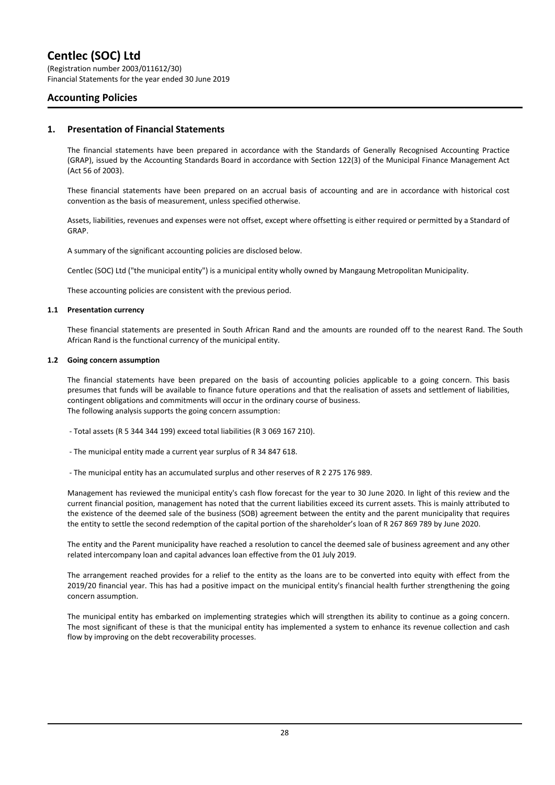(Registration number 2003/011612/30) Financial Statements for the year ended 30 June 2019

## **Accounting Policies**

### **1. Presentation of Financial Statements**

The financial statements have been prepared in accordance with the Standards of Generally Recognised Accounting Practice (GRAP), issued by the Accounting Standards Board in accordance with Section 122(3) of the Municipal Finance Management Act (Act 56 of 2003).

These financial statements have been prepared on an accrual basis of accounting and are in accordance with historical cost convention as the basis of measurement, unless specified otherwise.

Assets, liabilities, revenues and expenses were not offset, except where offsetting is either required or permitted by a Standard of GRAP.

A summary of the significant accounting policies are disclosed below.

Centlec (SOC) Ltd ("the municipal entity") is a municipal entity wholly owned by Mangaung Metropolitan Municipality.

These accounting policies are consistent with the previous period.

### **1.1 Presentation currency**

These financial statements are presented in South African Rand and the amounts are rounded off to the nearest Rand. The South African Rand is the functional currency of the municipal entity.

### **1.2 Going concern assumption**

The financial statements have been prepared on the basis of accounting policies applicable to a going concern. This basis presumes that funds will be available to finance future operations and that the realisation of assets and settlement of liabilities, contingent obligations and commitments will occur in the ordinary course of business. The following analysis supports the going concern assumption:

- Total assets (R 5 344 344 199) exceed total liabilities (R 3 069 167 210).
- The municipal entity made a current year surplus of R 34 847 618.
- The municipal entity has an accumulated surplus and other reserves of R 2 275 176 989.

Management has reviewed the municipal entity's cash flow forecast for the year to 30 June 2020. In light of this review and the current financial position, management has noted that the current liabilities exceed its current assets. This is mainly attributed to the existence of the deemed sale of the business (SOB) agreement between the entity and the parent municipality that requires the entity to settle the second redemption of the capital portion of the shareholder's loan of R 267 869 789 by June 2020.

The entity and the Parent municipality have reached a resolution to cancel the deemed sale of business agreement and any other related intercompany loan and capital advances loan effective from the 01 July 2019.

The arrangement reached provides for a relief to the entity as the loans are to be converted into equity with effect from the 2019/20 financial year. This has had a positive impact on the municipal entity's financial health further strengthening the going concern assumption.

The municipal entity has embarked on implementing strategies which will strengthen its ability to continue as a going concern. The most significant of these is that the municipal entity has implemented a system to enhance its revenue collection and cash flow by improving on the debt recoverability processes.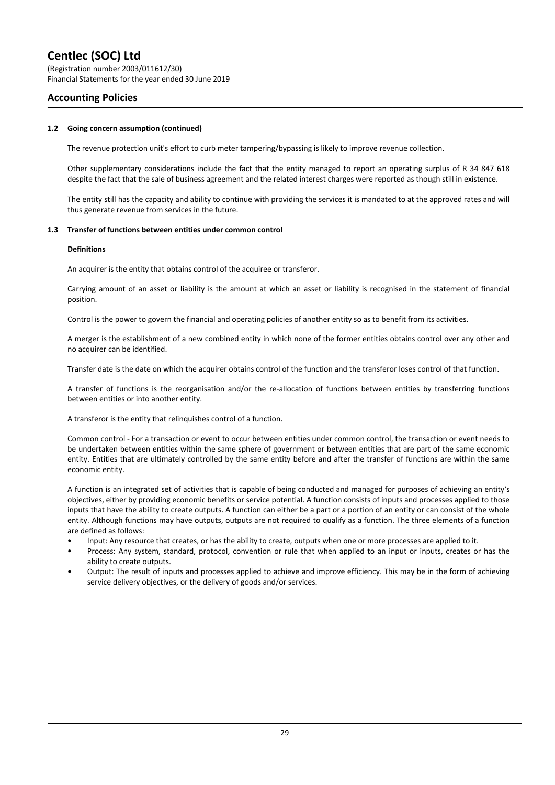(Registration number 2003/011612/30) Financial Statements for the year ended 30 June 2019

## **Accounting Policies**

### **1.2 Going concern assumption (continued)**

The revenue protection unit's effort to curb meter tampering/bypassing is likely to improve revenue collection.

Other supplementary considerations include the fact that the entity managed to report an operating surplus of R 34 847 618 despite the fact that the sale of business agreement and the related interest charges were reported as though still in existence.

The entity still has the capacity and ability to continue with providing the services it is mandated to at the approved rates and will thus generate revenue from services in the future.

### **1.3 Transfer of functions between entities under common control**

### **Definitions**

An acquirer is the entity that obtains control of the acquiree or transferor.

Carrying amount of an asset or liability is the amount at which an asset or liability is recognised in the statement of financial position.

Control is the power to govern the financial and operating policies of another entity so as to benefit from its activities.

A merger is the establishment of a new combined entity in which none of the former entities obtains control over any other and no acquirer can be identified.

Transfer date is the date on which the acquirer obtains control of the function and the transferor loses control of that function.

A transfer of functions is the reorganisation and/or the re-allocation of functions between entities by transferring functions between entities or into another entity.

A transferor is the entity that relinquishes control of a function.

Common control - For a transaction or event to occur between entities under common control, the transaction or event needs to be undertaken between entities within the same sphere of government or between entities that are part of the same economic entity. Entities that are ultimately controlled by the same entity before and after the transfer of functions are within the same economic entity.

A function is an integrated set of activities that is capable of being conducted and managed for purposes of achieving an entity's objectives, either by providing economic benefits or service potential. A function consists of inputs and processes applied to those inputs that have the ability to create outputs. A function can either be a part or a portion of an entity or can consist of the whole entity. Although functions may have outputs, outputs are not required to qualify as a function. The three elements of a function are defined as follows:

- Input: Any resource that creates, or has the ability to create, outputs when one or more processes are applied to it.
- Process: Any system, standard, protocol, convention or rule that when applied to an input or inputs, creates or has the ability to create outputs.
- Output: The result of inputs and processes applied to achieve and improve efficiency. This may be in the form of achieving service delivery objectives, or the delivery of goods and/or services.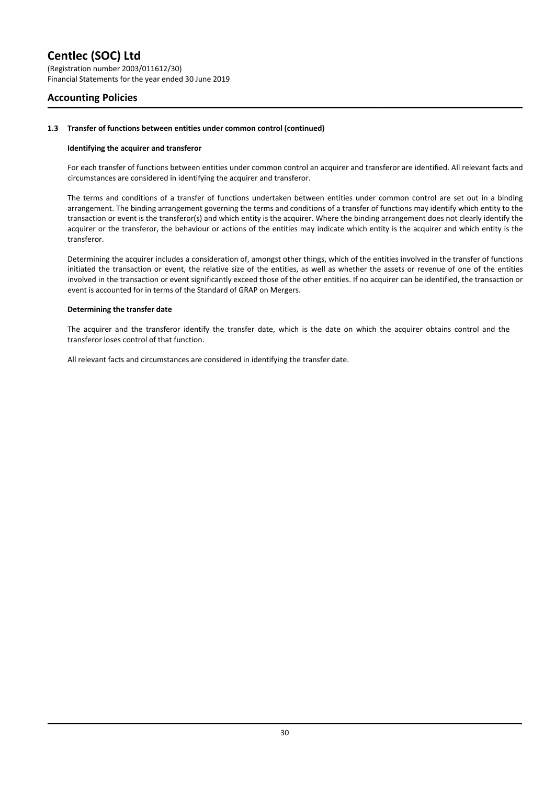(Registration number 2003/011612/30) Financial Statements for the year ended 30 June 2019

## **Accounting Policies**

### **1.3 Transfer of functions between entities under common control (continued)**

### **Identifying the acquirer and transferor**

For each transfer of functions between entities under common control an acquirer and transferor are identified. All relevant facts and circumstances are considered in identifying the acquirer and transferor.

The terms and conditions of a transfer of functions undertaken between entities under common control are set out in a binding arrangement. The binding arrangement governing the terms and conditions of a transfer of functions may identify which entity to the transaction or event is the transferor(s) and which entity is the acquirer. Where the binding arrangement does not clearly identify the acquirer or the transferor, the behaviour or actions of the entities may indicate which entity is the acquirer and which entity is the transferor.

Determining the acquirer includes a consideration of, amongst other things, which of the entities involved in the transfer of functions initiated the transaction or event, the relative size of the entities, as well as whether the assets or revenue of one of the entities involved in the transaction or event significantly exceed those of the other entities. If no acquirer can be identified, the transaction or event is accounted for in terms of the Standard of GRAP on Mergers.

### **Determining the transfer date**

The acquirer and the transferor identify the transfer date, which is the date on which the acquirer obtains control and the transferor loses control of that function.

All relevant facts and circumstances are considered in identifying the transfer date.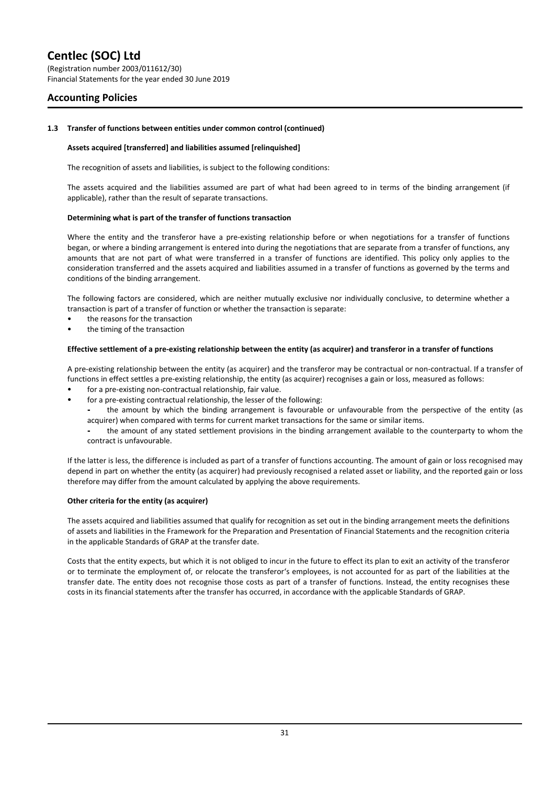(Registration number 2003/011612/30) Financial Statements for the year ended 30 June 2019

## **Accounting Policies**

### **1.3 Transfer of functions between entities under common control (continued)**

### **Assets acquired [transferred] and liabilities assumed [relinquished]**

The recognition of assets and liabilities, is subject to the following conditions:

The assets acquired and the liabilities assumed are part of what had been agreed to in terms of the binding arrangement (if applicable), rather than the result of separate transactions.

### **Determining what is part of the transfer of functions transaction**

Where the entity and the transferor have a pre-existing relationship before or when negotiations for a transfer of functions began, or where a binding arrangement is entered into during the negotiations that are separate from a transfer of functions, any amounts that are not part of what were transferred in a transfer of functions are identified. This policy only applies to the consideration transferred and the assets acquired and liabilities assumed in a transfer of functions as governed by the terms and conditions of the binding arrangement.

The following factors are considered, which are neither mutually exclusive nor individually conclusive, to determine whether a transaction is part of a transfer of function or whether the transaction is separate:

- the reasons for the transaction
- the timing of the transaction

### **Effective settlement of a pre-existing relationship between the entity (as acquirer) and transferor in a transfer of functions**

A pre-existing relationship between the entity (as acquirer) and the transferor may be contractual or non-contractual. If a transfer of functions in effect settles a pre-existing relationship, the entity (as acquirer) recognises a gain or loss, measured as follows:

- for a pre-existing non-contractual relationship, fair value.
- for a pre-existing contractual relationship, the lesser of the following:
	- **-** the amount by which the binding arrangement is favourable or unfavourable from the perspective of the entity (as acquirer) when compared with terms for current market transactions for the same or similar items.
	- **-** the amount of any stated settlement provisions in the binding arrangement available to the counterparty to whom the contract is unfavourable.

If the latter is less, the difference is included as part of a transfer of functions accounting. The amount of gain or loss recognised may depend in part on whether the entity (as acquirer) had previously recognised a related asset or liability, and the reported gain or loss therefore may differ from the amount calculated by applying the above requirements.

### **Other criteria for the entity (as acquirer)**

The assets acquired and liabilities assumed that qualify for recognition as set out in the binding arrangement meets the definitions of assets and liabilities in the Framework for the Preparation and Presentation of Financial Statements and the recognition criteria in the applicable Standards of GRAP at the transfer date.

Costs that the entity expects, but which it is not obliged to incur in the future to effect its plan to exit an activity of the transferor or to terminate the employment of, or relocate the transferor's employees, is not accounted for as part of the liabilities at the transfer date. The entity does not recognise those costs as part of a transfer of functions. Instead, the entity recognises these costs in its financial statements after the transfer has occurred, in accordance with the applicable Standards of GRAP.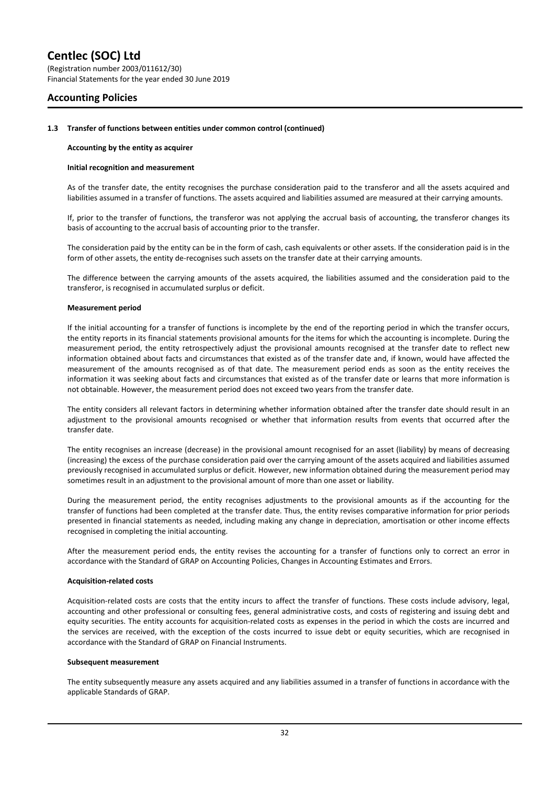(Registration number 2003/011612/30) Financial Statements for the year ended 30 June 2019

### **Accounting Policies**

### **1.3 Transfer of functions between entities under common control (continued)**

#### **Accounting by the entity as acquirer**

#### **Initial recognition and measurement**

As of the transfer date, the entity recognises the purchase consideration paid to the transferor and all the assets acquired and liabilities assumed in a transfer of functions. The assets acquired and liabilities assumed are measured at their carrying amounts.

If, prior to the transfer of functions, the transferor was not applying the accrual basis of accounting, the transferor changes its basis of accounting to the accrual basis of accounting prior to the transfer.

The consideration paid by the entity can be in the form of cash, cash equivalents or other assets. If the consideration paid is in the form of other assets, the entity de-recognises such assets on the transfer date at their carrying amounts.

The difference between the carrying amounts of the assets acquired, the liabilities assumed and the consideration paid to the transferor, is recognised in accumulated surplus or deficit.

#### **Measurement period**

If the initial accounting for a transfer of functions is incomplete by the end of the reporting period in which the transfer occurs, the entity reports in its financial statements provisional amounts for the items for which the accounting is incomplete. During the measurement period, the entity retrospectively adjust the provisional amounts recognised at the transfer date to reflect new information obtained about facts and circumstances that existed as of the transfer date and, if known, would have affected the measurement of the amounts recognised as of that date. The measurement period ends as soon as the entity receives the information it was seeking about facts and circumstances that existed as of the transfer date or learns that more information is not obtainable. However, the measurement period does not exceed two years from the transfer date.

The entity considers all relevant factors in determining whether information obtained after the transfer date should result in an adjustment to the provisional amounts recognised or whether that information results from events that occurred after the transfer date.

The entity recognises an increase (decrease) in the provisional amount recognised for an asset (liability) by means of decreasing (increasing) the excess of the purchase consideration paid over the carrying amount of the assets acquired and liabilities assumed previously recognised in accumulated surplus or deficit. However, new information obtained during the measurement period may sometimes result in an adjustment to the provisional amount of more than one asset or liability.

During the measurement period, the entity recognises adjustments to the provisional amounts as if the accounting for the transfer of functions had been completed at the transfer date. Thus, the entity revises comparative information for prior periods presented in financial statements as needed, including making any change in depreciation, amortisation or other income effects recognised in completing the initial accounting.

After the measurement period ends, the entity revises the accounting for a transfer of functions only to correct an error in accordance with the Standard of GRAP on Accounting Policies, Changes in Accounting Estimates and Errors.

### **Acquisition-related costs**

Acquisition-related costs are costs that the entity incurs to affect the transfer of functions. These costs include advisory, legal, accounting and other professional or consulting fees, general administrative costs, and costs of registering and issuing debt and equity securities. The entity accounts for acquisition-related costs as expenses in the period in which the costs are incurred and the services are received, with the exception of the costs incurred to issue debt or equity securities, which are recognised in accordance with the Standard of GRAP on Financial Instruments.

#### **Subsequent measurement**

The entity subsequently measure any assets acquired and any liabilities assumed in a transfer of functions in accordance with the applicable Standards of GRAP.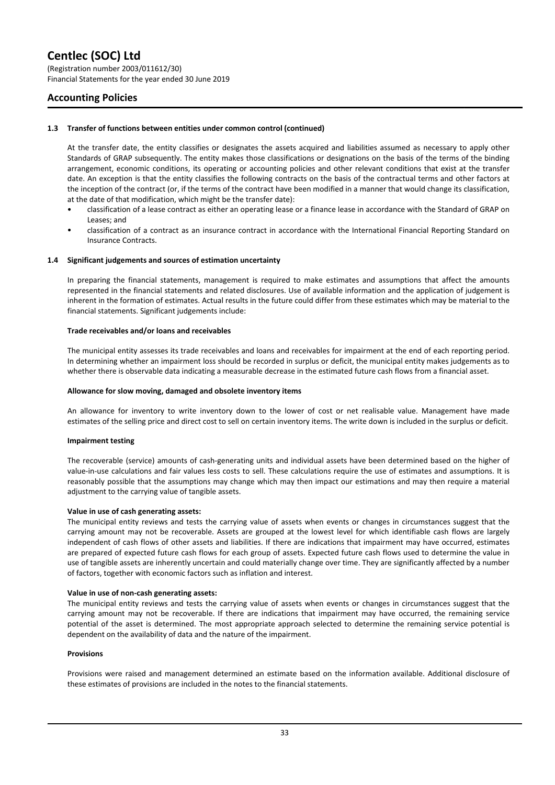(Registration number 2003/011612/30) Financial Statements for the year ended 30 June 2019

## **Accounting Policies**

### **1.3 Transfer of functions between entities under common control (continued)**

At the transfer date, the entity classifies or designates the assets acquired and liabilities assumed as necessary to apply other Standards of GRAP subsequently. The entity makes those classifications or designations on the basis of the terms of the binding arrangement, economic conditions, its operating or accounting policies and other relevant conditions that exist at the transfer date. An exception is that the entity classifies the following contracts on the basis of the contractual terms and other factors at the inception of the contract (or, if the terms of the contract have been modified in a manner that would change its classification, at the date of that modification, which might be the transfer date):

- classification of a lease contract as either an operating lease or a finance lease in accordance with the Standard of GRAP on Leases; and
- classification of a contract as an insurance contract in accordance with the International Financial Reporting Standard on Insurance Contracts.

### **1.4 Significant judgements and sources of estimation uncertainty**

In preparing the financial statements, management is required to make estimates and assumptions that affect the amounts represented in the financial statements and related disclosures. Use of available information and the application of judgement is inherent in the formation of estimates. Actual results in the future could differ from these estimates which may be material to the financial statements. Significant judgements include:

### **Trade receivables and/or loans and receivables**

The municipal entity assesses its trade receivables and loans and receivables for impairment at the end of each reporting period. In determining whether an impairment loss should be recorded in surplus or deficit, the municipal entity makes judgements as to whether there is observable data indicating a measurable decrease in the estimated future cash flows from a financial asset.

### **Allowance for slow moving, damaged and obsolete inventory items**

An allowance for inventory to write inventory down to the lower of cost or net realisable value. Management have made estimates of the selling price and direct cost to sell on certain inventory items. The write down is included in the surplus or deficit.

### **Impairment testing**

The recoverable (service) amounts of cash-generating units and individual assets have been determined based on the higher of value-in-use calculations and fair values less costs to sell. These calculations require the use of estimates and assumptions. It is reasonably possible that the assumptions may change which may then impact our estimations and may then require a material adjustment to the carrying value of tangible assets.

### **Value in use of cash generating assets:**

The municipal entity reviews and tests the carrying value of assets when events or changes in circumstances suggest that the carrying amount may not be recoverable. Assets are grouped at the lowest level for which identifiable cash flows are largely independent of cash flows of other assets and liabilities. If there are indications that impairment may have occurred, estimates are prepared of expected future cash flows for each group of assets. Expected future cash flows used to determine the value in use of tangible assets are inherently uncertain and could materially change over time. They are significantly affected by a number of factors, together with economic factors such as inflation and interest.

### **Value in use of non-cash generating assets:**

The municipal entity reviews and tests the carrying value of assets when events or changes in circumstances suggest that the carrying amount may not be recoverable. If there are indications that impairment may have occurred, the remaining service potential of the asset is determined. The most appropriate approach selected to determine the remaining service potential is dependent on the availability of data and the nature of the impairment.

### **Provisions**

Provisions were raised and management determined an estimate based on the information available. Additional disclosure of these estimates of provisions are included in the notes to the financial statements.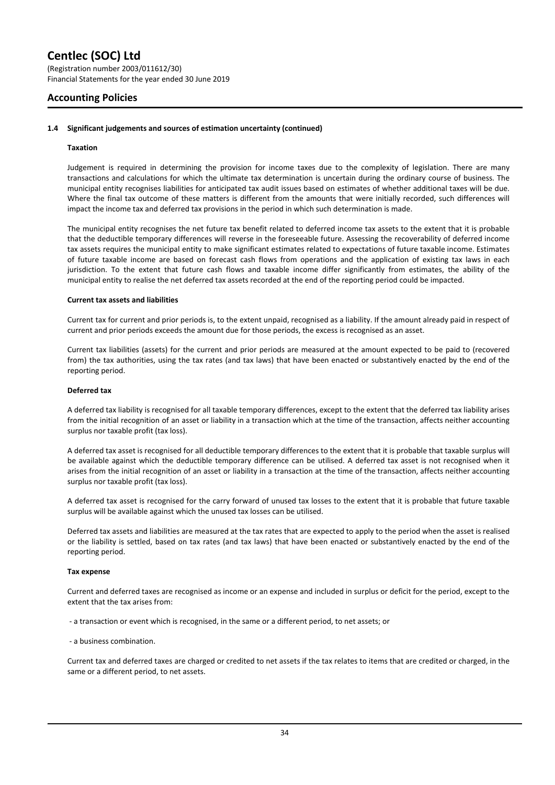(Registration number 2003/011612/30) Financial Statements for the year ended 30 June 2019

## **Accounting Policies**

### **1.4 Significant judgements and sources of estimation uncertainty (continued)**

### **Taxation**

Judgement is required in determining the provision for income taxes due to the complexity of legislation. There are many transactions and calculations for which the ultimate tax determination is uncertain during the ordinary course of business. The municipal entity recognises liabilities for anticipated tax audit issues based on estimates of whether additional taxes will be due. Where the final tax outcome of these matters is different from the amounts that were initially recorded, such differences will impact the income tax and deferred tax provisions in the period in which such determination is made.

The municipal entity recognises the net future tax benefit related to deferred income tax assets to the extent that it is probable that the deductible temporary differences will reverse in the foreseeable future. Assessing the recoverability of deferred income tax assets requires the municipal entity to make significant estimates related to expectations of future taxable income. Estimates of future taxable income are based on forecast cash flows from operations and the application of existing tax laws in each jurisdiction. To the extent that future cash flows and taxable income differ significantly from estimates, the ability of the municipal entity to realise the net deferred tax assets recorded at the end of the reporting period could be impacted.

### **Current tax assets and liabilities**

Current tax for current and prior periods is, to the extent unpaid, recognised as a liability. If the amount already paid in respect of current and prior periods exceeds the amount due for those periods, the excess is recognised as an asset.

Current tax liabilities (assets) for the current and prior periods are measured at the amount expected to be paid to (recovered from) the tax authorities, using the tax rates (and tax laws) that have been enacted or substantively enacted by the end of the reporting period.

### **Deferred tax**

A deferred tax liability is recognised for all taxable temporary differences, except to the extent that the deferred tax liability arises from the initial recognition of an asset or liability in a transaction which at the time of the transaction, affects neither accounting surplus nor taxable profit (tax loss).

A deferred tax asset is recognised for all deductible temporary differences to the extent that it is probable that taxable surplus will be available against which the deductible temporary difference can be utilised. A deferred tax asset is not recognised when it arises from the initial recognition of an asset or liability in a transaction at the time of the transaction, affects neither accounting surplus nor taxable profit (tax loss).

A deferred tax asset is recognised for the carry forward of unused tax losses to the extent that it is probable that future taxable surplus will be available against which the unused tax losses can be utilised.

Deferred tax assets and liabilities are measured at the tax rates that are expected to apply to the period when the asset is realised or the liability is settled, based on tax rates (and tax laws) that have been enacted or substantively enacted by the end of the reporting period.

### **Tax expense**

Current and deferred taxes are recognised as income or an expense and included in surplus or deficit for the period, except to the extent that the tax arises from:

- a transaction or event which is recognised, in the same or a different period, to net assets; or
- a business combination.

Current tax and deferred taxes are charged or credited to net assets if the tax relates to items that are credited or charged, in the same or a different period, to net assets.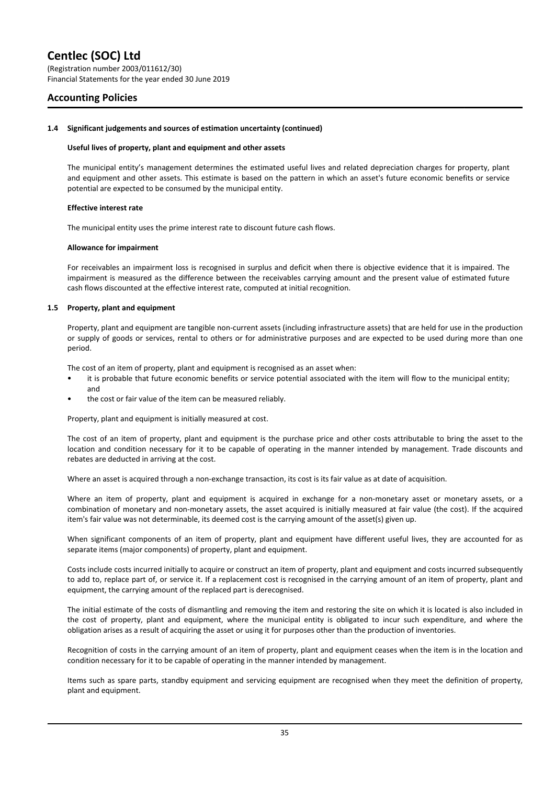(Registration number 2003/011612/30) Financial Statements for the year ended 30 June 2019

## **Accounting Policies**

### **1.4 Significant judgements and sources of estimation uncertainty (continued)**

### **Useful lives of property, plant and equipment and other assets**

The municipal entity's management determines the estimated useful lives and related depreciation charges for property, plant and equipment and other assets. This estimate is based on the pattern in which an asset's future economic benefits or service potential are expected to be consumed by the municipal entity.

### **Effective interest rate**

The municipal entity uses the prime interest rate to discount future cash flows.

### **Allowance for impairment**

For receivables an impairment loss is recognised in surplus and deficit when there is objective evidence that it is impaired. The impairment is measured as the difference between the receivables carrying amount and the present value of estimated future cash flows discounted at the effective interest rate, computed at initial recognition.

### **1.5 Property, plant and equipment**

Property, plant and equipment are tangible non-current assets (including infrastructure assets) that are held for use in the production or supply of goods or services, rental to others or for administrative purposes and are expected to be used during more than one period.

The cost of an item of property, plant and equipment is recognised as an asset when:

- it is probable that future economic benefits or service potential associated with the item will flow to the municipal entity; and
- the cost or fair value of the item can be measured reliably.

Property, plant and equipment is initially measured at cost.

The cost of an item of property, plant and equipment is the purchase price and other costs attributable to bring the asset to the location and condition necessary for it to be capable of operating in the manner intended by management. Trade discounts and rebates are deducted in arriving at the cost.

Where an asset is acquired through a non-exchange transaction, its cost is its fair value as at date of acquisition.

Where an item of property, plant and equipment is acquired in exchange for a non-monetary asset or monetary assets, or a combination of monetary and non-monetary assets, the asset acquired is initially measured at fair value (the cost). If the acquired item's fair value was not determinable, its deemed cost is the carrying amount of the asset(s) given up.

When significant components of an item of property, plant and equipment have different useful lives, they are accounted for as separate items (major components) of property, plant and equipment.

Costs include costs incurred initially to acquire or construct an item of property, plant and equipment and costs incurred subsequently to add to, replace part of, or service it. If a replacement cost is recognised in the carrying amount of an item of property, plant and equipment, the carrying amount of the replaced part is derecognised.

The initial estimate of the costs of dismantling and removing the item and restoring the site on which it is located is also included in the cost of property, plant and equipment, where the municipal entity is obligated to incur such expenditure, and where the obligation arises as a result of acquiring the asset or using it for purposes other than the production of inventories.

Recognition of costs in the carrying amount of an item of property, plant and equipment ceases when the item is in the location and condition necessary for it to be capable of operating in the manner intended by management.

Items such as spare parts, standby equipment and servicing equipment are recognised when they meet the definition of property, plant and equipment.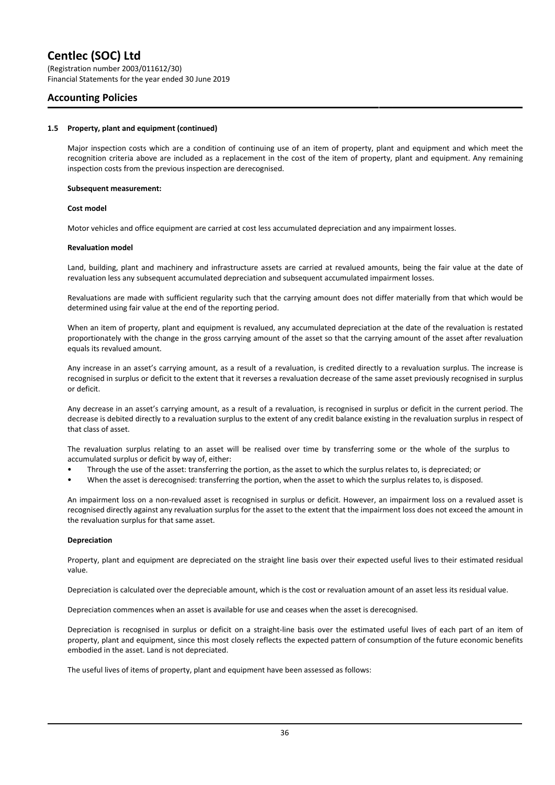(Registration number 2003/011612/30) Financial Statements for the year ended 30 June 2019

### **Accounting Policies**

#### **1.5 Property, plant and equipment (continued)**

Major inspection costs which are a condition of continuing use of an item of property, plant and equipment and which meet the recognition criteria above are included as a replacement in the cost of the item of property, plant and equipment. Any remaining inspection costs from the previous inspection are derecognised.

#### **Subsequent measurement:**

#### **Cost model**

Motor vehicles and office equipment are carried at cost less accumulated depreciation and any impairment losses.

#### **Revaluation model**

Land, building, plant and machinery and infrastructure assets are carried at revalued amounts, being the fair value at the date of revaluation less any subsequent accumulated depreciation and subsequent accumulated impairment losses.

Revaluations are made with sufficient regularity such that the carrying amount does not differ materially from that which would be determined using fair value at the end of the reporting period.

When an item of property, plant and equipment is revalued, any accumulated depreciation at the date of the revaluation is restated proportionately with the change in the gross carrying amount of the asset so that the carrying amount of the asset after revaluation equals its revalued amount.

Any increase in an asset's carrying amount, as a result of a revaluation, is credited directly to a revaluation surplus. The increase is recognised in surplus or deficit to the extent that it reverses a revaluation decrease of the same asset previously recognised in surplus or deficit.

Any decrease in an asset's carrying amount, as a result of a revaluation, is recognised in surplus or deficit in the current period. The decrease is debited directly to a revaluation surplus to the extent of any credit balance existing in the revaluation surplus in respect of that class of asset.

The revaluation surplus relating to an asset will be realised over time by transferring some or the whole of the surplus to accumulated surplus or deficit by way of, either:

- Through the use of the asset: transferring the portion, as the asset to which the surplus relates to, is depreciated; or
- When the asset is derecognised: transferring the portion, when the asset to which the surplus relates to, is disposed.

An impairment loss on a non-revalued asset is recognised in surplus or deficit. However, an impairment loss on a revalued asset is recognised directly against any revaluation surplus for the asset to the extent that the impairment loss does not exceed the amount in the revaluation surplus for that same asset.

#### **Depreciation**

Property, plant and equipment are depreciated on the straight line basis over their expected useful lives to their estimated residual value.

Depreciation is calculated over the depreciable amount, which is the cost or revaluation amount of an asset less its residual value.

Depreciation commences when an asset is available for use and ceases when the asset is derecognised.

Depreciation is recognised in surplus or deficit on a straight-line basis over the estimated useful lives of each part of an item of property, plant and equipment, since this most closely reflects the expected pattern of consumption of the future economic benefits embodied in the asset. Land is not depreciated.

The useful lives of items of property, plant and equipment have been assessed as follows: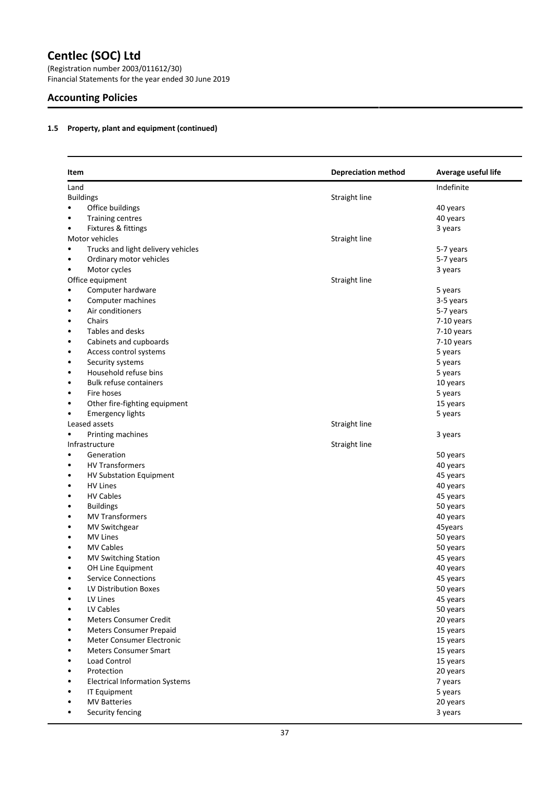(Registration number 2003/011612/30) Financial Statements for the year ended 30 June 2019

# **Accounting Policies**

### **1.5 Property, plant and equipment (continued)**

| Indefinite<br>Straight line<br>Office buildings<br>40 years<br>Training centres<br>40 years<br>Fixtures & fittings<br>3 years<br>Straight line<br>Trucks and light delivery vehicles<br>5-7 years<br>Ordinary motor vehicles<br>5-7 years<br>Motor cycles<br>3 years<br>Straight line<br>Computer hardware<br>5 years<br>Computer machines<br>3-5 years<br>Air conditioners<br>5-7 years<br>Chairs<br>7-10 years<br>Tables and desks<br>7-10 years<br>Cabinets and cupboards<br>7-10 years<br>Access control systems<br>5 years<br>Security systems<br>5 years<br>Household refuse bins<br>5 years<br>Bulk refuse containers<br>10 years<br>Fire hoses<br>5 years<br>Other fire-fighting equipment<br>15 years<br><b>Emergency lights</b><br>5 years<br>Straight line<br>Printing machines<br>3 years<br>Straight line<br>Generation<br>50 years<br>HV Transformers<br>40 years<br><b>HV Substation Equipment</b><br>45 years<br><b>HV Lines</b><br>40 years<br><b>HV Cables</b><br>45 years<br><b>Buildings</b><br>50 years<br><b>MV Transformers</b><br>40 years<br>MV Switchgear<br>45years<br><b>MV Lines</b><br>50 years<br><b>MV Cables</b><br>50 years<br>MV Switching Station<br>45 years<br>OH Line Equipment<br>40 years<br><b>Service Connections</b><br>45 years<br>LV Distribution Boxes<br>50 years<br>45 years<br>LV Lines<br>LV Cables<br>50 years<br><b>Meters Consumer Credit</b><br>20 years<br>Meters Consumer Prepaid<br>15 years<br>Meter Consumer Electronic<br>15 years<br><b>Meters Consumer Smart</b><br>15 years<br>Load Control<br>15 years<br>20 years<br>Protection<br><b>Electrical Information Systems</b><br>7 years<br><b>IT Equipment</b><br>5 years<br><b>MV Batteries</b><br>20 years<br>Security fencing<br>3 years | Item             | <b>Depreciation method</b> | Average useful life |
|-----------------------------------------------------------------------------------------------------------------------------------------------------------------------------------------------------------------------------------------------------------------------------------------------------------------------------------------------------------------------------------------------------------------------------------------------------------------------------------------------------------------------------------------------------------------------------------------------------------------------------------------------------------------------------------------------------------------------------------------------------------------------------------------------------------------------------------------------------------------------------------------------------------------------------------------------------------------------------------------------------------------------------------------------------------------------------------------------------------------------------------------------------------------------------------------------------------------------------------------------------------------------------------------------------------------------------------------------------------------------------------------------------------------------------------------------------------------------------------------------------------------------------------------------------------------------------------------------------------------------------------------------------------------------------------------------------------------------------------------------------------|------------------|----------------------------|---------------------|
|                                                                                                                                                                                                                                                                                                                                                                                                                                                                                                                                                                                                                                                                                                                                                                                                                                                                                                                                                                                                                                                                                                                                                                                                                                                                                                                                                                                                                                                                                                                                                                                                                                                                                                                                                           | Land             |                            |                     |
|                                                                                                                                                                                                                                                                                                                                                                                                                                                                                                                                                                                                                                                                                                                                                                                                                                                                                                                                                                                                                                                                                                                                                                                                                                                                                                                                                                                                                                                                                                                                                                                                                                                                                                                                                           | <b>Buildings</b> |                            |                     |
|                                                                                                                                                                                                                                                                                                                                                                                                                                                                                                                                                                                                                                                                                                                                                                                                                                                                                                                                                                                                                                                                                                                                                                                                                                                                                                                                                                                                                                                                                                                                                                                                                                                                                                                                                           |                  |                            |                     |
|                                                                                                                                                                                                                                                                                                                                                                                                                                                                                                                                                                                                                                                                                                                                                                                                                                                                                                                                                                                                                                                                                                                                                                                                                                                                                                                                                                                                                                                                                                                                                                                                                                                                                                                                                           |                  |                            |                     |
|                                                                                                                                                                                                                                                                                                                                                                                                                                                                                                                                                                                                                                                                                                                                                                                                                                                                                                                                                                                                                                                                                                                                                                                                                                                                                                                                                                                                                                                                                                                                                                                                                                                                                                                                                           |                  |                            |                     |
|                                                                                                                                                                                                                                                                                                                                                                                                                                                                                                                                                                                                                                                                                                                                                                                                                                                                                                                                                                                                                                                                                                                                                                                                                                                                                                                                                                                                                                                                                                                                                                                                                                                                                                                                                           | Motor vehicles   |                            |                     |
|                                                                                                                                                                                                                                                                                                                                                                                                                                                                                                                                                                                                                                                                                                                                                                                                                                                                                                                                                                                                                                                                                                                                                                                                                                                                                                                                                                                                                                                                                                                                                                                                                                                                                                                                                           |                  |                            |                     |
|                                                                                                                                                                                                                                                                                                                                                                                                                                                                                                                                                                                                                                                                                                                                                                                                                                                                                                                                                                                                                                                                                                                                                                                                                                                                                                                                                                                                                                                                                                                                                                                                                                                                                                                                                           | ٠                |                            |                     |
|                                                                                                                                                                                                                                                                                                                                                                                                                                                                                                                                                                                                                                                                                                                                                                                                                                                                                                                                                                                                                                                                                                                                                                                                                                                                                                                                                                                                                                                                                                                                                                                                                                                                                                                                                           | ٠                |                            |                     |
|                                                                                                                                                                                                                                                                                                                                                                                                                                                                                                                                                                                                                                                                                                                                                                                                                                                                                                                                                                                                                                                                                                                                                                                                                                                                                                                                                                                                                                                                                                                                                                                                                                                                                                                                                           | Office equipment |                            |                     |
|                                                                                                                                                                                                                                                                                                                                                                                                                                                                                                                                                                                                                                                                                                                                                                                                                                                                                                                                                                                                                                                                                                                                                                                                                                                                                                                                                                                                                                                                                                                                                                                                                                                                                                                                                           |                  |                            |                     |
|                                                                                                                                                                                                                                                                                                                                                                                                                                                                                                                                                                                                                                                                                                                                                                                                                                                                                                                                                                                                                                                                                                                                                                                                                                                                                                                                                                                                                                                                                                                                                                                                                                                                                                                                                           |                  |                            |                     |
|                                                                                                                                                                                                                                                                                                                                                                                                                                                                                                                                                                                                                                                                                                                                                                                                                                                                                                                                                                                                                                                                                                                                                                                                                                                                                                                                                                                                                                                                                                                                                                                                                                                                                                                                                           |                  |                            |                     |
|                                                                                                                                                                                                                                                                                                                                                                                                                                                                                                                                                                                                                                                                                                                                                                                                                                                                                                                                                                                                                                                                                                                                                                                                                                                                                                                                                                                                                                                                                                                                                                                                                                                                                                                                                           | ٠                |                            |                     |
|                                                                                                                                                                                                                                                                                                                                                                                                                                                                                                                                                                                                                                                                                                                                                                                                                                                                                                                                                                                                                                                                                                                                                                                                                                                                                                                                                                                                                                                                                                                                                                                                                                                                                                                                                           |                  |                            |                     |
|                                                                                                                                                                                                                                                                                                                                                                                                                                                                                                                                                                                                                                                                                                                                                                                                                                                                                                                                                                                                                                                                                                                                                                                                                                                                                                                                                                                                                                                                                                                                                                                                                                                                                                                                                           |                  |                            |                     |
|                                                                                                                                                                                                                                                                                                                                                                                                                                                                                                                                                                                                                                                                                                                                                                                                                                                                                                                                                                                                                                                                                                                                                                                                                                                                                                                                                                                                                                                                                                                                                                                                                                                                                                                                                           |                  |                            |                     |
|                                                                                                                                                                                                                                                                                                                                                                                                                                                                                                                                                                                                                                                                                                                                                                                                                                                                                                                                                                                                                                                                                                                                                                                                                                                                                                                                                                                                                                                                                                                                                                                                                                                                                                                                                           |                  |                            |                     |
|                                                                                                                                                                                                                                                                                                                                                                                                                                                                                                                                                                                                                                                                                                                                                                                                                                                                                                                                                                                                                                                                                                                                                                                                                                                                                                                                                                                                                                                                                                                                                                                                                                                                                                                                                           |                  |                            |                     |
|                                                                                                                                                                                                                                                                                                                                                                                                                                                                                                                                                                                                                                                                                                                                                                                                                                                                                                                                                                                                                                                                                                                                                                                                                                                                                                                                                                                                                                                                                                                                                                                                                                                                                                                                                           |                  |                            |                     |
|                                                                                                                                                                                                                                                                                                                                                                                                                                                                                                                                                                                                                                                                                                                                                                                                                                                                                                                                                                                                                                                                                                                                                                                                                                                                                                                                                                                                                                                                                                                                                                                                                                                                                                                                                           |                  |                            |                     |
|                                                                                                                                                                                                                                                                                                                                                                                                                                                                                                                                                                                                                                                                                                                                                                                                                                                                                                                                                                                                                                                                                                                                                                                                                                                                                                                                                                                                                                                                                                                                                                                                                                                                                                                                                           |                  |                            |                     |
|                                                                                                                                                                                                                                                                                                                                                                                                                                                                                                                                                                                                                                                                                                                                                                                                                                                                                                                                                                                                                                                                                                                                                                                                                                                                                                                                                                                                                                                                                                                                                                                                                                                                                                                                                           |                  |                            |                     |
|                                                                                                                                                                                                                                                                                                                                                                                                                                                                                                                                                                                                                                                                                                                                                                                                                                                                                                                                                                                                                                                                                                                                                                                                                                                                                                                                                                                                                                                                                                                                                                                                                                                                                                                                                           | Leased assets    |                            |                     |
|                                                                                                                                                                                                                                                                                                                                                                                                                                                                                                                                                                                                                                                                                                                                                                                                                                                                                                                                                                                                                                                                                                                                                                                                                                                                                                                                                                                                                                                                                                                                                                                                                                                                                                                                                           |                  |                            |                     |
|                                                                                                                                                                                                                                                                                                                                                                                                                                                                                                                                                                                                                                                                                                                                                                                                                                                                                                                                                                                                                                                                                                                                                                                                                                                                                                                                                                                                                                                                                                                                                                                                                                                                                                                                                           | Infrastructure   |                            |                     |
|                                                                                                                                                                                                                                                                                                                                                                                                                                                                                                                                                                                                                                                                                                                                                                                                                                                                                                                                                                                                                                                                                                                                                                                                                                                                                                                                                                                                                                                                                                                                                                                                                                                                                                                                                           | ٠                |                            |                     |
|                                                                                                                                                                                                                                                                                                                                                                                                                                                                                                                                                                                                                                                                                                                                                                                                                                                                                                                                                                                                                                                                                                                                                                                                                                                                                                                                                                                                                                                                                                                                                                                                                                                                                                                                                           | ٠                |                            |                     |
|                                                                                                                                                                                                                                                                                                                                                                                                                                                                                                                                                                                                                                                                                                                                                                                                                                                                                                                                                                                                                                                                                                                                                                                                                                                                                                                                                                                                                                                                                                                                                                                                                                                                                                                                                           |                  |                            |                     |
|                                                                                                                                                                                                                                                                                                                                                                                                                                                                                                                                                                                                                                                                                                                                                                                                                                                                                                                                                                                                                                                                                                                                                                                                                                                                                                                                                                                                                                                                                                                                                                                                                                                                                                                                                           |                  |                            |                     |
|                                                                                                                                                                                                                                                                                                                                                                                                                                                                                                                                                                                                                                                                                                                                                                                                                                                                                                                                                                                                                                                                                                                                                                                                                                                                                                                                                                                                                                                                                                                                                                                                                                                                                                                                                           |                  |                            |                     |
|                                                                                                                                                                                                                                                                                                                                                                                                                                                                                                                                                                                                                                                                                                                                                                                                                                                                                                                                                                                                                                                                                                                                                                                                                                                                                                                                                                                                                                                                                                                                                                                                                                                                                                                                                           |                  |                            |                     |
|                                                                                                                                                                                                                                                                                                                                                                                                                                                                                                                                                                                                                                                                                                                                                                                                                                                                                                                                                                                                                                                                                                                                                                                                                                                                                                                                                                                                                                                                                                                                                                                                                                                                                                                                                           |                  |                            |                     |
|                                                                                                                                                                                                                                                                                                                                                                                                                                                                                                                                                                                                                                                                                                                                                                                                                                                                                                                                                                                                                                                                                                                                                                                                                                                                                                                                                                                                                                                                                                                                                                                                                                                                                                                                                           | ٠                |                            |                     |
|                                                                                                                                                                                                                                                                                                                                                                                                                                                                                                                                                                                                                                                                                                                                                                                                                                                                                                                                                                                                                                                                                                                                                                                                                                                                                                                                                                                                                                                                                                                                                                                                                                                                                                                                                           |                  |                            |                     |
|                                                                                                                                                                                                                                                                                                                                                                                                                                                                                                                                                                                                                                                                                                                                                                                                                                                                                                                                                                                                                                                                                                                                                                                                                                                                                                                                                                                                                                                                                                                                                                                                                                                                                                                                                           |                  |                            |                     |
|                                                                                                                                                                                                                                                                                                                                                                                                                                                                                                                                                                                                                                                                                                                                                                                                                                                                                                                                                                                                                                                                                                                                                                                                                                                                                                                                                                                                                                                                                                                                                                                                                                                                                                                                                           |                  |                            |                     |
|                                                                                                                                                                                                                                                                                                                                                                                                                                                                                                                                                                                                                                                                                                                                                                                                                                                                                                                                                                                                                                                                                                                                                                                                                                                                                                                                                                                                                                                                                                                                                                                                                                                                                                                                                           |                  |                            |                     |
|                                                                                                                                                                                                                                                                                                                                                                                                                                                                                                                                                                                                                                                                                                                                                                                                                                                                                                                                                                                                                                                                                                                                                                                                                                                                                                                                                                                                                                                                                                                                                                                                                                                                                                                                                           |                  |                            |                     |
|                                                                                                                                                                                                                                                                                                                                                                                                                                                                                                                                                                                                                                                                                                                                                                                                                                                                                                                                                                                                                                                                                                                                                                                                                                                                                                                                                                                                                                                                                                                                                                                                                                                                                                                                                           |                  |                            |                     |
|                                                                                                                                                                                                                                                                                                                                                                                                                                                                                                                                                                                                                                                                                                                                                                                                                                                                                                                                                                                                                                                                                                                                                                                                                                                                                                                                                                                                                                                                                                                                                                                                                                                                                                                                                           |                  |                            |                     |
|                                                                                                                                                                                                                                                                                                                                                                                                                                                                                                                                                                                                                                                                                                                                                                                                                                                                                                                                                                                                                                                                                                                                                                                                                                                                                                                                                                                                                                                                                                                                                                                                                                                                                                                                                           |                  |                            |                     |
|                                                                                                                                                                                                                                                                                                                                                                                                                                                                                                                                                                                                                                                                                                                                                                                                                                                                                                                                                                                                                                                                                                                                                                                                                                                                                                                                                                                                                                                                                                                                                                                                                                                                                                                                                           |                  |                            |                     |
|                                                                                                                                                                                                                                                                                                                                                                                                                                                                                                                                                                                                                                                                                                                                                                                                                                                                                                                                                                                                                                                                                                                                                                                                                                                                                                                                                                                                                                                                                                                                                                                                                                                                                                                                                           |                  |                            |                     |
|                                                                                                                                                                                                                                                                                                                                                                                                                                                                                                                                                                                                                                                                                                                                                                                                                                                                                                                                                                                                                                                                                                                                                                                                                                                                                                                                                                                                                                                                                                                                                                                                                                                                                                                                                           |                  |                            |                     |
|                                                                                                                                                                                                                                                                                                                                                                                                                                                                                                                                                                                                                                                                                                                                                                                                                                                                                                                                                                                                                                                                                                                                                                                                                                                                                                                                                                                                                                                                                                                                                                                                                                                                                                                                                           |                  |                            |                     |
|                                                                                                                                                                                                                                                                                                                                                                                                                                                                                                                                                                                                                                                                                                                                                                                                                                                                                                                                                                                                                                                                                                                                                                                                                                                                                                                                                                                                                                                                                                                                                                                                                                                                                                                                                           |                  |                            |                     |
|                                                                                                                                                                                                                                                                                                                                                                                                                                                                                                                                                                                                                                                                                                                                                                                                                                                                                                                                                                                                                                                                                                                                                                                                                                                                                                                                                                                                                                                                                                                                                                                                                                                                                                                                                           |                  |                            |                     |
|                                                                                                                                                                                                                                                                                                                                                                                                                                                                                                                                                                                                                                                                                                                                                                                                                                                                                                                                                                                                                                                                                                                                                                                                                                                                                                                                                                                                                                                                                                                                                                                                                                                                                                                                                           |                  |                            |                     |
|                                                                                                                                                                                                                                                                                                                                                                                                                                                                                                                                                                                                                                                                                                                                                                                                                                                                                                                                                                                                                                                                                                                                                                                                                                                                                                                                                                                                                                                                                                                                                                                                                                                                                                                                                           |                  |                            |                     |
|                                                                                                                                                                                                                                                                                                                                                                                                                                                                                                                                                                                                                                                                                                                                                                                                                                                                                                                                                                                                                                                                                                                                                                                                                                                                                                                                                                                                                                                                                                                                                                                                                                                                                                                                                           |                  |                            |                     |
|                                                                                                                                                                                                                                                                                                                                                                                                                                                                                                                                                                                                                                                                                                                                                                                                                                                                                                                                                                                                                                                                                                                                                                                                                                                                                                                                                                                                                                                                                                                                                                                                                                                                                                                                                           |                  |                            |                     |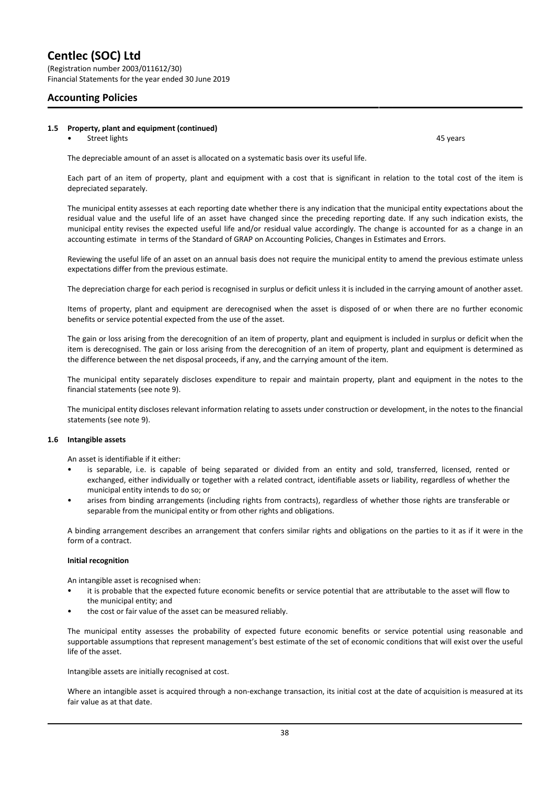(Registration number 2003/011612/30) Financial Statements for the year ended 30 June 2019

### **Accounting Policies**

#### **1.5 Property, plant and equipment (continued)**

Street lights 45 years 45 years and the street lights 45 years and the street lights 45 years 45 years and the street lights 45 years and the street lights 45 years and the street lights and the street light street lights

The depreciable amount of an asset is allocated on a systematic basis over its useful life.

Each part of an item of property, plant and equipment with a cost that is significant in relation to the total cost of the item is depreciated separately.

The municipal entity assesses at each reporting date whether there is any indication that the municipal entity expectations about the residual value and the useful life of an asset have changed since the preceding reporting date. If any such indication exists, the municipal entity revises the expected useful life and/or residual value accordingly. The change is accounted for as a change in an accounting estimate in terms of the Standard of GRAP on Accounting Policies, Changes in Estimates and Errors.

Reviewing the useful life of an asset on an annual basis does not require the municipal entity to amend the previous estimate unless expectations differ from the previous estimate.

The depreciation charge for each period is recognised in surplus or deficit unless it is included in the carrying amount of another asset.

Items of property, plant and equipment are derecognised when the asset is disposed of or when there are no further economic benefits or service potential expected from the use of the asset.

The gain or loss arising from the derecognition of an item of property, plant and equipment is included in surplus or deficit when the item is derecognised. The gain or loss arising from the derecognition of an item of property, plant and equipment is determined as the difference between the net disposal proceeds, if any, and the carrying amount of the item.

The municipal entity separately discloses expenditure to repair and maintain property, plant and equipment in the notes to the financial statements (see note 9).

The municipal entity discloses relevant information relating to assets under construction or development, in the notes to the financial statements (see note 9).

#### **1.6 Intangible assets**

An asset is identifiable if it either:

- is separable, i.e. is capable of being separated or divided from an entity and sold, transferred, licensed, rented or exchanged, either individually or together with a related contract, identifiable assets or liability, regardless of whether the municipal entity intends to do so; or
- arises from binding arrangements (including rights from contracts), regardless of whether those rights are transferable or separable from the municipal entity or from other rights and obligations.

A binding arrangement describes an arrangement that confers similar rights and obligations on the parties to it as if it were in the form of a contract.

#### **Initial recognition**

An intangible asset is recognised when:

- it is probable that the expected future economic benefits or service potential that are attributable to the asset will flow to the municipal entity; and
- the cost or fair value of the asset can be measured reliably.

The municipal entity assesses the probability of expected future economic benefits or service potential using reasonable and supportable assumptions that represent management's best estimate of the set of economic conditions that will exist over the useful life of the asset.

Intangible assets are initially recognised at cost.

Where an intangible asset is acquired through a non-exchange transaction, its initial cost at the date of acquisition is measured at its fair value as at that date.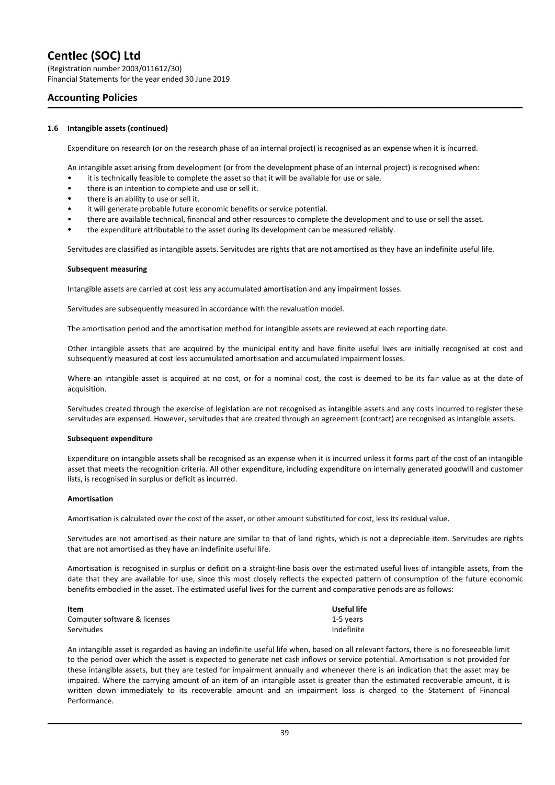(Registration number 2003/011612/30) Financial Statements for the year ended 30 June 2019

### **Accounting Policies**

#### **1.6 Intangible assets (continued)**

Expenditure on research (or on the research phase of an internal project) is recognised as an expense when it is incurred.

An intangible asset arising from development (or from the development phase of an internal project) is recognised when:

- it is technically feasible to complete the asset so that it will be available for use or sale.
- there is an intention to complete and use or sell it.
- there is an ability to use or sell it.
- it will generate probable future economic benefits or service potential.
- there are available technical, financial and other resources to complete the development and to use or sell the asset.
- the expenditure attributable to the asset during its development can be measured reliably.

Servitudes are classified as intangible assets. Servitudes are rights that are not amortised as they have an indefinite useful life.

#### **Subsequent measuring**

Intangible assets are carried at cost less any accumulated amortisation and any impairment losses.

Servitudes are subsequently measured in accordance with the revaluation model.

The amortisation period and the amortisation method for intangible assets are reviewed at each reporting date.

Other intangible assets that are acquired by the municipal entity and have finite useful lives are initially recognised at cost and subsequently measured at cost less accumulated amortisation and accumulated impairment losses.

Where an intangible asset is acquired at no cost, or for a nominal cost, the cost is deemed to be its fair value as at the date of acquisition.

Servitudes created through the exercise of legislation are not recognised as intangible assets and any costs incurred to register these servitudes are expensed. However, servitudes that are created through an agreement (contract) are recognised as intangible assets.

#### **Subsequent expenditure**

Expenditure on intangible assets shall be recognised as an expense when it is incurred unless it forms part of the cost of an intangible asset that meets the recognition criteria. All other expenditure, including expenditure on internally generated goodwill and customer lists, is recognised in surplus or deficit as incurred.

#### **Amortisation**

Amortisation is calculated over the cost of the asset, or other amount substituted for cost, less its residual value.

Servitudes are not amortised as their nature are similar to that of land rights, which is not a depreciable item. Servitudes are rights that are not amortised as they have an indefinite useful life.

Amortisation is recognised in surplus or deficit on a straight-line basis over the estimated useful lives of intangible assets, from the date that they are available for use, since this most closely reflects the expected pattern of consumption of the future economic benefits embodied in the asset. The estimated useful lives for the current and comparative periods are as follows:

| <b>Useful life</b> |
|--------------------|
| 1-5 years          |
| Indefinite         |
|                    |

An intangible asset is regarded as having an indefinite useful life when, based on all relevant factors, there is no foreseeable limit to the period over which the asset is expected to generate net cash inflows or service potential. Amortisation is not provided for these intangible assets, but they are tested for impairment annually and whenever there is an indication that the asset may be impaired. Where the carrying amount of an item of an intangible asset is greater than the estimated recoverable amount, it is written down immediately to its recoverable amount and an impairment loss is charged to the Statement of Financial Performance.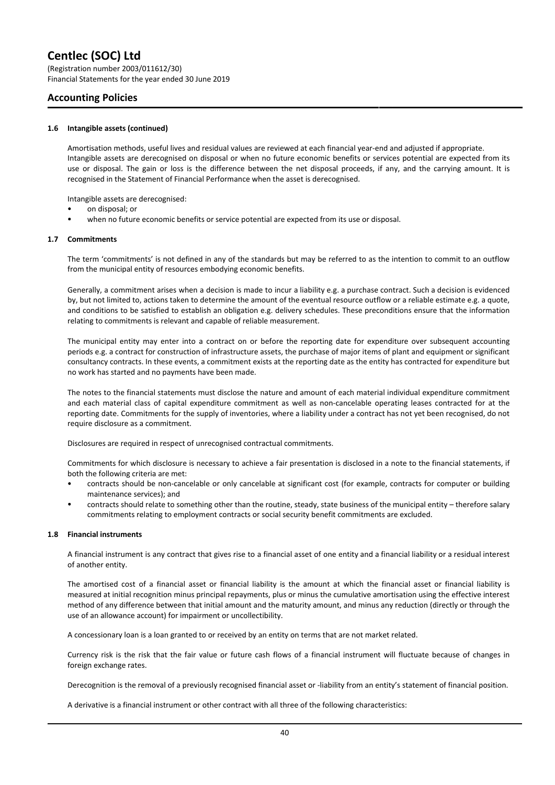(Registration number 2003/011612/30) Financial Statements for the year ended 30 June 2019

### **Accounting Policies**

#### **1.6 Intangible assets (continued)**

Amortisation methods, useful lives and residual values are reviewed at each financial year-end and adjusted if appropriate. Intangible assets are derecognised on disposal or when no future economic benefits or services potential are expected from its use or disposal. The gain or loss is the difference between the net disposal proceeds, if any, and the carrying amount. It is recognised in the Statement of Financial Performance when the asset is derecognised.

Intangible assets are derecognised:

- on disposal; or
- when no future economic benefits or service potential are expected from its use or disposal.

#### **1.7 Commitments**

The term 'commitments' is not defined in any of the standards but may be referred to as the intention to commit to an outflow from the municipal entity of resources embodying economic benefits.

Generally, a commitment arises when a decision is made to incur a liability e.g. a purchase contract. Such a decision is evidenced by, but not limited to, actions taken to determine the amount of the eventual resource outflow or a reliable estimate e.g. a quote, and conditions to be satisfied to establish an obligation e.g. delivery schedules. These preconditions ensure that the information relating to commitments is relevant and capable of reliable measurement.

The municipal entity may enter into a contract on or before the reporting date for expenditure over subsequent accounting periods e.g. a contract for construction of infrastructure assets, the purchase of major items of plant and equipment or significant consultancy contracts. In these events, a commitment exists at the reporting date as the entity has contracted for expenditure but no work has started and no payments have been made.

The notes to the financial statements must disclose the nature and amount of each material individual expenditure commitment and each material class of capital expenditure commitment as well as non-cancelable operating leases contracted for at the reporting date. Commitments for the supply of inventories, where a liability under a contract has not yet been recognised, do not require disclosure as a commitment.

Disclosures are required in respect of unrecognised contractual commitments.

Commitments for which disclosure is necessary to achieve a fair presentation is disclosed in a note to the financial statements, if both the following criteria are met:

- contracts should be non-cancelable or only cancelable at significant cost (for example, contracts for computer or building maintenance services); and
- contracts should relate to something other than the routine, steady, state business of the municipal entity therefore salary commitments relating to employment contracts or social security benefit commitments are excluded.

#### **1.8 Financial instruments**

A financial instrument is any contract that gives rise to a financial asset of one entity and a financial liability or a residual interest of another entity.

The amortised cost of a financial asset or financial liability is the amount at which the financial asset or financial liability is measured at initial recognition minus principal repayments, plus or minus the cumulative amortisation using the effective interest method of any difference between that initial amount and the maturity amount, and minus any reduction (directly or through the use of an allowance account) for impairment or uncollectibility.

A concessionary loan is a loan granted to or received by an entity on terms that are not market related.

Currency risk is the risk that the fair value or future cash flows of a financial instrument will fluctuate because of changes in foreign exchange rates.

Derecognition is the removal of a previously recognised financial asset or -liability from an entity's statement of financial position.

A derivative is a financial instrument or other contract with all three of the following characteristics: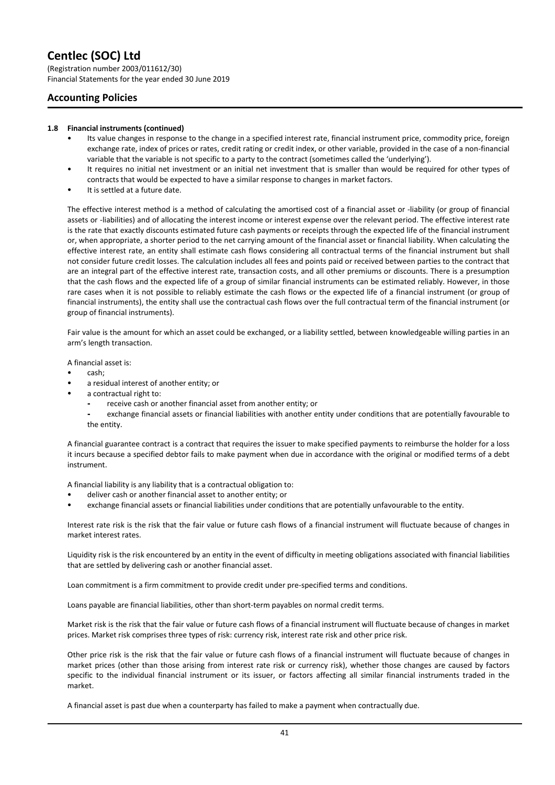(Registration number 2003/011612/30) Financial Statements for the year ended 30 June 2019

### **Accounting Policies**

#### **1.8 Financial instruments (continued)**

- Its value changes in response to the change in a specified interest rate, financial instrument price, commodity price, foreign exchange rate, index of prices or rates, credit rating or credit index, or other variable, provided in the case of a non-financial variable that the variable is not specific to a party to the contract (sometimes called the 'underlying').
- It requires no initial net investment or an initial net investment that is smaller than would be required for other types of contracts that would be expected to have a similar response to changes in market factors.
- It is settled at a future date.

The effective interest method is a method of calculating the amortised cost of a financial asset or -liability (or group of financial assets or -liabilities) and of allocating the interest income or interest expense over the relevant period. The effective interest rate is the rate that exactly discounts estimated future cash payments or receipts through the expected life of the financial instrument or, when appropriate, a shorter period to the net carrying amount of the financial asset or financial liability. When calculating the effective interest rate, an entity shall estimate cash flows considering all contractual terms of the financial instrument but shall not consider future credit losses. The calculation includes all fees and points paid or received between parties to the contract that are an integral part of the effective interest rate, transaction costs, and all other premiums or discounts. There is a presumption that the cash flows and the expected life of a group of similar financial instruments can be estimated reliably. However, in those rare cases when it is not possible to reliably estimate the cash flows or the expected life of a financial instrument (or group of financial instruments), the entity shall use the contractual cash flows over the full contractual term of the financial instrument (or group of financial instruments).

Fair value is the amount for which an asset could be exchanged, or a liability settled, between knowledgeable willing parties in an arm's length transaction.

A financial asset is:

- cash;
- a residual interest of another entity; or
- a contractual right to:
	- **-** receive cash or another financial asset from another entity; or
	- **-** exchange financial assets or financial liabilities with another entity under conditions that are potentially favourable to the entity.

A financial guarantee contract is a contract that requires the issuer to make specified payments to reimburse the holder for a loss it incurs because a specified debtor fails to make payment when due in accordance with the original or modified terms of a debt instrument.

A financial liability is any liability that is a contractual obligation to:

- deliver cash or another financial asset to another entity; or
- exchange financial assets or financial liabilities under conditions that are potentially unfavourable to the entity.

Interest rate risk is the risk that the fair value or future cash flows of a financial instrument will fluctuate because of changes in market interest rates.

Liquidity risk is the risk encountered by an entity in the event of difficulty in meeting obligations associated with financial liabilities that are settled by delivering cash or another financial asset.

Loan commitment is a firm commitment to provide credit under pre-specified terms and conditions.

Loans payable are financial liabilities, other than short-term payables on normal credit terms.

Market risk is the risk that the fair value or future cash flows of a financial instrument will fluctuate because of changes in market prices. Market risk comprises three types of risk: currency risk, interest rate risk and other price risk.

Other price risk is the risk that the fair value or future cash flows of a financial instrument will fluctuate because of changes in market prices (other than those arising from interest rate risk or currency risk), whether those changes are caused by factors specific to the individual financial instrument or its issuer, or factors affecting all similar financial instruments traded in the market.

A financial asset is past due when a counterparty has failed to make a payment when contractually due.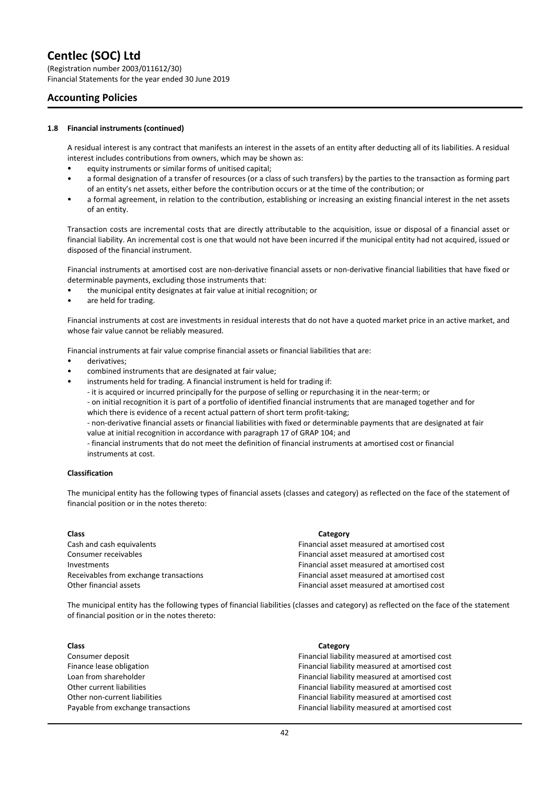(Registration number 2003/011612/30) Financial Statements for the year ended 30 June 2019

### **Accounting Policies**

#### **1.8 Financial instruments (continued)**

A residual interest is any contract that manifests an interest in the assets of an entity after deducting all of its liabilities. A residual interest includes contributions from owners, which may be shown as:

- equity instruments or similar forms of unitised capital;
- a formal designation of a transfer of resources (or a class of such transfers) by the parties to the transaction as forming part of an entity's net assets, either before the contribution occurs or at the time of the contribution; or
- a formal agreement, in relation to the contribution, establishing or increasing an existing financial interest in the net assets of an entity.

Transaction costs are incremental costs that are directly attributable to the acquisition, issue or disposal of a financial asset or financial liability. An incremental cost is one that would not have been incurred if the municipal entity had not acquired, issued or disposed of the financial instrument.

Financial instruments at amortised cost are non-derivative financial assets or non-derivative financial liabilities that have fixed or determinable payments, excluding those instruments that:

- the municipal entity designates at fair value at initial recognition; or
- are held for trading.

Financial instruments at cost are investments in residual interests that do not have a quoted market price in an active market, and whose fair value cannot be reliably measured.

Financial instruments at fair value comprise financial assets or financial liabilities that are:

- derivatives;
- combined instruments that are designated at fair value;
- instruments held for trading. A financial instrument is held for trading if:
	- it is acquired or incurred principally for the purpose of selling or repurchasing it in the near-term; or
	- on initial recognition it is part of a portfolio of identified financial instruments that are managed together and for which there is evidence of a recent actual pattern of short term profit-taking;
	- non-derivative financial assets or financial liabilities with fixed or determinable payments that are designated at fair value at initial recognition in accordance with paragraph 17 of GRAP 104; and
	- financial instruments that do not meet the definition of financial instruments at amortised cost or financial instruments at cost.

#### **Classification**

The municipal entity has the following types of financial assets (classes and category) as reflected on the face of the statement of financial position or in the notes thereto:

Cash and cash equivalents Financial asset measured at amortised cost

#### **Class Category**

Consumer receivables Financial asset measured at amortised cost Investments Financial asset measured at amortised cost Receivables from exchange transactions Financial asset measured at amortised cost Other financial assets Financial asset measured at amortised cost

The municipal entity has the following types of financial liabilities (classes and category) as reflected on the face of the statement of financial position or in the notes thereto:

#### **Class Category**

Consumer deposit **Financial liability measured at amortised cost** Financial liability measured at amortised cost Finance lease obligation Financial liability measured at amortised cost Loan from shareholder Financial liability measured at amortised cost Other current liabilities Financial liability measured at amortised cost Other non-current liabilities Financial liability measured at amortised cost Payable from exchange transactions Financial liability measured at amortised cost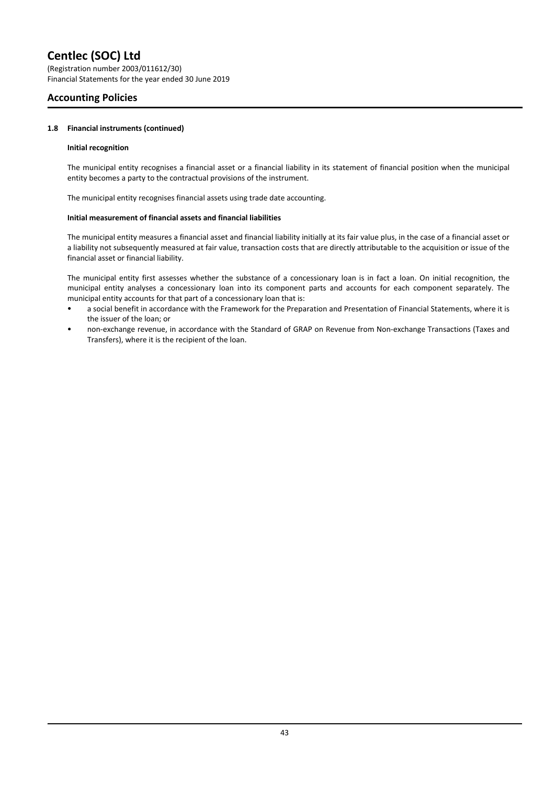(Registration number 2003/011612/30) Financial Statements for the year ended 30 June 2019

# **Accounting Policies**

#### **1.8 Financial instruments (continued)**

#### **Initial recognition**

The municipal entity recognises a financial asset or a financial liability in its statement of financial position when the municipal entity becomes a party to the contractual provisions of the instrument.

The municipal entity recognises financial assets using trade date accounting.

#### **Initial measurement of financial assets and financial liabilities**

The municipal entity measures a financial asset and financial liability initially at its fair value plus, in the case of a financial asset or a liability not subsequently measured at fair value, transaction costs that are directly attributable to the acquisition or issue of the financial asset or financial liability.

The municipal entity first assesses whether the substance of a concessionary loan is in fact a loan. On initial recognition, the municipal entity analyses a concessionary loan into its component parts and accounts for each component separately. The municipal entity accounts for that part of a concessionary loan that is:

- a social benefit in accordance with the Framework for the Preparation and Presentation of Financial Statements, where it is the issuer of the loan; or
- non-exchange revenue, in accordance with the Standard of GRAP on Revenue from Non-exchange Transactions (Taxes and Transfers), where it is the recipient of the loan.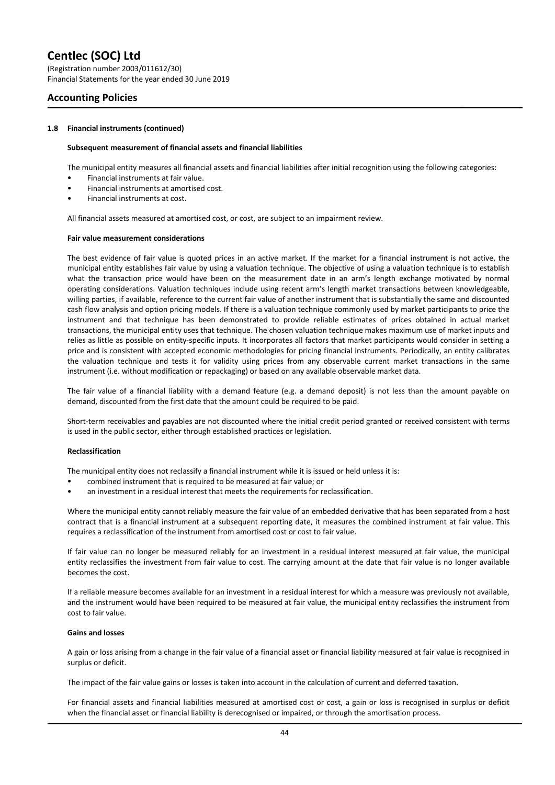(Registration number 2003/011612/30) Financial Statements for the year ended 30 June 2019

### **Accounting Policies**

#### **1.8 Financial instruments (continued)**

#### **Subsequent measurement of financial assets and financial liabilities**

The municipal entity measures all financial assets and financial liabilities after initial recognition using the following categories:

- Financial instruments at fair value.
- Financial instruments at amortised cost.
- Financial instruments at cost.

All financial assets measured at amortised cost, or cost, are subject to an impairment review.

#### **Fair value measurement considerations**

The best evidence of fair value is quoted prices in an active market. If the market for a financial instrument is not active, the municipal entity establishes fair value by using a valuation technique. The objective of using a valuation technique is to establish what the transaction price would have been on the measurement date in an arm's length exchange motivated by normal operating considerations. Valuation techniques include using recent arm's length market transactions between knowledgeable, willing parties, if available, reference to the current fair value of another instrument that is substantially the same and discounted cash flow analysis and option pricing models. If there is a valuation technique commonly used by market participants to price the instrument and that technique has been demonstrated to provide reliable estimates of prices obtained in actual market transactions, the municipal entity uses that technique. The chosen valuation technique makes maximum use of market inputs and relies as little as possible on entity-specific inputs. It incorporates all factors that market participants would consider in setting a price and is consistent with accepted economic methodologies for pricing financial instruments. Periodically, an entity calibrates the valuation technique and tests it for validity using prices from any observable current market transactions in the same instrument (i.e. without modification or repackaging) or based on any available observable market data.

The fair value of a financial liability with a demand feature (e.g. a demand deposit) is not less than the amount payable on demand, discounted from the first date that the amount could be required to be paid.

Short-term receivables and payables are not discounted where the initial credit period granted or received consistent with terms is used in the public sector, either through established practices or legislation.

#### **Reclassification**

The municipal entity does not reclassify a financial instrument while it is issued or held unless it is:

- combined instrument that is required to be measured at fair value; or
- an investment in a residual interest that meets the requirements for reclassification.

Where the municipal entity cannot reliably measure the fair value of an embedded derivative that has been separated from a host contract that is a financial instrument at a subsequent reporting date, it measures the combined instrument at fair value. This requires a reclassification of the instrument from amortised cost or cost to fair value.

If fair value can no longer be measured reliably for an investment in a residual interest measured at fair value, the municipal entity reclassifies the investment from fair value to cost. The carrying amount at the date that fair value is no longer available becomes the cost.

If a reliable measure becomes available for an investment in a residual interest for which a measure was previously not available, and the instrument would have been required to be measured at fair value, the municipal entity reclassifies the instrument from cost to fair value.

#### **Gains and losses**

A gain or loss arising from a change in the fair value of a financial asset or financial liability measured at fair value is recognised in surplus or deficit.

The impact of the fair value gains or losses is taken into account in the calculation of current and deferred taxation.

For financial assets and financial liabilities measured at amortised cost or cost, a gain or loss is recognised in surplus or deficit when the financial asset or financial liability is derecognised or impaired, or through the amortisation process.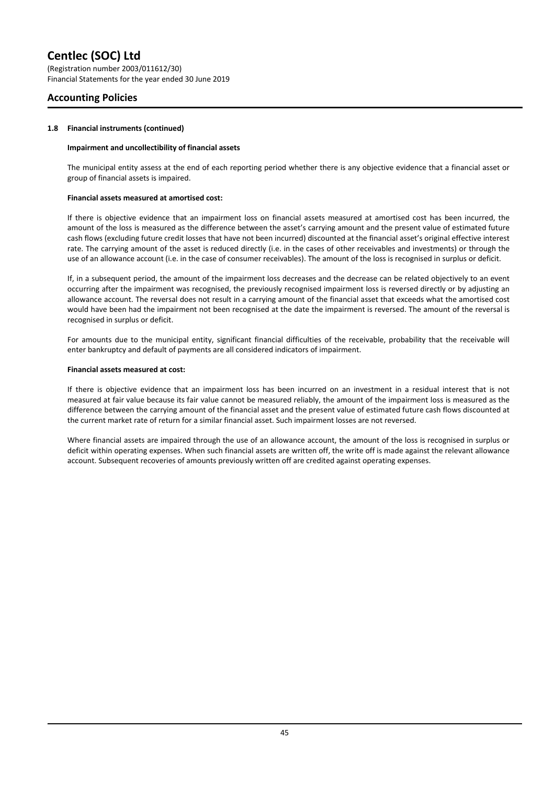(Registration number 2003/011612/30) Financial Statements for the year ended 30 June 2019

# **Accounting Policies**

#### **1.8 Financial instruments (continued)**

#### **Impairment and uncollectibility of financial assets**

The municipal entity assess at the end of each reporting period whether there is any objective evidence that a financial asset or group of financial assets is impaired.

### **Financial assets measured at amortised cost:**

If there is objective evidence that an impairment loss on financial assets measured at amortised cost has been incurred, the amount of the loss is measured as the difference between the asset's carrying amount and the present value of estimated future cash flows (excluding future credit losses that have not been incurred) discounted at the financial asset's original effective interest rate. The carrying amount of the asset is reduced directly (i.e. in the cases of other receivables and investments) or through the use of an allowance account (i.e. in the case of consumer receivables). The amount of the loss is recognised in surplus or deficit.

If, in a subsequent period, the amount of the impairment loss decreases and the decrease can be related objectively to an event occurring after the impairment was recognised, the previously recognised impairment loss is reversed directly or by adjusting an allowance account. The reversal does not result in a carrying amount of the financial asset that exceeds what the amortised cost would have been had the impairment not been recognised at the date the impairment is reversed. The amount of the reversal is recognised in surplus or deficit.

For amounts due to the municipal entity, significant financial difficulties of the receivable, probability that the receivable will enter bankruptcy and default of payments are all considered indicators of impairment.

#### **Financial assets measured at cost:**

If there is objective evidence that an impairment loss has been incurred on an investment in a residual interest that is not measured at fair value because its fair value cannot be measured reliably, the amount of the impairment loss is measured as the difference between the carrying amount of the financial asset and the present value of estimated future cash flows discounted at the current market rate of return for a similar financial asset. Such impairment losses are not reversed.

Where financial assets are impaired through the use of an allowance account, the amount of the loss is recognised in surplus or deficit within operating expenses. When such financial assets are written off, the write off is made against the relevant allowance account. Subsequent recoveries of amounts previously written off are credited against operating expenses.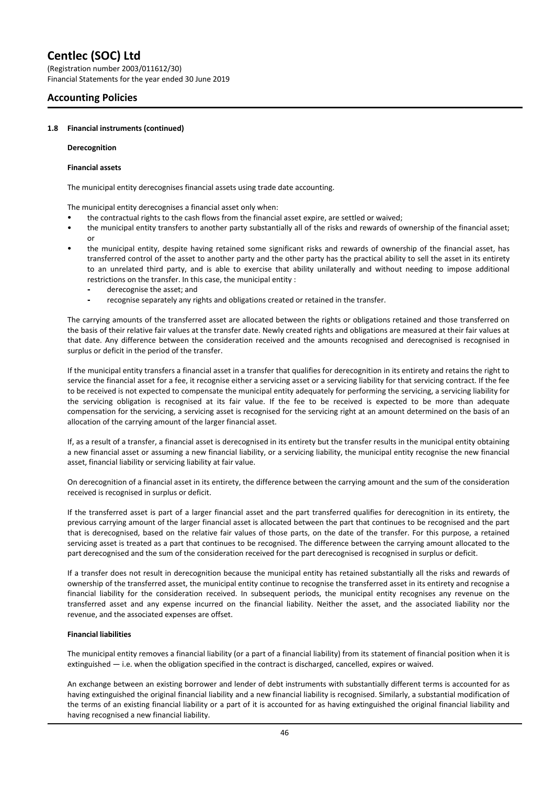(Registration number 2003/011612/30) Financial Statements for the year ended 30 June 2019

### **Accounting Policies**

#### **1.8 Financial instruments (continued)**

#### **Derecognition**

#### **Financial assets**

The municipal entity derecognises financial assets using trade date accounting.

The municipal entity derecognises a financial asset only when:

- the contractual rights to the cash flows from the financial asset expire, are settled or waived;
- the municipal entity transfers to another party substantially all of the risks and rewards of ownership of the financial asset; or
- the municipal entity, despite having retained some significant risks and rewards of ownership of the financial asset, has transferred control of the asset to another party and the other party has the practical ability to sell the asset in its entirety to an unrelated third party, and is able to exercise that ability unilaterally and without needing to impose additional restrictions on the transfer. In this case, the municipal entity :
	- **-** derecognise the asset; and
	- **-** recognise separately any rights and obligations created or retained in the transfer.

The carrying amounts of the transferred asset are allocated between the rights or obligations retained and those transferred on the basis of their relative fair values at the transfer date. Newly created rights and obligations are measured at their fair values at that date. Any difference between the consideration received and the amounts recognised and derecognised is recognised in surplus or deficit in the period of the transfer.

If the municipal entity transfers a financial asset in a transfer that qualifies for derecognition in its entirety and retains the right to service the financial asset for a fee, it recognise either a servicing asset or a servicing liability for that servicing contract. If the fee to be received is not expected to compensate the municipal entity adequately for performing the servicing, a servicing liability for the servicing obligation is recognised at its fair value. If the fee to be received is expected to be more than adequate compensation for the servicing, a servicing asset is recognised for the servicing right at an amount determined on the basis of an allocation of the carrying amount of the larger financial asset.

If, as a result of a transfer, a financial asset is derecognised in its entirety but the transfer results in the municipal entity obtaining a new financial asset or assuming a new financial liability, or a servicing liability, the municipal entity recognise the new financial asset, financial liability or servicing liability at fair value.

On derecognition of a financial asset in its entirety, the difference between the carrying amount and the sum of the consideration received is recognised in surplus or deficit.

If the transferred asset is part of a larger financial asset and the part transferred qualifies for derecognition in its entirety, the previous carrying amount of the larger financial asset is allocated between the part that continues to be recognised and the part that is derecognised, based on the relative fair values of those parts, on the date of the transfer. For this purpose, a retained servicing asset is treated as a part that continues to be recognised. The difference between the carrying amount allocated to the part derecognised and the sum of the consideration received for the part derecognised is recognised in surplus or deficit.

If a transfer does not result in derecognition because the municipal entity has retained substantially all the risks and rewards of ownership of the transferred asset, the municipal entity continue to recognise the transferred asset in its entirety and recognise a financial liability for the consideration received. In subsequent periods, the municipal entity recognises any revenue on the transferred asset and any expense incurred on the financial liability. Neither the asset, and the associated liability nor the revenue, and the associated expenses are offset.

### **Financial liabilities**

The municipal entity removes a financial liability (or a part of a financial liability) from its statement of financial position when it is extinguished — i.e. when the obligation specified in the contract is discharged, cancelled, expires or waived.

An exchange between an existing borrower and lender of debt instruments with substantially different terms is accounted for as having extinguished the original financial liability and a new financial liability is recognised. Similarly, a substantial modification of the terms of an existing financial liability or a part of it is accounted for as having extinguished the original financial liability and having recognised a new financial liability.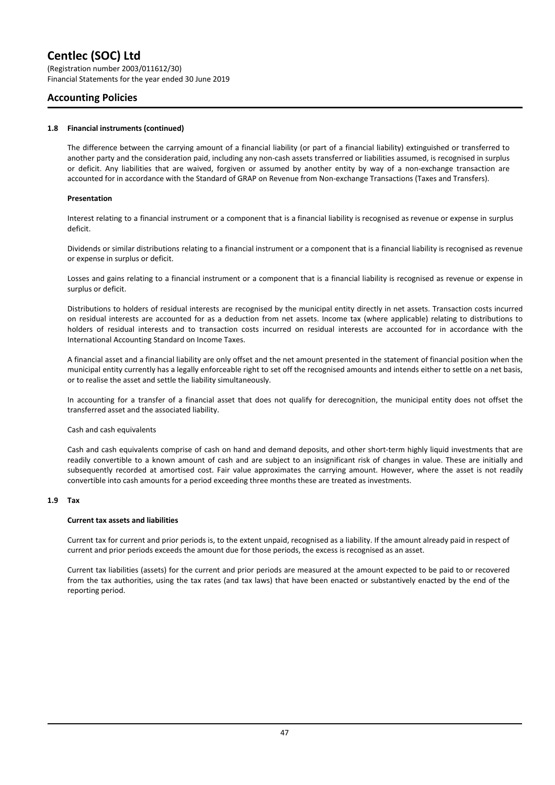(Registration number 2003/011612/30) Financial Statements for the year ended 30 June 2019

### **Accounting Policies**

#### **1.8 Financial instruments (continued)**

The difference between the carrying amount of a financial liability (or part of a financial liability) extinguished or transferred to another party and the consideration paid, including any non-cash assets transferred or liabilities assumed, is recognised in surplus or deficit. Any liabilities that are waived, forgiven or assumed by another entity by way of a non-exchange transaction are accounted for in accordance with the Standard of GRAP on Revenue from Non-exchange Transactions (Taxes and Transfers).

#### **Presentation**

Interest relating to a financial instrument or a component that is a financial liability is recognised as revenue or expense in surplus deficit.

Dividends or similar distributions relating to a financial instrument or a component that is a financial liability is recognised as revenue or expense in surplus or deficit.

Losses and gains relating to a financial instrument or a component that is a financial liability is recognised as revenue or expense in surplus or deficit.

Distributions to holders of residual interests are recognised by the municipal entity directly in net assets. Transaction costs incurred on residual interests are accounted for as a deduction from net assets. Income tax (where applicable) relating to distributions to holders of residual interests and to transaction costs incurred on residual interests are accounted for in accordance with the International Accounting Standard on Income Taxes.

A financial asset and a financial liability are only offset and the net amount presented in the statement of financial position when the municipal entity currently has a legally enforceable right to set off the recognised amounts and intends either to settle on a net basis, or to realise the asset and settle the liability simultaneously.

In accounting for a transfer of a financial asset that does not qualify for derecognition, the municipal entity does not offset the transferred asset and the associated liability.

#### Cash and cash equivalents

Cash and cash equivalents comprise of cash on hand and demand deposits, and other short-term highly liquid investments that are readily convertible to a known amount of cash and are subject to an insignificant risk of changes in value. These are initially and subsequently recorded at amortised cost. Fair value approximates the carrying amount. However, where the asset is not readily convertible into cash amounts for a period exceeding three months these are treated as investments.

### **1.9 Tax**

### **Current tax assets and liabilities**

Current tax for current and prior periods is, to the extent unpaid, recognised as a liability. If the amount already paid in respect of current and prior periods exceeds the amount due for those periods, the excess is recognised as an asset.

Current tax liabilities (assets) for the current and prior periods are measured at the amount expected to be paid to or recovered from the tax authorities, using the tax rates (and tax laws) that have been enacted or substantively enacted by the end of the reporting period.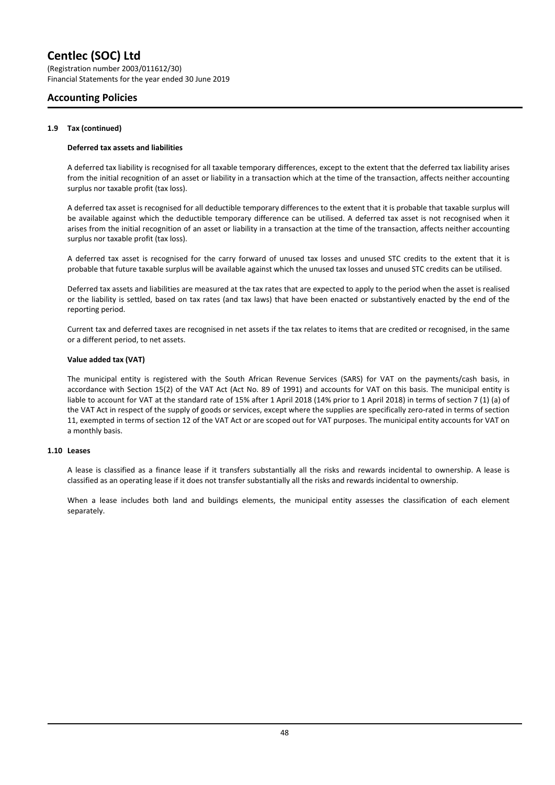(Registration number 2003/011612/30) Financial Statements for the year ended 30 June 2019

# **Accounting Policies**

#### **1.9 Tax (continued)**

### **Deferred tax assets and liabilities**

A deferred tax liability is recognised for all taxable temporary differences, except to the extent that the deferred tax liability arises from the initial recognition of an asset or liability in a transaction which at the time of the transaction, affects neither accounting surplus nor taxable profit (tax loss).

A deferred tax asset is recognised for all deductible temporary differences to the extent that it is probable that taxable surplus will be available against which the deductible temporary difference can be utilised. A deferred tax asset is not recognised when it arises from the initial recognition of an asset or liability in a transaction at the time of the transaction, affects neither accounting surplus nor taxable profit (tax loss).

A deferred tax asset is recognised for the carry forward of unused tax losses and unused STC credits to the extent that it is probable that future taxable surplus will be available against which the unused tax losses and unused STC credits can be utilised.

Deferred tax assets and liabilities are measured at the tax rates that are expected to apply to the period when the asset is realised or the liability is settled, based on tax rates (and tax laws) that have been enacted or substantively enacted by the end of the reporting period.

Current tax and deferred taxes are recognised in net assets if the tax relates to items that are credited or recognised, in the same or a different period, to net assets.

#### **Value added tax (VAT)**

The municipal entity is registered with the South African Revenue Services (SARS) for VAT on the payments/cash basis, in accordance with Section 15(2) of the VAT Act (Act No. 89 of 1991) and accounts for VAT on this basis. The municipal entity is liable to account for VAT at the standard rate of 15% after 1 April 2018 (14% prior to 1 April 2018) in terms of section 7 (1) (a) of the VAT Act in respect of the supply of goods or services, except where the supplies are specifically zero-rated in terms of section 11, exempted in terms of section 12 of the VAT Act or are scoped out for VAT purposes. The municipal entity accounts for VAT on a monthly basis.

#### **1.10 Leases**

A lease is classified as a finance lease if it transfers substantially all the risks and rewards incidental to ownership. A lease is classified as an operating lease if it does not transfer substantially all the risks and rewards incidental to ownership.

When a lease includes both land and buildings elements, the municipal entity assesses the classification of each element separately.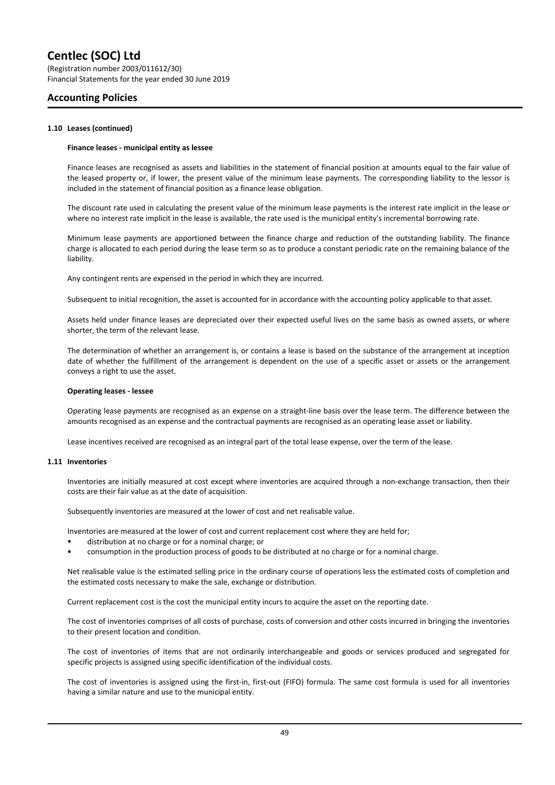(Registration number 2003/011612/30) Financial Statements for the year ended 30 June 2019

## **Accounting Policies**

#### **1.10 Leases (continued)**

#### **Finance leases - municipal entity as lessee**

Finance leases are recognised as assets and liabilities in the statement of financial position at amounts equal to the fair value of the leased property or, if lower, the present value of the minimum lease payments. The corresponding liability to the lessor is included in the statement of financial position as a finance lease obligation.

The discount rate used in calculating the present value of the minimum lease payments is the interest rate implicit in the lease or where no interest rate implicit in the lease is available, the rate used is the municipal entity's incremental borrowing rate.

Minimum lease payments are apportioned between the finance charge and reduction of the outstanding liability. The finance charge is allocated to each period during the lease term so as to produce a constant periodic rate on the remaining balance of the liability.

Any contingent rents are expensed in the period in which they are incurred.

Subsequent to initial recognition, the asset is accounted for in accordance with the accounting policy applicable to that asset.

Assets held under finance leases are depreciated over their expected useful lives on the same basis as owned assets, or where shorter, the term of the relevant lease.

The determination of whether an arrangement is, or contains a lease is based on the substance of the arrangement at inception date of whether the fulfillment of the arrangement is dependent on the use of a specific asset or assets or the arrangement conveys a right to use the asset.

#### **Operating leases - lessee**

Operating lease payments are recognised as an expense on a straight-line basis over the lease term. The difference between the amounts recognised as an expense and the contractual payments are recognised as an operating lease asset or liability.

Lease incentives received are recognised as an integral part of the total lease expense, over the term of the lease.

#### **1.11 Inventories**

Inventories are initially measured at cost except where inventories are acquired through a non-exchange transaction, then their costs are their fair value as at the date of acquisition.

Subsequently inventories are measured at the lower of cost and net realisable value.

Inventories are measured at the lower of cost and current replacement cost where they are held for;

- distribution at no charge or for a nominal charge; or
- consumption in the production process of goods to be distributed at no charge or for a nominal charge.

Net realisable value is the estimated selling price in the ordinary course of operations less the estimated costs of completion and the estimated costs necessary to make the sale, exchange or distribution.

Current replacement cost is the cost the municipal entity incurs to acquire the asset on the reporting date.

The cost of inventories comprises of all costs of purchase, costs of conversion and other costs incurred in bringing the inventories to their present location and condition.

The cost of inventories of items that are not ordinarily interchangeable and goods or services produced and segregated for specific projects is assigned using specific identification of the individual costs.

The cost of inventories is assigned using the first-in, first-out (FIFO) formula. The same cost formula is used for all inventories having a similar nature and use to the municipal entity.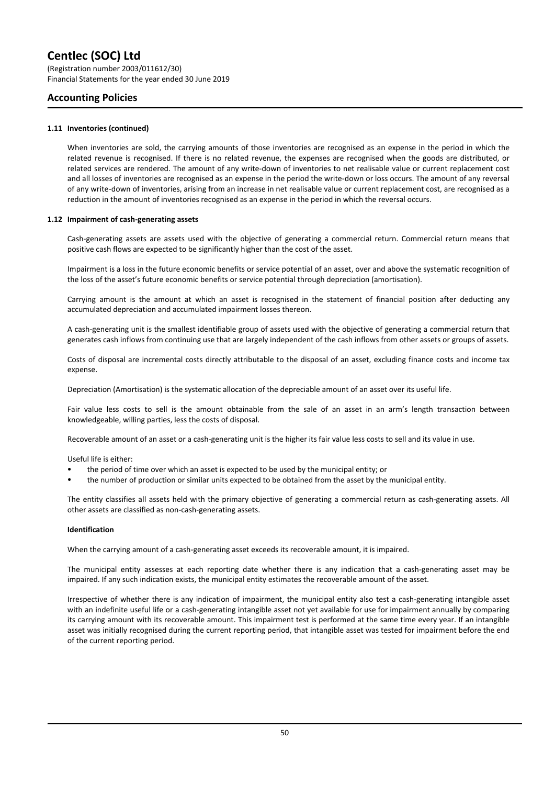(Registration number 2003/011612/30) Financial Statements for the year ended 30 June 2019

### **Accounting Policies**

#### **1.11 Inventories (continued)**

When inventories are sold, the carrying amounts of those inventories are recognised as an expense in the period in which the related revenue is recognised. If there is no related revenue, the expenses are recognised when the goods are distributed, or related services are rendered. The amount of any write-down of inventories to net realisable value or current replacement cost and all losses of inventories are recognised as an expense in the period the write-down or loss occurs. The amount of any reversal of any write-down of inventories, arising from an increase in net realisable value or current replacement cost, are recognised as a reduction in the amount of inventories recognised as an expense in the period in which the reversal occurs.

#### **1.12 Impairment of cash-generating assets**

Cash-generating assets are assets used with the objective of generating a commercial return. Commercial return means that positive cash flows are expected to be significantly higher than the cost of the asset.

Impairment is a loss in the future economic benefits or service potential of an asset, over and above the systematic recognition of the loss of the asset's future economic benefits or service potential through depreciation (amortisation).

Carrying amount is the amount at which an asset is recognised in the statement of financial position after deducting any accumulated depreciation and accumulated impairment losses thereon.

A cash-generating unit is the smallest identifiable group of assets used with the objective of generating a commercial return that generates cash inflows from continuing use that are largely independent of the cash inflows from other assets or groups of assets.

Costs of disposal are incremental costs directly attributable to the disposal of an asset, excluding finance costs and income tax expense.

Depreciation (Amortisation) is the systematic allocation of the depreciable amount of an asset over its useful life.

Fair value less costs to sell is the amount obtainable from the sale of an asset in an arm's length transaction between knowledgeable, willing parties, less the costs of disposal.

Recoverable amount of an asset or a cash-generating unit is the higher its fair value less costs to sell and its value in use.

Useful life is either:

- the period of time over which an asset is expected to be used by the municipal entity; or
- the number of production or similar units expected to be obtained from the asset by the municipal entity.

The entity classifies all assets held with the primary objective of generating a commercial return as cash-generating assets. All other assets are classified as non-cash-generating assets.

#### **Identification**

When the carrying amount of a cash-generating asset exceeds its recoverable amount, it is impaired.

The municipal entity assesses at each reporting date whether there is any indication that a cash-generating asset may be impaired. If any such indication exists, the municipal entity estimates the recoverable amount of the asset.

Irrespective of whether there is any indication of impairment, the municipal entity also test a cash-generating intangible asset with an indefinite useful life or a cash-generating intangible asset not yet available for use for impairment annually by comparing its carrying amount with its recoverable amount. This impairment test is performed at the same time every year. If an intangible asset was initially recognised during the current reporting period, that intangible asset was tested for impairment before the end of the current reporting period.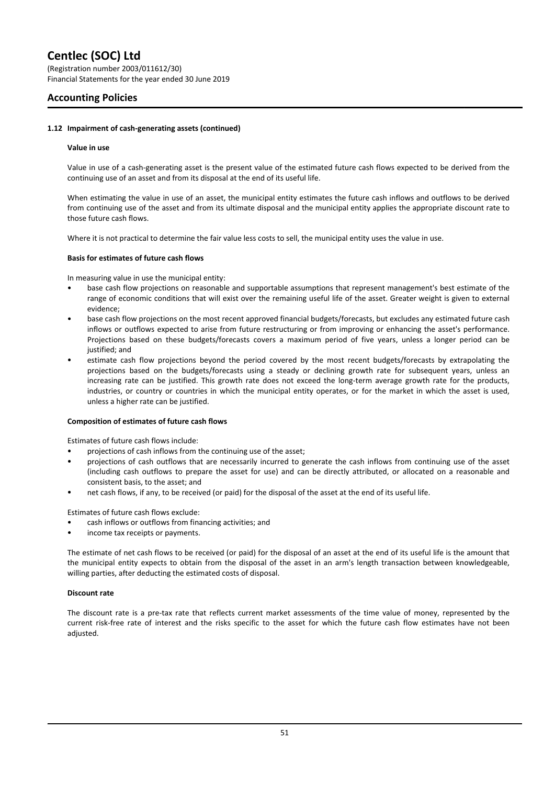(Registration number 2003/011612/30) Financial Statements for the year ended 30 June 2019

## **Accounting Policies**

#### **1.12 Impairment of cash-generating assets (continued)**

#### **Value in use**

Value in use of a cash-generating asset is the present value of the estimated future cash flows expected to be derived from the continuing use of an asset and from its disposal at the end of its useful life.

When estimating the value in use of an asset, the municipal entity estimates the future cash inflows and outflows to be derived from continuing use of the asset and from its ultimate disposal and the municipal entity applies the appropriate discount rate to those future cash flows.

Where it is not practical to determine the fair value less costs to sell, the municipal entity uses the value in use.

#### **Basis for estimates of future cash flows**

In measuring value in use the municipal entity:

- base cash flow projections on reasonable and supportable assumptions that represent management's best estimate of the range of economic conditions that will exist over the remaining useful life of the asset. Greater weight is given to external evidence;
- base cash flow projections on the most recent approved financial budgets/forecasts, but excludes any estimated future cash inflows or outflows expected to arise from future restructuring or from improving or enhancing the asset's performance. Projections based on these budgets/forecasts covers a maximum period of five years, unless a longer period can be justified; and
- estimate cash flow projections beyond the period covered by the most recent budgets/forecasts by extrapolating the projections based on the budgets/forecasts using a steady or declining growth rate for subsequent years, unless an increasing rate can be justified. This growth rate does not exceed the long-term average growth rate for the products, industries, or country or countries in which the municipal entity operates, or for the market in which the asset is used, unless a higher rate can be justified.

#### **Composition of estimates of future cash flows**

Estimates of future cash flows include:

- projections of cash inflows from the continuing use of the asset;
- projections of cash outflows that are necessarily incurred to generate the cash inflows from continuing use of the asset (including cash outflows to prepare the asset for use) and can be directly attributed, or allocated on a reasonable and consistent basis, to the asset; and
- net cash flows, if any, to be received (or paid) for the disposal of the asset at the end of its useful life.

Estimates of future cash flows exclude:

- cash inflows or outflows from financing activities; and
- income tax receipts or payments.

The estimate of net cash flows to be received (or paid) for the disposal of an asset at the end of its useful life is the amount that the municipal entity expects to obtain from the disposal of the asset in an arm's length transaction between knowledgeable, willing parties, after deducting the estimated costs of disposal.

#### **Discount rate**

The discount rate is a pre-tax rate that reflects current market assessments of the time value of money, represented by the current risk-free rate of interest and the risks specific to the asset for which the future cash flow estimates have not been adjusted.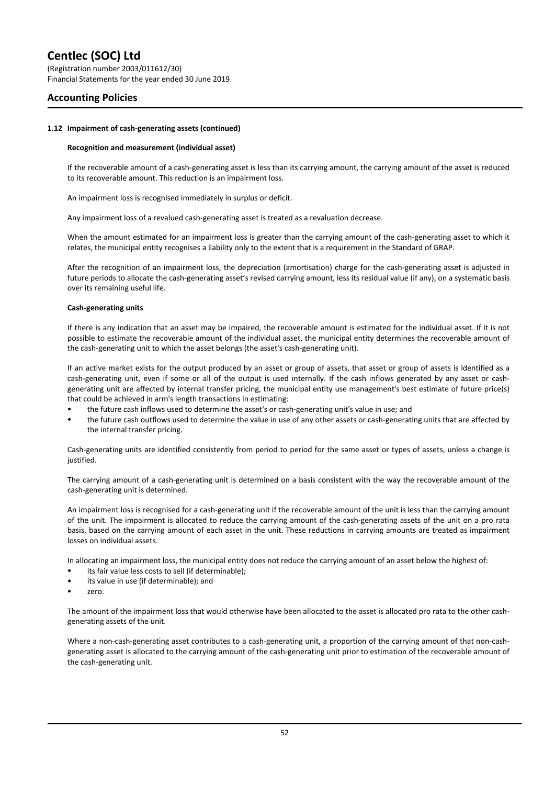(Registration number 2003/011612/30) Financial Statements for the year ended 30 June 2019

# **Accounting Policies**

#### **1.12 Impairment of cash-generating assets (continued)**

#### **Recognition and measurement (individual asset)**

If the recoverable amount of a cash-generating asset is less than its carrying amount, the carrying amount of the asset is reduced to its recoverable amount. This reduction is an impairment loss.

An impairment loss is recognised immediately in surplus or deficit.

Any impairment loss of a revalued cash-generating asset is treated as a revaluation decrease.

When the amount estimated for an impairment loss is greater than the carrying amount of the cash-generating asset to which it relates, the municipal entity recognises a liability only to the extent that is a requirement in the Standard of GRAP.

After the recognition of an impairment loss, the depreciation (amortisation) charge for the cash-generating asset is adjusted in future periods to allocate the cash-generating asset's revised carrying amount, less its residual value (if any), on a systematic basis over its remaining useful life.

#### **Cash-generating units**

If there is any indication that an asset may be impaired, the recoverable amount is estimated for the individual asset. If it is not possible to estimate the recoverable amount of the individual asset, the municipal entity determines the recoverable amount of the cash-generating unit to which the asset belongs (the asset's cash-generating unit).

If an active market exists for the output produced by an asset or group of assets, that asset or group of assets is identified as a cash-generating unit, even if some or all of the output is used internally. If the cash inflows generated by any asset or cashgenerating unit are affected by internal transfer pricing, the municipal entity use management's best estimate of future price(s) that could be achieved in arm's length transactions in estimating:

- the future cash inflows used to determine the asset's or cash-generating unit's value in use; and
- the future cash outflows used to determine the value in use of any other assets or cash-generating units that are affected by the internal transfer pricing.

Cash-generating units are identified consistently from period to period for the same asset or types of assets, unless a change is justified.

The carrying amount of a cash-generating unit is determined on a basis consistent with the way the recoverable amount of the cash-generating unit is determined.

An impairment loss is recognised for a cash-generating unit if the recoverable amount of the unit is less than the carrying amount of the unit. The impairment is allocated to reduce the carrying amount of the cash-generating assets of the unit on a pro rata basis, based on the carrying amount of each asset in the unit. These reductions in carrying amounts are treated as impairment losses on individual assets.

In allocating an impairment loss, the municipal entity does not reduce the carrying amount of an asset below the highest of:

- its fair value less costs to sell (if determinable);
- its value in use (if determinable); and
- zero.

The amount of the impairment loss that would otherwise have been allocated to the asset is allocated pro rata to the other cashgenerating assets of the unit.

Where a non-cash-generating asset contributes to a cash-generating unit, a proportion of the carrying amount of that non-cashgenerating asset is allocated to the carrying amount of the cash-generating unit prior to estimation of the recoverable amount of the cash-generating unit.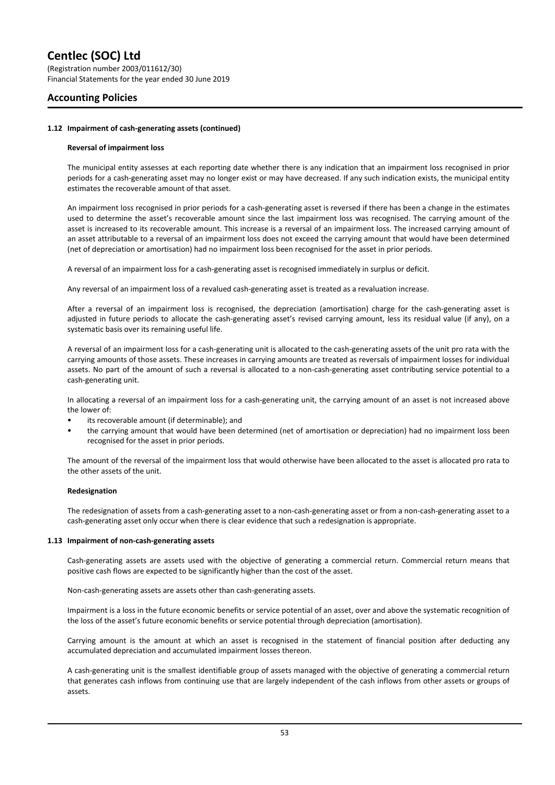(Registration number 2003/011612/30) Financial Statements for the year ended 30 June 2019

### **Accounting Policies**

#### **1.12 Impairment of cash-generating assets (continued)**

#### **Reversal of impairment loss**

The municipal entity assesses at each reporting date whether there is any indication that an impairment loss recognised in prior periods for a cash-generating asset may no longer exist or may have decreased. If any such indication exists, the municipal entity estimates the recoverable amount of that asset.

An impairment loss recognised in prior periods for a cash-generating asset is reversed if there has been a change in the estimates used to determine the asset's recoverable amount since the last impairment loss was recognised. The carrying amount of the asset is increased to its recoverable amount. This increase is a reversal of an impairment loss. The increased carrying amount of an asset attributable to a reversal of an impairment loss does not exceed the carrying amount that would have been determined (net of depreciation or amortisation) had no impairment loss been recognised for the asset in prior periods.

A reversal of an impairment loss for a cash-generating asset is recognised immediately in surplus or deficit.

Any reversal of an impairment loss of a revalued cash-generating asset is treated as a revaluation increase.

After a reversal of an impairment loss is recognised, the depreciation (amortisation) charge for the cash-generating asset is adjusted in future periods to allocate the cash-generating asset's revised carrying amount, less its residual value (if any), on a systematic basis over its remaining useful life.

A reversal of an impairment loss for a cash-generating unit is allocated to the cash-generating assets of the unit pro rata with the carrying amounts of those assets. These increases in carrying amounts are treated as reversals of impairment losses for individual assets. No part of the amount of such a reversal is allocated to a non-cash-generating asset contributing service potential to a cash-generating unit.

In allocating a reversal of an impairment loss for a cash-generating unit, the carrying amount of an asset is not increased above the lower of:

- its recoverable amount (if determinable); and
- the carrying amount that would have been determined (net of amortisation or depreciation) had no impairment loss been recognised for the asset in prior periods.

The amount of the reversal of the impairment loss that would otherwise have been allocated to the asset is allocated pro rata to the other assets of the unit.

### **Redesignation**

The redesignation of assets from a cash-generating asset to a non-cash-generating asset or from a non-cash-generating asset to a cash-generating asset only occur when there is clear evidence that such a redesignation is appropriate.

#### **1.13 Impairment of non-cash-generating assets**

Cash-generating assets are assets used with the objective of generating a commercial return. Commercial return means that positive cash flows are expected to be significantly higher than the cost of the asset.

Non-cash-generating assets are assets other than cash-generating assets.

Impairment is a loss in the future economic benefits or service potential of an asset, over and above the systematic recognition of the loss of the asset's future economic benefits or service potential through depreciation (amortisation).

Carrying amount is the amount at which an asset is recognised in the statement of financial position after deducting any accumulated depreciation and accumulated impairment losses thereon.

A cash-generating unit is the smallest identifiable group of assets managed with the objective of generating a commercial return that generates cash inflows from continuing use that are largely independent of the cash inflows from other assets or groups of assets.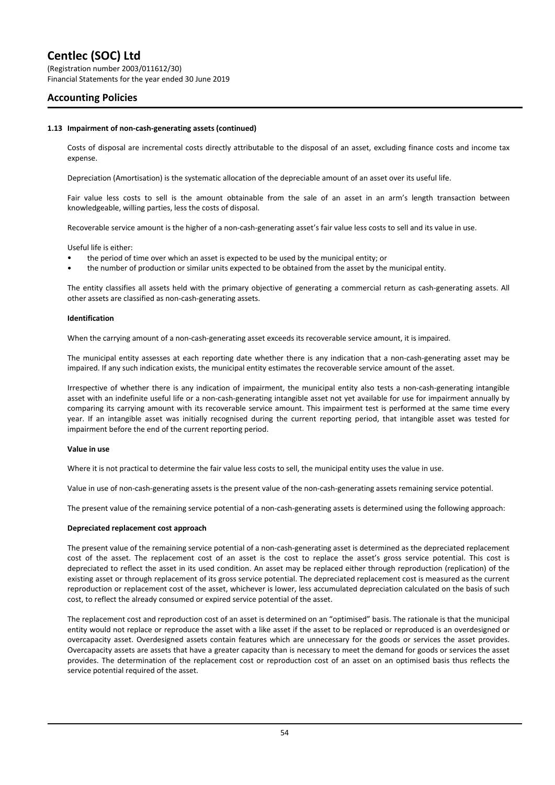(Registration number 2003/011612/30) Financial Statements for the year ended 30 June 2019

# **Accounting Policies**

#### **1.13 Impairment of non-cash-generating assets (continued)**

Costs of disposal are incremental costs directly attributable to the disposal of an asset, excluding finance costs and income tax expense.

Depreciation (Amortisation) is the systematic allocation of the depreciable amount of an asset over its useful life.

Fair value less costs to sell is the amount obtainable from the sale of an asset in an arm's length transaction between knowledgeable, willing parties, less the costs of disposal.

Recoverable service amount is the higher of a non-cash-generating asset's fair value less costs to sell and its value in use.

Useful life is either:

- the period of time over which an asset is expected to be used by the municipal entity; or
- the number of production or similar units expected to be obtained from the asset by the municipal entity.

The entity classifies all assets held with the primary objective of generating a commercial return as cash-generating assets. All other assets are classified as non-cash-generating assets.

#### **Identification**

When the carrying amount of a non-cash-generating asset exceeds its recoverable service amount, it is impaired.

The municipal entity assesses at each reporting date whether there is any indication that a non-cash-generating asset may be impaired. If any such indication exists, the municipal entity estimates the recoverable service amount of the asset.

Irrespective of whether there is any indication of impairment, the municipal entity also tests a non-cash-generating intangible asset with an indefinite useful life or a non-cash-generating intangible asset not yet available for use for impairment annually by comparing its carrying amount with its recoverable service amount. This impairment test is performed at the same time every year. If an intangible asset was initially recognised during the current reporting period, that intangible asset was tested for impairment before the end of the current reporting period.

#### **Value in use**

Where it is not practical to determine the fair value less costs to sell, the municipal entity uses the value in use.

Value in use of non-cash-generating assets is the present value of the non-cash-generating assets remaining service potential.

The present value of the remaining service potential of a non-cash-generating assets is determined using the following approach:

#### **Depreciated replacement cost approach**

The present value of the remaining service potential of a non-cash-generating asset is determined as the depreciated replacement cost of the asset. The replacement cost of an asset is the cost to replace the asset's gross service potential. This cost is depreciated to reflect the asset in its used condition. An asset may be replaced either through reproduction (replication) of the existing asset or through replacement of its gross service potential. The depreciated replacement cost is measured as the current reproduction or replacement cost of the asset, whichever is lower, less accumulated depreciation calculated on the basis of such cost, to reflect the already consumed or expired service potential of the asset.

The replacement cost and reproduction cost of an asset is determined on an "optimised" basis. The rationale is that the municipal entity would not replace or reproduce the asset with a like asset if the asset to be replaced or reproduced is an overdesigned or overcapacity asset. Overdesigned assets contain features which are unnecessary for the goods or services the asset provides. Overcapacity assets are assets that have a greater capacity than is necessary to meet the demand for goods or services the asset provides. The determination of the replacement cost or reproduction cost of an asset on an optimised basis thus reflects the service potential required of the asset.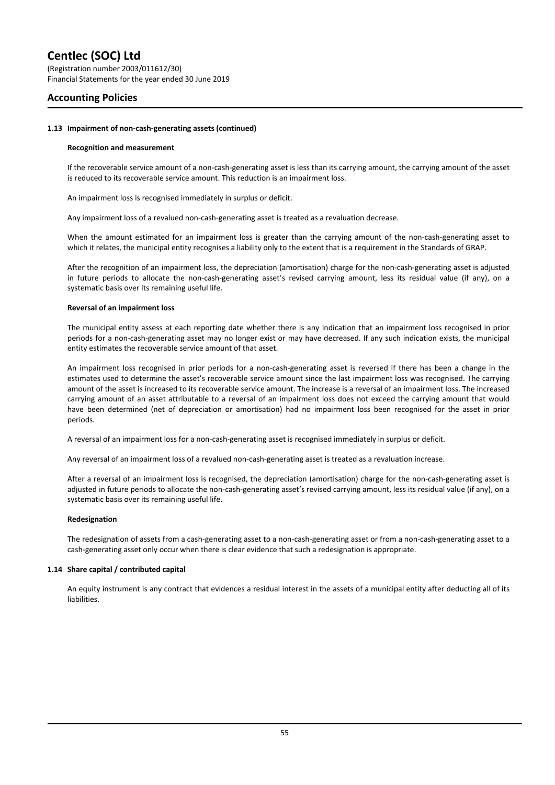(Registration number 2003/011612/30) Financial Statements for the year ended 30 June 2019

### **Accounting Policies**

#### **1.13 Impairment of non-cash-generating assets (continued)**

#### **Recognition and measurement**

If the recoverable service amount of a non-cash-generating asset is less than its carrying amount, the carrying amount of the asset is reduced to its recoverable service amount. This reduction is an impairment loss.

An impairment loss is recognised immediately in surplus or deficit.

Any impairment loss of a revalued non-cash-generating asset is treated as a revaluation decrease.

When the amount estimated for an impairment loss is greater than the carrying amount of the non-cash-generating asset to which it relates, the municipal entity recognises a liability only to the extent that is a requirement in the Standards of GRAP.

After the recognition of an impairment loss, the depreciation (amortisation) charge for the non-cash-generating asset is adjusted in future periods to allocate the non-cash-generating asset's revised carrying amount, less its residual value (if any), on a systematic basis over its remaining useful life.

#### **Reversal of an impairment loss**

The municipal entity assess at each reporting date whether there is any indication that an impairment loss recognised in prior periods for a non-cash-generating asset may no longer exist or may have decreased. If any such indication exists, the municipal entity estimates the recoverable service amount of that asset.

An impairment loss recognised in prior periods for a non-cash-generating asset is reversed if there has been a change in the estimates used to determine the asset's recoverable service amount since the last impairment loss was recognised. The carrying amount of the asset is increased to its recoverable service amount. The increase is a reversal of an impairment loss. The increased carrying amount of an asset attributable to a reversal of an impairment loss does not exceed the carrying amount that would have been determined (net of depreciation or amortisation) had no impairment loss been recognised for the asset in prior periods.

A reversal of an impairment loss for a non-cash-generating asset is recognised immediately in surplus or deficit.

Any reversal of an impairment loss of a revalued non-cash-generating asset is treated as a revaluation increase.

After a reversal of an impairment loss is recognised, the depreciation (amortisation) charge for the non-cash-generating asset is adjusted in future periods to allocate the non-cash-generating asset's revised carrying amount, less its residual value (if any), on a systematic basis over its remaining useful life.

#### **Redesignation**

The redesignation of assets from a cash-generating asset to a non-cash-generating asset or from a non-cash-generating asset to a cash-generating asset only occur when there is clear evidence that such a redesignation is appropriate.

#### **1.14 Share capital / contributed capital**

An equity instrument is any contract that evidences a residual interest in the assets of a municipal entity after deducting all of its liabilities.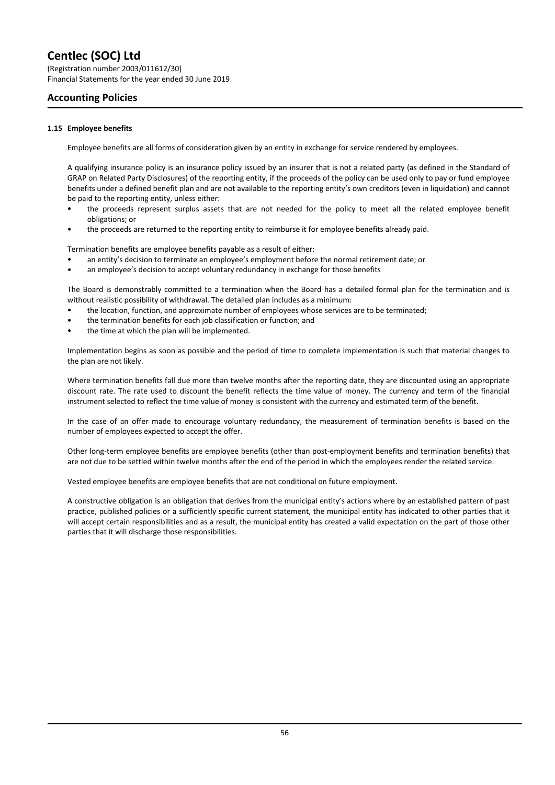(Registration number 2003/011612/30) Financial Statements for the year ended 30 June 2019

# **Accounting Policies**

### **1.15 Employee benefits**

Employee benefits are all forms of consideration given by an entity in exchange for service rendered by employees.

A qualifying insurance policy is an insurance policy issued by an insurer that is not a related party (as defined in the Standard of GRAP on Related Party Disclosures) of the reporting entity, if the proceeds of the policy can be used only to pay or fund employee benefits under a defined benefit plan and are not available to the reporting entity's own creditors (even in liquidation) and cannot be paid to the reporting entity, unless either:

- the proceeds represent surplus assets that are not needed for the policy to meet all the related employee benefit obligations; or
- the proceeds are returned to the reporting entity to reimburse it for employee benefits already paid.

Termination benefits are employee benefits payable as a result of either:

- an entity's decision to terminate an employee's employment before the normal retirement date; or
- an employee's decision to accept voluntary redundancy in exchange for those benefits

The Board is demonstrably committed to a termination when the Board has a detailed formal plan for the termination and is without realistic possibility of withdrawal. The detailed plan includes as a minimum:

- the location, function, and approximate number of employees whose services are to be terminated;
- the termination benefits for each job classification or function; and
- the time at which the plan will be implemented.

Implementation begins as soon as possible and the period of time to complete implementation is such that material changes to the plan are not likely.

Where termination benefits fall due more than twelve months after the reporting date, they are discounted using an appropriate discount rate. The rate used to discount the benefit reflects the time value of money. The currency and term of the financial instrument selected to reflect the time value of money is consistent with the currency and estimated term of the benefit.

In the case of an offer made to encourage voluntary redundancy, the measurement of termination benefits is based on the number of employees expected to accept the offer.

Other long-term employee benefits are employee benefits (other than post-employment benefits and termination benefits) that are not due to be settled within twelve months after the end of the period in which the employees render the related service.

Vested employee benefits are employee benefits that are not conditional on future employment.

A constructive obligation is an obligation that derives from the municipal entity's actions where by an established pattern of past practice, published policies or a sufficiently specific current statement, the municipal entity has indicated to other parties that it will accept certain responsibilities and as a result, the municipal entity has created a valid expectation on the part of those other parties that it will discharge those responsibilities.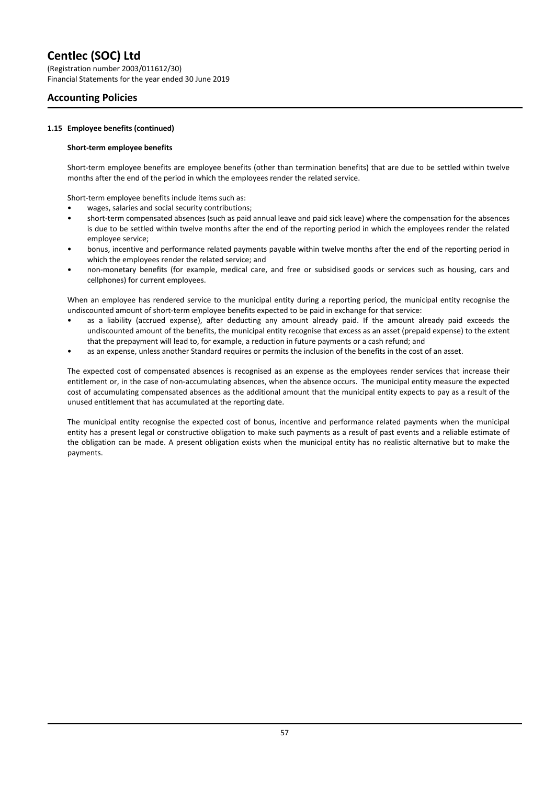(Registration number 2003/011612/30) Financial Statements for the year ended 30 June 2019

# **Accounting Policies**

### **1.15 Employee benefits (continued)**

#### **Short-term employee benefits**

Short-term employee benefits are employee benefits (other than termination benefits) that are due to be settled within twelve months after the end of the period in which the employees render the related service.

Short-term employee benefits include items such as:

- wages, salaries and social security contributions;
- short-term compensated absences (such as paid annual leave and paid sick leave) where the compensation for the absences is due to be settled within twelve months after the end of the reporting period in which the employees render the related employee service;
- bonus, incentive and performance related payments payable within twelve months after the end of the reporting period in which the employees render the related service; and
- non-monetary benefits (for example, medical care, and free or subsidised goods or services such as housing, cars and cellphones) for current employees.

When an employee has rendered service to the municipal entity during a reporting period, the municipal entity recognise the undiscounted amount of short-term employee benefits expected to be paid in exchange for that service:

- as a liability (accrued expense), after deducting any amount already paid. If the amount already paid exceeds the undiscounted amount of the benefits, the municipal entity recognise that excess as an asset (prepaid expense) to the extent that the prepayment will lead to, for example, a reduction in future payments or a cash refund; and
- as an expense, unless another Standard requires or permits the inclusion of the benefits in the cost of an asset.

The expected cost of compensated absences is recognised as an expense as the employees render services that increase their entitlement or, in the case of non-accumulating absences, when the absence occurs. The municipal entity measure the expected cost of accumulating compensated absences as the additional amount that the municipal entity expects to pay as a result of the unused entitlement that has accumulated at the reporting date.

The municipal entity recognise the expected cost of bonus, incentive and performance related payments when the municipal entity has a present legal or constructive obligation to make such payments as a result of past events and a reliable estimate of the obligation can be made. A present obligation exists when the municipal entity has no realistic alternative but to make the payments.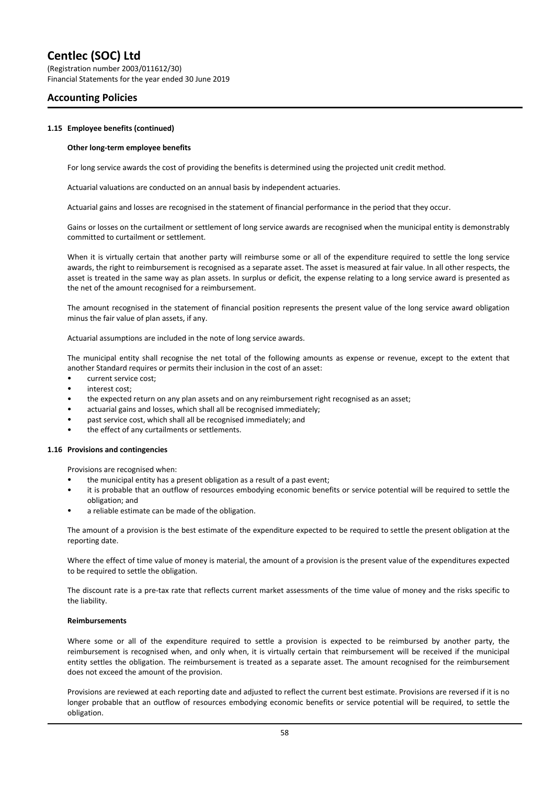(Registration number 2003/011612/30) Financial Statements for the year ended 30 June 2019

### **Accounting Policies**

#### **1.15 Employee benefits (continued)**

#### **Other long-term employee benefits**

For long service awards the cost of providing the benefits is determined using the projected unit credit method.

Actuarial valuations are conducted on an annual basis by independent actuaries.

Actuarial gains and losses are recognised in the statement of financial performance in the period that they occur.

Gains or losses on the curtailment or settlement of long service awards are recognised when the municipal entity is demonstrably committed to curtailment or settlement.

When it is virtually certain that another party will reimburse some or all of the expenditure required to settle the long service awards, the right to reimbursement is recognised as a separate asset. The asset is measured at fair value. In all other respects, the asset is treated in the same way as plan assets. In surplus or deficit, the expense relating to a long service award is presented as the net of the amount recognised for a reimbursement.

The amount recognised in the statement of financial position represents the present value of the long service award obligation minus the fair value of plan assets, if any.

Actuarial assumptions are included in the note of long service awards.

The municipal entity shall recognise the net total of the following amounts as expense or revenue, except to the extent that another Standard requires or permits their inclusion in the cost of an asset:

- current service cost;
- interest cost;
- the expected return on any plan assets and on any reimbursement right recognised as an asset;
- actuarial gains and losses, which shall all be recognised immediately;
- past service cost, which shall all be recognised immediately; and
- the effect of any curtailments or settlements.

#### **1.16 Provisions and contingencies**

Provisions are recognised when:

- the municipal entity has a present obligation as a result of a past event;
- it is probable that an outflow of resources embodying economic benefits or service potential will be required to settle the obligation; and
- a reliable estimate can be made of the obligation.

The amount of a provision is the best estimate of the expenditure expected to be required to settle the present obligation at the reporting date.

Where the effect of time value of money is material, the amount of a provision is the present value of the expenditures expected to be required to settle the obligation.

The discount rate is a pre-tax rate that reflects current market assessments of the time value of money and the risks specific to the liability.

#### **Reimbursements**

Where some or all of the expenditure required to settle a provision is expected to be reimbursed by another party, the reimbursement is recognised when, and only when, it is virtually certain that reimbursement will be received if the municipal entity settles the obligation. The reimbursement is treated as a separate asset. The amount recognised for the reimbursement does not exceed the amount of the provision.

Provisions are reviewed at each reporting date and adjusted to reflect the current best estimate. Provisions are reversed if it is no longer probable that an outflow of resources embodying economic benefits or service potential will be required, to settle the obligation.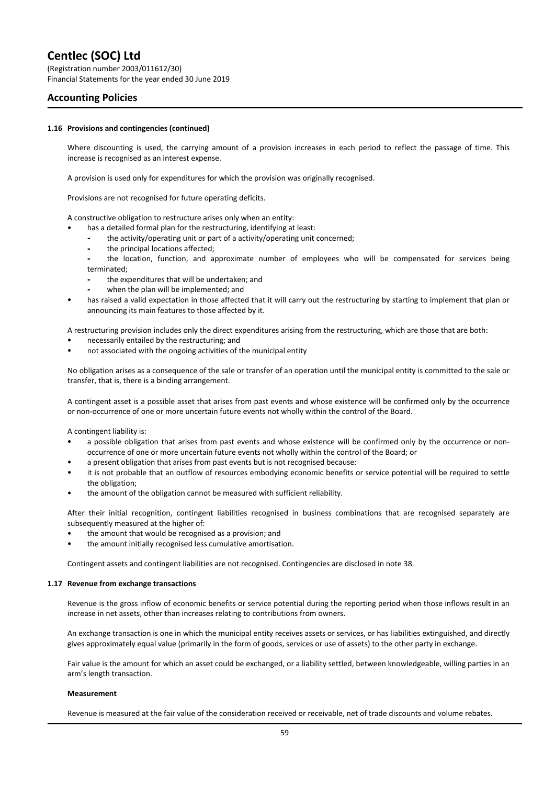(Registration number 2003/011612/30) Financial Statements for the year ended 30 June 2019

### **Accounting Policies**

#### **1.16 Provisions and contingencies (continued)**

Where discounting is used, the carrying amount of a provision increases in each period to reflect the passage of time. This increase is recognised as an interest expense.

A provision is used only for expenditures for which the provision was originally recognised.

Provisions are not recognised for future operating deficits.

A constructive obligation to restructure arises only when an entity:

- has a detailed formal plan for the restructuring, identifying at least:
	- **-** the activity/operating unit or part of a activity/operating unit concerned;
	- **-** the principal locations affected;
	- **-** the location, function, and approximate number of employees who will be compensated for services being terminated;
	- **-** the expenditures that will be undertaken; and
	- **-** when the plan will be implemented; and
- has raised a valid expectation in those affected that it will carry out the restructuring by starting to implement that plan or announcing its main features to those affected by it.

A restructuring provision includes only the direct expenditures arising from the restructuring, which are those that are both:

- necessarily entailed by the restructuring; and
- not associated with the ongoing activities of the municipal entity

No obligation arises as a consequence of the sale or transfer of an operation until the municipal entity is committed to the sale or transfer, that is, there is a binding arrangement.

A contingent asset is a possible asset that arises from past events and whose existence will be confirmed only by the occurrence or non-occurrence of one or more uncertain future events not wholly within the control of the Board.

A contingent liability is:

- a possible obligation that arises from past events and whose existence will be confirmed only by the occurrence or nonoccurrence of one or more uncertain future events not wholly within the control of the Board; or
- a present obligation that arises from past events but is not recognised because:
- it is not probable that an outflow of resources embodying economic benefits or service potential will be required to settle the obligation;
- the amount of the obligation cannot be measured with sufficient reliability.

After their initial recognition, contingent liabilities recognised in business combinations that are recognised separately are subsequently measured at the higher of:

- the amount that would be recognised as a provision; and
- the amount initially recognised less cumulative amortisation.

Contingent assets and contingent liabilities are not recognised. Contingencies are disclosed in note 38.

#### **1.17 Revenue from exchange transactions**

Revenue is the gross inflow of economic benefits or service potential during the reporting period when those inflows result in an increase in net assets, other than increases relating to contributions from owners.

An exchange transaction is one in which the municipal entity receives assets or services, or has liabilities extinguished, and directly gives approximately equal value (primarily in the form of goods, services or use of assets) to the other party in exchange.

Fair value is the amount for which an asset could be exchanged, or a liability settled, between knowledgeable, willing parties in an arm's length transaction.

#### **Measurement**

Revenue is measured at the fair value of the consideration received or receivable, net of trade discounts and volume rebates.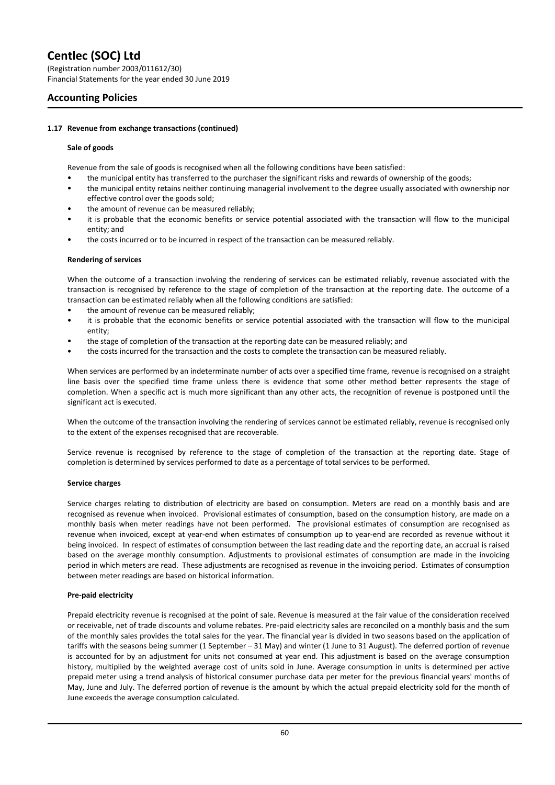(Registration number 2003/011612/30) Financial Statements for the year ended 30 June 2019

# **Accounting Policies**

#### **1.17 Revenue from exchange transactions (continued)**

#### **Sale of goods**

Revenue from the sale of goods is recognised when all the following conditions have been satisfied:

- the municipal entity has transferred to the purchaser the significant risks and rewards of ownership of the goods;
- the municipal entity retains neither continuing managerial involvement to the degree usually associated with ownership nor effective control over the goods sold;
- the amount of revenue can be measured reliably;
- it is probable that the economic benefits or service potential associated with the transaction will flow to the municipal entity; and
- the costs incurred or to be incurred in respect of the transaction can be measured reliably.

#### **Rendering of services**

When the outcome of a transaction involving the rendering of services can be estimated reliably, revenue associated with the transaction is recognised by reference to the stage of completion of the transaction at the reporting date. The outcome of a transaction can be estimated reliably when all the following conditions are satisfied:

- the amount of revenue can be measured reliably;
- it is probable that the economic benefits or service potential associated with the transaction will flow to the municipal entity;
- the stage of completion of the transaction at the reporting date can be measured reliably; and
- the costs incurred for the transaction and the costs to complete the transaction can be measured reliably.

When services are performed by an indeterminate number of acts over a specified time frame, revenue is recognised on a straight line basis over the specified time frame unless there is evidence that some other method better represents the stage of completion. When a specific act is much more significant than any other acts, the recognition of revenue is postponed until the significant act is executed.

When the outcome of the transaction involving the rendering of services cannot be estimated reliably, revenue is recognised only to the extent of the expenses recognised that are recoverable.

Service revenue is recognised by reference to the stage of completion of the transaction at the reporting date. Stage of completion is determined by services performed to date as a percentage of total services to be performed.

#### **Service charges**

Service charges relating to distribution of electricity are based on consumption. Meters are read on a monthly basis and are recognised as revenue when invoiced. Provisional estimates of consumption, based on the consumption history, are made on a monthly basis when meter readings have not been performed. The provisional estimates of consumption are recognised as revenue when invoiced, except at year-end when estimates of consumption up to year-end are recorded as revenue without it being invoiced. In respect of estimates of consumption between the last reading date and the reporting date, an accrual is raised based on the average monthly consumption. Adjustments to provisional estimates of consumption are made in the invoicing period in which meters are read. These adjustments are recognised as revenue in the invoicing period. Estimates of consumption between meter readings are based on historical information.

### **Pre-paid electricity**

Prepaid electricity revenue is recognised at the point of sale. Revenue is measured at the fair value of the consideration received or receivable, net of trade discounts and volume rebates. Pre-paid electricity sales are reconciled on a monthly basis and the sum of the monthly sales provides the total sales for the year. The financial year is divided in two seasons based on the application of tariffs with the seasons being summer (1 September – 31 May) and winter (1 June to 31 August). The deferred portion of revenue is accounted for by an adjustment for units not consumed at year end. This adjustment is based on the average consumption history, multiplied by the weighted average cost of units sold in June. Average consumption in units is determined per active prepaid meter using a trend analysis of historical consumer purchase data per meter for the previous financial years' months of May, June and July. The deferred portion of revenue is the amount by which the actual prepaid electricity sold for the month of June exceeds the average consumption calculated.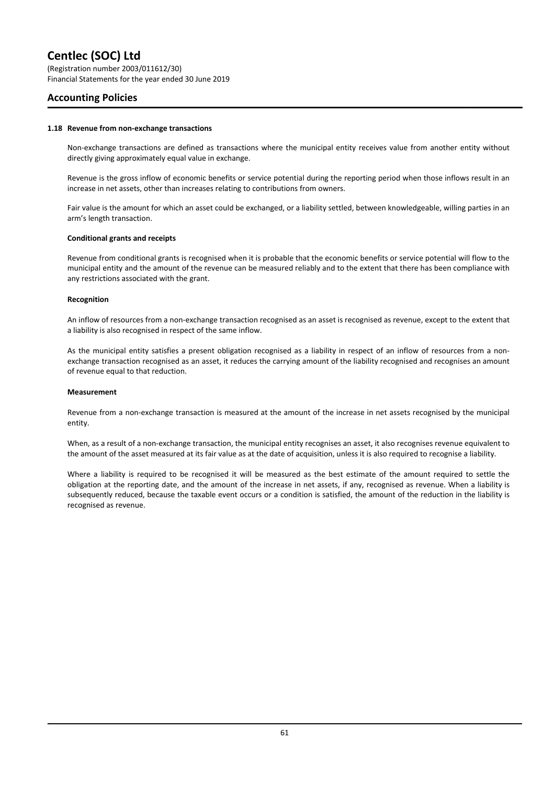(Registration number 2003/011612/30) Financial Statements for the year ended 30 June 2019

# **Accounting Policies**

#### **1.18 Revenue from non-exchange transactions**

Non-exchange transactions are defined as transactions where the municipal entity receives value from another entity without directly giving approximately equal value in exchange.

Revenue is the gross inflow of economic benefits or service potential during the reporting period when those inflows result in an increase in net assets, other than increases relating to contributions from owners.

Fair value is the amount for which an asset could be exchanged, or a liability settled, between knowledgeable, willing parties in an arm's length transaction.

#### **Conditional grants and receipts**

Revenue from conditional grants is recognised when it is probable that the economic benefits or service potential will flow to the municipal entity and the amount of the revenue can be measured reliably and to the extent that there has been compliance with any restrictions associated with the grant.

#### **Recognition**

An inflow of resources from a non-exchange transaction recognised as an asset is recognised as revenue, except to the extent that a liability is also recognised in respect of the same inflow.

As the municipal entity satisfies a present obligation recognised as a liability in respect of an inflow of resources from a nonexchange transaction recognised as an asset, it reduces the carrying amount of the liability recognised and recognises an amount of revenue equal to that reduction.

#### **Measurement**

Revenue from a non-exchange transaction is measured at the amount of the increase in net assets recognised by the municipal entity.

When, as a result of a non-exchange transaction, the municipal entity recognises an asset, it also recognises revenue equivalent to the amount of the asset measured at its fair value as at the date of acquisition, unless it is also required to recognise a liability.

Where a liability is required to be recognised it will be measured as the best estimate of the amount required to settle the obligation at the reporting date, and the amount of the increase in net assets, if any, recognised as revenue. When a liability is subsequently reduced, because the taxable event occurs or a condition is satisfied, the amount of the reduction in the liability is recognised as revenue.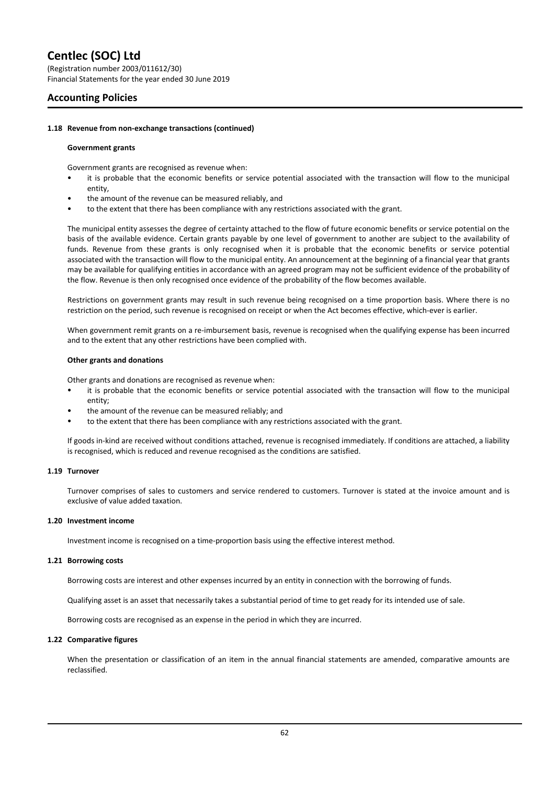(Registration number 2003/011612/30) Financial Statements for the year ended 30 June 2019

### **Accounting Policies**

#### **1.18 Revenue from non-exchange transactions (continued)**

#### **Government grants**

Government grants are recognised as revenue when:

- it is probable that the economic benefits or service potential associated with the transaction will flow to the municipal entity,
- the amount of the revenue can be measured reliably, and
- to the extent that there has been compliance with any restrictions associated with the grant.

The municipal entity assesses the degree of certainty attached to the flow of future economic benefits or service potential on the basis of the available evidence. Certain grants payable by one level of government to another are subject to the availability of funds. Revenue from these grants is only recognised when it is probable that the economic benefits or service potential associated with the transaction will flow to the municipal entity. An announcement at the beginning of a financial year that grants may be available for qualifying entities in accordance with an agreed program may not be sufficient evidence of the probability of the flow. Revenue is then only recognised once evidence of the probability of the flow becomes available.

Restrictions on government grants may result in such revenue being recognised on a time proportion basis. Where there is no restriction on the period, such revenue is recognised on receipt or when the Act becomes effective, which-ever is earlier.

When government remit grants on a re-imbursement basis, revenue is recognised when the qualifying expense has been incurred and to the extent that any other restrictions have been complied with.

#### **Other grants and donations**

Other grants and donations are recognised as revenue when:

- it is probable that the economic benefits or service potential associated with the transaction will flow to the municipal entity;
- the amount of the revenue can be measured reliably; and
- to the extent that there has been compliance with any restrictions associated with the grant.

If goods in-kind are received without conditions attached, revenue is recognised immediately. If conditions are attached, a liability is recognised, which is reduced and revenue recognised as the conditions are satisfied.

#### **1.19 Turnover**

Turnover comprises of sales to customers and service rendered to customers. Turnover is stated at the invoice amount and is exclusive of value added taxation.

#### **1.20 Investment income**

Investment income is recognised on a time-proportion basis using the effective interest method.

#### **1.21 Borrowing costs**

Borrowing costs are interest and other expenses incurred by an entity in connection with the borrowing of funds.

Qualifying asset is an asset that necessarily takes a substantial period of time to get ready for its intended use of sale.

Borrowing costs are recognised as an expense in the period in which they are incurred.

#### **1.22 Comparative figures**

When the presentation or classification of an item in the annual financial statements are amended, comparative amounts are reclassified.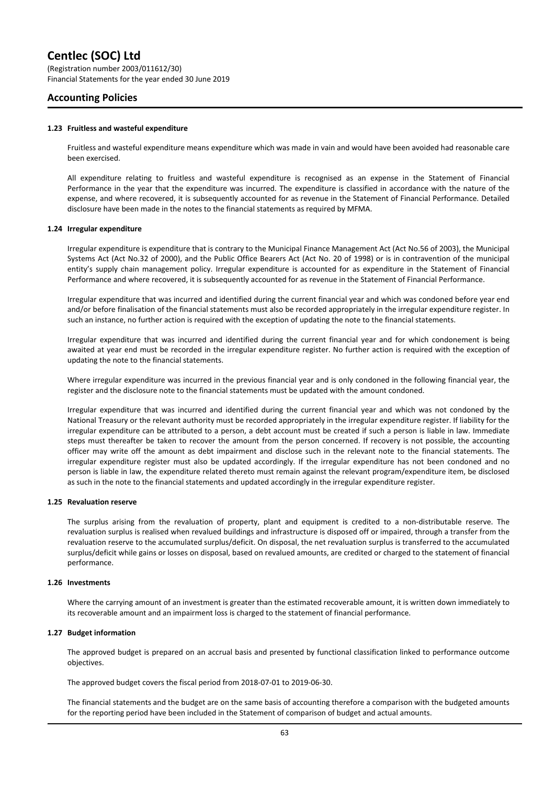(Registration number 2003/011612/30) Financial Statements for the year ended 30 June 2019

### **Accounting Policies**

#### **1.23 Fruitless and wasteful expenditure**

Fruitless and wasteful expenditure means expenditure which was made in vain and would have been avoided had reasonable care been exercised.

All expenditure relating to fruitless and wasteful expenditure is recognised as an expense in the Statement of Financial Performance in the year that the expenditure was incurred. The expenditure is classified in accordance with the nature of the expense, and where recovered, it is subsequently accounted for as revenue in the Statement of Financial Performance. Detailed disclosure have been made in the notes to the financial statements as required by MFMA.

#### **1.24 Irregular expenditure**

Irregular expenditure is expenditure that is contrary to the Municipal Finance Management Act (Act No.56 of 2003), the Municipal Systems Act (Act No.32 of 2000), and the Public Office Bearers Act (Act No. 20 of 1998) or is in contravention of the municipal entity's supply chain management policy. Irregular expenditure is accounted for as expenditure in the Statement of Financial Performance and where recovered, it is subsequently accounted for as revenue in the Statement of Financial Performance.

Irregular expenditure that was incurred and identified during the current financial year and which was condoned before year end and/or before finalisation of the financial statements must also be recorded appropriately in the irregular expenditure register. In such an instance, no further action is required with the exception of updating the note to the financial statements.

Irregular expenditure that was incurred and identified during the current financial year and for which condonement is being awaited at year end must be recorded in the irregular expenditure register. No further action is required with the exception of updating the note to the financial statements.

Where irregular expenditure was incurred in the previous financial year and is only condoned in the following financial year, the register and the disclosure note to the financial statements must be updated with the amount condoned.

Irregular expenditure that was incurred and identified during the current financial year and which was not condoned by the National Treasury or the relevant authority must be recorded appropriately in the irregular expenditure register. If liability for the irregular expenditure can be attributed to a person, a debt account must be created if such a person is liable in law. Immediate steps must thereafter be taken to recover the amount from the person concerned. If recovery is not possible, the accounting officer may write off the amount as debt impairment and disclose such in the relevant note to the financial statements. The irregular expenditure register must also be updated accordingly. If the irregular expenditure has not been condoned and no person is liable in law, the expenditure related thereto must remain against the relevant program/expenditure item, be disclosed as such in the note to the financial statements and updated accordingly in the irregular expenditure register.

#### **1.25 Revaluation reserve**

The surplus arising from the revaluation of property, plant and equipment is credited to a non-distributable reserve. The revaluation surplus is realised when revalued buildings and infrastructure is disposed off or impaired, through a transfer from the revaluation reserve to the accumulated surplus/deficit. On disposal, the net revaluation surplus is transferred to the accumulated surplus/deficit while gains or losses on disposal, based on revalued amounts, are credited or charged to the statement of financial performance.

#### **1.26 Investments**

Where the carrying amount of an investment is greater than the estimated recoverable amount, it is written down immediately to its recoverable amount and an impairment loss is charged to the statement of financial performance.

#### **1.27 Budget information**

The approved budget is prepared on an accrual basis and presented by functional classification linked to performance outcome objectives.

The approved budget covers the fiscal period from 2018-07-01 to 2019-06-30.

The financial statements and the budget are on the same basis of accounting therefore a comparison with the budgeted amounts for the reporting period have been included in the Statement of comparison of budget and actual amounts.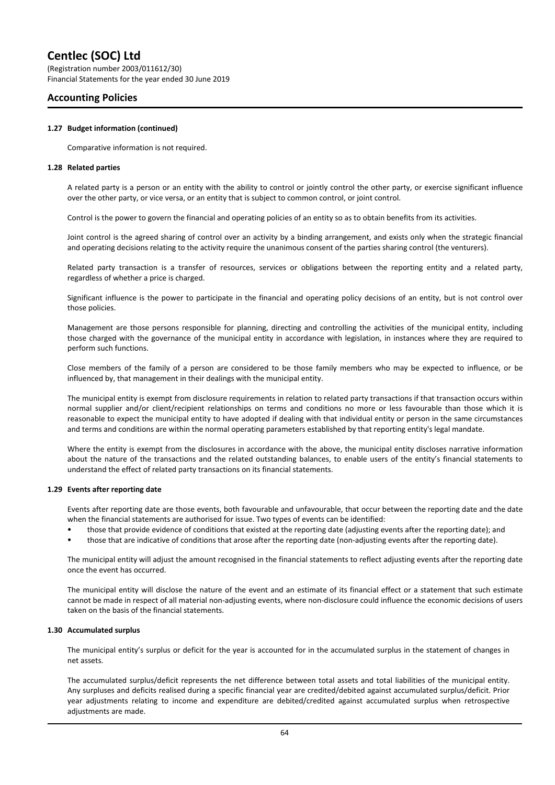(Registration number 2003/011612/30) Financial Statements for the year ended 30 June 2019

### **Accounting Policies**

#### **1.27 Budget information (continued)**

Comparative information is not required.

#### **1.28 Related parties**

A related party is a person or an entity with the ability to control or jointly control the other party, or exercise significant influence over the other party, or vice versa, or an entity that is subject to common control, or joint control.

Control is the power to govern the financial and operating policies of an entity so as to obtain benefits from its activities.

Joint control is the agreed sharing of control over an activity by a binding arrangement, and exists only when the strategic financial and operating decisions relating to the activity require the unanimous consent of the parties sharing control (the venturers).

Related party transaction is a transfer of resources, services or obligations between the reporting entity and a related party, regardless of whether a price is charged.

Significant influence is the power to participate in the financial and operating policy decisions of an entity, but is not control over those policies.

Management are those persons responsible for planning, directing and controlling the activities of the municipal entity, including those charged with the governance of the municipal entity in accordance with legislation, in instances where they are required to perform such functions.

Close members of the family of a person are considered to be those family members who may be expected to influence, or be influenced by, that management in their dealings with the municipal entity.

The municipal entity is exempt from disclosure requirements in relation to related party transactions if that transaction occurs within normal supplier and/or client/recipient relationships on terms and conditions no more or less favourable than those which it is reasonable to expect the municipal entity to have adopted if dealing with that individual entity or person in the same circumstances and terms and conditions are within the normal operating parameters established by that reporting entity's legal mandate.

Where the entity is exempt from the disclosures in accordance with the above, the municipal entity discloses narrative information about the nature of the transactions and the related outstanding balances, to enable users of the entity's financial statements to understand the effect of related party transactions on its financial statements.

#### **1.29 Events after reporting date**

Events after reporting date are those events, both favourable and unfavourable, that occur between the reporting date and the date when the financial statements are authorised for issue. Two types of events can be identified:

- those that provide evidence of conditions that existed at the reporting date (adjusting events after the reporting date); and
- those that are indicative of conditions that arose after the reporting date (non-adjusting events after the reporting date).

The municipal entity will adjust the amount recognised in the financial statements to reflect adjusting events after the reporting date once the event has occurred.

The municipal entity will disclose the nature of the event and an estimate of its financial effect or a statement that such estimate cannot be made in respect of all material non-adjusting events, where non-disclosure could influence the economic decisions of users taken on the basis of the financial statements.

### **1.30 Accumulated surplus**

The municipal entity's surplus or deficit for the year is accounted for in the accumulated surplus in the statement of changes in net assets.

The accumulated surplus/deficit represents the net difference between total assets and total liabilities of the municipal entity. Any surpluses and deficits realised during a specific financial year are credited/debited against accumulated surplus/deficit. Prior year adjustments relating to income and expenditure are debited/credited against accumulated surplus when retrospective adjustments are made.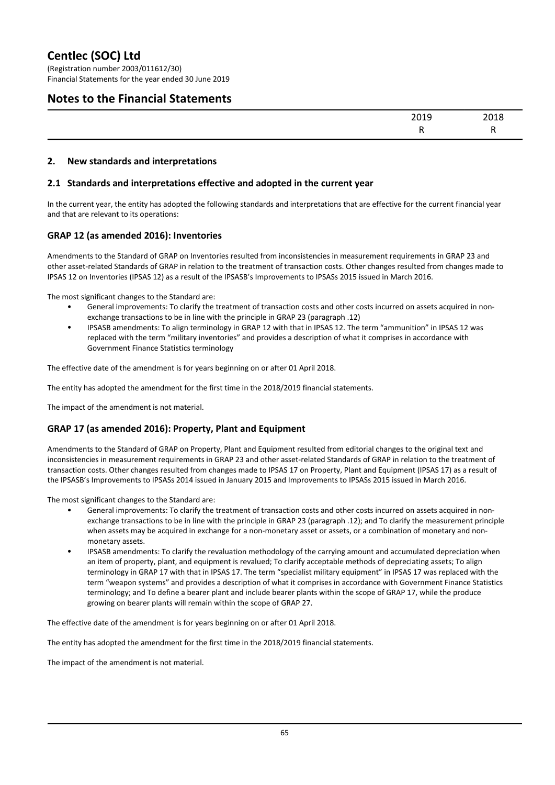(Registration number 2003/011612/30) Financial Statements for the year ended 30 June 2019

# **Notes to the Financial Statements**

| ากา<br>2015 | 2010 |
|-------------|------|
|             | . .  |

### **2. New standards and interpretations**

### **2.1 Standards and interpretations effective and adopted in the current year**

In the current year, the entity has adopted the following standards and interpretations that are effective for the current financial year and that are relevant to its operations:

### **GRAP 12 (as amended 2016): Inventories**

Amendments to the Standard of GRAP on Inventories resulted from inconsistencies in measurement requirements in GRAP 23 and other asset-related Standards of GRAP in relation to the treatment of transaction costs. Other changes resulted from changes made to IPSAS 12 on Inventories (IPSAS 12) as a result of the IPSASB's Improvements to IPSASs 2015 issued in March 2016.

The most significant changes to the Standard are:

- General improvements: To clarify the treatment of transaction costs and other costs incurred on assets acquired in nonexchange transactions to be in line with the principle in GRAP 23 (paragraph .12)
- IPSASB amendments: To align terminology in GRAP 12 with that in IPSAS 12. The term "ammunition" in IPSAS 12 was replaced with the term "military inventories" and provides a description of what it comprises in accordance with Government Finance Statistics terminology

The effective date of the amendment is for years beginning on or after 01 April 2018.

The entity has adopted the amendment for the first time in the 2018/2019 financial statements.

The impact of the amendment is not material.

### **GRAP 17 (as amended 2016): Property, Plant and Equipment**

Amendments to the Standard of GRAP on Property, Plant and Equipment resulted from editorial changes to the original text and inconsistencies in measurement requirements in GRAP 23 and other asset-related Standards of GRAP in relation to the treatment of transaction costs. Other changes resulted from changes made to IPSAS 17 on Property, Plant and Equipment (IPSAS 17) as a result of the IPSASB's Improvements to IPSASs 2014 issued in January 2015 and Improvements to IPSASs 2015 issued in March 2016.

The most significant changes to the Standard are:

- General improvements: To clarify the treatment of transaction costs and other costs incurred on assets acquired in nonexchange transactions to be in line with the principle in GRAP 23 (paragraph .12); and To clarify the measurement principle when assets may be acquired in exchange for a non-monetary asset or assets, or a combination of monetary and nonmonetary assets.
- IPSASB amendments: To clarify the revaluation methodology of the carrying amount and accumulated depreciation when an item of property, plant, and equipment is revalued; To clarify acceptable methods of depreciating assets; To align terminology in GRAP 17 with that in IPSAS 17. The term "specialist military equipment" in IPSAS 17 was replaced with the term "weapon systems" and provides a description of what it comprises in accordance with Government Finance Statistics terminology; and To define a bearer plant and include bearer plants within the scope of GRAP 17, while the produce growing on bearer plants will remain within the scope of GRAP 27.

The effective date of the amendment is for years beginning on or after 01 April 2018.

The entity has adopted the amendment for the first time in the 2018/2019 financial statements.

The impact of the amendment is not material.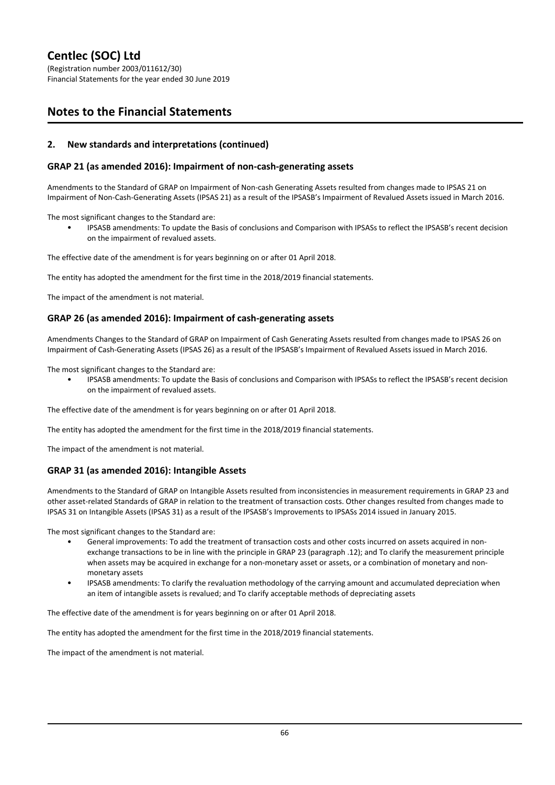(Registration number 2003/011612/30) Financial Statements for the year ended 30 June 2019

# **Notes to the Financial Statements**

### **2. New standards and interpretations (continued)**

### **GRAP 21 (as amended 2016): Impairment of non-cash-generating assets**

Amendments to the Standard of GRAP on Impairment of Non-cash Generating Assets resulted from changes made to IPSAS 21 on Impairment of Non-Cash-Generating Assets (IPSAS 21) as a result of the IPSASB's Impairment of Revalued Assets issued in March 2016.

The most significant changes to the Standard are:

 IPSASB amendments: To update the Basis of conclusions and Comparison with IPSASs to reflect the IPSASB's recent decision on the impairment of revalued assets.

The effective date of the amendment is for years beginning on or after 01 April 2018.

The entity has adopted the amendment for the first time in the 2018/2019 financial statements.

The impact of the amendment is not material.

### **GRAP 26 (as amended 2016): Impairment of cash-generating assets**

Amendments Changes to the Standard of GRAP on Impairment of Cash Generating Assets resulted from changes made to IPSAS 26 on Impairment of Cash-Generating Assets (IPSAS 26) as a result of the IPSASB's Impairment of Revalued Assets issued in March 2016.

The most significant changes to the Standard are:

 IPSASB amendments: To update the Basis of conclusions and Comparison with IPSASs to reflect the IPSASB's recent decision on the impairment of revalued assets.

The effective date of the amendment is for years beginning on or after 01 April 2018.

The entity has adopted the amendment for the first time in the 2018/2019 financial statements.

The impact of the amendment is not material.

### **GRAP 31 (as amended 2016): Intangible Assets**

Amendments to the Standard of GRAP on Intangible Assets resulted from inconsistencies in measurement requirements in GRAP 23 and other asset-related Standards of GRAP in relation to the treatment of transaction costs. Other changes resulted from changes made to IPSAS 31 on Intangible Assets (IPSAS 31) as a result of the IPSASB's Improvements to IPSASs 2014 issued in January 2015.

The most significant changes to the Standard are:

- General improvements: To add the treatment of transaction costs and other costs incurred on assets acquired in nonexchange transactions to be in line with the principle in GRAP 23 (paragraph .12); and To clarify the measurement principle when assets may be acquired in exchange for a non-monetary asset or assets, or a combination of monetary and nonmonetary assets
- IPSASB amendments: To clarify the revaluation methodology of the carrying amount and accumulated depreciation when an item of intangible assets is revalued; and To clarify acceptable methods of depreciating assets

The effective date of the amendment is for years beginning on or after 01 April 2018.

The entity has adopted the amendment for the first time in the 2018/2019 financial statements.

The impact of the amendment is not material.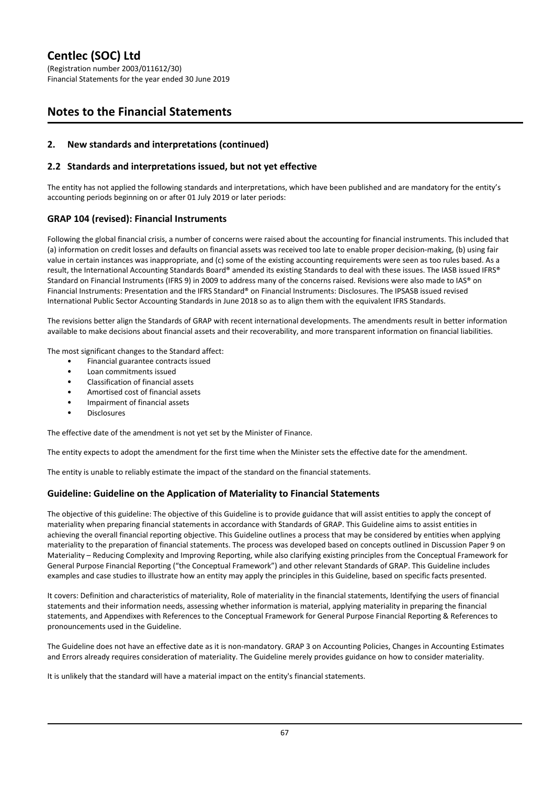(Registration number 2003/011612/30) Financial Statements for the year ended 30 June 2019

# **Notes to the Financial Statements**

## **2. New standards and interpretations (continued)**

### **2.2 Standards and interpretations issued, but not yet effective**

The entity has not applied the following standards and interpretations, which have been published and are mandatory for the entity's accounting periods beginning on or after 01 July 2019 or later periods:

### **GRAP 104 (revised): Financial Instruments**

Following the global financial crisis, a number of concerns were raised about the accounting for financial instruments. This included that (a) information on credit losses and defaults on financial assets was received too late to enable proper decision-making, (b) using fair value in certain instances was inappropriate, and (c) some of the existing accounting requirements were seen as too rules based. As a result, the International Accounting Standards Board® amended its existing Standards to deal with these issues. The IASB issued IFRS® Standard on Financial Instruments (IFRS 9) in 2009 to address many of the concerns raised. Revisions were also made to IAS® on Financial Instruments: Presentation and the IFRS Standard® on Financial Instruments: Disclosures. The IPSASB issued revised International Public Sector Accounting Standards in June 2018 so as to align them with the equivalent IFRS Standards.

The revisions better align the Standards of GRAP with recent international developments. The amendments result in better information available to make decisions about financial assets and their recoverability, and more transparent information on financial liabilities.

The most significant changes to the Standard affect:

- Financial guarantee contracts issued
- Loan commitments issued
- Classification of financial assets
- Amortised cost of financial assets
- Impairment of financial assets
- Disclosures

The effective date of the amendment is not yet set by the Minister of Finance.

The entity expects to adopt the amendment for the first time when the Minister sets the effective date for the amendment.

The entity is unable to reliably estimate the impact of the standard on the financial statements.

### **Guideline: Guideline on the Application of Materiality to Financial Statements**

The objective of this guideline: The objective of this Guideline is to provide guidance that will assist entities to apply the concept of materiality when preparing financial statements in accordance with Standards of GRAP. This Guideline aims to assist entities in achieving the overall financial reporting objective. This Guideline outlines a process that may be considered by entities when applying materiality to the preparation of financial statements. The process was developed based on concepts outlined in Discussion Paper 9 on Materiality – Reducing Complexity and Improving Reporting, while also clarifying existing principles from the Conceptual Framework for General Purpose Financial Reporting ("the Conceptual Framework") and other relevant Standards of GRAP. This Guideline includes examples and case studies to illustrate how an entity may apply the principles in this Guideline, based on specific facts presented.

It covers: Definition and characteristics of materiality, Role of materiality in the financial statements, Identifying the users of financial statements and their information needs, assessing whether information is material, applying materiality in preparing the financial statements, and Appendixes with References to the Conceptual Framework for General Purpose Financial Reporting & References to pronouncements used in the Guideline.

The Guideline does not have an effective date as it is non-mandatory. GRAP 3 on Accounting Policies, Changes in Accounting Estimates and Errors already requires consideration of materiality. The Guideline merely provides guidance on how to consider materiality.

It is unlikely that the standard will have a material impact on the entity's financial statements.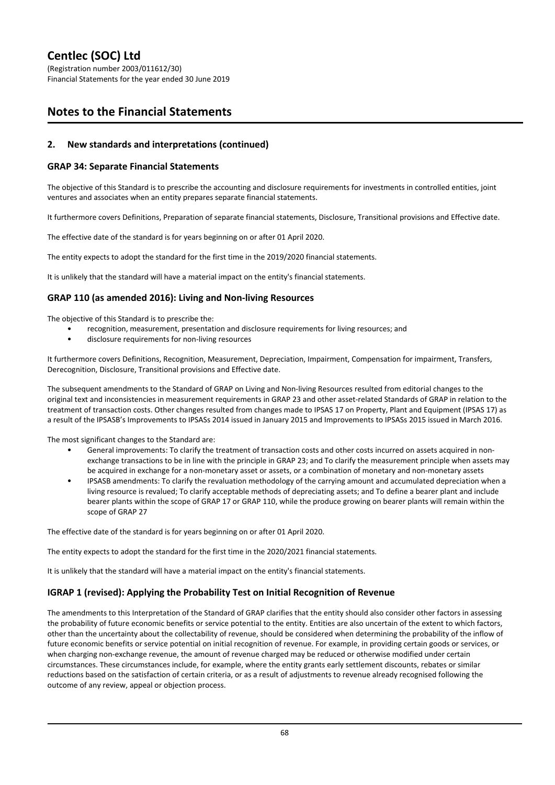(Registration number 2003/011612/30) Financial Statements for the year ended 30 June 2019

# **Notes to the Financial Statements**

## **2. New standards and interpretations (continued)**

### **GRAP 34: Separate Financial Statements**

The objective of this Standard is to prescribe the accounting and disclosure requirements for investments in controlled entities, joint ventures and associates when an entity prepares separate financial statements.

It furthermore covers Definitions, Preparation of separate financial statements, Disclosure, Transitional provisions and Effective date.

The effective date of the standard is for years beginning on or after 01 April 2020.

The entity expects to adopt the standard for the first time in the 2019/2020 financial statements.

It is unlikely that the standard will have a material impact on the entity's financial statements.

## **GRAP 110 (as amended 2016): Living and Non-living Resources**

The objective of this Standard is to prescribe the:

- recognition, measurement, presentation and disclosure requirements for living resources; and
- disclosure requirements for non-living resources

It furthermore covers Definitions, Recognition, Measurement, Depreciation, Impairment, Compensation for impairment, Transfers, Derecognition, Disclosure, Transitional provisions and Effective date.

The subsequent amendments to the Standard of GRAP on Living and Non-living Resources resulted from editorial changes to the original text and inconsistencies in measurement requirements in GRAP 23 and other asset-related Standards of GRAP in relation to the treatment of transaction costs. Other changes resulted from changes made to IPSAS 17 on Property, Plant and Equipment (IPSAS 17) as a result of the IPSASB's Improvements to IPSASs 2014 issued in January 2015 and Improvements to IPSASs 2015 issued in March 2016.

The most significant changes to the Standard are:

- General improvements: To clarify the treatment of transaction costs and other costs incurred on assets acquired in nonexchange transactions to be in line with the principle in GRAP 23; and To clarify the measurement principle when assets may be acquired in exchange for a non-monetary asset or assets, or a combination of monetary and non-monetary assets
- IPSASB amendments: To clarify the revaluation methodology of the carrying amount and accumulated depreciation when a living resource is revalued; To clarify acceptable methods of depreciating assets; and To define a bearer plant and include bearer plants within the scope of GRAP 17 or GRAP 110, while the produce growing on bearer plants will remain within the scope of GRAP 27

The effective date of the standard is for years beginning on or after 01 April 2020.

The entity expects to adopt the standard for the first time in the 2020/2021 financial statements.

It is unlikely that the standard will have a material impact on the entity's financial statements.

## **IGRAP 1 (revised): Applying the Probability Test on Initial Recognition of Revenue**

The amendments to this Interpretation of the Standard of GRAP clarifies that the entity should also consider other factors in assessing the probability of future economic benefits or service potential to the entity. Entities are also uncertain of the extent to which factors, other than the uncertainty about the collectability of revenue, should be considered when determining the probability of the inflow of future economic benefits or service potential on initial recognition of revenue. For example, in providing certain goods or services, or when charging non-exchange revenue, the amount of revenue charged may be reduced or otherwise modified under certain circumstances. These circumstances include, for example, where the entity grants early settlement discounts, rebates or similar reductions based on the satisfaction of certain criteria, or as a result of adjustments to revenue already recognised following the outcome of any review, appeal or objection process.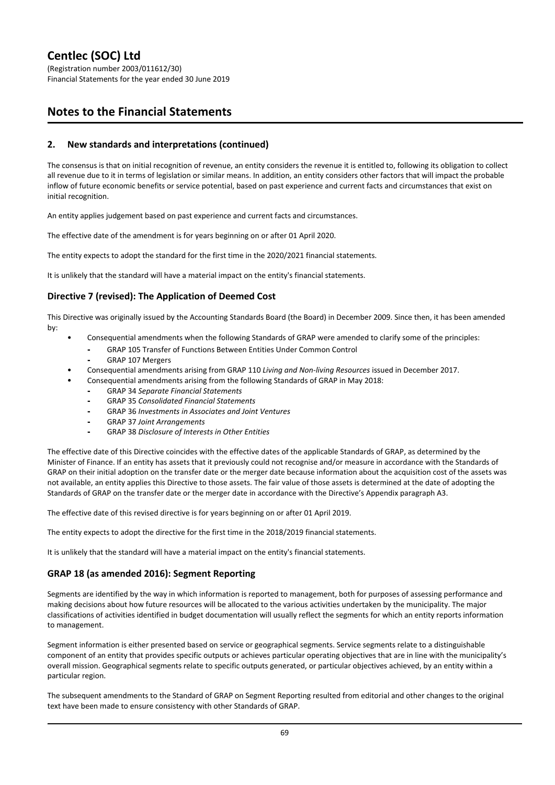(Registration number 2003/011612/30) Financial Statements for the year ended 30 June 2019

# **Notes to the Financial Statements**

### **2. New standards and interpretations (continued)**

The consensus is that on initial recognition of revenue, an entity considers the revenue it is entitled to, following its obligation to collect all revenue due to it in terms of legislation or similar means. In addition, an entity considers other factors that will impact the probable inflow of future economic benefits or service potential, based on past experience and current facts and circumstances that exist on initial recognition.

An entity applies judgement based on past experience and current facts and circumstances.

The effective date of the amendment is for years beginning on or after 01 April 2020.

The entity expects to adopt the standard for the first time in the 2020/2021 financial statements.

It is unlikely that the standard will have a material impact on the entity's financial statements.

### **Directive 7 (revised): The Application of Deemed Cost**

This Directive was originally issued by the Accounting Standards Board (the Board) in December 2009. Since then, it has been amended by:

- Consequential amendments when the following Standards of GRAP were amended to clarify some of the principles:
	- **-** GRAP 105 Transfer of Functions Between Entities Under Common Control
	- **-** GRAP 107 Mergers
- Consequential amendments arising from GRAP 110 *Living and Non-living Resources* issued in December 2017.
- Consequential amendments arising from the following Standards of GRAP in May 2018:
	- **-** GRAP 34 *Separate Financial Statements*
	- **-** GRAP 35 *Consolidated Financial Statements*
	- **-** GRAP 36 *Investments in Associates and Joint Ventures*
	- **-** GRAP 37 *Joint Arrangements*
	- **-** GRAP 38 *Disclosure of Interests in Other Entities*

The effective date of this Directive coincides with the effective dates of the applicable Standards of GRAP, as determined by the Minister of Finance. If an entity has assets that it previously could not recognise and/or measure in accordance with the Standards of GRAP on their initial adoption on the transfer date or the merger date because information about the acquisition cost of the assets was not available, an entity applies this Directive to those assets. The fair value of those assets is determined at the date of adopting the Standards of GRAP on the transfer date or the merger date in accordance with the Directive's Appendix paragraph A3.

The effective date of this revised directive is for years beginning on or after 01 April 2019.

The entity expects to adopt the directive for the first time in the 2018/2019 financial statements.

It is unlikely that the standard will have a material impact on the entity's financial statements.

### **GRAP 18 (as amended 2016): Segment Reporting**

Segments are identified by the way in which information is reported to management, both for purposes of assessing performance and making decisions about how future resources will be allocated to the various activities undertaken by the municipality. The major classifications of activities identified in budget documentation will usually reflect the segments for which an entity reports information to management.

Segment information is either presented based on service or geographical segments. Service segments relate to a distinguishable component of an entity that provides specific outputs or achieves particular operating objectives that are in line with the municipality's overall mission. Geographical segments relate to specific outputs generated, or particular objectives achieved, by an entity within a particular region.

The subsequent amendments to the Standard of GRAP on Segment Reporting resulted from editorial and other changes to the original text have been made to ensure consistency with other Standards of GRAP.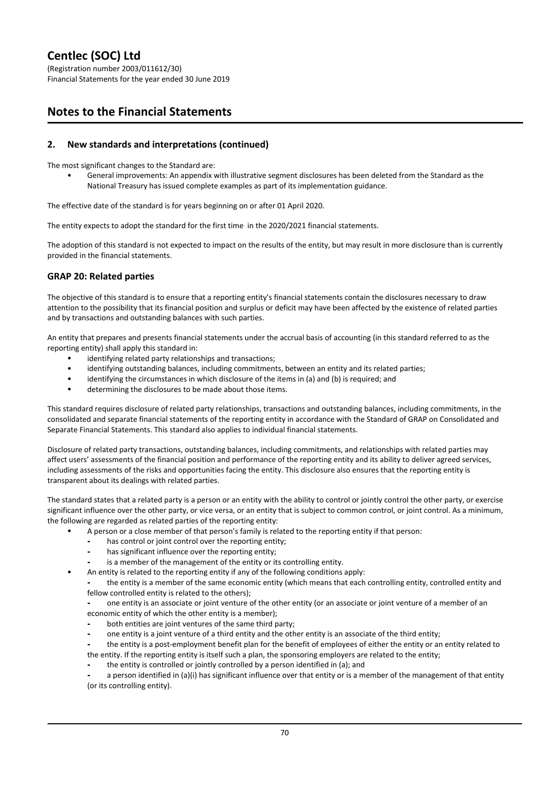(Registration number 2003/011612/30) Financial Statements for the year ended 30 June 2019

# **Notes to the Financial Statements**

# **2. New standards and interpretations (continued)**

The most significant changes to the Standard are:

 General improvements: An appendix with illustrative segment disclosures has been deleted from the Standard as the National Treasury has issued complete examples as part of its implementation guidance.

The effective date of the standard is for years beginning on or after 01 April 2020.

The entity expects to adopt the standard for the first time in the 2020/2021 financial statements.

The adoption of this standard is not expected to impact on the results of the entity, but may result in more disclosure than is currently provided in the financial statements.

## **GRAP 20: Related parties**

The objective of this standard is to ensure that a reporting entity's financial statements contain the disclosures necessary to draw attention to the possibility that its financial position and surplus or deficit may have been affected by the existence of related parties and by transactions and outstanding balances with such parties.

An entity that prepares and presents financial statements under the accrual basis of accounting (in this standard referred to as the reporting entity) shall apply this standard in:

- identifying related party relationships and transactions;
- identifying outstanding balances, including commitments, between an entity and its related parties;
- identifying the circumstances in which disclosure of the items in (a) and (b) is required; and
- determining the disclosures to be made about those items.

This standard requires disclosure of related party relationships, transactions and outstanding balances, including commitments, in the consolidated and separate financial statements of the reporting entity in accordance with the Standard of GRAP on Consolidated and Separate Financial Statements. This standard also applies to individual financial statements.

Disclosure of related party transactions, outstanding balances, including commitments, and relationships with related parties may affect users' assessments of the financial position and performance of the reporting entity and its ability to deliver agreed services, including assessments of the risks and opportunities facing the entity. This disclosure also ensures that the reporting entity is transparent about its dealings with related parties.

The standard states that a related party is a person or an entity with the ability to control or jointly control the other party, or exercise significant influence over the other party, or vice versa, or an entity that is subject to common control, or joint control. As a minimum, the following are regarded as related parties of the reporting entity:

- A person or a close member of that person's family is related to the reporting entity if that person:
	- **-** has control or joint control over the reporting entity;
	- **-** has significant influence over the reporting entity;
	- **-** is a member of the management of the entity or its controlling entity.
- An entity is related to the reporting entity if any of the following conditions apply:

**-** the entity is a member of the same economic entity (which means that each controlling entity, controlled entity and fellow controlled entity is related to the others);

**-** one entity is an associate or joint venture of the other entity (or an associate or joint venture of a member of an economic entity of which the other entity is a member);

- **-** both entities are joint ventures of the same third party;
- **-** one entity is a joint venture of a third entity and the other entity is an associate of the third entity;
- **-** the entity is a post-employment benefit plan for the benefit of employees of either the entity or an entity related to the entity. If the reporting entity is itself such a plan, the sponsoring employers are related to the entity;
- **-** the entity is controlled or jointly controlled by a person identified in (a); and

**-** a person identified in (a)(i) has significant influence over that entity or is a member of the management of that entity (or its controlling entity).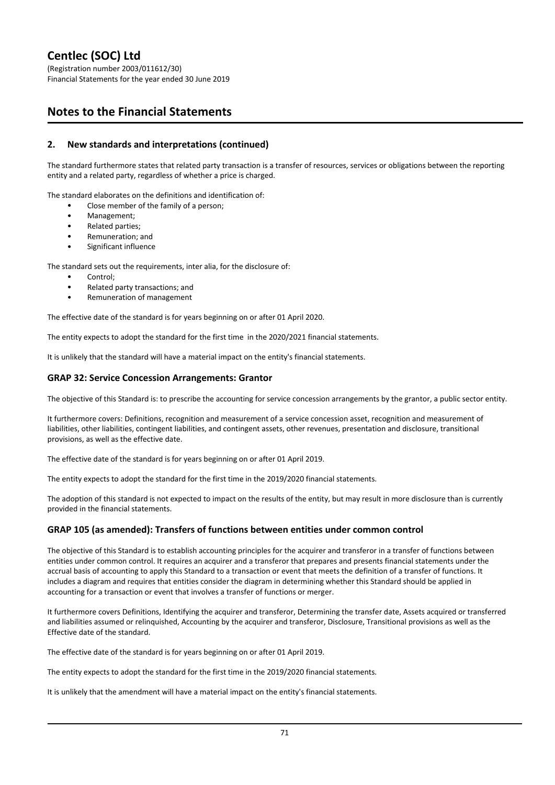(Registration number 2003/011612/30) Financial Statements for the year ended 30 June 2019

# **Notes to the Financial Statements**

### **2. New standards and interpretations (continued)**

The standard furthermore states that related party transaction is a transfer of resources, services or obligations between the reporting entity and a related party, regardless of whether a price is charged.

The standard elaborates on the definitions and identification of:

- Close member of the family of a person;
- Management;
- Related parties;
- Remuneration; and
- Significant influence

The standard sets out the requirements, inter alia, for the disclosure of:

- Control;
- Related party transactions; and
- Remuneration of management

The effective date of the standard is for years beginning on or after 01 April 2020.

The entity expects to adopt the standard for the first time in the 2020/2021 financial statements.

It is unlikely that the standard will have a material impact on the entity's financial statements.

### **GRAP 32: Service Concession Arrangements: Grantor**

The objective of this Standard is: to prescribe the accounting for service concession arrangements by the grantor, a public sector entity.

It furthermore covers: Definitions, recognition and measurement of a service concession asset, recognition and measurement of liabilities, other liabilities, contingent liabilities, and contingent assets, other revenues, presentation and disclosure, transitional provisions, as well as the effective date.

The effective date of the standard is for years beginning on or after 01 April 2019.

The entity expects to adopt the standard for the first time in the 2019/2020 financial statements.

The adoption of this standard is not expected to impact on the results of the entity, but may result in more disclosure than is currently provided in the financial statements.

## **GRAP 105 (as amended): Transfers of functions between entities under common control**

The objective of this Standard is to establish accounting principles for the acquirer and transferor in a transfer of functions between entities under common control. It requires an acquirer and a transferor that prepares and presents financial statements under the accrual basis of accounting to apply this Standard to a transaction or event that meets the definition of a transfer of functions. It includes a diagram and requires that entities consider the diagram in determining whether this Standard should be applied in accounting for a transaction or event that involves a transfer of functions or merger.

It furthermore covers Definitions, Identifying the acquirer and transferor, Determining the transfer date, Assets acquired or transferred and liabilities assumed or relinquished, Accounting by the acquirer and transferor, Disclosure, Transitional provisions as well as the Effective date of the standard.

The effective date of the standard is for years beginning on or after 01 April 2019.

The entity expects to adopt the standard for the first time in the 2019/2020 financial statements.

It is unlikely that the amendment will have a material impact on the entity's financial statements.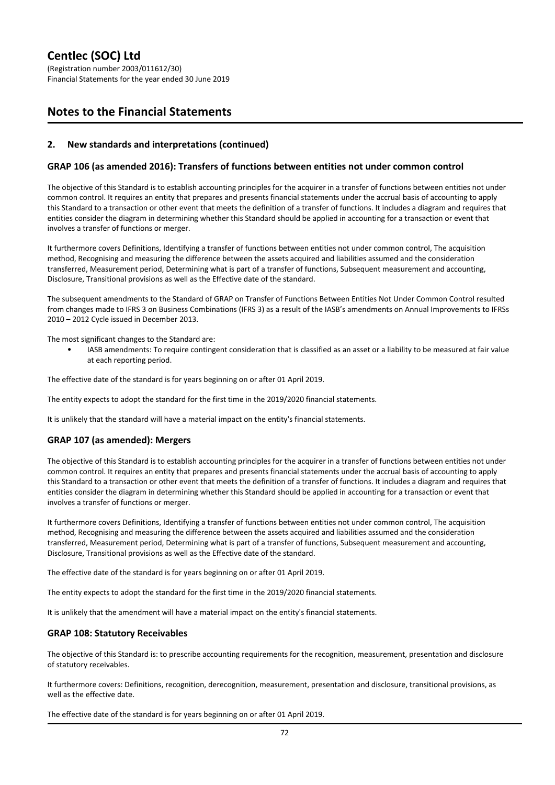(Registration number 2003/011612/30) Financial Statements for the year ended 30 June 2019

# **Notes to the Financial Statements**

### **2. New standards and interpretations (continued)**

### **GRAP 106 (as amended 2016): Transfers of functions between entities not under common control**

The objective of this Standard is to establish accounting principles for the acquirer in a transfer of functions between entities not under common control. It requires an entity that prepares and presents financial statements under the accrual basis of accounting to apply this Standard to a transaction or other event that meets the definition of a transfer of functions. It includes a diagram and requires that entities consider the diagram in determining whether this Standard should be applied in accounting for a transaction or event that involves a transfer of functions or merger.

It furthermore covers Definitions, Identifying a transfer of functions between entities not under common control, The acquisition method, Recognising and measuring the difference between the assets acquired and liabilities assumed and the consideration transferred, Measurement period, Determining what is part of a transfer of functions, Subsequent measurement and accounting, Disclosure, Transitional provisions as well as the Effective date of the standard.

The subsequent amendments to the Standard of GRAP on Transfer of Functions Between Entities Not Under Common Control resulted from changes made to IFRS 3 on Business Combinations (IFRS 3) as a result of the IASB's amendments on Annual Improvements to IFRSs 2010 – 2012 Cycle issued in December 2013.

The most significant changes to the Standard are:

 IASB amendments: To require contingent consideration that is classified as an asset or a liability to be measured at fair value at each reporting period.

The effective date of the standard is for years beginning on or after 01 April 2019.

The entity expects to adopt the standard for the first time in the 2019/2020 financial statements.

It is unlikely that the standard will have a material impact on the entity's financial statements.

### **GRAP 107 (as amended): Mergers**

The objective of this Standard is to establish accounting principles for the acquirer in a transfer of functions between entities not under common control. It requires an entity that prepares and presents financial statements under the accrual basis of accounting to apply this Standard to a transaction or other event that meets the definition of a transfer of functions. It includes a diagram and requires that entities consider the diagram in determining whether this Standard should be applied in accounting for a transaction or event that involves a transfer of functions or merger.

It furthermore covers Definitions, Identifying a transfer of functions between entities not under common control, The acquisition method, Recognising and measuring the difference between the assets acquired and liabilities assumed and the consideration transferred, Measurement period, Determining what is part of a transfer of functions, Subsequent measurement and accounting, Disclosure, Transitional provisions as well as the Effective date of the standard.

The effective date of the standard is for years beginning on or after 01 April 2019.

The entity expects to adopt the standard for the first time in the 2019/2020 financial statements.

It is unlikely that the amendment will have a material impact on the entity's financial statements.

### **GRAP 108: Statutory Receivables**

The objective of this Standard is: to prescribe accounting requirements for the recognition, measurement, presentation and disclosure of statutory receivables.

It furthermore covers: Definitions, recognition, derecognition, measurement, presentation and disclosure, transitional provisions, as well as the effective date.

The effective date of the standard is for years beginning on or after 01 April 2019.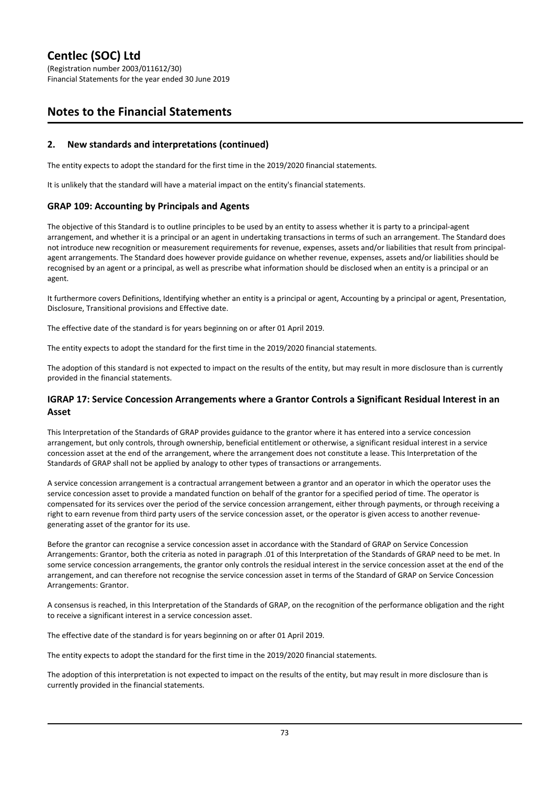(Registration number 2003/011612/30) Financial Statements for the year ended 30 June 2019

# **Notes to the Financial Statements**

## **2. New standards and interpretations (continued)**

The entity expects to adopt the standard for the first time in the 2019/2020 financial statements.

It is unlikely that the standard will have a material impact on the entity's financial statements.

## **GRAP 109: Accounting by Principals and Agents**

The objective of this Standard is to outline principles to be used by an entity to assess whether it is party to a principal-agent arrangement, and whether it is a principal or an agent in undertaking transactions in terms of such an arrangement. The Standard does not introduce new recognition or measurement requirements for revenue, expenses, assets and/or liabilities that result from principalagent arrangements. The Standard does however provide guidance on whether revenue, expenses, assets and/or liabilities should be recognised by an agent or a principal, as well as prescribe what information should be disclosed when an entity is a principal or an agent.

It furthermore covers Definitions, Identifying whether an entity is a principal or agent, Accounting by a principal or agent, Presentation, Disclosure, Transitional provisions and Effective date.

The effective date of the standard is for years beginning on or after 01 April 2019.

The entity expects to adopt the standard for the first time in the 2019/2020 financial statements.

The adoption of this standard is not expected to impact on the results of the entity, but may result in more disclosure than is currently provided in the financial statements.

### **IGRAP 17: Service Concession Arrangements where a Grantor Controls a Significant Residual Interest in an Asset**

This Interpretation of the Standards of GRAP provides guidance to the grantor where it has entered into a service concession arrangement, but only controls, through ownership, beneficial entitlement or otherwise, a significant residual interest in a service concession asset at the end of the arrangement, where the arrangement does not constitute a lease. This Interpretation of the Standards of GRAP shall not be applied by analogy to other types of transactions or arrangements.

A service concession arrangement is a contractual arrangement between a grantor and an operator in which the operator uses the service concession asset to provide a mandated function on behalf of the grantor for a specified period of time. The operator is compensated for its services over the period of the service concession arrangement, either through payments, or through receiving a right to earn revenue from third party users of the service concession asset, or the operator is given access to another revenuegenerating asset of the grantor for its use.

Before the grantor can recognise a service concession asset in accordance with the Standard of GRAP on Service Concession Arrangements: Grantor, both the criteria as noted in paragraph .01 of this Interpretation of the Standards of GRAP need to be met. In some service concession arrangements, the grantor only controls the residual interest in the service concession asset at the end of the arrangement, and can therefore not recognise the service concession asset in terms of the Standard of GRAP on Service Concession Arrangements: Grantor.

A consensus is reached, in this Interpretation of the Standards of GRAP, on the recognition of the performance obligation and the right to receive a significant interest in a service concession asset.

The effective date of the standard is for years beginning on or after 01 April 2019.

The entity expects to adopt the standard for the first time in the 2019/2020 financial statements.

The adoption of this interpretation is not expected to impact on the results of the entity, but may result in more disclosure than is currently provided in the financial statements.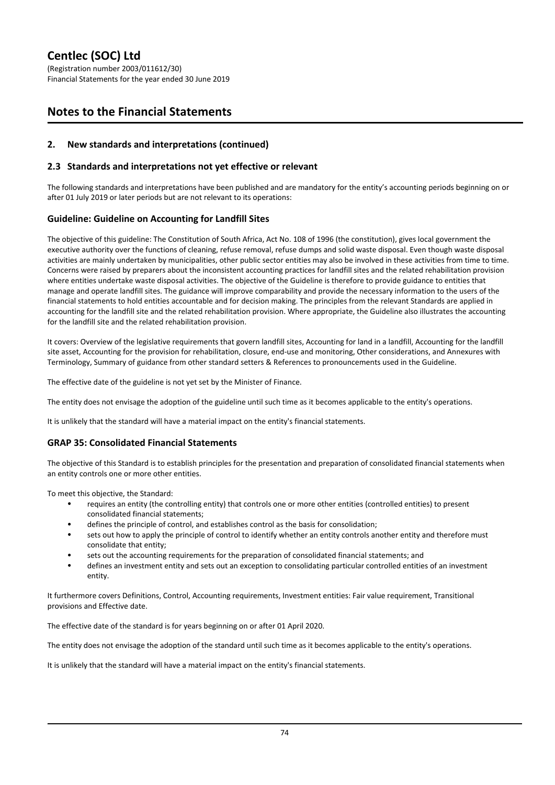(Registration number 2003/011612/30) Financial Statements for the year ended 30 June 2019

# **Notes to the Financial Statements**

## **2. New standards and interpretations (continued)**

### **2.3 Standards and interpretations not yet effective or relevant**

The following standards and interpretations have been published and are mandatory for the entity's accounting periods beginning on or after 01 July 2019 or later periods but are not relevant to its operations:

### **Guideline: Guideline on Accounting for Landfill Sites**

The objective of this guideline: The Constitution of South Africa, Act No. 108 of 1996 (the constitution), gives local government the executive authority over the functions of cleaning, refuse removal, refuse dumps and solid waste disposal. Even though waste disposal activities are mainly undertaken by municipalities, other public sector entities may also be involved in these activities from time to time. Concerns were raised by preparers about the inconsistent accounting practices for landfill sites and the related rehabilitation provision where entities undertake waste disposal activities. The objective of the Guideline is therefore to provide guidance to entities that manage and operate landfill sites. The guidance will improve comparability and provide the necessary information to the users of the financial statements to hold entities accountable and for decision making. The principles from the relevant Standards are applied in accounting for the landfill site and the related rehabilitation provision. Where appropriate, the Guideline also illustrates the accounting for the landfill site and the related rehabilitation provision.

It covers: Overview of the legislative requirements that govern landfill sites, Accounting for land in a landfill, Accounting for the landfill site asset, Accounting for the provision for rehabilitation, closure, end-use and monitoring, Other considerations, and Annexures with Terminology, Summary of guidance from other standard setters & References to pronouncements used in the Guideline.

The effective date of the guideline is not yet set by the Minister of Finance.

The entity does not envisage the adoption of the guideline until such time as it becomes applicable to the entity's operations.

It is unlikely that the standard will have a material impact on the entity's financial statements.

### **GRAP 35: Consolidated Financial Statements**

The objective of this Standard is to establish principles for the presentation and preparation of consolidated financial statements when an entity controls one or more other entities.

To meet this objective, the Standard:

- requires an entity (the controlling entity) that controls one or more other entities (controlled entities) to present consolidated financial statements;
- defines the principle of control, and establishes control as the basis for consolidation;
- sets out how to apply the principle of control to identify whether an entity controls another entity and therefore must consolidate that entity;
- sets out the accounting requirements for the preparation of consolidated financial statements; and
- defines an investment entity and sets out an exception to consolidating particular controlled entities of an investment entity.

It furthermore covers Definitions, Control, Accounting requirements, Investment entities: Fair value requirement, Transitional provisions and Effective date.

The effective date of the standard is for years beginning on or after 01 April 2020.

The entity does not envisage the adoption of the standard until such time as it becomes applicable to the entity's operations.

It is unlikely that the standard will have a material impact on the entity's financial statements.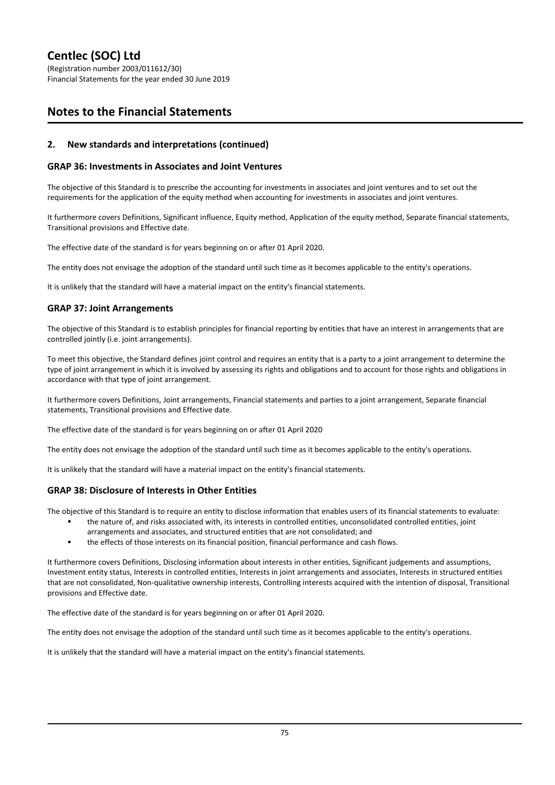(Registration number 2003/011612/30) Financial Statements for the year ended 30 June 2019

# **Notes to the Financial Statements**

## **2. New standards and interpretations (continued)**

### **GRAP 36: Investments in Associates and Joint Ventures**

The objective of this Standard is to prescribe the accounting for investments in associates and joint ventures and to set out the requirements for the application of the equity method when accounting for investments in associates and joint ventures.

It furthermore covers Definitions, Significant influence, Equity method, Application of the equity method, Separate financial statements, Transitional provisions and Effective date.

The effective date of the standard is for years beginning on or after 01 April 2020.

The entity does not envisage the adoption of the standard until such time as it becomes applicable to the entity's operations.

It is unlikely that the standard will have a material impact on the entity's financial statements.

### **GRAP 37: Joint Arrangements**

The objective of this Standard is to establish principles for financial reporting by entities that have an interest in arrangements that are controlled jointly (i.e. joint arrangements).

To meet this objective, the Standard defines joint control and requires an entity that is a party to a joint arrangement to determine the type of joint arrangement in which it is involved by assessing its rights and obligations and to account for those rights and obligations in accordance with that type of joint arrangement.

It furthermore covers Definitions, Joint arrangements, Financial statements and parties to a joint arrangement, Separate financial statements, Transitional provisions and Effective date.

The effective date of the standard is for years beginning on or after 01 April 2020

The entity does not envisage the adoption of the standard until such time as it becomes applicable to the entity's operations.

It is unlikely that the standard will have a material impact on the entity's financial statements.

### **GRAP 38: Disclosure of Interests in Other Entities**

The objective of this Standard is to require an entity to disclose information that enables users of its financial statements to evaluate:

- the nature of, and risks associated with, its interests in controlled entities, unconsolidated controlled entities, joint arrangements and associates, and structured entities that are not consolidated; and
- the effects of those interests on its financial position, financial performance and cash flows.

It furthermore covers Definitions, Disclosing information about interests in other entities, Significant judgements and assumptions, Investment entity status, Interests in controlled entities, Interests in joint arrangements and associates, Interests in structured entities that are not consolidated, Non-qualitative ownership interests, Controlling interests acquired with the intention of disposal, Transitional provisions and Effective date.

The effective date of the standard is for years beginning on or after 01 April 2020.

The entity does not envisage the adoption of the standard until such time as it becomes applicable to the entity's operations.

It is unlikely that the standard will have a material impact on the entity's financial statements.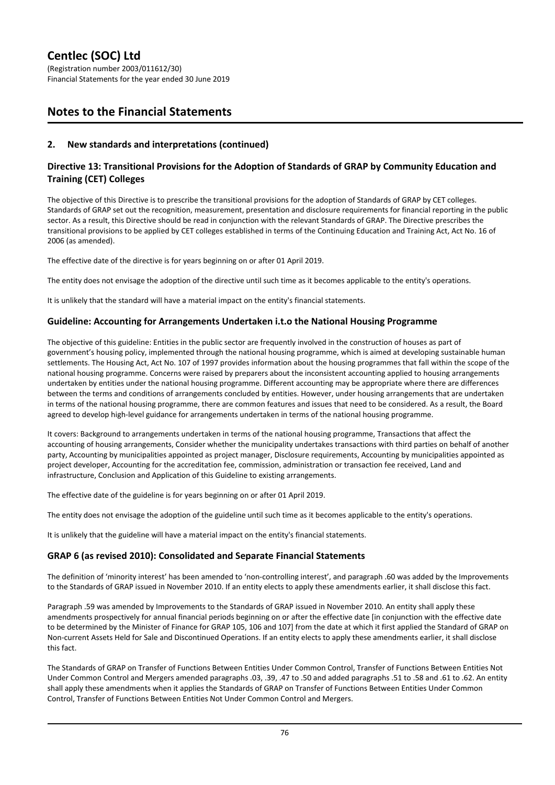(Registration number 2003/011612/30) Financial Statements for the year ended 30 June 2019

# **Notes to the Financial Statements**

### **2. New standards and interpretations (continued)**

## **Directive 13: Transitional Provisions for the Adoption of Standards of GRAP by Community Education and Training (CET) Colleges**

The objective of this Directive is to prescribe the transitional provisions for the adoption of Standards of GRAP by CET colleges. Standards of GRAP set out the recognition, measurement, presentation and disclosure requirements for financial reporting in the public sector. As a result, this Directive should be read in conjunction with the relevant Standards of GRAP. The Directive prescribes the transitional provisions to be applied by CET colleges established in terms of the Continuing Education and Training Act, Act No. 16 of 2006 (as amended).

The effective date of the directive is for years beginning on or after 01 April 2019.

The entity does not envisage the adoption of the directive until such time as it becomes applicable to the entity's operations.

It is unlikely that the standard will have a material impact on the entity's financial statements.

### **Guideline: Accounting for Arrangements Undertaken i.t.o the National Housing Programme**

The objective of this guideline: Entities in the public sector are frequently involved in the construction of houses as part of government's housing policy, implemented through the national housing programme, which is aimed at developing sustainable human settlements. The Housing Act, Act No. 107 of 1997 provides information about the housing programmes that fall within the scope of the national housing programme. Concerns were raised by preparers about the inconsistent accounting applied to housing arrangements undertaken by entities under the national housing programme. Different accounting may be appropriate where there are differences between the terms and conditions of arrangements concluded by entities. However, under housing arrangements that are undertaken in terms of the national housing programme, there are common features and issues that need to be considered. As a result, the Board agreed to develop high-level guidance for arrangements undertaken in terms of the national housing programme.

It covers: Background to arrangements undertaken in terms of the national housing programme, Transactions that affect the accounting of housing arrangements, Consider whether the municipality undertakes transactions with third parties on behalf of another party, Accounting by municipalities appointed as project manager, Disclosure requirements, Accounting by municipalities appointed as project developer, Accounting for the accreditation fee, commission, administration or transaction fee received, Land and infrastructure, Conclusion and Application of this Guideline to existing arrangements.

The effective date of the guideline is for years beginning on or after 01 April 2019.

The entity does not envisage the adoption of the guideline until such time as it becomes applicable to the entity's operations.

It is unlikely that the guideline will have a material impact on the entity's financial statements.

#### **GRAP 6 (as revised 2010): Consolidated and Separate Financial Statements**

The definition of 'minority interest' has been amended to 'non-controlling interest', and paragraph .60 was added by the Improvements to the Standards of GRAP issued in November 2010. If an entity elects to apply these amendments earlier, it shall disclose this fact.

Paragraph .59 was amended by Improvements to the Standards of GRAP issued in November 2010. An entity shall apply these amendments prospectively for annual financial periods beginning on or after the effective date [in conjunction with the effective date to be determined by the Minister of Finance for GRAP 105, 106 and 107] from the date at which it first applied the Standard of GRAP on Non-current Assets Held for Sale and Discontinued Operations. If an entity elects to apply these amendments earlier, it shall disclose this fact.

The Standards of GRAP on Transfer of Functions Between Entities Under Common Control, Transfer of Functions Between Entities Not Under Common Control and Mergers amended paragraphs .03, .39, .47 to .50 and added paragraphs .51 to .58 and .61 to .62. An entity shall apply these amendments when it applies the Standards of GRAP on Transfer of Functions Between Entities Under Common Control, Transfer of Functions Between Entities Not Under Common Control and Mergers.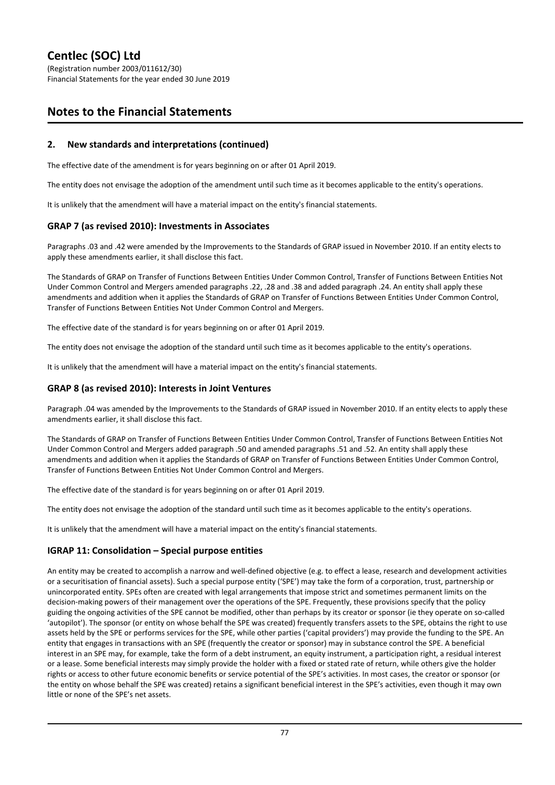(Registration number 2003/011612/30) Financial Statements for the year ended 30 June 2019

# **Notes to the Financial Statements**

## **2. New standards and interpretations (continued)**

The effective date of the amendment is for years beginning on or after 01 April 2019.

The entity does not envisage the adoption of the amendment until such time as it becomes applicable to the entity's operations.

It is unlikely that the amendment will have a material impact on the entity's financial statements.

## **GRAP 7 (as revised 2010): Investments in Associates**

Paragraphs .03 and .42 were amended by the Improvements to the Standards of GRAP issued in November 2010. If an entity elects to apply these amendments earlier, it shall disclose this fact.

The Standards of GRAP on Transfer of Functions Between Entities Under Common Control, Transfer of Functions Between Entities Not Under Common Control and Mergers amended paragraphs .22, .28 and .38 and added paragraph .24. An entity shall apply these amendments and addition when it applies the Standards of GRAP on Transfer of Functions Between Entities Under Common Control, Transfer of Functions Between Entities Not Under Common Control and Mergers.

The effective date of the standard is for years beginning on or after 01 April 2019.

The entity does not envisage the adoption of the standard until such time as it becomes applicable to the entity's operations.

It is unlikely that the amendment will have a material impact on the entity's financial statements.

## **GRAP 8 (as revised 2010): Interests in Joint Ventures**

Paragraph .04 was amended by the Improvements to the Standards of GRAP issued in November 2010. If an entity elects to apply these amendments earlier, it shall disclose this fact.

The Standards of GRAP on Transfer of Functions Between Entities Under Common Control, Transfer of Functions Between Entities Not Under Common Control and Mergers added paragraph .50 and amended paragraphs .51 and .52. An entity shall apply these amendments and addition when it applies the Standards of GRAP on Transfer of Functions Between Entities Under Common Control, Transfer of Functions Between Entities Not Under Common Control and Mergers.

The effective date of the standard is for years beginning on or after 01 April 2019.

The entity does not envisage the adoption of the standard until such time as it becomes applicable to the entity's operations.

It is unlikely that the amendment will have a material impact on the entity's financial statements.

## **IGRAP 11: Consolidation – Special purpose entities**

An entity may be created to accomplish a narrow and well-defined objective (e.g. to effect a lease, research and development activities or a securitisation of financial assets). Such a special purpose entity ('SPE') may take the form of a corporation, trust, partnership or unincorporated entity. SPEs often are created with legal arrangements that impose strict and sometimes permanent limits on the decision-making powers of their management over the operations of the SPE. Frequently, these provisions specify that the policy guiding the ongoing activities of the SPE cannot be modified, other than perhaps by its creator or sponsor (ie they operate on so-called 'autopilot'). The sponsor (or entity on whose behalf the SPE was created) frequently transfers assets to the SPE, obtains the right to use assets held by the SPE or performs services for the SPE, while other parties ('capital providers') may provide the funding to the SPE. An entity that engages in transactions with an SPE (frequently the creator or sponsor) may in substance control the SPE. A beneficial interest in an SPE may, for example, take the form of a debt instrument, an equity instrument, a participation right, a residual interest or a lease. Some beneficial interests may simply provide the holder with a fixed or stated rate of return, while others give the holder rights or access to other future economic benefits or service potential of the SPE's activities. In most cases, the creator or sponsor (or the entity on whose behalf the SPE was created) retains a significant beneficial interest in the SPE's activities, even though it may own little or none of the SPE's net assets.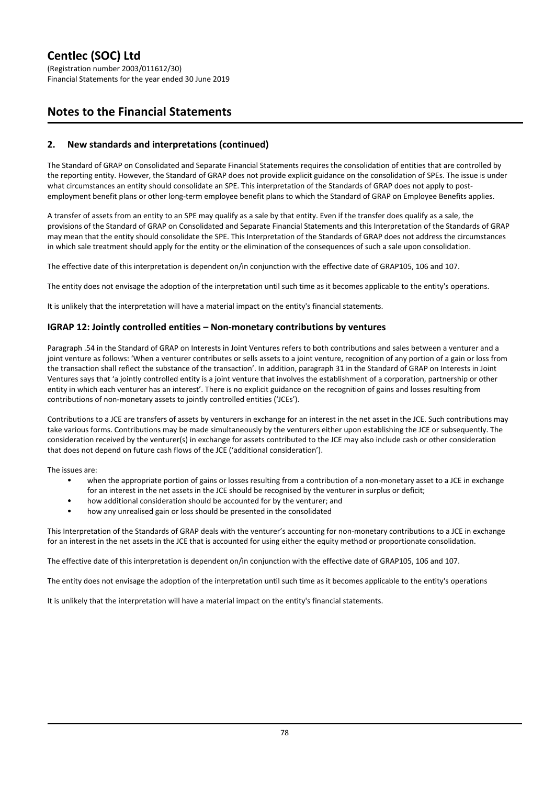(Registration number 2003/011612/30) Financial Statements for the year ended 30 June 2019

# **Notes to the Financial Statements**

## **2. New standards and interpretations (continued)**

The Standard of GRAP on Consolidated and Separate Financial Statements requires the consolidation of entities that are controlled by the reporting entity. However, the Standard of GRAP does not provide explicit guidance on the consolidation of SPEs. The issue is under what circumstances an entity should consolidate an SPE. This interpretation of the Standards of GRAP does not apply to postemployment benefit plans or other long-term employee benefit plans to which the Standard of GRAP on Employee Benefits applies.

A transfer of assets from an entity to an SPE may qualify as a sale by that entity. Even if the transfer does qualify as a sale, the provisions of the Standard of GRAP on Consolidated and Separate Financial Statements and this Interpretation of the Standards of GRAP may mean that the entity should consolidate the SPE. This Interpretation of the Standards of GRAP does not address the circumstances in which sale treatment should apply for the entity or the elimination of the consequences of such a sale upon consolidation.

The effective date of this interpretation is dependent on/in conjunction with the effective date of GRAP105, 106 and 107.

The entity does not envisage the adoption of the interpretation until such time as it becomes applicable to the entity's operations.

It is unlikely that the interpretation will have a material impact on the entity's financial statements.

## **IGRAP 12: Jointly controlled entities – Non-monetary contributions by ventures**

Paragraph .54 in the Standard of GRAP on Interests in Joint Ventures refers to both contributions and sales between a venturer and a joint venture as follows: 'When a venturer contributes or sells assets to a joint venture, recognition of any portion of a gain or loss from the transaction shall reflect the substance of the transaction'. In addition, paragraph 31 in the Standard of GRAP on Interests in Joint Ventures says that 'a jointly controlled entity is a joint venture that involves the establishment of a corporation, partnership or other entity in which each venturer has an interest'. There is no explicit guidance on the recognition of gains and losses resulting from contributions of non-monetary assets to jointly controlled entities ('JCEs').

Contributions to a JCE are transfers of assets by venturers in exchange for an interest in the net asset in the JCE. Such contributions may take various forms. Contributions may be made simultaneously by the venturers either upon establishing the JCE or subsequently. The consideration received by the venturer(s) in exchange for assets contributed to the JCE may also include cash or other consideration that does not depend on future cash flows of the JCE ('additional consideration').

The issues are:

- when the appropriate portion of gains or losses resulting from a contribution of a non-monetary asset to a JCE in exchange for an interest in the net assets in the JCE should be recognised by the venturer in surplus or deficit;
- how additional consideration should be accounted for by the venturer; and
- how any unrealised gain or loss should be presented in the consolidated

This Interpretation of the Standards of GRAP deals with the venturer's accounting for non-monetary contributions to a JCE in exchange for an interest in the net assets in the JCE that is accounted for using either the equity method or proportionate consolidation.

The effective date of this interpretation is dependent on/in conjunction with the effective date of GRAP105, 106 and 107.

The entity does not envisage the adoption of the interpretation until such time as it becomes applicable to the entity's operations

It is unlikely that the interpretation will have a material impact on the entity's financial statements.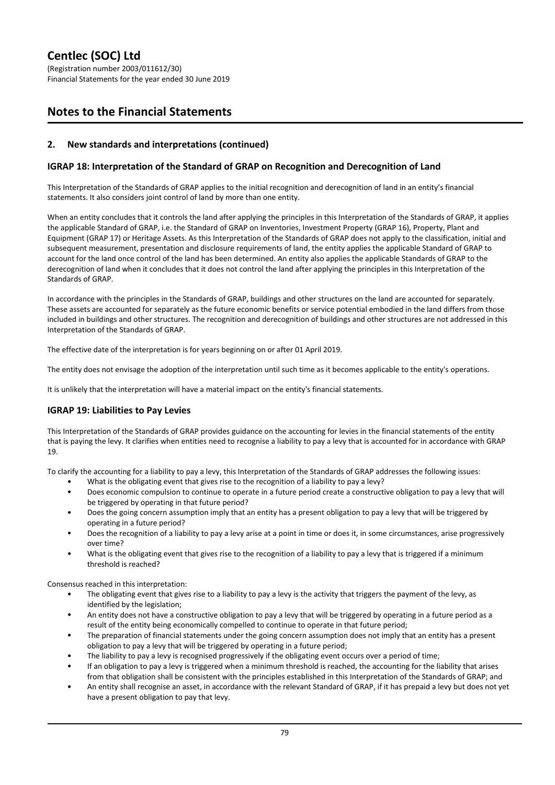(Registration number 2003/011612/30) Financial Statements for the year ended 30 June 2019

# **Notes to the Financial Statements**

## **2. New standards and interpretations (continued)**

### **IGRAP 18: Interpretation of the Standard of GRAP on Recognition and Derecognition of Land**

This Interpretation of the Standards of GRAP applies to the initial recognition and derecognition of land in an entity's financial statements. It also considers joint control of land by more than one entity.

When an entity concludes that it controls the land after applying the principles in this Interpretation of the Standards of GRAP, it applies the applicable Standard of GRAP, i.e. the Standard of GRAP on Inventories, Investment Property (GRAP 16), Property, Plant and Equipment (GRAP 17) or Heritage Assets. As this Interpretation of the Standards of GRAP does not apply to the classification, initial and subsequent measurement, presentation and disclosure requirements of land, the entity applies the applicable Standard of GRAP to account for the land once control of the land has been determined. An entity also applies the applicable Standards of GRAP to the derecognition of land when it concludes that it does not control the land after applying the principles in this Interpretation of the Standards of GRAP.

In accordance with the principles in the Standards of GRAP, buildings and other structures on the land are accounted for separately. These assets are accounted for separately as the future economic benefits or service potential embodied in the land differs from those included in buildings and other structures. The recognition and derecognition of buildings and other structures are not addressed in this Interpretation of the Standards of GRAP.

The effective date of the interpretation is for years beginning on or after 01 April 2019.

The entity does not envisage the adoption of the interpretation until such time as it becomes applicable to the entity's operations.

It is unlikely that the interpretation will have a material impact on the entity's financial statements.

### **IGRAP 19: Liabilities to Pay Levies**

This Interpretation of the Standards of GRAP provides guidance on the accounting for levies in the financial statements of the entity that is paying the levy. It clarifies when entities need to recognise a liability to pay a levy that is accounted for in accordance with GRAP 19.

To clarify the accounting for a liability to pay a levy, this Interpretation of the Standards of GRAP addresses the following issues:

- What is the obligating event that gives rise to the recognition of a liability to pay a levy?
- Does economic compulsion to continue to operate in a future period create a constructive obligation to pay a levy that will be triggered by operating in that future period?
- Does the going concern assumption imply that an entity has a present obligation to pay a levy that will be triggered by operating in a future period?
- Does the recognition of a liability to pay a levy arise at a point in time or does it, in some circumstances, arise progressively over time?
- What is the obligating event that gives rise to the recognition of a liability to pay a levy that is triggered if a minimum threshold is reached?

Consensus reached in this interpretation:

- The obligating event that gives rise to a liability to pay a levy is the activity that triggers the payment of the levy, as identified by the legislation;
- An entity does not have a constructive obligation to pay a levy that will be triggered by operating in a future period as a result of the entity being economically compelled to continue to operate in that future period;
- The preparation of financial statements under the going concern assumption does not imply that an entity has a present obligation to pay a levy that will be triggered by operating in a future period;
- The liability to pay a levy is recognised progressively if the obligating event occurs over a period of time;
- If an obligation to pay a levy is triggered when a minimum threshold is reached, the accounting for the liability that arises from that obligation shall be consistent with the principles established in this Interpretation of the Standards of GRAP; and
- An entity shall recognise an asset, in accordance with the relevant Standard of GRAP, if it has prepaid a levy but does not yet have a present obligation to pay that levy.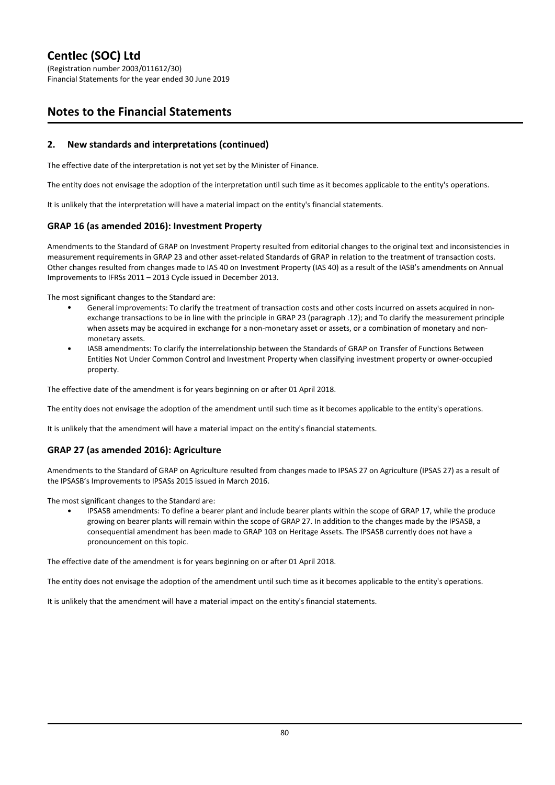(Registration number 2003/011612/30) Financial Statements for the year ended 30 June 2019

# **Notes to the Financial Statements**

## **2. New standards and interpretations (continued)**

The effective date of the interpretation is not yet set by the Minister of Finance.

The entity does not envisage the adoption of the interpretation until such time as it becomes applicable to the entity's operations.

It is unlikely that the interpretation will have a material impact on the entity's financial statements.

## **GRAP 16 (as amended 2016): Investment Property**

Amendments to the Standard of GRAP on Investment Property resulted from editorial changes to the original text and inconsistencies in measurement requirements in GRAP 23 and other asset-related Standards of GRAP in relation to the treatment of transaction costs. Other changes resulted from changes made to IAS 40 on Investment Property (IAS 40) as a result of the IASB's amendments on Annual Improvements to IFRSs 2011 – 2013 Cycle issued in December 2013.

The most significant changes to the Standard are:

- General improvements: To clarify the treatment of transaction costs and other costs incurred on assets acquired in nonexchange transactions to be in line with the principle in GRAP 23 (paragraph .12); and To clarify the measurement principle when assets may be acquired in exchange for a non-monetary asset or assets, or a combination of monetary and nonmonetary assets.
- IASB amendments: To clarify the interrelationship between the Standards of GRAP on Transfer of Functions Between Entities Not Under Common Control and Investment Property when classifying investment property or owner-occupied property.

The effective date of the amendment is for years beginning on or after 01 April 2018.

The entity does not envisage the adoption of the amendment until such time as it becomes applicable to the entity's operations.

It is unlikely that the amendment will have a material impact on the entity's financial statements.

## **GRAP 27 (as amended 2016): Agriculture**

Amendments to the Standard of GRAP on Agriculture resulted from changes made to IPSAS 27 on Agriculture (IPSAS 27) as a result of the IPSASB's Improvements to IPSASs 2015 issued in March 2016.

The most significant changes to the Standard are:

 IPSASB amendments: To define a bearer plant and include bearer plants within the scope of GRAP 17, while the produce growing on bearer plants will remain within the scope of GRAP 27. In addition to the changes made by the IPSASB, a consequential amendment has been made to GRAP 103 on Heritage Assets. The IPSASB currently does not have a pronouncement on this topic.

The effective date of the amendment is for years beginning on or after 01 April 2018.

The entity does not envisage the adoption of the amendment until such time as it becomes applicable to the entity's operations.

It is unlikely that the amendment will have a material impact on the entity's financial statements.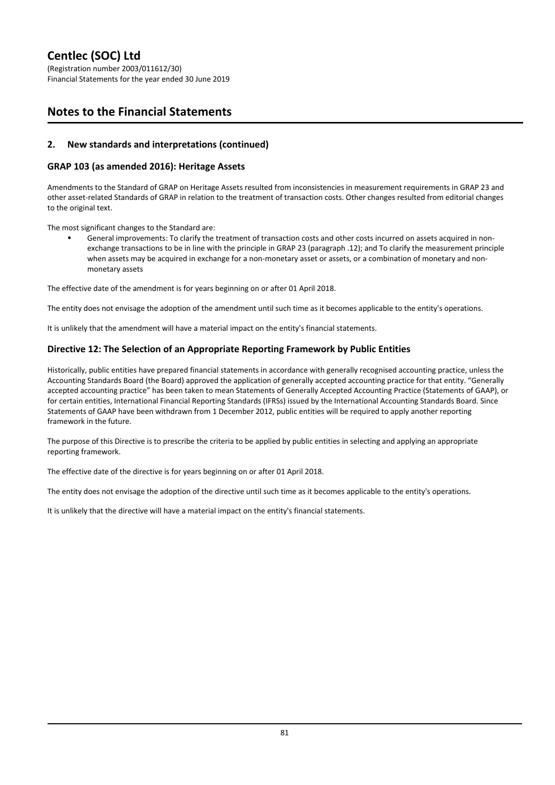(Registration number 2003/011612/30) Financial Statements for the year ended 30 June 2019

# **Notes to the Financial Statements**

## **2. New standards and interpretations (continued)**

## **GRAP 103 (as amended 2016): Heritage Assets**

Amendments to the Standard of GRAP on Heritage Assets resulted from inconsistencies in measurement requirements in GRAP 23 and other asset-related Standards of GRAP in relation to the treatment of transaction costs. Other changes resulted from editorial changes to the original text.

The most significant changes to the Standard are:

 General improvements: To clarify the treatment of transaction costs and other costs incurred on assets acquired in nonexchange transactions to be in line with the principle in GRAP 23 (paragraph .12); and To clarify the measurement principle when assets may be acquired in exchange for a non-monetary asset or assets, or a combination of monetary and nonmonetary assets

The effective date of the amendment is for years beginning on or after 01 April 2018.

The entity does not envisage the adoption of the amendment until such time as it becomes applicable to the entity's operations.

It is unlikely that the amendment will have a material impact on the entity's financial statements.

## **Directive 12: The Selection of an Appropriate Reporting Framework by Public Entities**

Historically, public entities have prepared financial statements in accordance with generally recognised accounting practice, unless the Accounting Standards Board (the Board) approved the application of generally accepted accounting practice for that entity. "Generally accepted accounting practice" has been taken to mean Statements of Generally Accepted Accounting Practice (Statements of GAAP), or for certain entities, International Financial Reporting Standards (IFRSs) issued by the International Accounting Standards Board. Since Statements of GAAP have been withdrawn from 1 December 2012, public entities will be required to apply another reporting framework in the future.

The purpose of this Directive is to prescribe the criteria to be applied by public entities in selecting and applying an appropriate reporting framework.

The effective date of the directive is for years beginning on or after 01 April 2018.

The entity does not envisage the adoption of the directive until such time as it becomes applicable to the entity's operations.

It is unlikely that the directive will have a material impact on the entity's financial statements.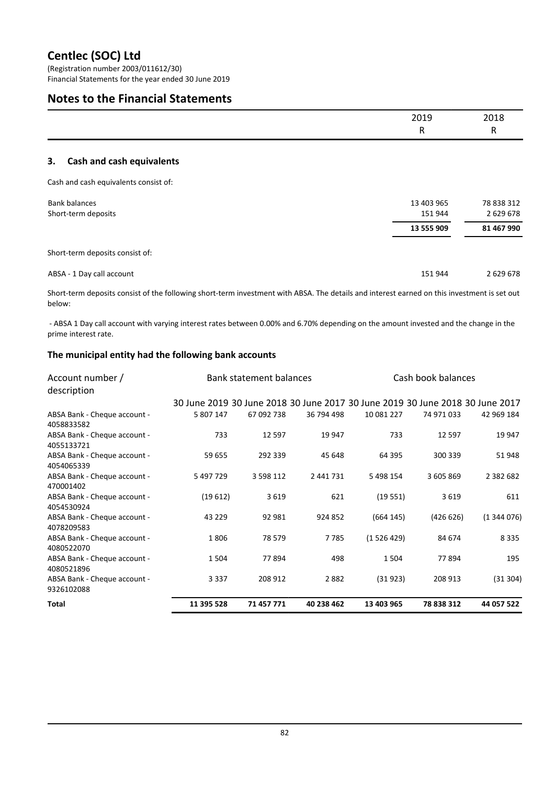(Registration number 2003/011612/30) Financial Statements for the year ended 30 June 2019

# **Notes to the Financial Statements**

|                              | 2019 | 2018 |
|------------------------------|------|------|
|                              | R    | R    |
|                              |      |      |
| 3. Cash and cash equivalents |      |      |

Cash and cash equivalents consist of:

| <b>Bank balances</b>            | 13 403 965 | 78 838 312 |
|---------------------------------|------------|------------|
| Short-term deposits             | 151 944    | 2629678    |
|                                 | 13 555 909 | 81 467 990 |
| Short-term deposits consist of: |            |            |
| ABSA - 1 Day call account       | 151 944    | 2 629 678  |

Short-term deposits consist of the following short-term investment with ABSA. The details and interest earned on this investment is set out below:

 - ABSA 1 Day call account with varying interest rates between 0.00% and 6.70% depending on the amount invested and the change in the prime interest rate.

## **The municipal entity had the following bank accounts**

| Account number /<br>description            |            | Bank statement balances |            |            | Cash book balances                                                            |               |
|--------------------------------------------|------------|-------------------------|------------|------------|-------------------------------------------------------------------------------|---------------|
|                                            |            |                         |            |            | 30 June 2019 30 June 2018 30 June 2017 30 June 2019 30 June 2018 30 June 2017 |               |
| ABSA Bank - Cheque account -<br>4058833582 | 5 807 147  | 67 092 738              | 36 794 498 | 10 081 227 | 74 971 033                                                                    | 42 969 184    |
| ABSA Bank - Cheque account -<br>4055133721 | 733        | 12 5 9 7                | 19 947     | 733        | 12 597                                                                        | 19 947        |
| ABSA Bank - Cheque account -<br>4054065339 | 59 655     | 292 339                 | 45 648     | 64 3 95    | 300 339                                                                       | 51 948        |
| ABSA Bank - Cheque account -<br>470001402  | 5497729    | 3 5 9 8 1 1 2           | 2 441 731  | 5498154    | 3 605 869                                                                     | 2 3 8 2 6 8 2 |
| ABSA Bank - Cheque account -<br>4054530924 | (19612)    | 3619                    | 621        | (19551)    | 3619                                                                          | 611           |
| ABSA Bank - Cheque account -<br>4078209583 | 43 2 2 9   | 92 981                  | 924 852    | (664 145)  | (426626)                                                                      | (1344076)     |
| ABSA Bank - Cheque account -<br>4080522070 | 1806       | 78 579                  | 7785       | (1526429)  | 84 674                                                                        | 8 3 3 5       |
| ABSA Bank - Cheque account -<br>4080521896 | 1504       | 77894                   | 498        | 1504       | 77894                                                                         | 195           |
| ABSA Bank - Cheque account -<br>9326102088 | 3 3 3 7    | 208 912                 | 2882       | (31923)    | 208 913                                                                       | (31304)       |
| <b>Total</b>                               | 11 395 528 | 71 457 771              | 40 238 462 | 13 403 965 | 78 838 312                                                                    | 44 057 522    |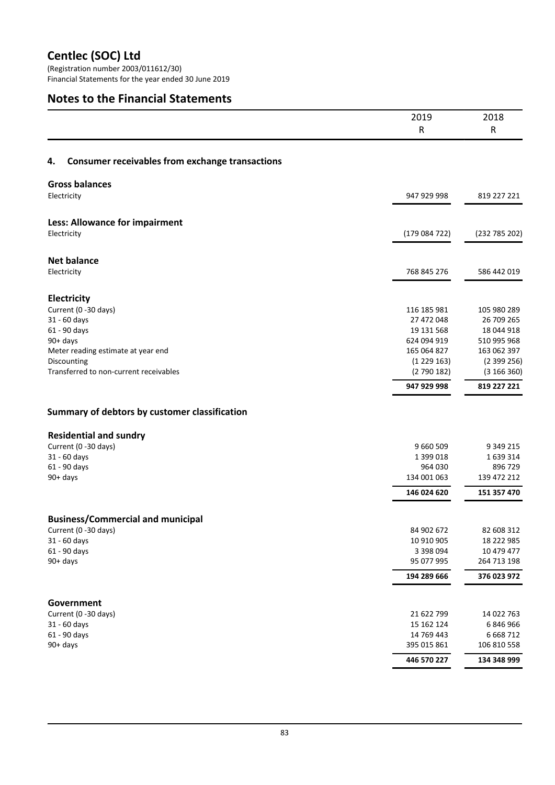(Registration number 2003/011612/30) Financial Statements for the year ended 30 June 2019

|                                                              | 2019<br>R                  | 2018<br>${\sf R}$          |
|--------------------------------------------------------------|----------------------------|----------------------------|
| <b>Consumer receivables from exchange transactions</b><br>4. |                            |                            |
|                                                              |                            |                            |
| <b>Gross balances</b><br>Electricity                         | 947 929 998                | 819 227 221                |
|                                                              |                            |                            |
| Less: Allowance for impairment                               |                            |                            |
| Electricity                                                  | (179084722)                | (232 785 202)              |
| <b>Net balance</b>                                           |                            |                            |
| Electricity                                                  | 768 845 276                | 586 442 019                |
| <b>Electricity</b>                                           |                            |                            |
| Current (0 -30 days)                                         | 116 185 981                | 105 980 289                |
| 31 - 60 days                                                 | 27 472 048                 | 26 709 265                 |
| 61 - 90 days                                                 | 19 131 568                 | 18 044 918                 |
| $90+$ days                                                   | 624 094 919<br>165 064 827 | 510 995 968<br>163 062 397 |
| Meter reading estimate at year end<br>Discounting            | (1229163)                  | (2399256)                  |
| Transferred to non-current receivables                       | (2790182)                  | (3 166 360)                |
|                                                              | 947 929 998                | 819 227 221                |
| Summary of debtors by customer classification                |                            |                            |
| <b>Residential and sundry</b>                                |                            |                            |
| Current (0 -30 days)                                         | 9 660 509                  | 9 349 215                  |
| 31 - 60 days                                                 | 1 399 018                  | 1639314                    |
| 61 - 90 days                                                 | 964 030                    | 896 729                    |
| $90+$ days                                                   | 134 001 063                | 139 472 212                |
|                                                              | 146 024 620                | 151 357 470                |
| <b>Business/Commercial and municipal</b>                     |                            |                            |
| Current (0 -30 days)                                         | 84 902 672                 | 82 608 312                 |
| 31 - 60 days                                                 | 10 910 905                 | 18 222 985                 |
| 61 - 90 days                                                 | 3 3 9 8 0 9 4              | 10 479 477                 |
| 90+ days                                                     | 95 077 995                 | 264 713 198                |
|                                                              | 194 289 666                | 376 023 972                |
| Government                                                   |                            |                            |
| Current (0 -30 days)                                         | 21 622 799                 | 14 022 763                 |
| 31 - 60 days                                                 | 15 162 124                 | 6 846 966                  |
| 61 - 90 days<br>90+ days                                     | 14 769 443<br>395 015 861  | 6 6 6 7 1 2<br>106 810 558 |
|                                                              |                            |                            |
|                                                              | 446 570 227                | 134 348 999                |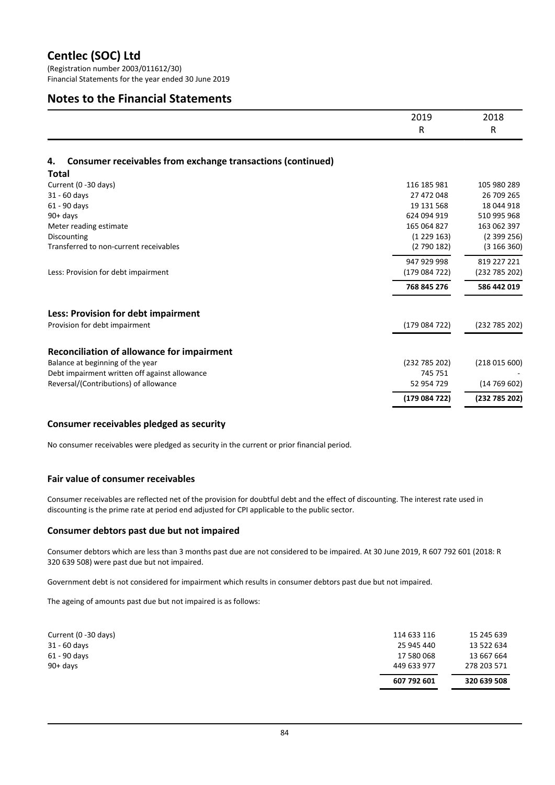(Registration number 2003/011612/30) Financial Statements for the year ended 30 June 2019

# **Notes to the Financial Statements**

|                                                                   | 2019          | 2018          |
|-------------------------------------------------------------------|---------------|---------------|
|                                                                   | R             | R             |
|                                                                   |               |               |
| Consumer receivables from exchange transactions (continued)<br>4. |               |               |
| Total                                                             |               |               |
| Current (0 -30 days)                                              | 116 185 981   | 105 980 289   |
| $31 - 60$ days                                                    | 27 472 048    | 26 709 265    |
| 61 - 90 days                                                      | 19 131 568    | 18 044 918    |
| $90+$ days                                                        | 624 094 919   | 510 995 968   |
| Meter reading estimate                                            | 165 064 827   | 163 062 397   |
| Discounting                                                       | (1229163)     | (2399256)     |
| Transferred to non-current receivables                            | (2790182)     | (3 166 360)   |
|                                                                   | 947 929 998   | 819 227 221   |
| Less: Provision for debt impairment                               | (179 084 722) | (232 785 202) |
|                                                                   | 768 845 276   | 586 442 019   |
| Less: Provision for debt impairment                               |               |               |
| Provision for debt impairment                                     | (179084722)   | (232785202)   |
| Reconciliation of allowance for impairment                        |               |               |
| Balance at beginning of the year                                  | (232785202)   | (218015600)   |
| Debt impairment written off against allowance                     | 745 751       |               |
| Reversal/(Contributions) of allowance                             | 52 954 729    | (14769602)    |
|                                                                   | (179084722)   | (232 785 202) |
|                                                                   |               |               |

### **Consumer receivables pledged as security**

No consumer receivables were pledged as security in the current or prior financial period.

#### **Fair value of consumer receivables**

Consumer receivables are reflected net of the provision for doubtful debt and the effect of discounting. The interest rate used in discounting is the prime rate at period end adjusted for CPI applicable to the public sector.

#### **Consumer debtors past due but not impaired**

Consumer debtors which are less than 3 months past due are not considered to be impaired. At 30 June 2019, R 607 792 601 (2018: R 320 639 508) were past due but not impaired.

Government debt is not considered for impairment which results in consumer debtors past due but not impaired.

The ageing of amounts past due but not impaired is as follows:

| 61 - 90 days<br>$90+$ days | 17 580 068<br>449 633 977 | 278 203 571 |
|----------------------------|---------------------------|-------------|
|                            |                           |             |
|                            |                           | 13 667 664  |
| $31 - 60$ days             | 25 945 440                | 13 522 634  |
| Current (0 -30 days)       | 114 633 116               | 15 245 639  |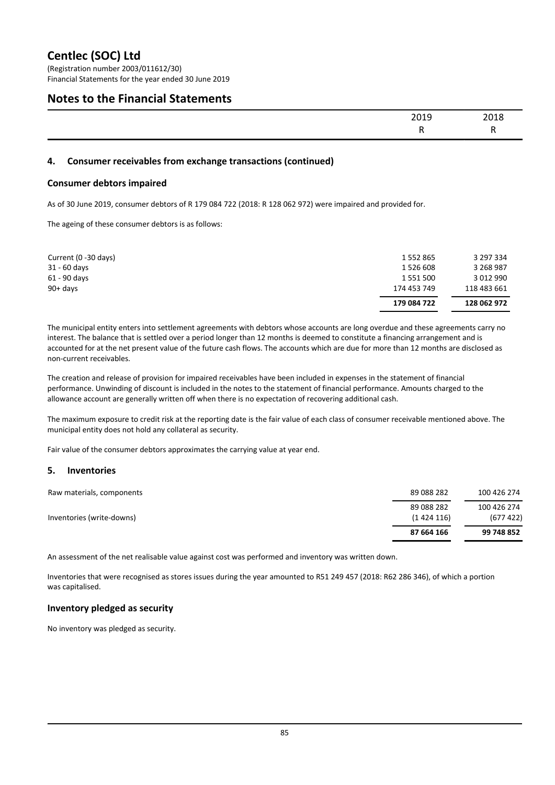(Registration number 2003/011612/30) Financial Statements for the year ended 30 June 2019

## **Notes to the Financial Statements**

| ---- |  |
|------|--|
|      |  |

### **4. Consumer receivables from exchange transactions (continued)**

### **Consumer debtors impaired**

As of 30 June 2019, consumer debtors of R 179 084 722 (2018: R 128 062 972) were impaired and provided for.

The ageing of these consumer debtors is as follows:

|                      | 179 084 722 | 128 062 972   |
|----------------------|-------------|---------------|
| 90+ days             | 174 453 749 | 118 483 661   |
| 61 - 90 days         | 1 551 500   | 3 0 1 2 9 9 0 |
| $31 - 60$ days       | 1 526 608   | 3 2 6 8 9 8 7 |
| Current (0 -30 days) | 1 552 865   | 3 297 334     |

The municipal entity enters into settlement agreements with debtors whose accounts are long overdue and these agreements carry no interest. The balance that is settled over a period longer than 12 months is deemed to constitute a financing arrangement and is accounted for at the net present value of the future cash flows. The accounts which are due for more than 12 months are disclosed as non-current receivables.

The creation and release of provision for impaired receivables have been included in expenses in the statement of financial performance. Unwinding of discount is included in the notes to the statement of financial performance. Amounts charged to the allowance account are generally written off when there is no expectation of recovering additional cash.

The maximum exposure to credit risk at the reporting date is the fair value of each class of consumer receivable mentioned above. The municipal entity does not hold any collateral as security.

Fair value of the consumer debtors approximates the carrying value at year end.

#### **5. Inventories**

| Raw materials, components | 89 088 282              | 100 426 274             |
|---------------------------|-------------------------|-------------------------|
| Inventories (write-downs) | 89 088 282<br>(1424116) | 100 426 274<br>(677422) |
|                           | 87 664 166              | 99 748 852              |

An assessment of the net realisable value against cost was performed and inventory was written down.

Inventories that were recognised as stores issues during the year amounted to R51 249 457 (2018: R62 286 346), of which a portion was capitalised.

### **Inventory pledged as security**

No inventory was pledged as security.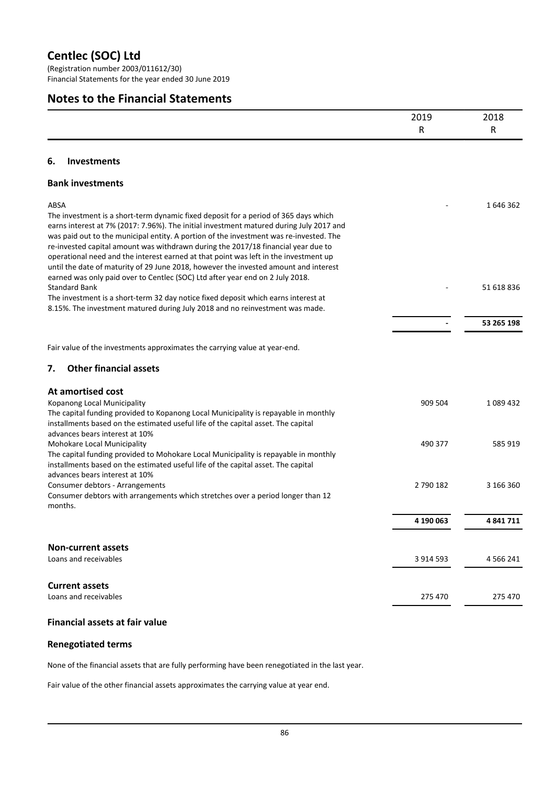(Registration number 2003/011612/30) Financial Statements for the year ended 30 June 2019

# **Notes to the Financial Statements**

|                                                                                                                                                                                                                                                                                                                                                                                                                                                                                                                                                       | 2019          | 2018        |
|-------------------------------------------------------------------------------------------------------------------------------------------------------------------------------------------------------------------------------------------------------------------------------------------------------------------------------------------------------------------------------------------------------------------------------------------------------------------------------------------------------------------------------------------------------|---------------|-------------|
|                                                                                                                                                                                                                                                                                                                                                                                                                                                                                                                                                       | R             | R           |
| 6.<br><b>Investments</b>                                                                                                                                                                                                                                                                                                                                                                                                                                                                                                                              |               |             |
|                                                                                                                                                                                                                                                                                                                                                                                                                                                                                                                                                       |               |             |
| <b>Bank investments</b>                                                                                                                                                                                                                                                                                                                                                                                                                                                                                                                               |               |             |
| ABSA<br>The investment is a short-term dynamic fixed deposit for a period of 365 days which<br>earns interest at 7% (2017: 7.96%). The initial investment matured during July 2017 and<br>was paid out to the municipal entity. A portion of the investment was re-invested. The<br>re-invested capital amount was withdrawn during the 2017/18 financial year due to<br>operational need and the interest earned at that point was left in the investment up<br>until the date of maturity of 29 June 2018, however the invested amount and interest |               | 1646362     |
| earned was only paid over to Centlec (SOC) Ltd after year end on 2 July 2018.<br><b>Standard Bank</b>                                                                                                                                                                                                                                                                                                                                                                                                                                                 |               | 51 618 836  |
| The investment is a short-term 32 day notice fixed deposit which earns interest at<br>8.15%. The investment matured during July 2018 and no reinvestment was made.                                                                                                                                                                                                                                                                                                                                                                                    |               |             |
|                                                                                                                                                                                                                                                                                                                                                                                                                                                                                                                                                       |               | 53 265 198  |
| Fair value of the investments approximates the carrying value at year-end.                                                                                                                                                                                                                                                                                                                                                                                                                                                                            |               |             |
| <b>Other financial assets</b><br>7.                                                                                                                                                                                                                                                                                                                                                                                                                                                                                                                   |               |             |
| At amortised cost                                                                                                                                                                                                                                                                                                                                                                                                                                                                                                                                     |               |             |
| Kopanong Local Municipality<br>The capital funding provided to Kopanong Local Municipality is repayable in monthly<br>installments based on the estimated useful life of the capital asset. The capital<br>advances bears interest at 10%                                                                                                                                                                                                                                                                                                             | 909 504       | 1089432     |
| Mohokare Local Municipality                                                                                                                                                                                                                                                                                                                                                                                                                                                                                                                           | 490 377       | 585 919     |
| The capital funding provided to Mohokare Local Municipality is repayable in monthly<br>installments based on the estimated useful life of the capital asset. The capital<br>advances bears interest at 10%                                                                                                                                                                                                                                                                                                                                            |               |             |
| Consumer debtors - Arrangements                                                                                                                                                                                                                                                                                                                                                                                                                                                                                                                       | 2790182       | 3 166 360   |
| Consumer debtors with arrangements which stretches over a period longer than 12<br>months.                                                                                                                                                                                                                                                                                                                                                                                                                                                            |               |             |
|                                                                                                                                                                                                                                                                                                                                                                                                                                                                                                                                                       | 4 190 063     | 4841711     |
| <b>Non-current assets</b>                                                                                                                                                                                                                                                                                                                                                                                                                                                                                                                             |               |             |
| Loans and receivables                                                                                                                                                                                                                                                                                                                                                                                                                                                                                                                                 | 3 9 1 4 5 9 3 | 4 5 6 2 4 1 |
| <b>Current assets</b>                                                                                                                                                                                                                                                                                                                                                                                                                                                                                                                                 |               |             |
| Loans and receivables                                                                                                                                                                                                                                                                                                                                                                                                                                                                                                                                 | 275 470       | 275 470     |
|                                                                                                                                                                                                                                                                                                                                                                                                                                                                                                                                                       |               |             |

## **Financial assets at fair value**

### **Renegotiated terms**

None of the financial assets that are fully performing have been renegotiated in the last year.

Fair value of the other financial assets approximates the carrying value at year end.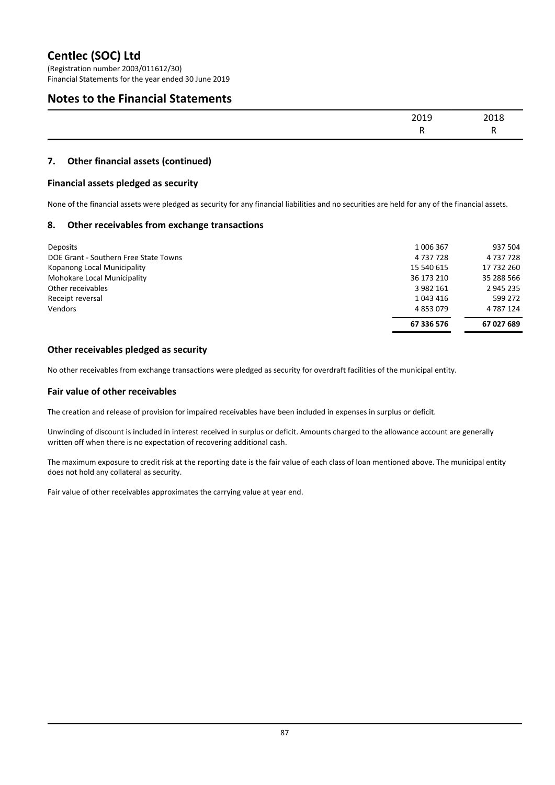(Registration number 2003/011612/30) Financial Statements for the year ended 30 June 2019

# **Notes to the Financial Statements**

| .<br>___ | 2018 |
|----------|------|
|          |      |

### **7. Other financial assets (continued)**

### **Financial assets pledged as security**

None of the financial assets were pledged as security for any financial liabilities and no securities are held for any of the financial assets.

### **8. Other receivables from exchange transactions**

| Deposits                              | 1 006 367  | 937 504       |
|---------------------------------------|------------|---------------|
| DOE Grant - Southern Free State Towns | 4 737 728  | 4 7 3 7 7 2 8 |
| Kopanong Local Municipality           | 15 540 615 | 17 732 260    |
| Mohokare Local Municipality           | 36 173 210 | 35 288 566    |
| Other receivables                     | 3 982 161  | 2 945 235     |
| Receipt reversal                      | 1043416    | 599 272       |
| Vendors                               | 4 853 079  | 4 787 124     |
|                                       | 67 336 576 | 67 027 689    |

### **Other receivables pledged as security**

No other receivables from exchange transactions were pledged as security for overdraft facilities of the municipal entity.

### **Fair value of other receivables**

The creation and release of provision for impaired receivables have been included in expenses in surplus or deficit.

Unwinding of discount is included in interest received in surplus or deficit. Amounts charged to the allowance account are generally written off when there is no expectation of recovering additional cash.

The maximum exposure to credit risk at the reporting date is the fair value of each class of loan mentioned above. The municipal entity does not hold any collateral as security.

Fair value of other receivables approximates the carrying value at year end.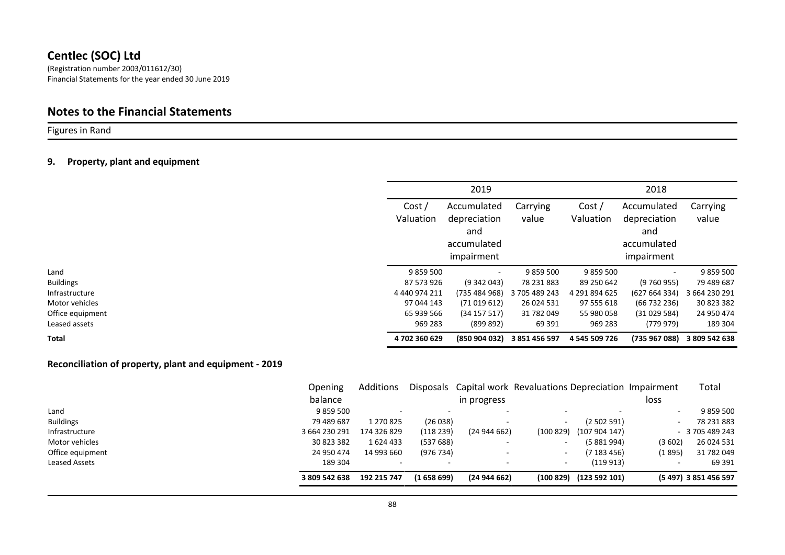(Registration number 2003/011612/30) Financial Statements for the year ended 30 June 2019

# **Notes to the Financial Statements**

Figures in Rand

## **9. Property, plant and equipment**

|                  | 2019               |                                                                 |                   | 2018               |                                                                 |                   |  |
|------------------|--------------------|-----------------------------------------------------------------|-------------------|--------------------|-----------------------------------------------------------------|-------------------|--|
|                  | Cost/<br>Valuation | Accumulated<br>depreciation<br>and<br>accumulated<br>impairment | Carrying<br>value | Cost/<br>Valuation | Accumulated<br>depreciation<br>and<br>accumulated<br>impairment | Carrying<br>value |  |
| Land             | 9859500            |                                                                 | 9859500           | 9 859 500          |                                                                 | 9859500           |  |
| <b>Buildings</b> | 87 573 926         | (9342043)                                                       | 78 231 883        | 89 250 642         | (9760955)                                                       | 79 489 687        |  |
| Infrastructure   | 4 440 974 211      | (735 484 968)                                                   | 3 705 489 243     | 4 291 894 625      | (627664334)                                                     | 3 664 230 291     |  |
| Motor vehicles   | 97 044 143         | (71019612)                                                      | 26 024 531        | 97 555 618         | (66732236)                                                      | 30 823 382        |  |
| Office equipment | 65 939 566         | (34 157 517)                                                    | 31 782 049        | 55 980 058         | (31029584)                                                      | 24 950 474        |  |
| Leased assets    | 969 283            | (899 892)                                                       | 69 391            | 969 283            | (779979)                                                        | 189 304           |  |
| Total            | 4702360629         | (850 904 032)                                                   | 3 851 456 597     | 4 545 509 726      | (735 967 088)                                                   | 3 809 542 638     |  |

### **Reconciliation of property, plant and equipment - 2019**

|                      | Opening       | Additions                | Disposals   |             | Capital work Revaluations Depreciation Impairment |             |                          | Total                 |
|----------------------|---------------|--------------------------|-------------|-------------|---------------------------------------------------|-------------|--------------------------|-----------------------|
|                      | balance       |                          |             | in progress |                                                   |             | loss                     |                       |
| Land                 | 9859500       |                          |             |             |                                                   |             |                          | 9 859 500             |
| <b>Buildings</b>     | 79 489 687    | 1 270 825                | (26038)     |             | ۰                                                 | (2 502 591) | $\overline{\phantom{a}}$ | 78 231 883            |
| Infrastructure       | 3 664 230 291 | 174 326 829              | (118239)    | (24944662)  | (100 829)                                         | (107904147) |                          | $-3705489243$         |
| Motor vehicles       | 30 823 382    | 1 624 433                | (537688)    |             | $\overline{\phantom{a}}$                          | (5881994)   | (3602)                   | 26 024 531            |
| Office equipment     | 24 950 474    | 14 993 660               | (976734)    |             | $\overline{\phantom{a}}$                          | (7183456)   | (1895)                   | 31 782 049            |
| <b>Leased Assets</b> | 189 304       | $\overline{\phantom{a}}$ |             |             | $\overline{\phantom{a}}$                          | (119913)    | $\overline{\phantom{a}}$ | 69 391                |
|                      | 3 809 542 638 | 192 215 747              | (1 658 699) | (24944662)  | (100 829)                                         | (123592101) |                          | (5 497) 3 851 456 597 |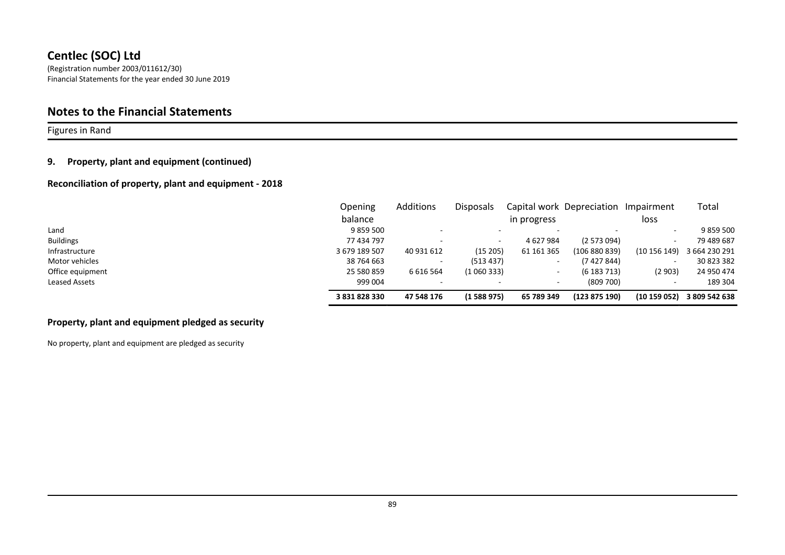(Registration number 2003/011612/30) Financial Statements for the year ended 30 June 2019

# **Notes to the Financial Statements**

Figures in Rand

## **9. Property, plant and equipment (continued)**

### **Reconciliation of property, plant and equipment - 2018**

|                  | Opening       | Additions     | <b>Disposals</b>         |             | Capital work Depreciation Impairment |                          | Total         |
|------------------|---------------|---------------|--------------------------|-------------|--------------------------------------|--------------------------|---------------|
|                  | balance       |               |                          | in progress |                                      | loss                     |               |
| Land             | 9 859 500     |               | -                        |             |                                      | $\sim$                   | 9 859 500     |
| <b>Buildings</b> | 77 434 797    |               | -                        | 4 627 984   | (2573094)                            | ۰                        | 79 489 687    |
| Infrastructure   | 3 679 189 507 | 40 931 612    | (15 205)                 | 61 161 365  | (106 880 839)                        | (10 156 149)             | 3 664 230 291 |
| Motor vehicles   | 38 764 663    |               | (513 437)                |             | (7427844)                            |                          | 30 823 382    |
| Office equipment | 25 580 859    | 6 6 1 6 5 6 4 | (1060333)                |             | (6183713)                            | (2903)                   | 24 950 474    |
| Leased Assets    | 999 004       |               | $\overline{\phantom{0}}$ |             | (809 700)                            | $\overline{\phantom{a}}$ | 189 304       |
|                  | 3831828330    | 47 548 176    | (1 588 975)              | 65 789 349  | (123 875 190)                        | (10 159 052)             | 3 809 542 638 |

## **Property, plant and equipment pledged as security**

No property, plant and equipment are pledged as security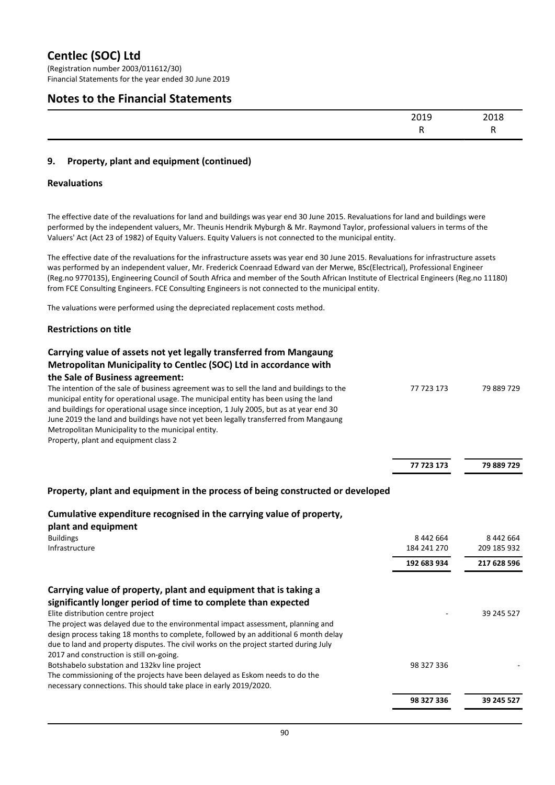(Registration number 2003/011612/30) Financial Statements for the year ended 30 June 2019

# **Notes to the Financial Statements**

| ___ |     |
|-----|-----|
|     | . . |

### **9. Property, plant and equipment (continued)**

### **Revaluations**

The effective date of the revaluations for land and buildings was year end 30 June 2015. Revaluations for land and buildings were performed by the independent valuers, Mr. Theunis Hendrik Myburgh & Mr. Raymond Taylor, professional valuers in terms of the Valuers' Act (Act 23 of 1982) of Equity Valuers. Equity Valuers is not connected to the municipal entity.

The effective date of the revaluations for the infrastructure assets was year end 30 June 2015. Revaluations for infrastructure assets was performed by an independent valuer, Mr. Frederick Coenraad Edward van der Merwe, BSc(Electrical), Professional Engineer (Reg.no 9770135), Engineering Council of South Africa and member of the South African Institute of Electrical Engineers (Reg.no 11180) from FCE Consulting Engineers. FCE Consulting Engineers is not connected to the municipal entity.

The valuations were performed using the depreciated replacement costs method.

### **Restrictions on title**

# **Carrying value of assets not yet legally transferred from Mangaung Metropolitan Municipality to Centlec (SOC) Ltd in accordance with**

## **the Sale of Business agreement:**

| The intention of the sale of business agreement was to sell the land and buildings to the<br>municipal entity for operational usage. The municipal entity has been using the land<br>and buildings for operational usage since inception, 1 July 2005, but as at year end 30<br>June 2019 the land and buildings have not yet been legally transferred from Mangaung<br>Metropolitan Municipality to the municipal entity.<br>Property, plant and equipment class 2 | 77 723 173    | 79 889 729  |
|---------------------------------------------------------------------------------------------------------------------------------------------------------------------------------------------------------------------------------------------------------------------------------------------------------------------------------------------------------------------------------------------------------------------------------------------------------------------|---------------|-------------|
|                                                                                                                                                                                                                                                                                                                                                                                                                                                                     | 77 723 173    | 79 889 729  |
| Property, plant and equipment in the process of being constructed or developed                                                                                                                                                                                                                                                                                                                                                                                      |               |             |
| Cumulative expenditure recognised in the carrying value of property,<br>plant and equipment                                                                                                                                                                                                                                                                                                                                                                         |               |             |
| <b>Buildings</b>                                                                                                                                                                                                                                                                                                                                                                                                                                                    | 8 4 4 2 6 6 4 | 8 442 664   |
| Infrastructure                                                                                                                                                                                                                                                                                                                                                                                                                                                      | 184 241 270   | 209 185 932 |
|                                                                                                                                                                                                                                                                                                                                                                                                                                                                     | 192 683 934   | 217 628 596 |
| Carrying value of property, plant and equipment that is taking a<br>significantly longer period of time to complete than expected                                                                                                                                                                                                                                                                                                                                   |               |             |
| Elite distribution centre project<br>The project was delayed due to the environmental impact assessment, planning and<br>design process taking 18 months to complete, followed by an additional 6 month delay<br>due to land and property disputes. The civil works on the project started during July<br>2017 and construction is still on-going.                                                                                                                  |               | 39 245 527  |
| Botshabelo substation and 132kv line project                                                                                                                                                                                                                                                                                                                                                                                                                        | 98 327 336    |             |
| The commissioning of the projects have been delayed as Eskom needs to do the<br>necessary connections. This should take place in early 2019/2020.                                                                                                                                                                                                                                                                                                                   |               |             |
|                                                                                                                                                                                                                                                                                                                                                                                                                                                                     | 98 327 336    | 39 245 527  |
|                                                                                                                                                                                                                                                                                                                                                                                                                                                                     |               |             |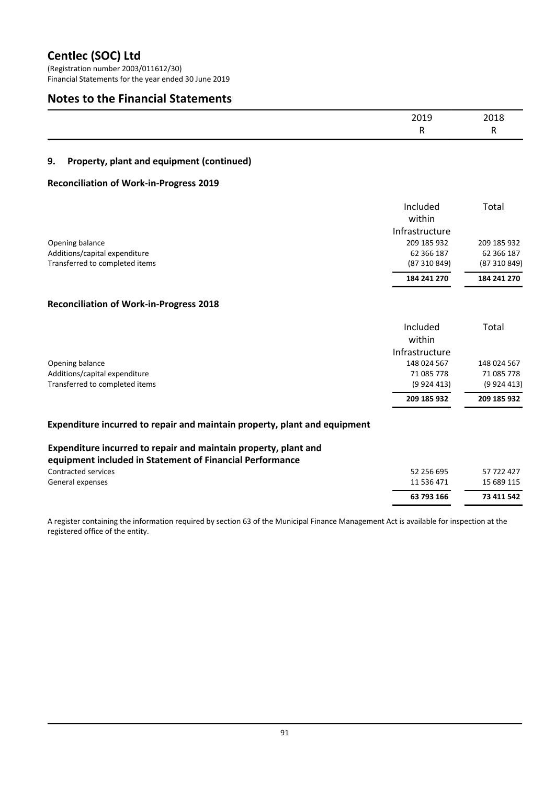(Registration number 2003/011612/30) Financial Statements for the year ended 30 June 2019

# **Notes to the Financial Statements**

|  | $   -$ | .<br>---- |
|--|--------|-----------|
|  |        |           |

## **9. Property, plant and equipment (continued)**

### **Reconciliation of Work-in-Progress 2019**

|                                | 184 241 270    | 184 241 270 |
|--------------------------------|----------------|-------------|
| Transferred to completed items | (87310849)     | (87310849)  |
| Additions/capital expenditure  | 62 366 187     | 62 366 187  |
| Opening balance                | 209 185 932    | 209 185 932 |
|                                | Infrastructure |             |
|                                | within         |             |
|                                | Included       | Total       |

### **Reconciliation of Work-in-Progress 2018**

| Included<br>within | Total       |
|--------------------|-------------|
| Infrastructure     |             |
| 148 024 567        | 148 024 567 |
| 71 085 778         | 71 085 778  |
| (9924413)          | (9924413)   |
| 209 185 932        | 209 185 932 |
|                    |             |

### **Expenditure incurred to repair and maintain property, plant and equipment**

# **Expenditure incurred to repair and maintain property, plant and**

| equipment included in Statement of Financial Performance |            |            |
|----------------------------------------------------------|------------|------------|
| Contracted services                                      | 52 256 695 | 57 722 427 |
| General expenses                                         | 11 536 471 | 15 689 115 |
|                                                          | 63 793 166 | 73 411 542 |

A register containing the information required by section 63 of the Municipal Finance Management Act is available for inspection at the registered office of the entity.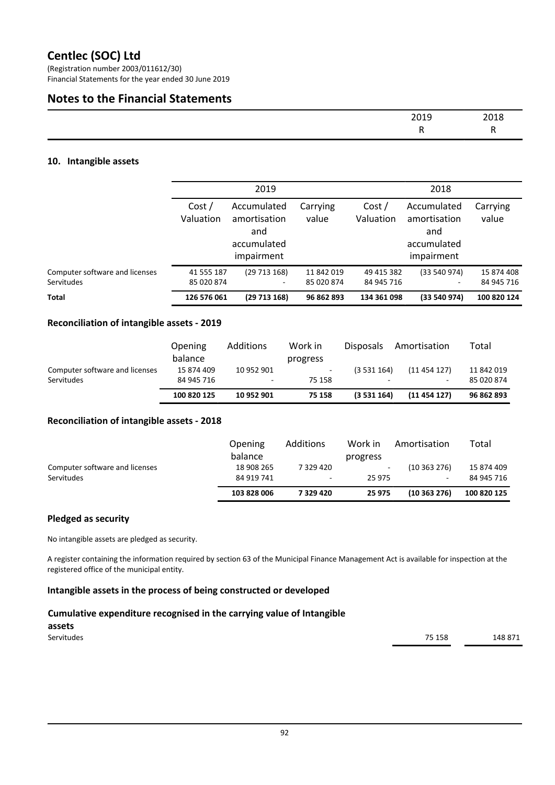(Registration number 2003/011612/30) Financial Statements for the year ended 30 June 2019

# **Notes to the Financial Statements**

| วกงก<br><b>ZUIY</b>  | 204C<br>∠∪⊥o |
|----------------------|--------------|
| . .<br>$\sim$ $\sim$ | . .          |

## **10. Intangible assets**

|                                              |                          | 2019                                                            |                          | 2018                     |                                                                 |                          |  |
|----------------------------------------------|--------------------------|-----------------------------------------------------------------|--------------------------|--------------------------|-----------------------------------------------------------------|--------------------------|--|
|                                              | Cost /<br>Valuation      | Accumulated<br>amortisation<br>and<br>accumulated<br>impairment | Carrying<br>value        | Cost/<br>Valuation       | Accumulated<br>amortisation<br>and<br>accumulated<br>impairment | Carrying<br>value        |  |
| Computer software and licenses<br>Servitudes | 41 555 187<br>85 020 874 | (29713168)                                                      | 11 842 019<br>85 020 874 | 49 415 382<br>84 945 716 | (33540974)                                                      | 15 874 408<br>84 945 716 |  |
| <b>Total</b>                                 | 126 576 061              | (29713168)                                                      | 96 862 893               | 134 361 098              | (33540974)                                                      | 100 820 124              |  |

## **Reconciliation of intangible assets - 2019**

|                                | Opening<br>balance | Additions                | Work in<br>progress | <b>Disposals</b> | Amortisation             | Total      |
|--------------------------------|--------------------|--------------------------|---------------------|------------------|--------------------------|------------|
| Computer software and licenses | 15 874 409         | 10 952 901               |                     | (3531164)        | (11454127)               | 11 842 019 |
| Servitudes                     | 84 945 716         | $\overline{\phantom{a}}$ | 75 158              |                  | $\overline{\phantom{0}}$ | 85 020 874 |
|                                | 100 820 125        | 10 952 901               | 75 158              | (3531164)        | (11454127)               | 96 862 893 |

#### **Reconciliation of intangible assets - 2018**

|                                | 103 828 006        | 7329420                  | 25 975              | (10363276)   | 100 820 125 |
|--------------------------------|--------------------|--------------------------|---------------------|--------------|-------------|
| Servitudes                     | 84 919 741         | $\overline{\phantom{a}}$ | 25 975              | -            | 84 945 716  |
| Computer software and licenses | 18 908 265         | 7 329 420                | ۰                   | (10363276)   | 15 874 409  |
|                                | Opening<br>balance | <b>Additions</b>         | Work in<br>progress | Amortisation | Total       |

### **Pledged as security**

No intangible assets are pledged as security.

A register containing the information required by section 63 of the Municipal Finance Management Act is available for inspection at the registered office of the municipal entity.

### **Intangible assets in the process of being constructed or developed**

## **Cumulative expenditure recognised in the carrying value of Intangible**

| assets     |        |         |
|------------|--------|---------|
| Servitudes | 75 158 | 148 871 |
|            |        |         |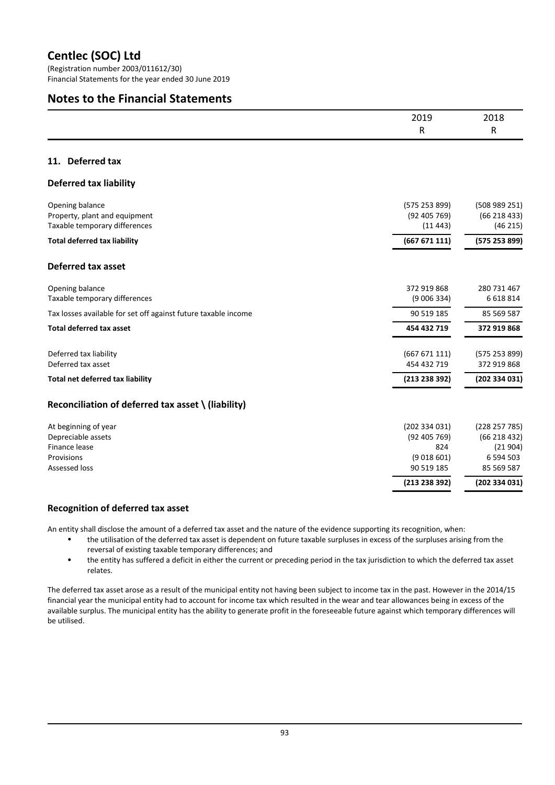(Registration number 2003/011612/30) Financial Statements for the year ended 30 June 2019

# **Notes to the Financial Statements**

|                                                                | 2019                        | 2018                        |
|----------------------------------------------------------------|-----------------------------|-----------------------------|
|                                                                | R                           | R                           |
| 11. Deferred tax                                               |                             |                             |
| <b>Deferred tax liability</b>                                  |                             |                             |
| Opening balance<br>Property, plant and equipment               | (575 253 899)<br>(92405769) | (508 989 251)<br>(66218433) |
| Taxable temporary differences                                  | (11443)                     | (46215)                     |
| <b>Total deferred tax liability</b>                            | (667671111)                 | (575 253 899)               |
| <b>Deferred tax asset</b>                                      |                             |                             |
| Opening balance                                                | 372 919 868                 | 280 731 467                 |
| Taxable temporary differences                                  | (9006334)                   | 6 6 18 8 14                 |
| Tax losses available for set off against future taxable income | 90 519 185                  | 85 569 587                  |
| <b>Total deferred tax asset</b>                                | 454 432 719                 | 372 919 868                 |
| Deferred tax liability                                         | (667671111)                 | (575 253 899)               |
| Deferred tax asset                                             | 454 432 719                 | 372 919 868                 |
| <b>Total net deferred tax liability</b>                        | (213 238 392)               | (202334031)                 |
| Reconciliation of deferred tax asset \ (liability)             |                             |                             |
| At beginning of year                                           | (202 334 031)               | (228 257 785)               |
| Depreciable assets                                             | (92405769)                  | (66218432)                  |
| Finance lease                                                  | 824                         | (21904)                     |
| Provisions<br><b>Assessed loss</b>                             | (9018601)<br>90 519 185     | 6 594 503<br>85 569 587     |
|                                                                |                             |                             |
|                                                                | (213 238 392)               | (202 334 031)               |

### **Recognition of deferred tax asset**

An entity shall disclose the amount of a deferred tax asset and the nature of the evidence supporting its recognition, when:

- the utilisation of the deferred tax asset is dependent on future taxable surpluses in excess of the surpluses arising from the reversal of existing taxable temporary differences; and
- the entity has suffered a deficit in either the current or preceding period in the tax jurisdiction to which the deferred tax asset relates.

The deferred tax asset arose as a result of the municipal entity not having been subject to income tax in the past. However in the 2014/15 financial year the municipal entity had to account for income tax which resulted in the wear and tear allowances being in excess of the available surplus. The municipal entity has the ability to generate profit in the foreseeable future against which temporary differences will be utilised.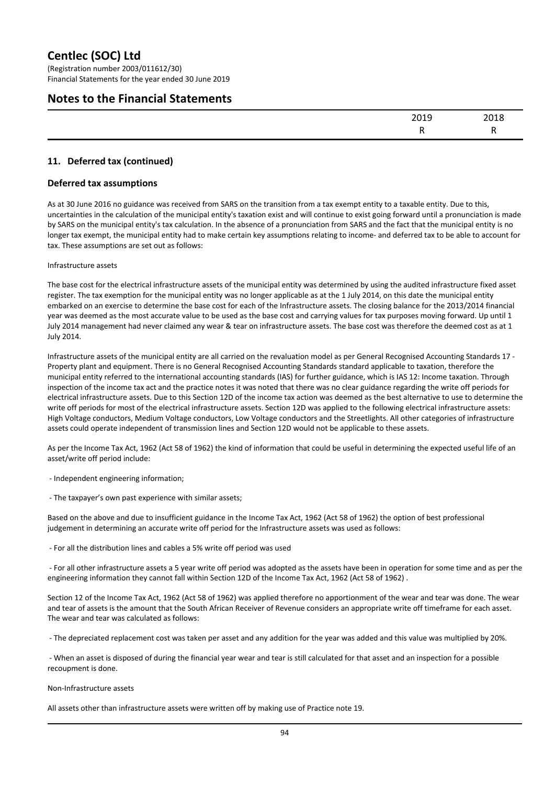(Registration number 2003/011612/30) Financial Statements for the year ended 30 June 2019

## **Notes to the Financial Statements**

| 2019 | 2018     |
|------|----------|
|      | -<br>. . |

### **11. Deferred tax (continued)**

#### **Deferred tax assumptions**

As at 30 June 2016 no guidance was received from SARS on the transition from a tax exempt entity to a taxable entity. Due to this, uncertainties in the calculation of the municipal entity's taxation exist and will continue to exist going forward until a pronunciation is made by SARS on the municipal entity's tax calculation. In the absence of a pronunciation from SARS and the fact that the municipal entity is no longer tax exempt, the municipal entity had to make certain key assumptions relating to income- and deferred tax to be able to account for tax. These assumptions are set out as follows:

#### Infrastructure assets

The base cost for the electrical infrastructure assets of the municipal entity was determined by using the audited infrastructure fixed asset register. The tax exemption for the municipal entity was no longer applicable as at the 1 July 2014, on this date the municipal entity embarked on an exercise to determine the base cost for each of the Infrastructure assets. The closing balance for the 2013/2014 financial year was deemed as the most accurate value to be used as the base cost and carrying values for tax purposes moving forward. Up until 1 July 2014 management had never claimed any wear & tear on infrastructure assets. The base cost was therefore the deemed cost as at 1 July 2014.

Infrastructure assets of the municipal entity are all carried on the revaluation model as per General Recognised Accounting Standards 17 - Property plant and equipment. There is no General Recognised Accounting Standards standard applicable to taxation, therefore the municipal entity referred to the international accounting standards (IAS) for further guidance, which is IAS 12: Income taxation. Through inspection of the income tax act and the practice notes it was noted that there was no clear guidance regarding the write off periods for electrical infrastructure assets. Due to this Section 12D of the income tax action was deemed as the best alternative to use to determine the write off periods for most of the electrical infrastructure assets. Section 12D was applied to the following electrical infrastructure assets: High Voltage conductors, Medium Voltage conductors, Low Voltage conductors and the Streetlights. All other categories of infrastructure assets could operate independent of transmission lines and Section 12D would not be applicable to these assets.

As per the Income Tax Act, 1962 (Act 58 of 1962) the kind of information that could be useful in determining the expected useful life of an asset/write off period include:

- Independent engineering information;

- The taxpayer's own past experience with similar assets;

Based on the above and due to insufficient guidance in the Income Tax Act, 1962 (Act 58 of 1962) the option of best professional judgement in determining an accurate write off period for the Infrastructure assets was used as follows:

- For all the distribution lines and cables a 5% write off period was used

 - For all other infrastructure assets a 5 year write off period was adopted as the assets have been in operation for some time and as per the engineering information they cannot fall within Section 12D of the Income Tax Act, 1962 (Act 58 of 1962).

Section 12 of the Income Tax Act, 1962 (Act 58 of 1962) was applied therefore no apportionment of the wear and tear was done. The wear and tear of assets is the amount that the South African Receiver of Revenue considers an appropriate write off timeframe for each asset. The wear and tear was calculated as follows:

- The depreciated replacement cost was taken per asset and any addition for the year was added and this value was multiplied by 20%.

 - When an asset is disposed of during the financial year wear and tear is still calculated for that asset and an inspection for a possible recoupment is done.

#### Non-Infrastructure assets

All assets other than infrastructure assets were written off by making use of Practice note 19.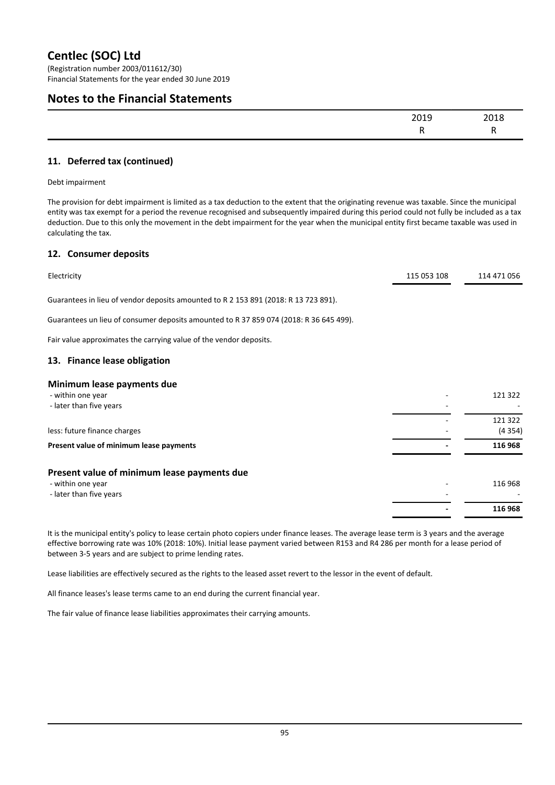(Registration number 2003/011612/30) Financial Statements for the year ended 30 June 2019

# **Notes to the Financial Statements**

| <u>____</u> | .<br>-vite |
|-------------|------------|
|             |            |

### **11. Deferred tax (continued)**

Debt impairment

The provision for debt impairment is limited as a tax deduction to the extent that the originating revenue was taxable. Since the municipal entity was tax exempt for a period the revenue recognised and subsequently impaired during this period could not fully be included as a tax deduction. Due to this only the movement in the debt impairment for the year when the municipal entity first became taxable was used in calculating the tax.

### **12. Consumer deposits**

| Electricity                                                                                 | 115 053 108 | 114 471 056       |
|---------------------------------------------------------------------------------------------|-------------|-------------------|
| Guarantees in lieu of vendor deposits amounted to R 2 153 891 (2018: R 13 723 891).         |             |                   |
| Guarantees un lieu of consumer deposits amounted to R 37 859 074 (2018: R 36 645 499).      |             |                   |
| Fair value approximates the carrying value of the vendor deposits.                          |             |                   |
| 13. Finance lease obligation                                                                |             |                   |
| Minimum lease payments due<br>- within one year<br>- later than five years                  |             | 121 322           |
| less: future finance charges                                                                |             | 121 322<br>(4354) |
| Present value of minimum lease payments                                                     |             | 116 968           |
| Present value of minimum lease payments due<br>- within one year<br>- later than five years |             | 116 968           |
|                                                                                             |             | 116 968           |

It is the municipal entity's policy to lease certain photo copiers under finance leases. The average lease term is 3 years and the average effective borrowing rate was 10% (2018: 10%). Initial lease payment varied between R153 and R4 286 per month for a lease period of between 3-5 years and are subject to prime lending rates.

Lease liabilities are effectively secured as the rights to the leased asset revert to the lessor in the event of default.

All finance leases's lease terms came to an end during the current financial year.

The fair value of finance lease liabilities approximates their carrying amounts.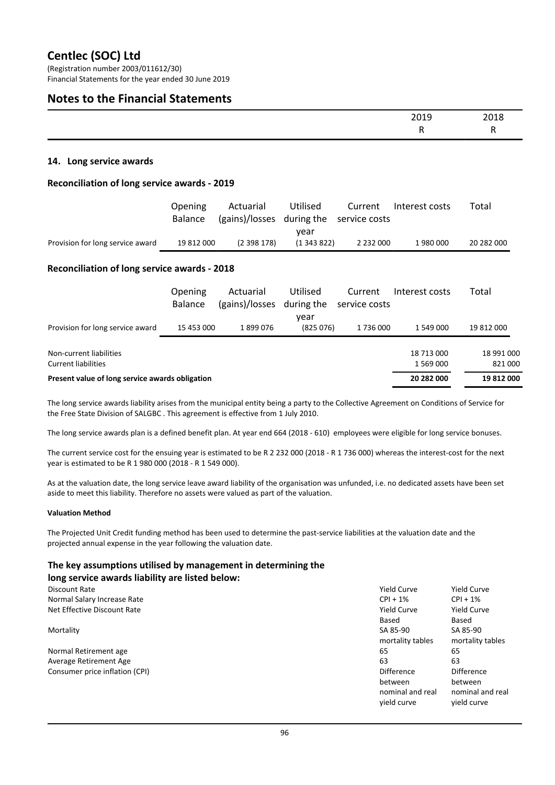(Registration number 2003/011612/30) Financial Statements for the year ended 30 June 2019

## **Notes to the Financial Statements**

| วกงก<br><b>ZUIY</b>  | 204C<br>∠∪⊥o |
|----------------------|--------------|
| . .<br>$\sim$ $\sim$ | . .          |

### **14. Long service awards**

#### **Reconciliation of long service awards - 2019**

|                                  | <b>Opening</b><br>Balance | Actuarial<br>(gains)/losses during the service costs | Utilised          | Current | Interest costs | Total      |
|----------------------------------|---------------------------|------------------------------------------------------|-------------------|---------|----------------|------------|
| Provision for long service award | 19 812 000                | (2 398 178)                                          | vear<br>(1343822) |         | 1 980 000      | 20 282 000 |

### **Reconciliation of long service awards - 2018**

|                                                 | Opening<br><b>Balance</b> | Actuarial<br>(gains)/losses | Utilised<br>during the<br>year | Current<br>service costs | Interest costs          | Total                 |
|-------------------------------------------------|---------------------------|-----------------------------|--------------------------------|--------------------------|-------------------------|-----------------------|
| Provision for long service award                | 15 453 000                | 1899076                     | (825076)                       | 1 736 000                | 1 549 000               | 19 812 000            |
| Non-current liabilities<br>Current liabilities  |                           |                             |                                |                          | 18 713 000<br>1 569 000 | 18 991 000<br>821 000 |
| Present value of long service awards obligation |                           |                             |                                |                          | 20 282 000              | 19 812 000            |

The long service awards liability arises from the municipal entity being a party to the Collective Agreement on Conditions of Service for the Free State Division of SALGBC . This agreement is effective from 1 July 2010.

The long service awards plan is a defined benefit plan. At year end 664 (2018 - 610) employees were eligible for long service bonuses.

The current service cost for the ensuing year is estimated to be R 2 232 000 (2018 - R 1 736 000) whereas the interest-cost for the next year is estimated to be R 1 980 000 (2018 - R 1 549 000).

As at the valuation date, the long service leave award liability of the organisation was unfunded, i.e. no dedicated assets have been set aside to meet this liability. Therefore no assets were valued as part of the valuation.

#### **Valuation Method**

The Projected Unit Credit funding method has been used to determine the past-service liabilities at the valuation date and the projected annual expense in the year following the valuation date.

### **The key assumptions utilised by management in determining the long service awards liability are listed below:**

| Discount Rate                  | Yield Curve        | Yield Curve       |
|--------------------------------|--------------------|-------------------|
| Normal Salary Increase Rate    | $CPI + 1%$         | $CPI + 1%$        |
| Net Effective Discount Rate    | <b>Yield Curve</b> | Yield Curve       |
|                                | Based              | Based             |
| Mortality                      | SA 85-90           | SA 85-90          |
|                                | mortality tables   | mortality tables  |
| Normal Retirement age          | 65                 | 65                |
| Average Retirement Age         | 63                 | 63                |
| Consumer price inflation (CPI) | <b>Difference</b>  | <b>Difference</b> |
|                                | between            | between           |
|                                | nominal and real   | nominal and real  |
|                                | vield curve        | vield curve       |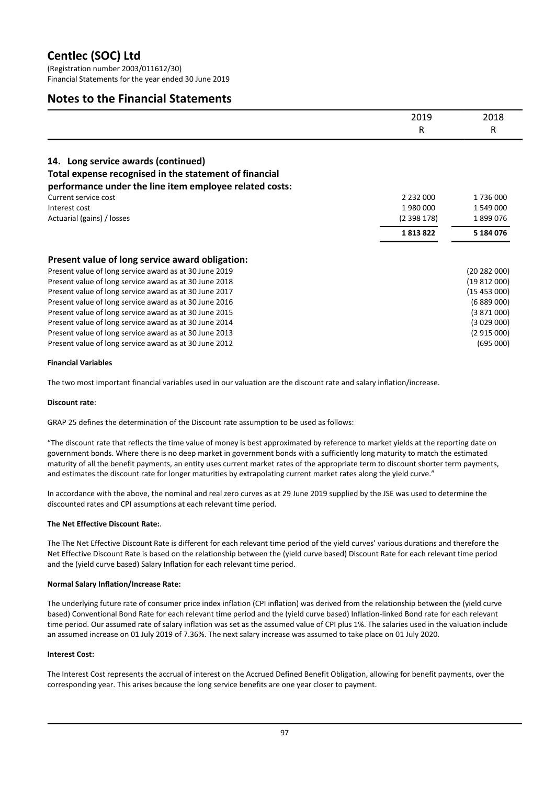(Registration number 2003/011612/30) Financial Statements for the year ended 30 June 2019

# **Notes to the Financial Statements**

|                                                         | 2019            | 2018         |
|---------------------------------------------------------|-----------------|--------------|
|                                                         | R               | R            |
|                                                         |                 |              |
| 14. Long service awards (continued)                     |                 |              |
| Total expense recognised in the statement of financial  |                 |              |
| performance under the line item employee related costs: |                 |              |
| Current service cost                                    | 2 2 3 2 0 0 0 0 | 1 736 000    |
| Interest cost                                           | 1980000         | 1 549 000    |
| Actuarial (gains) / losses                              | (2398178)       | 1899076      |
|                                                         | 1813822         | 5 184 076    |
| Present value of long service award obligation:         |                 |              |
| Present value of long service award as at 30 June 2019  |                 | (20 282 000) |
| Present value of long service award as at 30 June 2018  |                 | (19812000)   |
| Present value of long service award as at 30 June 2017  |                 | (15453000)   |
| Present value of long service award as at 30 June 2016  |                 | (6889000)    |
| Present value of long service award as at 30 June 2015  |                 | (3871000)    |
| Present value of long service award as at 30 June 2014  |                 | (3029000)    |
| Present value of long service award as at 30 June 2013  |                 | (2915000)    |
| Present value of long service award as at 30 June 2012  |                 | (695000)     |

#### **Financial Variables**

The two most important financial variables used in our valuation are the discount rate and salary inflation/increase.

#### **Discount rate**:

GRAP 25 defines the determination of the Discount rate assumption to be used as follows:

"The discount rate that reflects the time value of money is best approximated by reference to market yields at the reporting date on government bonds. Where there is no deep market in government bonds with a sufficiently long maturity to match the estimated maturity of all the benefit payments, an entity uses current market rates of the appropriate term to discount shorter term payments, and estimates the discount rate for longer maturities by extrapolating current market rates along the yield curve."

In accordance with the above, the nominal and real zero curves as at 29 June 2019 supplied by the JSE was used to determine the discounted rates and CPI assumptions at each relevant time period.

#### **The Net Effective Discount Rate:**.

The The Net Effective Discount Rate is different for each relevant time period of the yield curves' various durations and therefore the Net Effective Discount Rate is based on the relationship between the (yield curve based) Discount Rate for each relevant time period and the (yield curve based) Salary Inflation for each relevant time period.

#### **Normal Salary Inflation/Increase Rate:**

The underlying future rate of consumer price index inflation (CPI inflation) was derived from the relationship between the (yield curve based) Conventional Bond Rate for each relevant time period and the (yield curve based) Inflation-linked Bond rate for each relevant time period. Our assumed rate of salary inflation was set as the assumed value of CPI plus 1%. The salaries used in the valuation include an assumed increase on 01 July 2019 of 7.36%. The next salary increase was assumed to take place on 01 July 2020.

#### **Interest Cost:**

The Interest Cost represents the accrual of interest on the Accrued Defined Benefit Obligation, allowing for benefit payments, over the corresponding year. This arises because the long service benefits are one year closer to payment.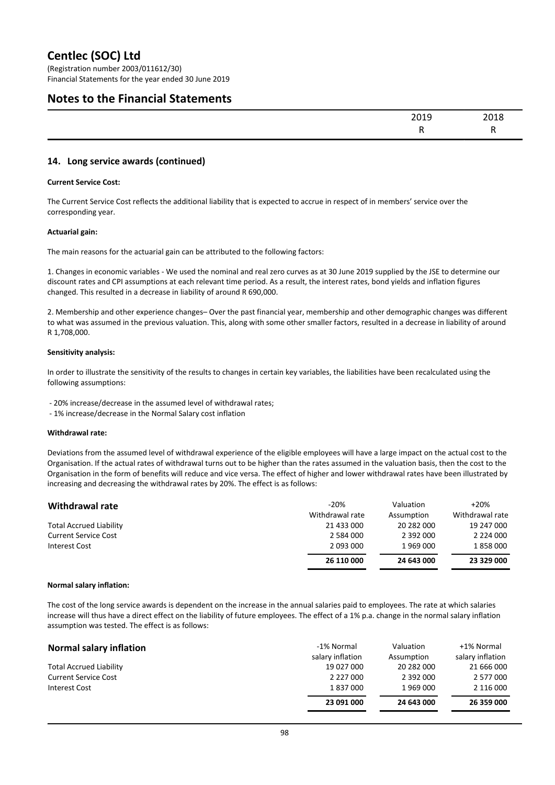(Registration number 2003/011612/30) Financial Statements for the year ended 30 June 2019

## **Notes to the Financial Statements**

| 2019<br>$-0$ | <b>LUID</b> |
|--------------|-------------|
|              | . .         |

#### **14. Long service awards (continued)**

#### **Current Service Cost:**

The Current Service Cost reflects the additional liability that is expected to accrue in respect of in members' service over the corresponding year.

#### **Actuarial gain:**

The main reasons for the actuarial gain can be attributed to the following factors:

1. Changes in economic variables - We used the nominal and real zero curves as at 30 June 2019 supplied by the JSE to determine our discount rates and CPI assumptions at each relevant time period. As a result, the interest rates, bond yields and inflation figures changed. This resulted in a decrease in liability of around R 690,000.

2. Membership and other experience changes– Over the past financial year, membership and other demographic changes was different to what was assumed in the previous valuation. This, along with some other smaller factors, resulted in a decrease in liability of around R 1,708,000.

#### **Sensitivity analysis:**

In order to illustrate the sensitivity of the results to changes in certain key variables, the liabilities have been recalculated using the following assumptions:

- 20% increase/decrease in the assumed level of withdrawal rates;

- 1% increase/decrease in the Normal Salary cost inflation

#### **Withdrawal rate:**

Deviations from the assumed level of withdrawal experience of the eligible employees will have a large impact on the actual cost to the Organisation. If the actual rates of withdrawal turns out to be higher than the rates assumed in the valuation basis, then the cost to the Organisation in the form of benefits will reduce and vice versa. The effect of higher and lower withdrawal rates have been illustrated by increasing and decreasing the withdrawal rates by 20%. The effect is as follows:

| Withdrawal rate                | $-20%$          | Valuation  | $+20%$          |
|--------------------------------|-----------------|------------|-----------------|
|                                | Withdrawal rate | Assumption | Withdrawal rate |
| <b>Total Accrued Liability</b> | 21 433 000      | 20 282 000 | 19 247 000      |
| <b>Current Service Cost</b>    | 2 5 8 4 0 0 0   | 2 392 000  | 2 2 2 4 0 0 0   |
| Interest Cost                  | 2 093 000       | 1969000    | 1858000         |
|                                | 26 110 000      | 24 643 000 | 23 329 000      |

#### **Normal salary inflation:**

The cost of the long service awards is dependent on the increase in the annual salaries paid to employees. The rate at which salaries increase will thus have a direct effect on the liability of future employees. The effect of a 1% p.a. change in the normal salary inflation assumption was tested. The effect is as follows:

| <b>Normal salary inflation</b> | -1% Normal<br>salary inflation | Valuation<br>Assumption | +1% Normal<br>salary inflation |
|--------------------------------|--------------------------------|-------------------------|--------------------------------|
| <b>Total Accrued Liability</b> | 19 027 000                     | 20 282 000              | 21 666 000                     |
| <b>Current Service Cost</b>    | 2 2 2 7 0 0 0                  | 2 392 000               | 2 577 000                      |
| Interest Cost                  | 1837000                        | 1969000                 | 2 116 000                      |
|                                | 23 091 000                     | 24 643 000              | 26 359 000                     |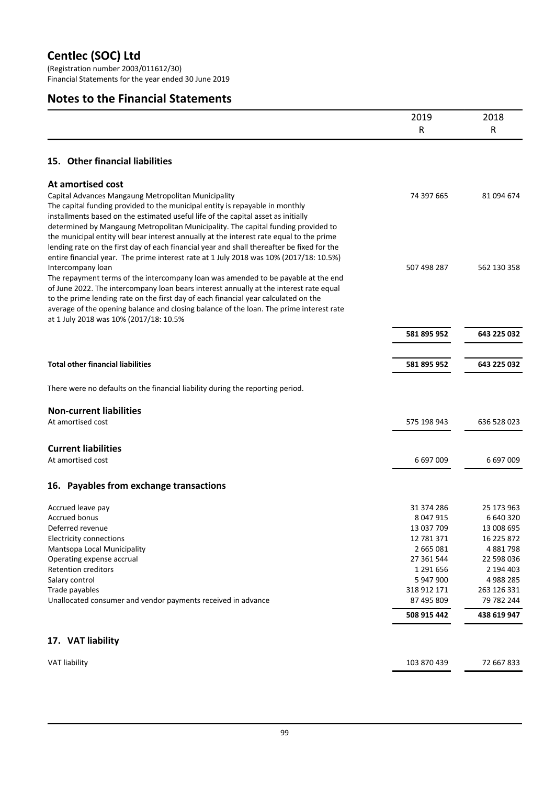(Registration number 2003/011612/30) Financial Statements for the year ended 30 June 2019

|                                                                                                                                                                               | 2019                    | 2018                    |
|-------------------------------------------------------------------------------------------------------------------------------------------------------------------------------|-------------------------|-------------------------|
|                                                                                                                                                                               | $\mathsf R$             | R                       |
| 15. Other financial liabilities                                                                                                                                               |                         |                         |
|                                                                                                                                                                               |                         |                         |
| At amortised cost                                                                                                                                                             |                         |                         |
| Capital Advances Mangaung Metropolitan Municipality                                                                                                                           | 74 397 665              | 81 094 674              |
| The capital funding provided to the municipal entity is repayable in monthly<br>installments based on the estimated useful life of the capital asset as initially             |                         |                         |
| determined by Mangaung Metropolitan Municipality. The capital funding provided to                                                                                             |                         |                         |
| the municipal entity will bear interest annually at the interest rate equal to the prime                                                                                      |                         |                         |
| lending rate on the first day of each financial year and shall thereafter be fixed for the                                                                                    |                         |                         |
| entire financial year. The prime interest rate at 1 July 2018 was 10% (2017/18: 10.5%)                                                                                        |                         |                         |
| Intercompany loan                                                                                                                                                             | 507 498 287             | 562 130 358             |
| The repayment terms of the intercompany loan was amended to be payable at the end                                                                                             |                         |                         |
| of June 2022. The intercompany loan bears interest annually at the interest rate equal<br>to the prime lending rate on the first day of each financial year calculated on the |                         |                         |
| average of the opening balance and closing balance of the loan. The prime interest rate                                                                                       |                         |                         |
| at 1 July 2018 was 10% (2017/18: 10.5%                                                                                                                                        |                         |                         |
|                                                                                                                                                                               | 581 895 952             | 643 225 032             |
|                                                                                                                                                                               |                         |                         |
|                                                                                                                                                                               |                         | 643 225 032             |
| <b>Total other financial liabilities</b>                                                                                                                                      | 581 895 952             |                         |
| There were no defaults on the financial liability during the reporting period.                                                                                                |                         |                         |
| <b>Non-current liabilities</b>                                                                                                                                                |                         |                         |
| At amortised cost                                                                                                                                                             | 575 198 943             | 636 528 023             |
|                                                                                                                                                                               |                         |                         |
| <b>Current liabilities</b>                                                                                                                                                    |                         |                         |
| At amortised cost                                                                                                                                                             | 6697009                 | 6697009                 |
|                                                                                                                                                                               |                         |                         |
| 16. Payables from exchange transactions                                                                                                                                       |                         |                         |
| Accrued leave pay                                                                                                                                                             | 31 374 286              | 25 173 963              |
| Accrued bonus                                                                                                                                                                 | 8 047 915               | 6 640 320               |
| Deferred revenue                                                                                                                                                              | 13 037 709              | 13 008 695              |
| <b>Electricity connections</b>                                                                                                                                                | 12 781 371              | 16 225 872              |
| Mantsopa Local Municipality                                                                                                                                                   | 2 665 081               | 4 881 798               |
| Operating expense accrual<br><b>Retention creditors</b>                                                                                                                       | 27 361 544<br>1 291 656 | 22 598 036<br>2 194 403 |
| Salary control                                                                                                                                                                | 5 947 900               | 4 988 285               |
| Trade payables                                                                                                                                                                | 318 912 171             | 263 126 331             |
| Unallocated consumer and vendor payments received in advance                                                                                                                  | 87 495 809              | 79 782 244              |
|                                                                                                                                                                               | 508 915 442             | 438 619 947             |
| 17. VAT liability                                                                                                                                                             |                         |                         |
|                                                                                                                                                                               |                         |                         |
| <b>VAT liability</b>                                                                                                                                                          | 103 870 439             | 72 667 833              |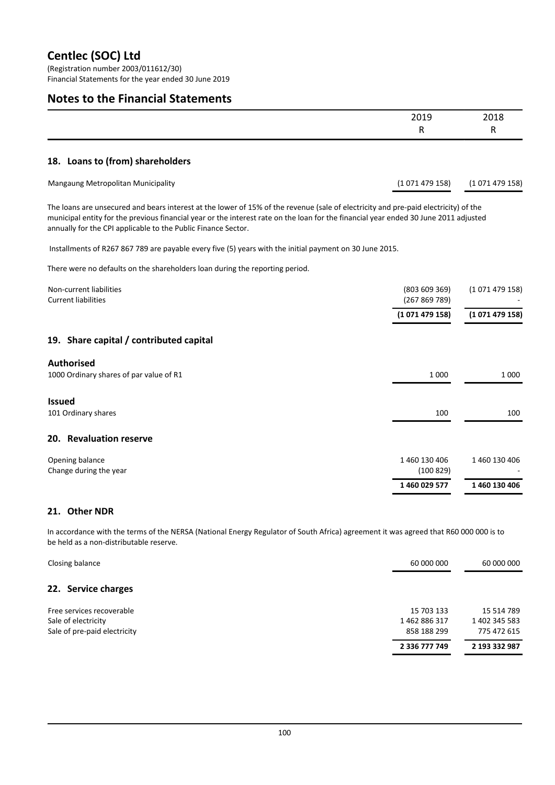(Registration number 2003/011612/30) Financial Statements for the year ended 30 June 2019

# **Notes to the Financial Statements**

| .<br>. מ<br>-- | 201 |
|----------------|-----|
| . .            | . . |

## **18. Loans to (from) shareholders**

| Mangaung Metropolitan Municipality | $(1071479158)$ $(1071479158)$ |
|------------------------------------|-------------------------------|
|                                    |                               |

The loans are unsecured and bears interest at the lower of 15% of the revenue (sale of electricity and pre-paid electricity) of the municipal entity for the previous financial year or the interest rate on the loan for the financial year ended 30 June 2011 adjusted annually for the CPI applicable to the Public Finance Sector.

Installments of R267 867 789 are payable every five (5) years with the initial payment on 30 June 2015.

There were no defaults on the shareholders loan during the reporting period.

| Non-current liabilities<br><b>Current liabilities</b>        | (803609369)<br>(267 869 789) | (1071479158)  |
|--------------------------------------------------------------|------------------------------|---------------|
|                                                              | (1071479158)                 | (1071479158)  |
| 19. Share capital / contributed capital                      |                              |               |
| <b>Authorised</b><br>1000 Ordinary shares of par value of R1 | 1 0 0 0                      | 1 0 0 0       |
| <b>Issued</b><br>101 Ordinary shares                         | 100                          | 100           |
| <b>Revaluation reserve</b><br>20.                            |                              |               |
| Opening balance<br>Change during the year                    | 1 460 130 406<br>(100 829)   | 1 460 130 406 |
|                                                              | 1 460 029 577                | 1 460 130 406 |

### **21. Other NDR**

In accordance with the terms of the NERSA (National Energy Regulator of South Africa) agreement it was agreed that R60 000 000 is to be held as a non-distributable reserve.

| 60 000 000    | 60 000 000    |
|---------------|---------------|
|               |               |
| 15 703 133    | 15 514 789    |
| 1462886317    | 1 402 345 583 |
| 858 188 299   | 775 472 615   |
| 2 336 777 749 | 2 193 332 987 |
|               |               |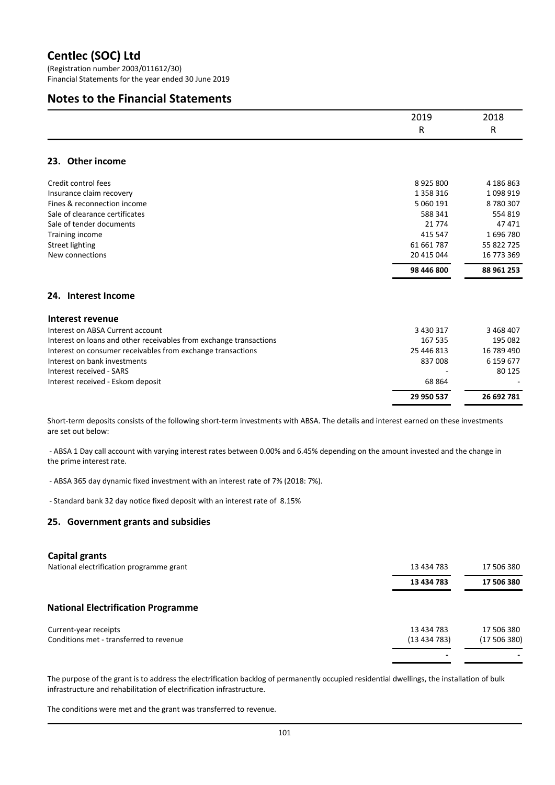(Registration number 2003/011612/30) Financial Statements for the year ended 30 June 2019

# **Notes to the Financial Statements**

| 2019                                                                          | 2018       |
|-------------------------------------------------------------------------------|------------|
| R                                                                             | ${\sf R}$  |
| 23. Other income                                                              |            |
|                                                                               |            |
| Credit control fees<br>8925800                                                | 4 186 863  |
| 1 358 316<br>Insurance claim recovery                                         | 1098919    |
| Fines & reconnection income<br>5 060 191                                      | 8780307    |
| Sale of clearance certificates<br>588 341                                     | 554 819    |
| Sale of tender documents<br>21 7 7 4                                          | 47471      |
| 415 547<br>Training income                                                    | 1696780    |
| 61 661 787<br><b>Street lighting</b>                                          | 55 822 725 |
| New connections<br>20 415 044                                                 | 16 773 369 |
| 98 446 800                                                                    | 88 961 253 |
| 24. Interest Income                                                           |            |
| Interest revenue                                                              |            |
| Interest on ABSA Current account<br>3 4 3 0 3 1 7                             | 3 468 407  |
| Interest on loans and other receivables from exchange transactions<br>167 535 | 195 082    |
| 25 446 813<br>Interest on consumer receivables from exchange transactions     | 16 789 490 |
| Interest on bank investments<br>837008                                        | 6 159 677  |
| Interest received - SARS                                                      | 80 125     |
| 68 8 64<br>Interest received - Eskom deposit                                  |            |
| 29 950 537                                                                    | 26 692 781 |

Short-term deposits consists of the following short-term investments with ABSA. The details and interest earned on these investments are set out below:

 - ABSA 1 Day call account with varying interest rates between 0.00% and 6.45% depending on the amount invested and the change in the prime interest rate.

- ABSA 365 day dynamic fixed investment with an interest rate of 7% (2018: 7%).

- Standard bank 32 day notice fixed deposit with an interest rate of 8.15%

### **25. Government grants and subsidies**

## **Capital grants**

| National electrification programme grant  | 13 434 783 | 17 506 380 |
|-------------------------------------------|------------|------------|
|                                           | 13 434 783 | 17 506 380 |
| <b>National Electrification Programme</b> |            |            |
| Current-year receipts                     | 13 434 783 | 17 506 380 |
| Conditions met - transferred to revenue   | (13434783) | (17506380) |
|                                           |            |            |

The purpose of the grant is to address the electrification backlog of permanently occupied residential dwellings, the installation of bulk infrastructure and rehabilitation of electrification infrastructure.

The conditions were met and the grant was transferred to revenue.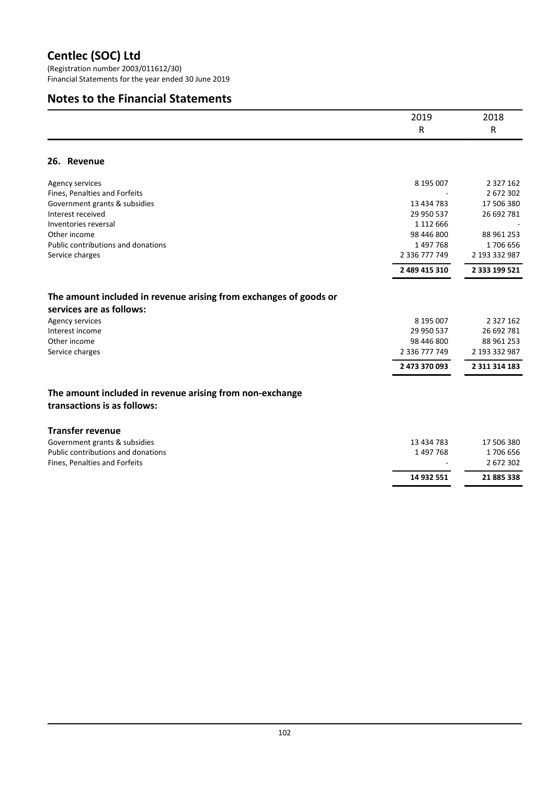(Registration number 2003/011612/30) Financial Statements for the year ended 30 June 2019

|                                                                                               | 2019          | 2018          |
|-----------------------------------------------------------------------------------------------|---------------|---------------|
|                                                                                               | $\mathsf{R}$  | R             |
| 26. Revenue                                                                                   |               |               |
| <b>Agency services</b>                                                                        | 8 195 007     | 2 3 2 7 1 6 2 |
| Fines, Penalties and Forfeits                                                                 |               | 2 672 302     |
| Government grants & subsidies                                                                 | 13 434 783    | 17 506 380    |
| Interest received                                                                             | 29 950 537    | 26 692 781    |
| Inventories reversal                                                                          | 1 1 1 2 6 6 6 |               |
| Other income                                                                                  | 98 446 800    | 88 961 253    |
| Public contributions and donations                                                            | 1497768       | 1706 656      |
| Service charges                                                                               | 2 336 777 749 | 2 193 332 987 |
|                                                                                               | 2 489 415 310 | 2 333 199 521 |
| The amount included in revenue arising from exchanges of goods or<br>services are as follows: |               |               |
| <b>Agency services</b>                                                                        | 8 195 007     | 2 3 2 7 1 6 2 |
| Interest income                                                                               | 29 950 537    | 26 692 781    |
| Other income                                                                                  | 98 446 800    | 88 961 253    |
| Service charges                                                                               | 2 336 777 749 | 2 193 332 987 |
|                                                                                               | 2 473 370 093 | 2 311 314 183 |
| The amount included in revenue arising from non-exchange<br>transactions is as follows:       |               |               |
| <b>Transfer revenue</b>                                                                       |               |               |
| Government grants & subsidies                                                                 | 13 434 783    | 17 506 380    |
| Public contributions and donations                                                            | 1497768       | 1706 656      |
| Fines, Penalties and Forfeits                                                                 |               | 2 672 302     |
|                                                                                               | 14 932 551    | 21 885 338    |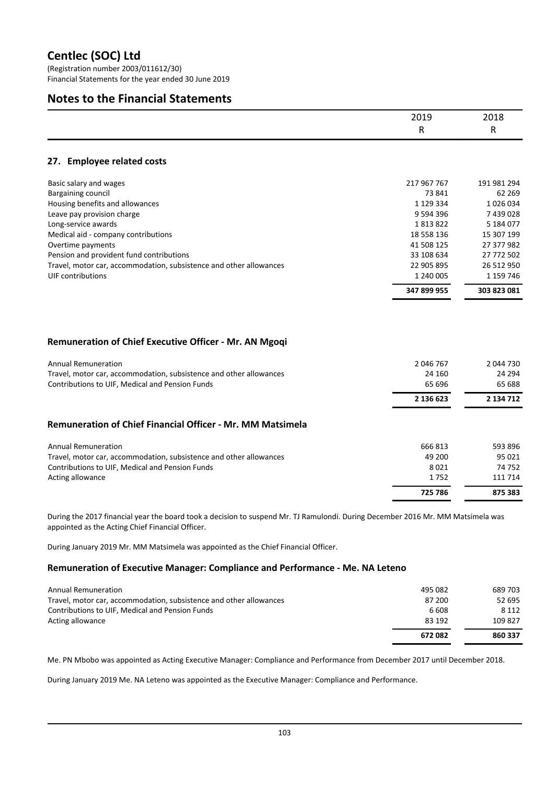(Registration number 2003/011612/30) Financial Statements for the year ended 30 June 2019

# **Notes to the Financial Statements**

|                                                                                                                       | 2019          | 2018        |
|-----------------------------------------------------------------------------------------------------------------------|---------------|-------------|
|                                                                                                                       | R             | R           |
|                                                                                                                       |               |             |
| 27. Employee related costs                                                                                            |               |             |
| Basic salary and wages                                                                                                | 217 967 767   | 191 981 294 |
| <b>Bargaining council</b>                                                                                             | 73 841        | 62 269      |
| Housing benefits and allowances                                                                                       | 1 1 29 3 34   | 1026034     |
| Leave pay provision charge                                                                                            | 9 5 9 4 3 9 6 | 7 439 028   |
| Long-service awards                                                                                                   | 1813822       | 5 184 077   |
| Medical aid - company contributions                                                                                   | 18 558 136    | 15 307 199  |
| Overtime payments                                                                                                     | 41 508 125    | 27 377 982  |
| Pension and provident fund contributions                                                                              | 33 108 634    | 27 772 502  |
| Travel, motor car, accommodation, subsistence and other allowances                                                    | 22 905 895    | 26 512 950  |
| <b>UIF contributions</b>                                                                                              | 1 240 005     | 1 159 746   |
|                                                                                                                       |               |             |
|                                                                                                                       | 347 899 955   | 303 823 081 |
| Remuneration of Chief Executive Officer - Mr. AN Mgoqi                                                                |               |             |
| <b>Annual Remuneration</b>                                                                                            | 2046767       | 2 044 730   |
|                                                                                                                       | 24 160        | 24 294      |
| Travel, motor car, accommodation, subsistence and other allowances<br>Contributions to UIF, Medical and Pension Funds | 65 696        | 65 688      |
|                                                                                                                       | 2 136 623     | 2 134 712   |
| <b>Remuneration of Chief Financial Officer - Mr. MM Matsimela</b>                                                     |               |             |
| <b>Annual Remuneration</b>                                                                                            | 666 813       | 593 896     |
| Travel, motor car, accommodation, subsistence and other allowances                                                    | 49 200        | 95 021      |
|                                                                                                                       | 8021          | 74752       |
| Contributions to UIF, Medical and Pension Funds<br>Acting allowance                                                   | 1752          | 111 714     |

During the 2017 financial year the board took a decision to suspend Mr. TJ Ramulondi. During December 2016 Mr. MM Matsimela was appointed as the Acting Chief Financial Officer.

During January 2019 Mr. MM Matsimela was appointed as the Chief Financial Officer.

### **Remuneration of Executive Manager: Compliance and Performance - Me. NA Leteno**

| <b>Annual Remuneration</b>                                         | 495 082 | 689 703 |
|--------------------------------------------------------------------|---------|---------|
| Travel, motor car, accommodation, subsistence and other allowances | 87 200  | 52 695  |
| Contributions to UIF, Medical and Pension Funds                    | 6 608   | 8 1 1 2 |
| Acting allowance                                                   | 83 192  | 109827  |
|                                                                    | 672082  | 860337  |

Me. PN Mbobo was appointed as Acting Executive Manager: Compliance and Performance from December 2017 until December 2018.

During January 2019 Me. NA Leteno was appointed as the Executive Manager: Compliance and Performance.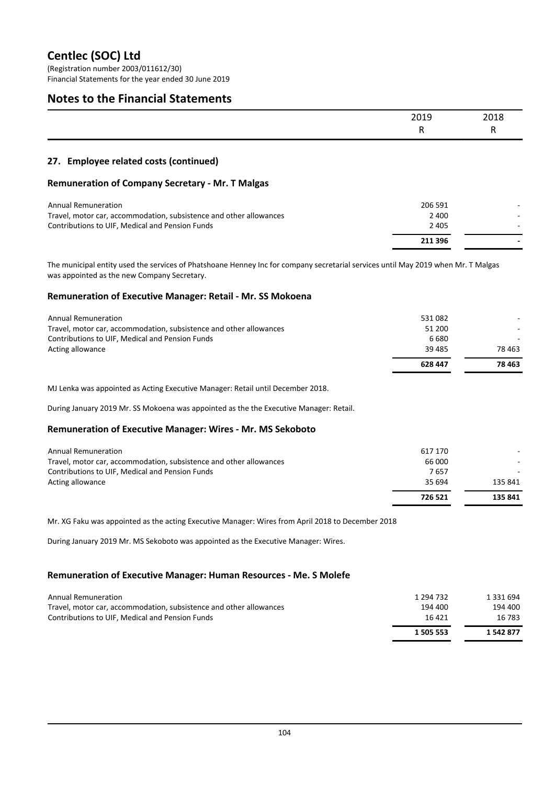(Registration number 2003/011612/30) Financial Statements for the year ended 30 June 2019

# **Notes to the Financial Statements**

| ___ | ___ |
|-----|-----|
|     |     |

### **27. Employee related costs (continued)**

### **Remuneration of Company Secretary - Mr. T Malgas**

|                                                                    | 211 396 |        |
|--------------------------------------------------------------------|---------|--------|
| Contributions to UIF, Medical and Pension Funds                    | 2 4 0 5 |        |
| Travel, motor car, accommodation, subsistence and other allowances | 2 400   | $\sim$ |
| Annual Remuneration                                                | 206 591 |        |
|                                                                    |         |        |

The municipal entity used the services of Phatshoane Henney Inc for company secretarial services until May 2019 when Mr. T Malgas was appointed as the new Company Secretary.

### **Remuneration of Executive Manager: Retail - Mr. SS Mokoena**

|                                                                    | 628 447  | 78 463 |
|--------------------------------------------------------------------|----------|--------|
| Acting allowance                                                   | 39 4 8 5 | 78 463 |
| Contributions to UIF, Medical and Pension Funds                    | 6 680    |        |
| Travel, motor car, accommodation, subsistence and other allowances | 51 200   |        |
| <b>Annual Remuneration</b>                                         | 531082   |        |

MJ Lenka was appointed as Acting Executive Manager: Retail until December 2018.

During January 2019 Mr. SS Mokoena was appointed as the the Executive Manager: Retail.

#### **Remuneration of Executive Manager: Wires - Mr. MS Sekoboto**

|                                                                    | 726 521 | 135 841 |
|--------------------------------------------------------------------|---------|---------|
| Acting allowance                                                   | 35 694  | 135 841 |
| Contributions to UIF, Medical and Pension Funds                    | 7657    |         |
| Travel, motor car, accommodation, subsistence and other allowances | 66 000  |         |
| <b>Annual Remuneration</b>                                         | 617 170 |         |

Mr. XG Faku was appointed as the acting Executive Manager: Wires from April 2018 to December 2018

During January 2019 Mr. MS Sekoboto was appointed as the Executive Manager: Wires.

### **Remuneration of Executive Manager: Human Resources - Me. S Molefe**

| Annual Remuneration                                                | 1 294 732 | 1 331 694 |
|--------------------------------------------------------------------|-----------|-----------|
| Travel, motor car, accommodation, subsistence and other allowances | 194 400   | 194 400   |
| Contributions to UIF, Medical and Pension Funds                    | 16 4 21   | 16 783    |
|                                                                    | 1 505 553 | 1 542 877 |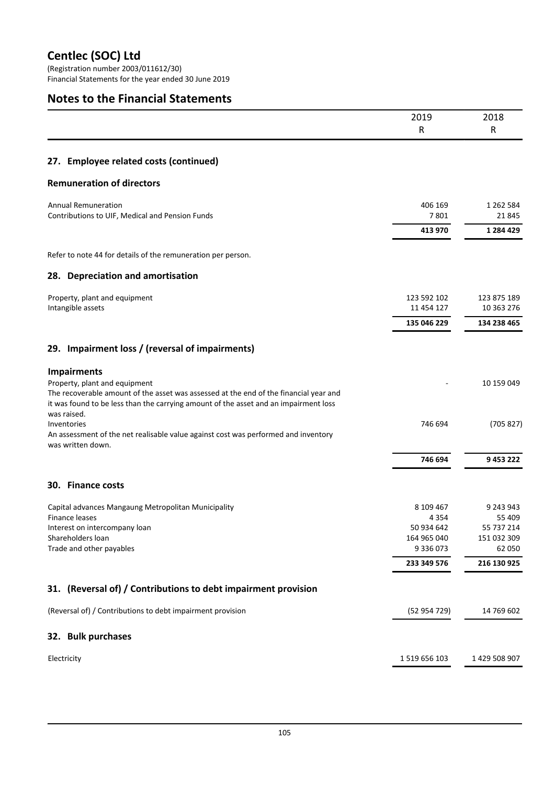(Registration number 2003/011612/30) Financial Statements for the year ended 30 June 2019

|                                                                                                                                                                                                                | 2019<br>$\mathsf R$          | 2018<br>${\sf R}$     |
|----------------------------------------------------------------------------------------------------------------------------------------------------------------------------------------------------------------|------------------------------|-----------------------|
|                                                                                                                                                                                                                |                              |                       |
| 27. Employee related costs (continued)                                                                                                                                                                         |                              |                       |
| <b>Remuneration of directors</b>                                                                                                                                                                               |                              |                       |
| <b>Annual Remuneration</b><br>Contributions to UIF, Medical and Pension Funds                                                                                                                                  | 406 169<br>7801              | 1 262 584<br>21 845   |
|                                                                                                                                                                                                                | 413 970                      | 1 284 429             |
| Refer to note 44 for details of the remuneration per person.                                                                                                                                                   |                              |                       |
| 28. Depreciation and amortisation                                                                                                                                                                              |                              |                       |
| Property, plant and equipment                                                                                                                                                                                  | 123 592 102                  | 123 875 189           |
| Intangible assets                                                                                                                                                                                              | 11 454 127                   | 10 363 276            |
|                                                                                                                                                                                                                | 135 046 229                  | 134 238 465           |
| 29. Impairment loss / (reversal of impairments)                                                                                                                                                                |                              |                       |
| <b>Impairments</b>                                                                                                                                                                                             |                              |                       |
| Property, plant and equipment<br>The recoverable amount of the asset was assessed at the end of the financial year and<br>it was found to be less than the carrying amount of the asset and an impairment loss |                              | 10 159 049            |
| was raised.<br>Inventories<br>An assessment of the net realisable value against cost was performed and inventory<br>was written down.                                                                          | 746 694                      | (705 827)             |
|                                                                                                                                                                                                                | 746 694                      | 9 453 222             |
| 30. Finance costs                                                                                                                                                                                              |                              |                       |
| Capital advances Mangaung Metropolitan Municipality<br><b>Finance leases</b>                                                                                                                                   | 8 109 4 67<br>4 3 5 4        | 9 243 943<br>55 409   |
| Interest on intercompany loan                                                                                                                                                                                  | 50 934 642                   | 55 737 214            |
| Shareholders loan<br>Trade and other payables                                                                                                                                                                  | 164 965 040<br>9 3 3 6 0 7 3 | 151 032 309<br>62 050 |
|                                                                                                                                                                                                                | 233 349 576                  | 216 130 925           |
| 31. (Reversal of) / Contributions to debt impairment provision                                                                                                                                                 |                              |                       |
| (Reversal of) / Contributions to debt impairment provision                                                                                                                                                     | (52954729)                   | 14 769 602            |
| 32. Bulk purchases                                                                                                                                                                                             |                              |                       |
| Electricity                                                                                                                                                                                                    | 1 519 656 103                | 1 429 508 907         |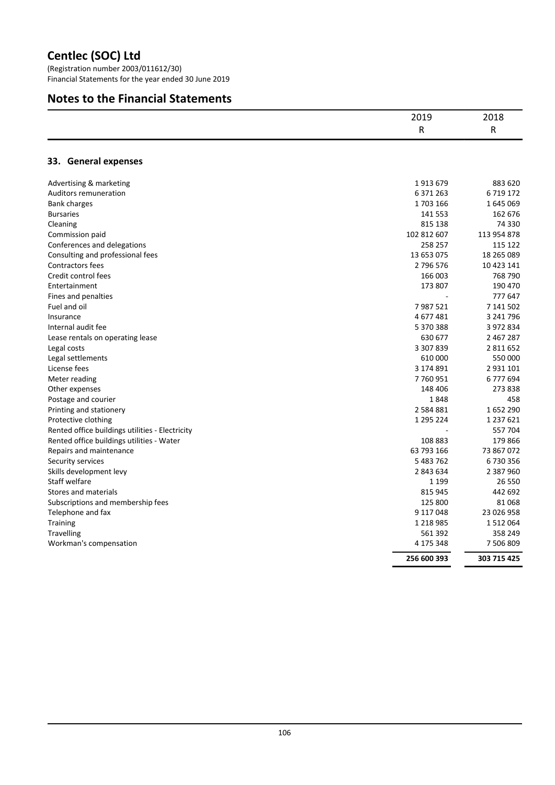(Registration number 2003/011612/30) Financial Statements for the year ended 30 June 2019

|                                                 | 2019          | 2018          |
|-------------------------------------------------|---------------|---------------|
|                                                 | R             | ${\sf R}$     |
|                                                 |               |               |
| 33. General expenses                            |               |               |
| Advertising & marketing                         | 1913679       | 883 620       |
| Auditors remuneration                           | 6371263       | 6719172       |
| <b>Bank charges</b>                             | 1703 166      | 1645069       |
| <b>Bursaries</b>                                | 141 553       | 162 676       |
| Cleaning                                        | 815 138       | 74 330        |
| Commission paid                                 | 102 812 607   | 113 954 878   |
| Conferences and delegations                     | 258 257       | 115 122       |
| Consulting and professional fees                | 13 653 075    | 18 265 089    |
| Contractors fees                                | 2796576       | 10 423 141    |
| Credit control fees                             | 166 003       | 768 790       |
| Entertainment                                   | 173 807       | 190 470       |
| Fines and penalties                             |               | 777 647       |
| Fuel and oil                                    | 7987521       | 7 141 502     |
| Insurance                                       | 4677481       | 3 241 796     |
| Internal audit fee                              | 5 370 388     | 3 972 834     |
| Lease rentals on operating lease                | 630 677       | 2 467 287     |
| Legal costs                                     | 3 307 839     | 2 811 652     |
| Legal settlements                               | 610 000       | 550 000       |
| License fees                                    | 3 174 891     | 2 9 3 1 1 0 1 |
| Meter reading                                   | 7760951       | 6777694       |
| Other expenses                                  | 148 406       | 273838        |
| Postage and courier                             | 1848          | 458           |
| Printing and stationery                         | 2 5 8 4 8 8 1 | 1652290       |
| Protective clothing                             | 1 295 224     | 1 2 3 7 6 2 1 |
| Rented office buildings utilities - Electricity |               | 557704        |
| Rented office buildings utilities - Water       | 108 883       | 179 866       |
| Repairs and maintenance                         | 63 793 166    | 73 867 072    |
| Security services                               | 5 483 762     | 6730356       |
| Skills development levy                         | 2843634       | 2 387 960     |
| Staff welfare                                   | 1 1 9 9       | 26 550        |
| Stores and materials                            | 815 945       | 442 692       |
| Subscriptions and membership fees               | 125 800       | 81 068        |
| Telephone and fax                               | 9 117 048     | 23 026 958    |
| <b>Training</b>                                 | 1 2 1 8 9 8 5 | 1512064       |
| Travelling                                      | 561 392       | 358 249       |
| Workman's compensation                          | 4 175 348     | 7 506 809     |
|                                                 | 256 600 393   | 303 715 425   |
|                                                 |               |               |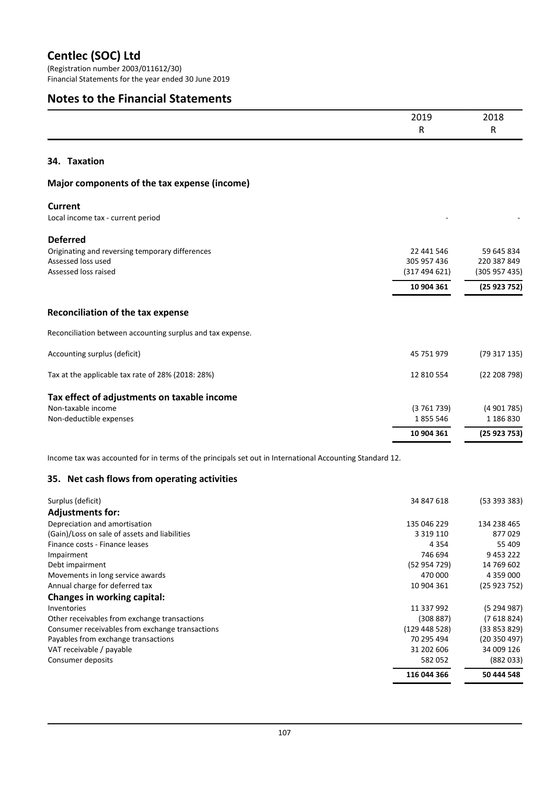(Registration number 2003/011612/30) Financial Statements for the year ended 30 June 2019

|                                                                                                          | 2019        | 2018         |
|----------------------------------------------------------------------------------------------------------|-------------|--------------|
|                                                                                                          | R           | R            |
| 34. Taxation                                                                                             |             |              |
| Major components of the tax expense (income)                                                             |             |              |
| <b>Current</b>                                                                                           |             |              |
| Local income tax - current period                                                                        |             |              |
| <b>Deferred</b>                                                                                          |             |              |
| Originating and reversing temporary differences                                                          | 22 441 546  | 59 645 834   |
| Assessed loss used                                                                                       | 305 957 436 | 220 387 849  |
| Assessed loss raised                                                                                     | (317494621) | (305957435)  |
|                                                                                                          | 10 904 361  | (25923752)   |
| <b>Reconciliation of the tax expense</b>                                                                 |             |              |
| Reconciliation between accounting surplus and tax expense.                                               |             |              |
| Accounting surplus (deficit)                                                                             | 45 751 979  | (79317135)   |
| Tax at the applicable tax rate of 28% (2018: 28%)                                                        | 12 810 554  | (22 208 798) |
| Tax effect of adjustments on taxable income                                                              |             |              |
| Non-taxable income                                                                                       | (3761739)   | (4901785)    |
| Non-deductible expenses                                                                                  | 1855 546    | 1 186 830    |
|                                                                                                          | 10 904 361  | (25923753)   |
| Income tax was accounted for in terms of the principals set out in International Accounting Standard 12. |             |              |
| 35. Net cash flows from operating activities                                                             |             |              |

| Surplus (deficit)                               | 34 847 618    | (53393383)    |
|-------------------------------------------------|---------------|---------------|
| <b>Adjustments for:</b>                         |               |               |
| Depreciation and amortisation                   | 135 046 229   | 134 238 465   |
| (Gain)/Loss on sale of assets and liabilities   | 3 3 1 9 1 1 0 | 877029        |
| Finance costs - Finance leases                  | 4 3 5 4       | 55 409        |
| Impairment                                      | 746 694       | 9 4 5 3 2 2 2 |
| Debt impairment                                 | (52 954 729)  | 14 769 602    |
| Movements in long service awards                | 470 000       | 4 3 5 9 0 0 0 |
| Annual charge for deferred tax                  | 10 904 361    | (25923752)    |
| Changes in working capital:                     |               |               |
| Inventories                                     | 11 337 992    | (5294987)     |
| Other receivables from exchange transactions    | (308887)      | (7618824)     |
| Consumer receivables from exchange transactions | (129 448 528) | (33853829)    |
| Payables from exchange transactions             | 70 295 494    | (20350497)    |
| VAT receivable / payable                        | 31 202 606    | 34 009 126    |
| Consumer deposits                               | 582 052       | (882033)      |
|                                                 | 116 044 366   | 50 444 548    |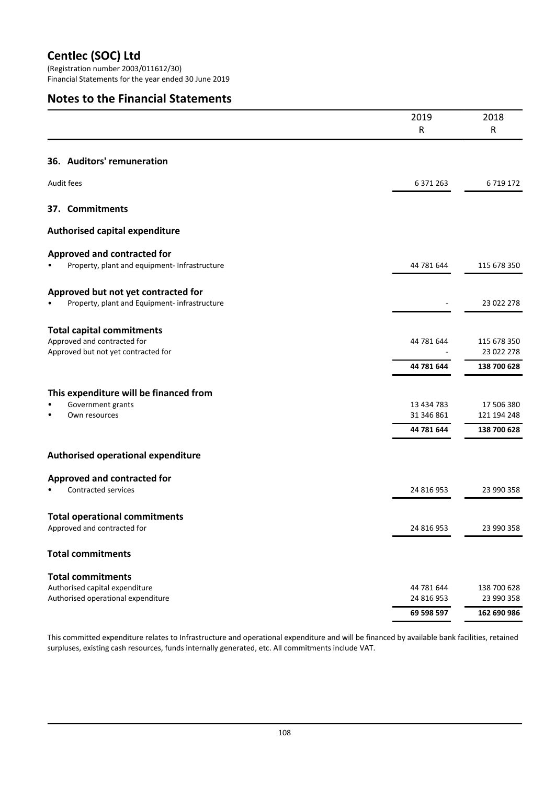(Registration number 2003/011612/30) Financial Statements for the year ended 30 June 2019

# **Notes to the Financial Statements**

|                                                                                                        | 2019<br>R                              | 2018<br>$\mathsf{R}$                     |
|--------------------------------------------------------------------------------------------------------|----------------------------------------|------------------------------------------|
| 36. Auditors' remuneration                                                                             |                                        |                                          |
| Audit fees                                                                                             | 6 371 263                              | 6 719 172                                |
| 37. Commitments                                                                                        |                                        |                                          |
| <b>Authorised capital expenditure</b>                                                                  |                                        |                                          |
| <b>Approved and contracted for</b><br>Property, plant and equipment- Infrastructure<br>٠               | 44 781 644                             | 115 678 350                              |
| Approved but not yet contracted for<br>Property, plant and Equipment- infrastructure                   |                                        | 23 022 278                               |
| <b>Total capital commitments</b><br>Approved and contracted for<br>Approved but not yet contracted for | 44 781 644                             | 115 678 350<br>23 022 278                |
|                                                                                                        | 44 781 644                             | 138 700 628                              |
| This expenditure will be financed from<br>Government grants<br>Own resources<br>٠                      | 13 434 783<br>31 346 861<br>44 781 644 | 17 506 380<br>121 194 248<br>138 700 628 |
| <b>Authorised operational expenditure</b>                                                              |                                        |                                          |
| <b>Approved and contracted for</b><br><b>Contracted services</b>                                       | 24 816 953                             | 23 990 358                               |
| <b>Total operational commitments</b><br>Approved and contracted for                                    | 24 816 953                             | 23 990 358                               |
| <b>Total commitments</b>                                                                               |                                        |                                          |
| <b>Total commitments</b><br>Authorised capital expenditure<br>Authorised operational expenditure       | 44 781 644<br>24 816 953<br>69 598 597 | 138 700 628<br>23 990 358<br>162 690 986 |

This committed expenditure relates to Infrastructure and operational expenditure and will be financed by available bank facilities, retained surpluses, existing cash resources, funds internally generated, etc. All commitments include VAT.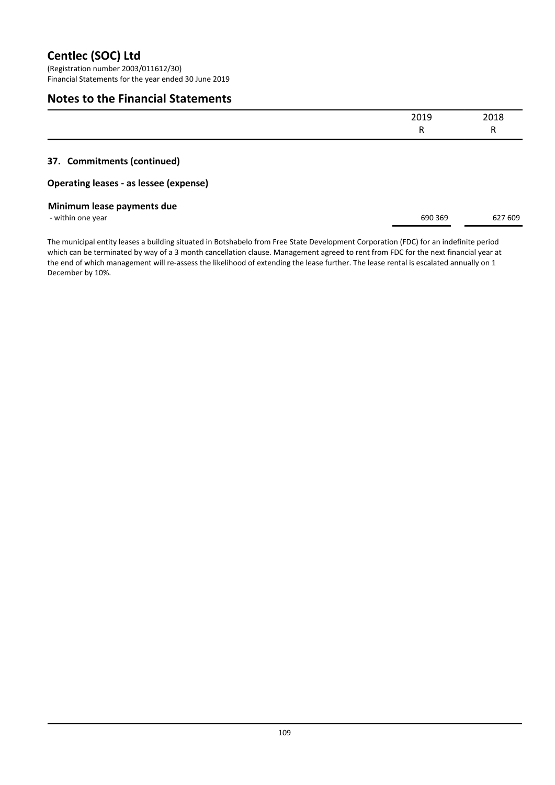(Registration number 2003/011612/30) Financial Statements for the year ended 30 June 2019

## **Notes to the Financial Statements**

|                                               | 2019    | 2018    |
|-----------------------------------------------|---------|---------|
|                                               | R       | R       |
|                                               |         |         |
| 37. Commitments (continued)                   |         |         |
| <b>Operating leases - as lessee (expense)</b> |         |         |
| Minimum lease payments due                    |         |         |
| - within one year                             | 690 369 | 627 609 |
|                                               |         |         |

The municipal entity leases a building situated in Botshabelo from Free State Development Corporation (FDC) for an indefinite period which can be terminated by way of a 3 month cancellation clause. Management agreed to rent from FDC for the next financial year at the end of which management will re-assess the likelihood of extending the lease further. The lease rental is escalated annually on 1 December by 10%.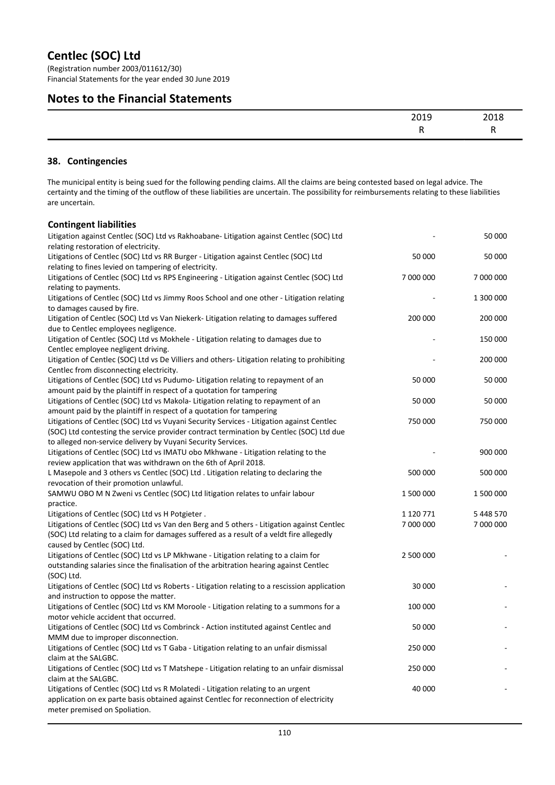(Registration number 2003/011612/30) Financial Statements for the year ended 30 June 2019

# **Notes to the Financial Statements**

| ----<br>_____ | -91<br>$\sim$ $\sim$ |
|---------------|----------------------|
|               | $\cdot$ $\cdot$      |

## **38. Contingencies**

The municipal entity is being sued for the following pending claims. All the claims are being contested based on legal advice. The certainty and the timing of the outflow of these liabilities are uncertain. The possibility for reimbursements relating to these liabilities are uncertain.

| <b>Contingent liabilities</b>                                                                 |           |                          |
|-----------------------------------------------------------------------------------------------|-----------|--------------------------|
| Litigation against Centlec (SOC) Ltd vs Rakhoabane- Litigation against Centlec (SOC) Ltd      |           | 50 000                   |
| relating restoration of electricity.                                                          |           |                          |
| Litigations of Centlec (SOC) Ltd vs RR Burger - Litigation against Centlec (SOC) Ltd          | 50 000    | 50 000                   |
| relating to fines levied on tampering of electricity.                                         |           |                          |
| Litigations of Centlec (SOC) Ltd vs RPS Engineering - Litigation against Centlec (SOC) Ltd    | 7 000 000 | 7 000 000                |
| relating to payments.                                                                         |           |                          |
| Litigations of Centlec (SOC) Ltd vs Jimmy Roos School and one other - Litigation relating     |           | 1 300 000                |
| to damages caused by fire.                                                                    |           |                          |
| Litigation of Centlec (SOC) Ltd vs Van Niekerk- Litigation relating to damages suffered       | 200 000   | 200 000                  |
| due to Centlec employees negligence.                                                          |           |                          |
| Litigation of Centlec (SOC) Ltd vs Mokhele - Litigation relating to damages due to            |           | 150 000                  |
| Centlec employee negligent driving.                                                           |           |                          |
| Litigation of Centlec (SOC) Ltd vs De Villiers and others- Litigation relating to prohibiting |           | 200 000                  |
| Centlec from disconnecting electricity.                                                       |           |                          |
| Litigations of Centlec (SOC) Ltd vs Pudumo- Litigation relating to repayment of an            | 50 000    | 50 000                   |
| amount paid by the plaintiff in respect of a quotation for tampering                          |           |                          |
| Litigations of Centlec (SOC) Ltd vs Makola- Litigation relating to repayment of an            | 50 000    | 50 000                   |
| amount paid by the plaintiff in respect of a quotation for tampering                          |           |                          |
| Litigations of Centlec (SOC) Ltd vs Vuyani Security Services - Litigation against Centlec     | 750 000   | 750 000                  |
| (SOC) Ltd contesting the service provider contract termination by Centlec (SOC) Ltd due       |           |                          |
| to alleged non-service delivery by Vuyani Security Services.                                  |           |                          |
| Litigations of Centlec (SOC) Ltd vs IMATU obo Mkhwane - Litigation relating to the            |           | 900 000                  |
| review application that was withdrawn on the 6th of April 2018.                               |           |                          |
| L Masepole and 3 others vs Centlec (SOC) Ltd. Litigation relating to declaring the            | 500 000   | 500 000                  |
| revocation of their promotion unlawful.                                                       |           |                          |
| SAMWU OBO M N Zweni vs Centlec (SOC) Ltd litigation relates to unfair labour                  | 1 500 000 | 1 500 000                |
| practice.                                                                                     |           |                          |
| Litigations of Centlec (SOC) Ltd vs H Potgieter.                                              | 1 120 771 | 5 448 570                |
| Litigations of Centlec (SOC) Ltd vs Van den Berg and 5 others - Litigation against Centlec    | 7 000 000 | 7 000 000                |
| (SOC) Ltd relating to a claim for damages suffered as a result of a veldt fire allegedly      |           |                          |
| caused by Centlec (SOC) Ltd.                                                                  |           |                          |
| Litigations of Centlec (SOC) Ltd vs LP Mkhwane - Litigation relating to a claim for           | 2 500 000 |                          |
| outstanding salaries since the finalisation of the arbitration hearing against Centlec        |           |                          |
| (SOC) Ltd.                                                                                    |           |                          |
| Litigations of Centlec (SOC) Ltd vs Roberts - Litigation relating to a rescission application | 30 000    |                          |
| and instruction to oppose the matter.                                                         |           |                          |
| Litigations of Centlec (SOC) Ltd vs KM Moroole - Litigation relating to a summons for a       | 100 000   |                          |
| motor vehicle accident that occurred.                                                         |           |                          |
| Litigations of Centlec (SOC) Ltd vs Combrinck - Action instituted against Centlec and         | 50 000    |                          |
| MMM due to improper disconnection.                                                            |           |                          |
| Litigations of Centlec (SOC) Ltd vs T Gaba - Litigation relating to an unfair dismissal       | 250 000   | $\overline{\phantom{a}}$ |
| claim at the SALGBC.                                                                          |           |                          |
| Litigations of Centlec (SOC) Ltd vs T Matshepe - Litigation relating to an unfair dismissal   | 250 000   |                          |
| claim at the SALGBC.                                                                          |           |                          |
| Litigations of Centlec (SOC) Ltd vs R Molatedi - Litigation relating to an urgent             | 40 000    |                          |
| application on ex parte basis obtained against Centlec for reconnection of electricity        |           |                          |
| meter premised on Spoliation.                                                                 |           |                          |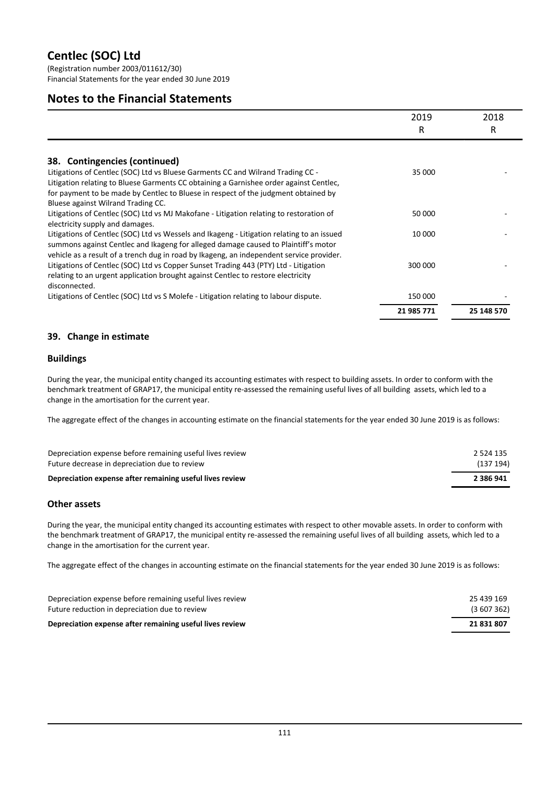(Registration number 2003/011612/30) Financial Statements for the year ended 30 June 2019

# **Notes to the Financial Statements**

|                                                                                            | 2019       | 2018       |
|--------------------------------------------------------------------------------------------|------------|------------|
|                                                                                            | R          | R          |
| 38. Contingencies (continued)                                                              |            |            |
|                                                                                            |            |            |
| Litigations of Centlec (SOC) Ltd vs Bluese Garments CC and Wilrand Trading CC -            | 35 000     |            |
| Litigation relating to Bluese Garments CC obtaining a Garnishee order against Centlec,     |            |            |
| for payment to be made by Centlec to Bluese in respect of the judgment obtained by         |            |            |
| Bluese against Wilrand Trading CC.                                                         |            |            |
| Litigations of Centlec (SOC) Ltd vs MJ Makofane - Litigation relating to restoration of    | 50 000     |            |
| electricity supply and damages.                                                            |            |            |
| Litigations of Centlec (SOC) Ltd vs Wessels and Ikageng - Litigation relating to an issued | 10 000     |            |
| summons against Centlec and Ikageng for alleged damage caused to Plaintiff's motor         |            |            |
| vehicle as a result of a trench dug in road by Ikageng, an independent service provider.   |            |            |
| Litigations of Centlec (SOC) Ltd vs Copper Sunset Trading 443 (PTY) Ltd - Litigation       | 300 000    |            |
| relating to an urgent application brought against Centlec to restore electricity           |            |            |
| disconnected.                                                                              |            |            |
| Litigations of Centlec (SOC) Ltd vs S Molefe - Litigation relating to labour dispute.      | 150 000    |            |
|                                                                                            | 21 985 771 | 25 148 570 |
|                                                                                            |            |            |

### **39. Change in estimate**

### **Buildings**

During the year, the municipal entity changed its accounting estimates with respect to building assets. In order to conform with the benchmark treatment of GRAP17, the municipal entity re-assessed the remaining useful lives of all building assets, which led to a change in the amortisation for the current year.

The aggregate effect of the changes in accounting estimate on the financial statements for the year ended 30 June 2019 is as follows:

| Depreciation expense after remaining useful lives review  | 2 3 8 6 9 4 1 |
|-----------------------------------------------------------|---------------|
| Depreciation expense before remaining useful lives review | 2 5 2 4 1 3 5 |
| Future decrease in depreciation due to review             | (137 194)     |

### **Other assets**

During the year, the municipal entity changed its accounting estimates with respect to other movable assets. In order to conform with the benchmark treatment of GRAP17, the municipal entity re-assessed the remaining useful lives of all building assets, which led to a change in the amortisation for the current year.

The aggregate effect of the changes in accounting estimate on the financial statements for the year ended 30 June 2019 is as follows:

| Depreciation expense after remaining useful lives review  | 21 831 807 |
|-----------------------------------------------------------|------------|
| Future reduction in depreciation due to review            | (3607362)  |
| Depreciation expense before remaining useful lives review | 25 439 169 |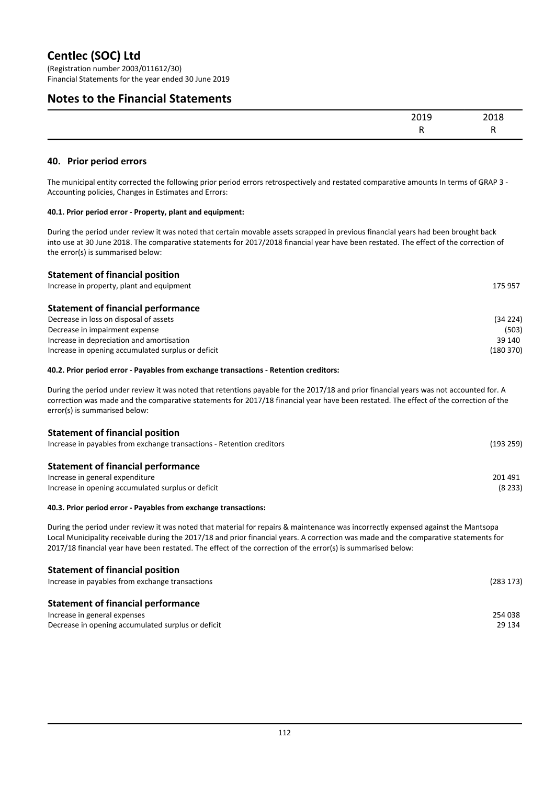(Registration number 2003/011612/30) Financial Statements for the year ended 30 June 2019

## **Notes to the Financial Statements**

| $\sim$ $\sim$<br>- 777 | ንበ1<br>-516 |
|------------------------|-------------|
|                        |             |

### **40. Prior period errors**

The municipal entity corrected the following prior period errors retrospectively and restated comparative amounts In terms of GRAP 3 - Accounting policies, Changes in Estimates and Errors:

### **40.1. Prior period error - Property, plant and equipment:**

During the period under review it was noted that certain movable assets scrapped in previous financial years had been brought back into use at 30 June 2018. The comparative statements for 2017/2018 financial year have been restated. The effect of the correction of the error(s) is summarised below:

| <b>Statement of financial position</b>             |           |
|----------------------------------------------------|-----------|
| Increase in property, plant and equipment          | 175 957   |
| Statement of financial performance                 |           |
| Decrease in loss on disposal of assets             | (34224)   |
| Decrease in impairment expense                     | (503)     |
| Increase in depreciation and amortisation          | 39 140    |
| Increase in opening accumulated surplus or deficit | (180 370) |

#### **40.2. Prior period error - Payables from exchange transactions - Retention creditors:**

During the period under review it was noted that retentions payable for the 2017/18 and prior financial years was not accounted for. A correction was made and the comparative statements for 2017/18 financial year have been restated. The effect of the correction of the error(s) is summarised below:

| (193 259) |
|-----------|
|           |
| 201491    |
| (8233)    |
|           |

#### **40.3. Prior period error - Payables from exchange transactions:**

During the period under review it was noted that material for repairs & maintenance was incorrectly expensed against the Mantsopa Local Municipality receivable during the 2017/18 and prior financial years. A correction was made and the comparative statements for 2017/18 financial year have been restated. The effect of the correction of the error(s) is summarised below:

### **Statement of financial position**

| Increase in payables from exchange transactions    | (283173) |
|----------------------------------------------------|----------|
| Statement of financial performance                 |          |
| Increase in general expenses                       | 254 038  |
| Decrease in opening accumulated surplus or deficit | 29 134   |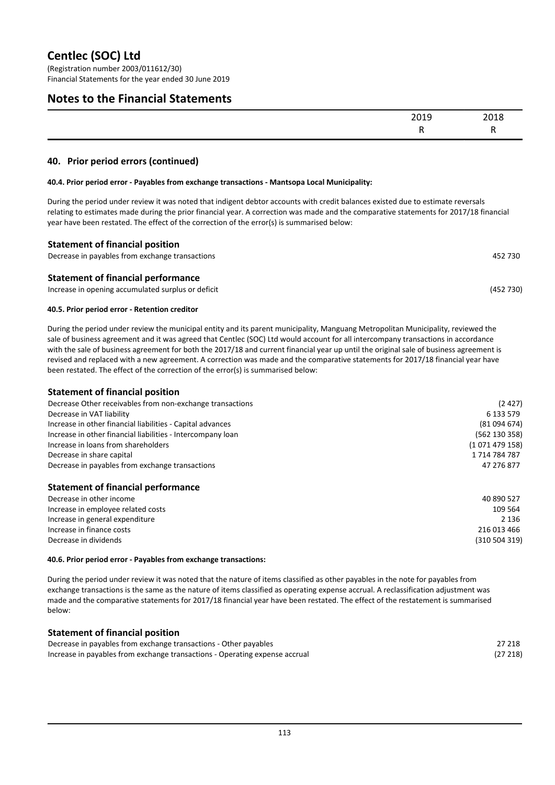(Registration number 2003/011612/30) Financial Statements for the year ended 30 June 2019

## **Notes to the Financial Statements**

| 201 <sup>2</sup><br>2013 | 201<br>∽∪⊤໐ |
|--------------------------|-------------|
| . .                      | .,          |

### **40. Prior period errors (continued)**

#### **40.4. Prior period error - Payables from exchange transactions - Mantsopa Local Municipality:**

During the period under review it was noted that indigent debtor accounts with credit balances existed due to estimate reversals relating to estimates made during the prior financial year. A correction was made and the comparative statements for 2017/18 financial year have been restated. The effect of the correction of the error(s) is summarised below:

| Statement of financial position<br>Decrease in payables from exchange transactions       | 452 730   |
|------------------------------------------------------------------------------------------|-----------|
| Statement of financial performance<br>Increase in opening accumulated surplus or deficit | (452 730) |

#### **40.5. Prior period error - Retention creditor**

During the period under review the municipal entity and its parent municipality, Manguang Metropolitan Municipality, reviewed the sale of business agreement and it was agreed that Centlec (SOC) Ltd would account for all intercompany transactions in accordance with the sale of business agreement for both the 2017/18 and current financial year up until the original sale of business agreement is revised and replaced with a new agreement. A correction was made and the comparative statements for 2017/18 financial year have been restated. The effect of the correction of the error(s) is summarised below:

#### **Statement of financial position**

| Decrease Other receivables from non-exchange transactions   | (2427)        |
|-------------------------------------------------------------|---------------|
| Decrease in VAT liability                                   | 6 133 579     |
| Increase in other financial liabilities - Capital advances  | (81 094 674)  |
| Increase in other financial liabilities - Intercompany loan | (562 130 358) |
| Increase in loans from shareholders                         | (1071479158)  |
| Decrease in share capital                                   | 1 714 784 787 |
| Decrease in payables from exchange transactions             | 47 276 877    |
|                                                             |               |

### **Statement of financial performance**

| Decrease in other income           | 40 890 527    |
|------------------------------------|---------------|
| Increase in employee related costs | 109 564       |
| Increase in general expenditure    | 2 1 3 6       |
| Increase in finance costs          | 216 013 466   |
| Decrease in dividends              | (310 504 319) |
|                                    |               |

#### **40.6. Prior period error - Payables from exchange transactions:**

During the period under review it was noted that the nature of items classified as other payables in the note for payables from exchange transactions is the same as the nature of items classified as operating expense accrual. A reclassification adjustment was made and the comparative statements for 2017/18 financial year have been restated. The effect of the restatement is summarised below:

### **Statement of financial position**

| Decrease in payables from exchange transactions - Other payables            | 27 218   |
|-----------------------------------------------------------------------------|----------|
| Increase in payables from exchange transactions - Operating expense accrual | (27 218) |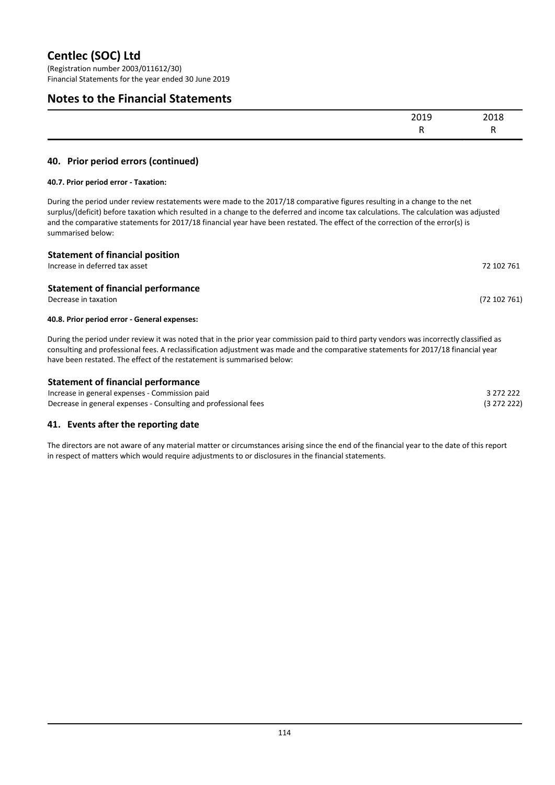(Registration number 2003/011612/30) Financial Statements for the year ended 30 June 2019

# **Notes to the Financial Statements**

| -- - | ___       |
|------|-----------|
|      | $\cdot$ . |

### **40. Prior period errors (continued)**

### **40.7. Prior period error - Taxation:**

**Statement of financial position**

During the period under review restatements were made to the 2017/18 comparative figures resulting in a change to the net surplus/(deficit) before taxation which resulted in a change to the deferred and income tax calculations. The calculation was adjusted and the comparative statements for 2017/18 financial year have been restated. The effect of the correction of the error(s) is summarised below:

| Increase in deferred tax asset                                    | 72 102 761   |
|-------------------------------------------------------------------|--------------|
| <b>Statement of financial performance</b><br>Decrease in taxation | (72 102 761) |

### **40.8. Prior period error - General expenses:**

During the period under review it was noted that in the prior year commission paid to third party vendors was incorrectly classified as consulting and professional fees. A reclassification adjustment was made and the comparative statements for 2017/18 financial year have been restated. The effect of the restatement is summarised below:

| <b>Statement of financial performance</b>                       |             |
|-----------------------------------------------------------------|-------------|
| Increase in general expenses - Commission paid                  | 3 272 222   |
| Decrease in general expenses - Consulting and professional fees | (3 272 222) |

### **41. Events after the reporting date**

The directors are not aware of any material matter or circumstances arising since the end of the financial year to the date of this report in respect of matters which would require adjustments to or disclosures in the financial statements.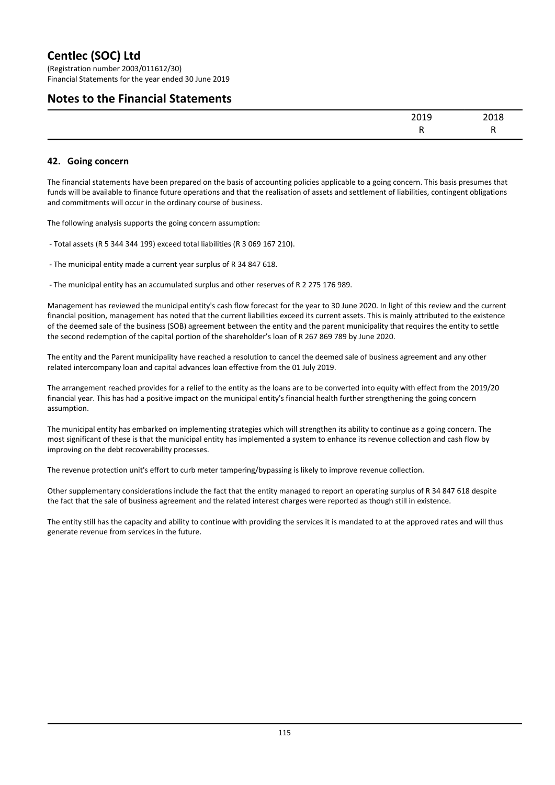(Registration number 2003/011612/30) Financial Statements for the year ended 30 June 2019

# **Notes to the Financial Statements**

| 0.11<br>$-0 - -$ | $\sim$ $\sim$ $\sim$ $\sim$ $\sim$ $\sim$ |
|------------------|-------------------------------------------|
|                  | . .                                       |

### **42. Going concern**

The financial statements have been prepared on the basis of accounting policies applicable to a going concern. This basis presumes that funds will be available to finance future operations and that the realisation of assets and settlement of liabilities, contingent obligations and commitments will occur in the ordinary course of business.

The following analysis supports the going concern assumption:

- Total assets (R 5 344 344 199) exceed total liabilities (R 3 069 167 210).

- The municipal entity made a current year surplus of R 34 847 618.

- The municipal entity has an accumulated surplus and other reserves of R 2 275 176 989.

Management has reviewed the municipal entity's cash flow forecast for the year to 30 June 2020. In light of this review and the current financial position, management has noted that the current liabilities exceed its current assets. This is mainly attributed to the existence of the deemed sale of the business (SOB) agreement between the entity and the parent municipality that requires the entity to settle the second redemption of the capital portion of the shareholder's loan of R 267 869 789 by June 2020.

The entity and the Parent municipality have reached a resolution to cancel the deemed sale of business agreement and any other related intercompany loan and capital advances loan effective from the 01 July 2019.

The arrangement reached provides for a relief to the entity as the loans are to be converted into equity with effect from the 2019/20 financial year. This has had a positive impact on the municipal entity's financial health further strengthening the going concern assumption.

The municipal entity has embarked on implementing strategies which will strengthen its ability to continue as a going concern. The most significant of these is that the municipal entity has implemented a system to enhance its revenue collection and cash flow by improving on the debt recoverability processes.

The revenue protection unit's effort to curb meter tampering/bypassing is likely to improve revenue collection.

Other supplementary considerations include the fact that the entity managed to report an operating surplus of R 34 847 618 despite the fact that the sale of business agreement and the related interest charges were reported as though still in existence.

The entity still has the capacity and ability to continue with providing the services it is mandated to at the approved rates and will thus generate revenue from services in the future.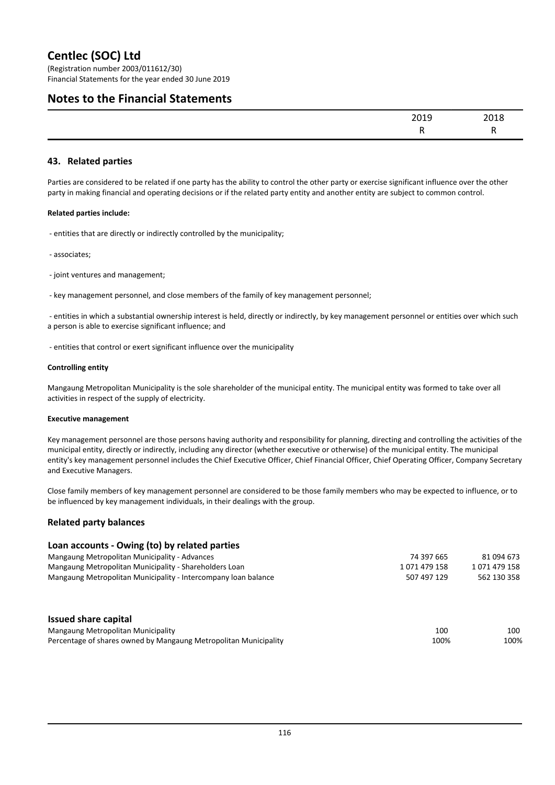(Registration number 2003/011612/30) Financial Statements for the year ended 30 June 2019

## **Notes to the Financial Statements**

|  | .u.<br>$\sim$ $\sim$ |
|--|----------------------|
|  |                      |

### **43. Related parties**

Parties are considered to be related if one party has the ability to control the other party or exercise significant influence over the other party in making financial and operating decisions or if the related party entity and another entity are subject to common control.

#### **Related parties include:**

- entities that are directly or indirectly controlled by the municipality;

- associates;
- joint ventures and management;

- key management personnel, and close members of the family of key management personnel;

 - entities in which a substantial ownership interest is held, directly or indirectly, by key management personnel or entities over which such a person is able to exercise significant influence; and

- entities that control or exert significant influence over the municipality

### **Controlling entity**

Mangaung Metropolitan Municipality is the sole shareholder of the municipal entity. The municipal entity was formed to take over all activities in respect of the supply of electricity.

#### **Executive management**

Key management personnel are those persons having authority and responsibility for planning, directing and controlling the activities of the municipal entity, directly or indirectly, including any director (whether executive or otherwise) of the municipal entity. The municipal entity's key management personnel includes the Chief Executive Officer, Chief Financial Officer, Chief Operating Officer, Company Secretary and Executive Managers.

Close family members of key management personnel are considered to be those family members who may be expected to influence, or to be influenced by key management individuals, in their dealings with the group.

### **Related party balances**

| Loan accounts - Owing (to) by related parties                    |             |             |
|------------------------------------------------------------------|-------------|-------------|
| Mangaung Metropolitan Municipality - Advances                    | 74 397 665  | 81 094 673  |
| Mangaung Metropolitan Municipality - Shareholders Loan           | 1071479158  | 1071479158  |
| Mangaung Metropolitan Municipality - Intercompany Ioan balance   | 507 497 129 | 562 130 358 |
|                                                                  |             |             |
| <b>Issued share capital</b>                                      |             |             |
| Mangaung Metropolitan Municipality                               | 100         | 100         |
| Percentage of shares owned by Mangaung Metropolitan Municipality | 100%        | 100%        |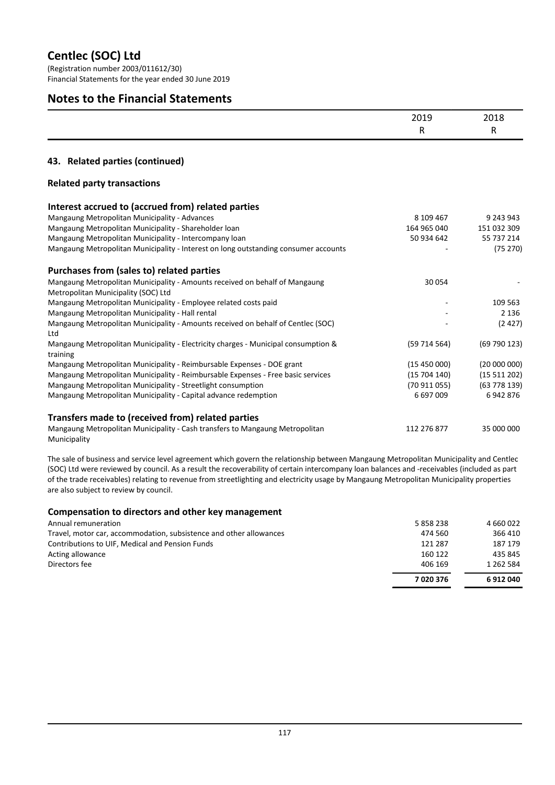(Registration number 2003/011612/30) Financial Statements for the year ended 30 June 2019

# **Notes to the Financial Statements**

|                                                                                                | 2019         | 2018        |
|------------------------------------------------------------------------------------------------|--------------|-------------|
|                                                                                                | R            | R           |
| 43. Related parties (continued)                                                                |              |             |
| <b>Related party transactions</b>                                                              |              |             |
| Interest accrued to (accrued from) related parties                                             |              |             |
| Mangaung Metropolitan Municipality - Advances                                                  | 8 109 4 67   | 9 243 943   |
| Mangaung Metropolitan Municipality - Shareholder Ioan                                          | 164 965 040  | 151 032 309 |
| Mangaung Metropolitan Municipality - Intercompany loan                                         | 50 934 642   | 55 737 214  |
| Mangaung Metropolitan Municipality - Interest on long outstanding consumer accounts            |              | (75 270)    |
| Purchases from (sales to) related parties                                                      |              |             |
| Mangaung Metropolitan Municipality - Amounts received on behalf of Mangaung                    | 30 054       |             |
| Metropolitan Municipality (SOC) Ltd                                                            |              |             |
| Mangaung Metropolitan Municipality - Employee related costs paid                               |              | 109 563     |
| Mangaung Metropolitan Municipality - Hall rental                                               |              | 2 1 3 6     |
| Mangaung Metropolitan Municipality - Amounts received on behalf of Centlec (SOC)<br>Ltd        |              | (2427)      |
| Mangaung Metropolitan Municipality - Electricity charges - Municipal consumption &<br>training | (59714564)   | (69790123)  |
| Mangaung Metropolitan Municipality - Reimbursable Expenses - DOE grant                         | (15 450 000) | (2000000)   |
| Mangaung Metropolitan Municipality - Reimbursable Expenses - Free basic services               | (15704140)   | (15511202)  |
| Mangaung Metropolitan Municipality - Streetlight consumption                                   | (70911055)   | (63778139)  |
| Mangaung Metropolitan Municipality - Capital advance redemption                                | 6697009      | 6942876     |
| Transfers made to (received from) related parties                                              |              |             |
| Mangaung Metropolitan Municipality - Cash transfers to Mangaung Metropolitan<br>Municipality   | 112 276 877  | 35 000 000  |

The sale of business and service level agreement which govern the relationship between Mangaung Metropolitan Municipality and Centlec (SOC) Ltd were reviewed by council. As a result the recoverability of certain intercompany loan balances and -receivables (included as part of the trade receivables) relating to revenue from streetlighting and electricity usage by Mangaung Metropolitan Municipality properties are also subject to review by council.

### **Compensation to directors and other key management**

|                                                                    | 7020376   | 6 912 040 |
|--------------------------------------------------------------------|-----------|-----------|
| Directors fee                                                      | 406 169   | 1 262 584 |
| Acting allowance                                                   | 160 122   | 435 845   |
| Contributions to UIF, Medical and Pension Funds                    | 121 287   | 187 179   |
| Travel, motor car, accommodation, subsistence and other allowances | 474 560   | 366 410   |
| Annual remuneration                                                | 5 858 238 | 4 660 022 |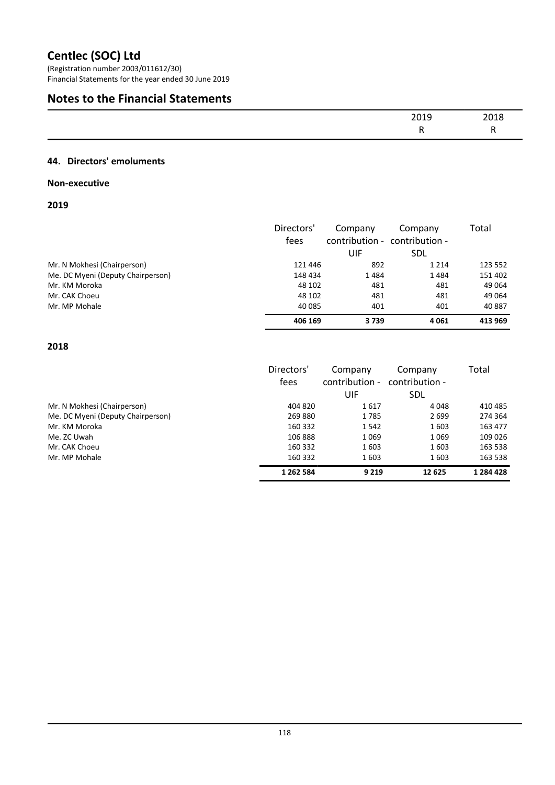(Registration number 2003/011612/30) Financial Statements for the year ended 30 June 2019

## **Notes to the Financial Statements**

| --- | .<br>. U 1 |
|-----|------------|
|     | . .        |

### **44. Directors' emoluments**

### **Non-executive**

**2019**

|                                   | Directors'<br>fees | Company<br>UIF | Company<br>contribution - contribution -<br>SDL | Total   |
|-----------------------------------|--------------------|----------------|-------------------------------------------------|---------|
| Mr. N Mokhesi (Chairperson)       | 121 446            | 892            | 1 2 1 4                                         | 123 552 |
| Me. DC Myeni (Deputy Chairperson) | 148 434            | 1484           | 1484                                            | 151 402 |
| Mr. KM Moroka                     | 48 102             | 481            | 481                                             | 49 0 64 |
| Mr. CAK Choeu                     | 48 102             | 481            | 481                                             | 49 0 64 |
| Mr. MP Mohale                     | 40 085             | 401            | 401                                             | 40887   |
|                                   | 406 169            | 3739           | 4061                                            | 413 969 |

### **2018**

|                                   | Directors'<br>fees | Company<br>contribution -<br>UIF | Company<br>contribution -<br>SDL | Total     |
|-----------------------------------|--------------------|----------------------------------|----------------------------------|-----------|
| Mr. N Mokhesi (Chairperson)       | 404 820            | 1617                             | 4048                             | 410 485   |
| Me. DC Myeni (Deputy Chairperson) | 269880             | 1785                             | 2699                             | 274 364   |
| Mr. KM Moroka                     | 160 332            | 1542                             | 1603                             | 163 477   |
| Me. ZC Uwah                       | 106888             | 1069                             | 1069                             | 109 026   |
| Mr. CAK Choeu                     | 160 332            | 1603                             | 1603                             | 163 538   |
| Mr. MP Mohale                     | 160 332            | 1603                             | 1603                             | 163 538   |
|                                   | 1 262 584          | 9 2 1 9                          | 12 625                           | 1 284 428 |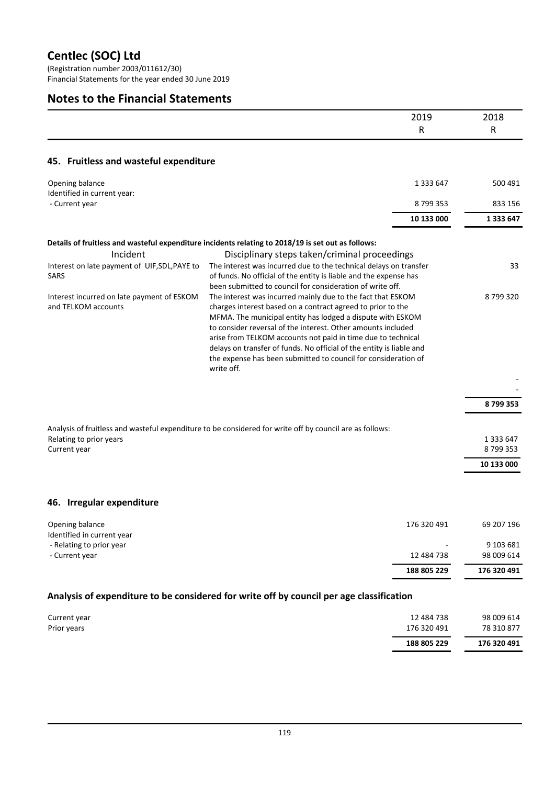(Registration number 2003/011612/30) Financial Statements for the year ended 30 June 2019

## **Notes to the Financial Statements**

|                                                                   | 2019                                                                                                                                                                                                                                                                                                                                                                                                                                                                             | 2018        |
|-------------------------------------------------------------------|----------------------------------------------------------------------------------------------------------------------------------------------------------------------------------------------------------------------------------------------------------------------------------------------------------------------------------------------------------------------------------------------------------------------------------------------------------------------------------|-------------|
|                                                                   | R                                                                                                                                                                                                                                                                                                                                                                                                                                                                                | R           |
| 45. Fruitless and wasteful expenditure                            |                                                                                                                                                                                                                                                                                                                                                                                                                                                                                  |             |
|                                                                   |                                                                                                                                                                                                                                                                                                                                                                                                                                                                                  |             |
| Opening balance                                                   | 1 3 3 6 4 7                                                                                                                                                                                                                                                                                                                                                                                                                                                                      | 500 491     |
| Identified in current year:<br>- Current year                     | 8799353                                                                                                                                                                                                                                                                                                                                                                                                                                                                          | 833 156     |
|                                                                   | 10 133 000                                                                                                                                                                                                                                                                                                                                                                                                                                                                       | 1 333 647   |
|                                                                   | Details of fruitless and wasteful expenditure incidents relating to 2018/19 is set out as follows:                                                                                                                                                                                                                                                                                                                                                                               |             |
| Incident                                                          | Disciplinary steps taken/criminal proceedings                                                                                                                                                                                                                                                                                                                                                                                                                                    |             |
| Interest on late payment of UIF, SDL, PAYE to<br>SARS             | The interest was incurred due to the technical delays on transfer<br>of funds. No official of the entity is liable and the expense has<br>been submitted to council for consideration of write off.                                                                                                                                                                                                                                                                              | 33          |
| Interest incurred on late payment of ESKOM<br>and TELKOM accounts | The interest was incurred mainly due to the fact that ESKOM<br>charges interest based on a contract agreed to prior to the<br>MFMA. The municipal entity has lodged a dispute with ESKOM<br>to consider reversal of the interest. Other amounts included<br>arise from TELKOM accounts not paid in time due to technical<br>delays on transfer of funds. No official of the entity is liable and<br>the expense has been submitted to council for consideration of<br>write off. | 8799320     |
|                                                                   |                                                                                                                                                                                                                                                                                                                                                                                                                                                                                  |             |
|                                                                   |                                                                                                                                                                                                                                                                                                                                                                                                                                                                                  | 8799353     |
| Relating to prior years                                           | Analysis of fruitless and wasteful expenditure to be considered for write off by council are as follows:                                                                                                                                                                                                                                                                                                                                                                         | 1 3 3 6 4 7 |
| Current year                                                      |                                                                                                                                                                                                                                                                                                                                                                                                                                                                                  | 8799353     |
|                                                                   |                                                                                                                                                                                                                                                                                                                                                                                                                                                                                  | 10 133 000  |
| 46. Irregular expenditure                                         |                                                                                                                                                                                                                                                                                                                                                                                                                                                                                  |             |
| Opening balance<br>Identified in current year                     | 176 320 491                                                                                                                                                                                                                                                                                                                                                                                                                                                                      | 69 207 196  |
| - Relating to prior year                                          |                                                                                                                                                                                                                                                                                                                                                                                                                                                                                  | 9 103 681   |
| - Current year                                                    | 12 484 738                                                                                                                                                                                                                                                                                                                                                                                                                                                                       | 98 009 614  |
|                                                                   |                                                                                                                                                                                                                                                                                                                                                                                                                                                                                  | 176 320 491 |

|              | 188 805 229 | 176 320 491 |
|--------------|-------------|-------------|
| Prior years  | 176 320 491 | 78 310 877  |
| Current year | 12 484 738  | 98 009 614  |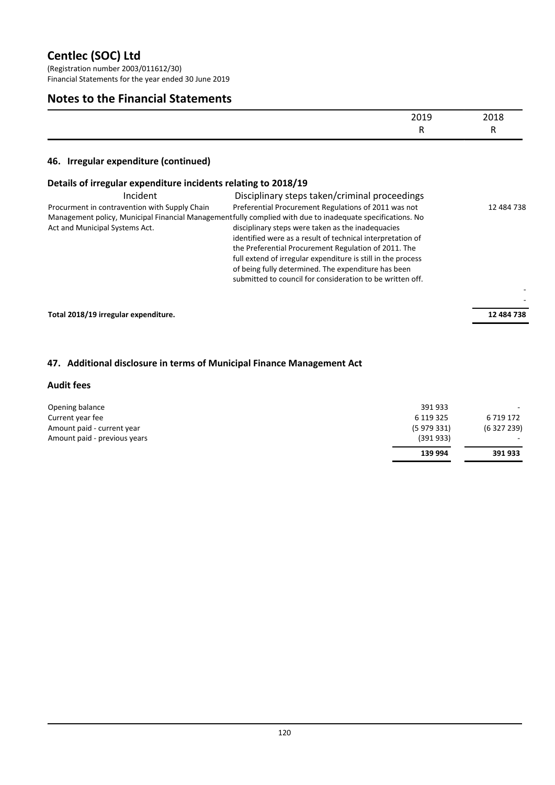(Registration number 2003/011612/30) Financial Statements for the year ended 30 June 2019

## **Notes to the Financial Statements**

|                                                                |                                                                                                           | 2019 | 2018       |
|----------------------------------------------------------------|-----------------------------------------------------------------------------------------------------------|------|------------|
|                                                                |                                                                                                           | R    | R          |
| 46. Irregular expenditure (continued)                          |                                                                                                           |      |            |
| Details of irregular expenditure incidents relating to 2018/19 |                                                                                                           |      |            |
| Incident                                                       | Disciplinary steps taken/criminal proceedings                                                             |      |            |
| Procurment in contravention with Supply Chain                  | Preferential Procurement Regulations of 2011 was not                                                      |      | 12 484 738 |
|                                                                | Management policy, Municipal Financial Managementfully complied with due to inadequate specifications. No |      |            |
| Act and Municipal Systems Act.                                 | disciplinary steps were taken as the inadequacies                                                         |      |            |
|                                                                | identified were as a result of technical interpretation of                                                |      |            |
|                                                                | the Preferential Procurement Regulation of 2011. The                                                      |      |            |
|                                                                | full extend of irregular expenditure is still in the process                                              |      |            |
|                                                                | of being fully determined. The expenditure has been                                                       |      |            |
|                                                                | submitted to council for consideration to be written off.                                                 |      |            |

- -

**Total 2018/19 irregular expenditure. 12 484 738**

## **47. Additional disclosure in terms of Municipal Finance Management Act**

### **Audit fees**

|                              | 139 994       | 391 933                  |
|------------------------------|---------------|--------------------------|
| Amount paid - previous years | (391933)      | $\overline{\phantom{a}}$ |
| Amount paid - current year   | (5979331)     | (6327239)                |
| Current year fee             | 6 1 1 9 3 2 5 | 6 719 172                |
| Opening balance              | 391 933       | $\sim$                   |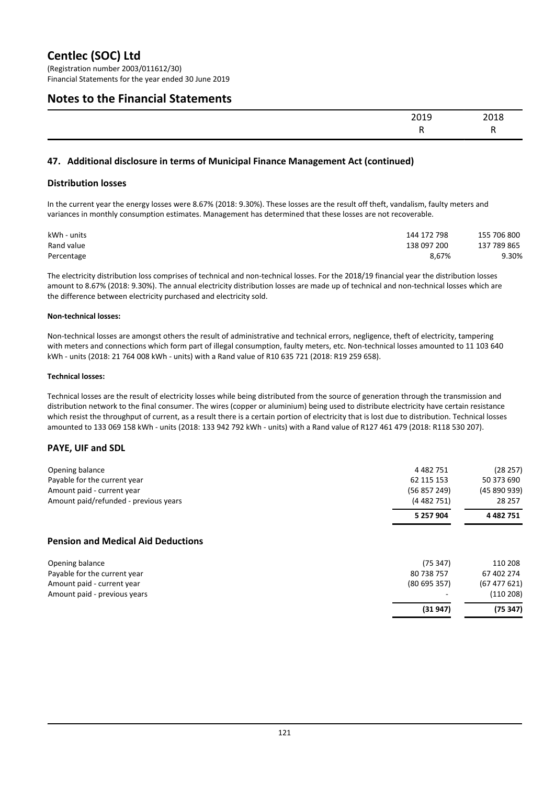(Registration number 2003/011612/30) Financial Statements for the year ended 30 June 2019

## **Notes to the Financial Statements**

| <u>___</u> | -5-5 |
|------------|------|
|            | . .  |

### **47. Additional disclosure in terms of Municipal Finance Management Act (continued)**

### **Distribution losses**

In the current year the energy losses were 8.67% (2018: 9.30%). These losses are the result off theft, vandalism, faulty meters and variances in monthly consumption estimates. Management has determined that these losses are not recoverable.

| kWh - units | 144 172 798 | 155 706 800 |
|-------------|-------------|-------------|
| Rand value  | 138 097 200 | 137 789 865 |
| Percentage  | 8,67%       | 9.30%       |

The electricity distribution loss comprises of technical and non-technical losses. For the 2018/19 financial year the distribution losses amount to 8.67% (2018: 9.30%). The annual electricity distribution losses are made up of technical and non-technical losses which are the difference between electricity purchased and electricity sold.

#### **Non-technical losses:**

Non-technical losses are amongst others the result of administrative and technical errors, negligence, theft of electricity, tampering with meters and connections which form part of illegal consumption, faulty meters, etc. Non-technical losses amounted to 11 103 640 kWh - units (2018: 21 764 008 kWh - units) with a Rand value of R10 635 721 (2018: R19 259 658).

#### **Technical losses:**

Technical losses are the result of electricity losses while being distributed from the source of generation through the transmission and distribution network to the final consumer. The wires (copper or aluminium) being used to distribute electricity have certain resistance which resist the throughput of current, as a result there is a certain portion of electricity that is lost due to distribution. Technical losses amounted to 133 069 158 kWh - units (2018: 133 942 792 kWh - units) with a Rand value of R127 461 479 (2018: R118 530 207).

### **PAYE, UIF and SDL**

| Opening balance<br>Payable for the current year<br>Amount paid - current year<br>Amount paid/refunded - previous years | 4 4 8 2 7 5 1<br>62 115 153<br>(56857249)<br>(4482751) | (28 257)<br>50 373 690<br>(45890939)<br>28 257 |
|------------------------------------------------------------------------------------------------------------------------|--------------------------------------------------------|------------------------------------------------|
|                                                                                                                        | 5 257 904                                              | 4 4 8 2 7 5 1                                  |
| <b>Pension and Medical Aid Deductions</b>                                                                              |                                                        |                                                |
| Opening balance                                                                                                        | (75347)                                                | 110 208                                        |
| Payable for the current year                                                                                           | 80 738 757                                             | 67 402 274                                     |
| Amount paid - current year                                                                                             | (80695357)                                             | (67477621)                                     |
| Amount paid - previous years                                                                                           |                                                        | (110 208)                                      |
|                                                                                                                        | (31947)                                                | (75347)                                        |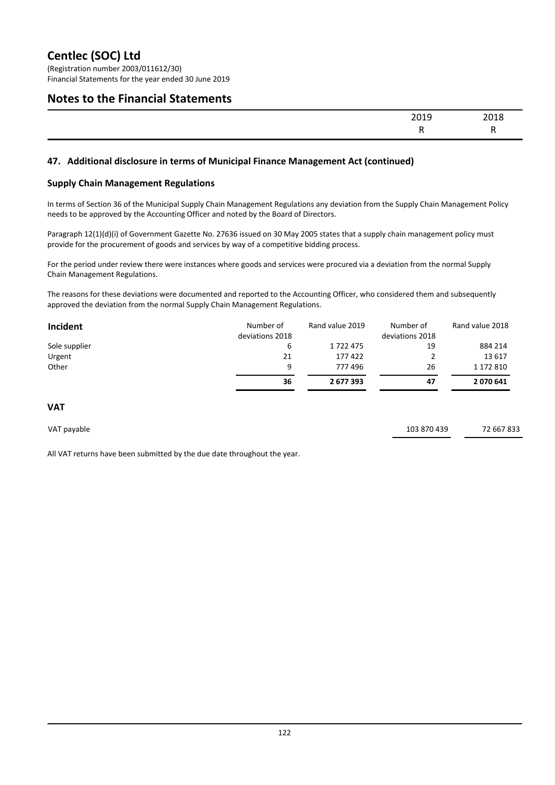(Registration number 2003/011612/30) Financial Statements for the year ended 30 June 2019

## **Notes to the Financial Statements**

| --- | ╌   |
|-----|-----|
|     | . . |

### **47. Additional disclosure in terms of Municipal Finance Management Act (continued)**

### **Supply Chain Management Regulations**

In terms of Section 36 of the Municipal Supply Chain Management Regulations any deviation from the Supply Chain Management Policy needs to be approved by the Accounting Officer and noted by the Board of Directors.

Paragraph 12(1)(d)(i) of Government Gazette No. 27636 issued on 30 May 2005 states that a supply chain management policy must provide for the procurement of goods and services by way of a competitive bidding process.

For the period under review there were instances where goods and services were procured via a deviation from the normal Supply Chain Management Regulations.

The reasons for these deviations were documented and reported to the Accounting Officer, who considered them and subsequently approved the deviation from the normal Supply Chain Management Regulations.

| Incident      | Number of<br>deviations 2018 | Rand value 2019 | Number of<br>deviations 2018 | Rand value 2018 |
|---------------|------------------------------|-----------------|------------------------------|-----------------|
| Sole supplier | 6                            | 1722475         | 19                           | 884 214         |
| Urgent        | 21                           | 177422          |                              | 13 6 17         |
| Other         | 9                            | 777 496         | 26                           | 1 172 810       |
|               | 36                           | 2677393         | 47                           | 2070641         |

### **VAT**

| VAT payable | 103 870 439<br>. | 2 667 833 |
|-------------|------------------|-----------|
|             |                  |           |

All VAT returns have been submitted by the due date throughout the year.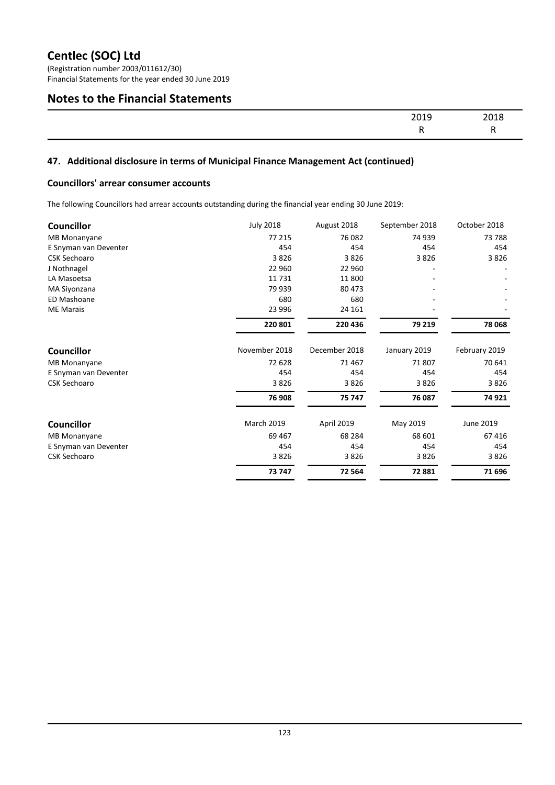(Registration number 2003/011612/30) Financial Statements for the year ended 30 June 2019

# **Notes to the Financial Statements**

| $2010$<br>2013 | - -<br>⊥⊂<br>___ |
|----------------|------------------|
|                | . .              |

## **47. Additional disclosure in terms of Municipal Finance Management Act (continued)**

### **Councillors' arrear consumer accounts**

The following Councillors had arrear accounts outstanding during the financial year ending 30 June 2019:

| <b>Councillor</b>     | <b>July 2018</b>  | August 2018   | September 2018 | October 2018  |
|-----------------------|-------------------|---------------|----------------|---------------|
| MB Monanyane          | 77 215            | 76 082        | 74 939         | 73 788        |
| E Snyman van Deventer | 454               | 454           | 454            | 454           |
| <b>CSK Sechoaro</b>   | 3826              | 3826          | 3826           | 3826          |
| J Nothnagel           | 22 960            | 22 960        |                |               |
| LA Masoetsa           | 11731             | 11 800        |                |               |
| MA Siyonzana          | 79 939            | 80 473        |                |               |
| <b>ED Mashoane</b>    | 680               | 680           |                |               |
| <b>ME Marais</b>      | 23 996            | 24 161        |                |               |
|                       | 220 801           | 220 436       | 79 219         | 78 068        |
| <b>Councillor</b>     | November 2018     | December 2018 | January 2019   | February 2019 |
| MB Monanyane          | 72 628            | 71 467        | 71807          | 70 641        |
| E Snyman van Deventer | 454               | 454           | 454            | 454           |
| <b>CSK Sechoaro</b>   | 3826              | 3826          | 3826           | 3826          |
|                       | 76 908            | 75 747        | 76 087         | 74 921        |
| <b>Councillor</b>     | <b>March 2019</b> | April 2019    | May 2019       | June 2019     |
| MB Monanyane          | 69 4 67           | 68 2 84       | 68 601         | 67416         |
| E Snyman van Deventer | 454               | 454           | 454            | 454           |
| <b>CSK Sechoaro</b>   | 3826              | 3826          | 3826           | 3826          |
|                       | 73 747            | 72 564        | 72881          | 71 696        |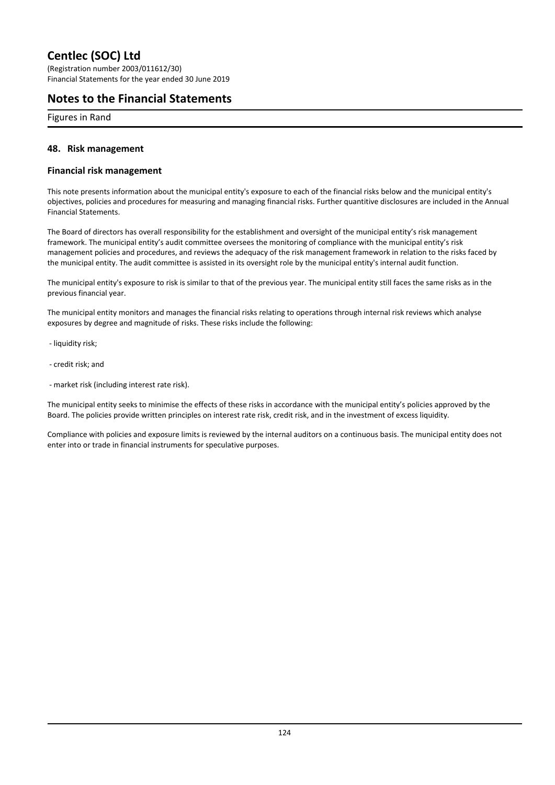(Registration number 2003/011612/30) Financial Statements for the year ended 30 June 2019

# **Notes to the Financial Statements**

Figures in Rand

### **48. Risk management**

### **Financial risk management**

This note presents information about the municipal entity's exposure to each of the financial risks below and the municipal entity's objectives, policies and procedures for measuring and managing financial risks. Further quantitive disclosures are included in the Annual Financial Statements.

The Board of directors has overall responsibility for the establishment and oversight of the municipal entity's risk management framework. The municipal entity's audit committee oversees the monitoring of compliance with the municipal entity's risk management policies and procedures, and reviews the adequacy of the risk management framework in relation to the risks faced by the municipal entity. The audit committee is assisted in its oversight role by the municipal entity's internal audit function.

The municipal entity's exposure to risk is similar to that of the previous year. The municipal entity still faces the same risks as in the previous financial year.

The municipal entity monitors and manages the financial risks relating to operations through internal risk reviews which analyse exposures by degree and magnitude of risks. These risks include the following:

- liquidity risk;
- credit risk; and
- market risk (including interest rate risk).

The municipal entity seeks to minimise the effects of these risks in accordance with the municipal entity's policies approved by the Board. The policies provide written principles on interest rate risk, credit risk, and in the investment of excess liquidity.

Compliance with policies and exposure limits is reviewed by the internal auditors on a continuous basis. The municipal entity does not enter into or trade in financial instruments for speculative purposes.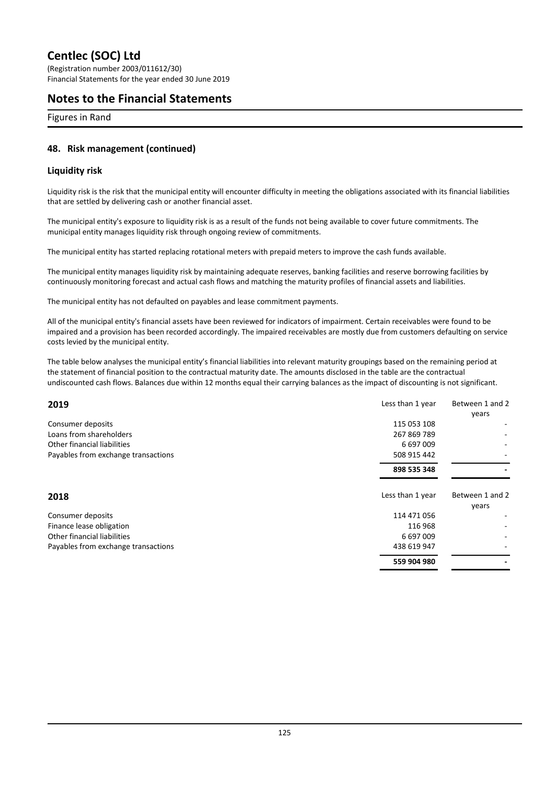(Registration number 2003/011612/30) Financial Statements for the year ended 30 June 2019

## **Notes to the Financial Statements**

Figures in Rand

### **48. Risk management (continued)**

### **Liquidity risk**

Liquidity risk is the risk that the municipal entity will encounter difficulty in meeting the obligations associated with its financial liabilities that are settled by delivering cash or another financial asset.

The municipal entity's exposure to liquidity risk is as a result of the funds not being available to cover future commitments. The municipal entity manages liquidity risk through ongoing review of commitments.

The municipal entity has started replacing rotational meters with prepaid meters to improve the cash funds available.

The municipal entity manages liquidity risk by maintaining adequate reserves, banking facilities and reserve borrowing facilities by continuously monitoring forecast and actual cash flows and matching the maturity profiles of financial assets and liabilities.

The municipal entity has not defaulted on payables and lease commitment payments.

All of the municipal entity's financial assets have been reviewed for indicators of impairment. Certain receivables were found to be impaired and a provision has been recorded accordingly. The impaired receivables are mostly due from customers defaulting on service costs levied by the municipal entity.

The table below analyses the municipal entity's financial liabilities into relevant maturity groupings based on the remaining period at the statement of financial position to the contractual maturity date. The amounts disclosed in the table are the contractual undiscounted cash flows. Balances due within 12 months equal their carrying balances as the impact of discounting is not significant.

| 2019                                | Less than 1 year | Between 1 and 2 |
|-------------------------------------|------------------|-----------------|
|                                     |                  | years           |
| Consumer deposits                   | 115 053 108      |                 |
| Loans from shareholders             | 267 869 789      |                 |
| Other financial liabilities         | 6697009          |                 |
| Payables from exchange transactions | 508 915 442      |                 |
|                                     | 898 535 348      |                 |
| 2018                                | Less than 1 year | Between 1 and 2 |
|                                     |                  | years           |
| Consumer deposits                   | 114 471 056      |                 |
| Finance lease obligation            | 116 968          |                 |
| Other financial liabilities         | 6697009          |                 |
| Payables from exchange transactions | 438 619 947      |                 |
|                                     | 559 904 980      |                 |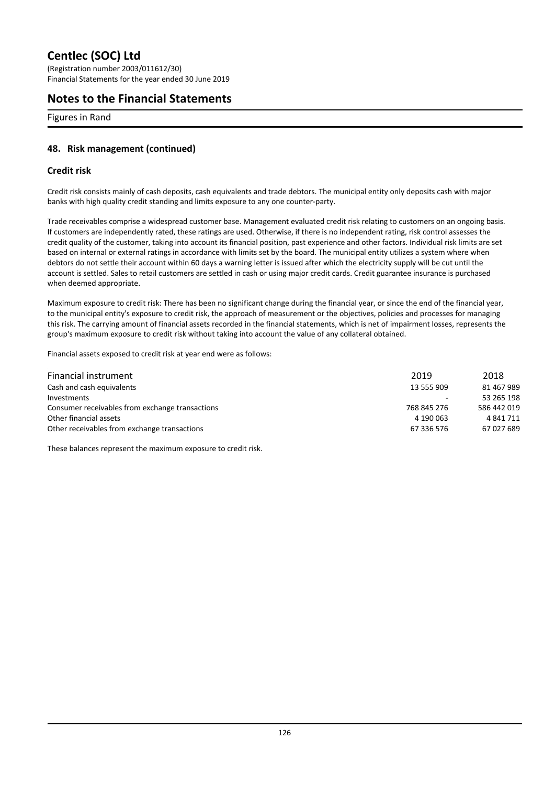(Registration number 2003/011612/30) Financial Statements for the year ended 30 June 2019

# **Notes to the Financial Statements**

Figures in Rand

## **48. Risk management (continued)**

### **Credit risk**

Credit risk consists mainly of cash deposits, cash equivalents and trade debtors. The municipal entity only deposits cash with major banks with high quality credit standing and limits exposure to any one counter-party.

Trade receivables comprise a widespread customer base. Management evaluated credit risk relating to customers on an ongoing basis. If customers are independently rated, these ratings are used. Otherwise, if there is no independent rating, risk control assesses the credit quality of the customer, taking into account its financial position, past experience and other factors. Individual risk limits are set based on internal or external ratings in accordance with limits set by the board. The municipal entity utilizes a system where when debtors do not settle their account within 60 days a warning letter is issued after which the electricity supply will be cut until the account is settled. Sales to retail customers are settled in cash or using major credit cards. Credit guarantee insurance is purchased when deemed appropriate.

Maximum exposure to credit risk: There has been no significant change during the financial year, or since the end of the financial year, to the municipal entity's exposure to credit risk, the approach of measurement or the objectives, policies and processes for managing this risk. The carrying amount of financial assets recorded in the financial statements, which is net of impairment losses, represents the group's maximum exposure to credit risk without taking into account the value of any collateral obtained.

Financial assets exposed to credit risk at year end were as follows:

| Financial instrument                            | 2019        | 2018        |
|-------------------------------------------------|-------------|-------------|
| Cash and cash equivalents                       | 13 555 909  | 81 467 989  |
| Investments                                     |             | 53 265 198  |
| Consumer receivables from exchange transactions | 768 845 276 | 586 442 019 |
| Other financial assets                          | 4 190 063   | 4 841 711   |
| Other receivables from exchange transactions    | 67 336 576  | 67 027 689  |

These balances represent the maximum exposure to credit risk.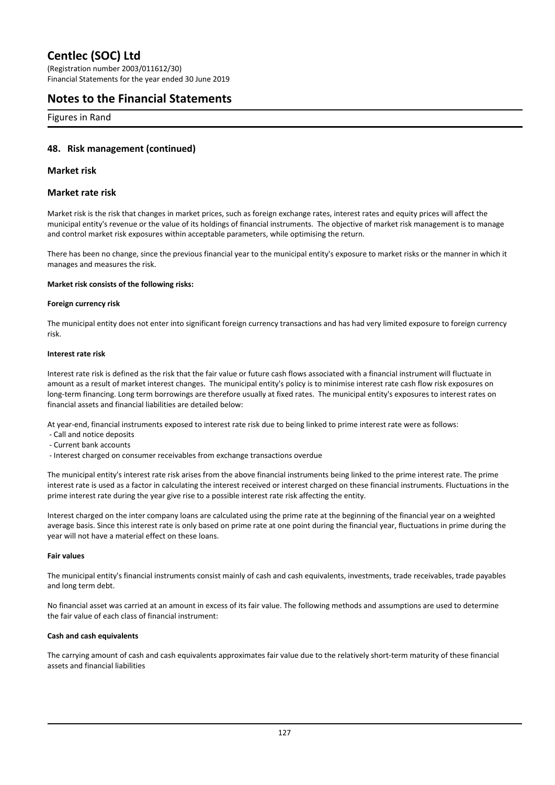(Registration number 2003/011612/30) Financial Statements for the year ended 30 June 2019

## **Notes to the Financial Statements**

### Figures in Rand

### **48. Risk management (continued)**

### **Market risk**

### **Market rate risk**

Market risk is the risk that changes in market prices, such as foreign exchange rates, interest rates and equity prices will affect the municipal entity's revenue or the value of its holdings of financial instruments. The objective of market risk management is to manage and control market risk exposures within acceptable parameters, while optimising the return.

There has been no change, since the previous financial year to the municipal entity's exposure to market risks or the manner in which it manages and measures the risk.

#### **Market risk consists of the following risks:**

#### **Foreign currency risk**

The municipal entity does not enter into significant foreign currency transactions and has had very limited exposure to foreign currency risk.

#### **Interest rate risk**

Interest rate risk is defined as the risk that the fair value or future cash flows associated with a financial instrument will fluctuate in amount as a result of market interest changes. The municipal entity's policy is to minimise interest rate cash flow risk exposures on long-term financing. Long term borrowings are therefore usually at fixed rates. The municipal entity's exposures to interest rates on financial assets and financial liabilities are detailed below:

At year-end, financial instruments exposed to interest rate risk due to being linked to prime interest rate were as follows:

- Call and notice deposits
- Current bank accounts
- Interest charged on consumer receivables from exchange transactions overdue

The municipal entity's interest rate risk arises from the above financial instruments being linked to the prime interest rate. The prime interest rate is used as a factor in calculating the interest received or interest charged on these financial instruments. Fluctuations in the prime interest rate during the year give rise to a possible interest rate risk affecting the entity.

Interest charged on the inter company loans are calculated using the prime rate at the beginning of the financial year on a weighted average basis. Since this interest rate is only based on prime rate at one point during the financial year, fluctuations in prime during the year will not have a material effect on these loans.

#### **Fair values**

The municipal entity's financial instruments consist mainly of cash and cash equivalents, investments, trade receivables, trade payables and long term debt.

No financial asset was carried at an amount in excess of its fair value. The following methods and assumptions are used to determine the fair value of each class of financial instrument:

### **Cash and cash equivalents**

The carrying amount of cash and cash equivalents approximates fair value due to the relatively short-term maturity of these financial assets and financial liabilities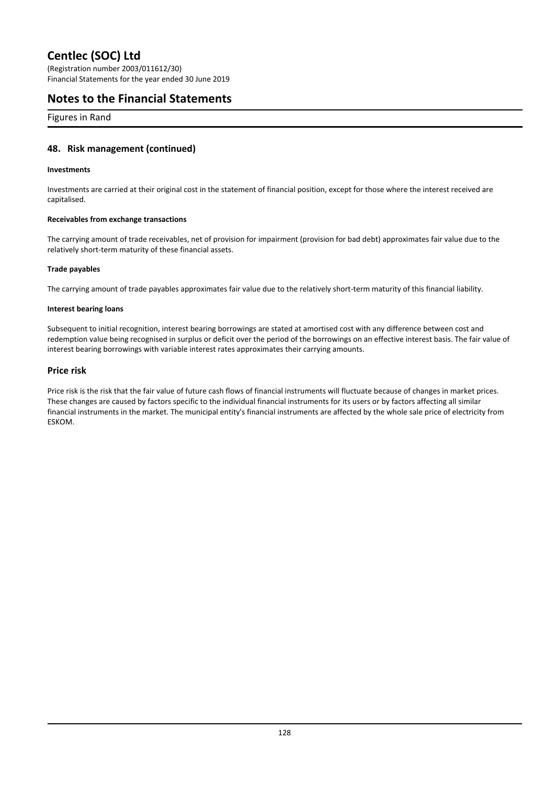(Registration number 2003/011612/30) Financial Statements for the year ended 30 June 2019

# **Notes to the Financial Statements**

Figures in Rand

### **48. Risk management (continued)**

### **Investments**

Investments are carried at their original cost in the statement of financial position, except for those where the interest received are capitalised.

### **Receivables from exchange transactions**

The carrying amount of trade receivables, net of provision for impairment (provision for bad debt) approximates fair value due to the relatively short-term maturity of these financial assets.

### **Trade payables**

The carrying amount of trade payables approximates fair value due to the relatively short-term maturity of this financial liability.

### **Interest bearing loans**

Subsequent to initial recognition, interest bearing borrowings are stated at amortised cost with any difference between cost and redemption value being recognised in surplus or deficit over the period of the borrowings on an effective interest basis. The fair value of interest bearing borrowings with variable interest rates approximates their carrying amounts.

### **Price risk**

Price risk is the risk that the fair value of future cash flows of financial instruments will fluctuate because of changes in market prices. These changes are caused by factors specific to the individual financial instruments for its users or by factors affecting all similar financial instruments in the market. The municipal entity's financial instruments are affected by the whole sale price of electricity from ESKOM.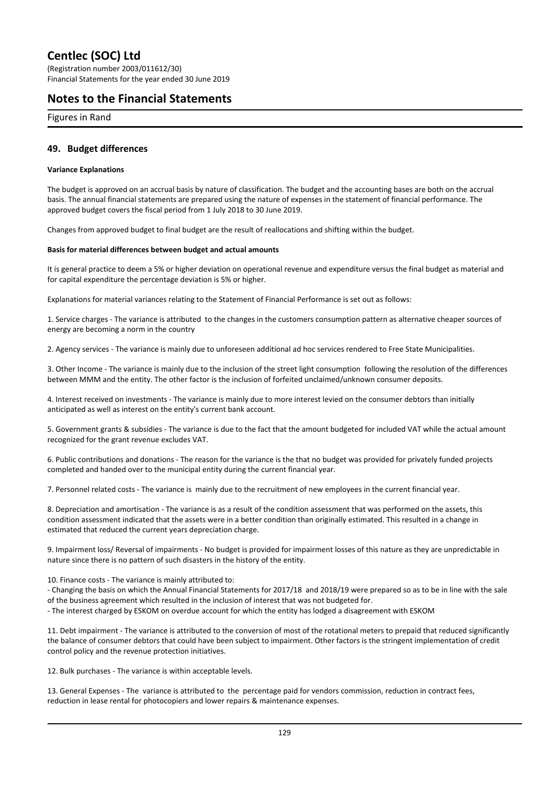(Registration number 2003/011612/30) Financial Statements for the year ended 30 June 2019

# **Notes to the Financial Statements**

Figures in Rand

### **49. Budget differences**

#### **Variance Explanations**

The budget is approved on an accrual basis by nature of classification. The budget and the accounting bases are both on the accrual basis. The annual financial statements are prepared using the nature of expenses in the statement of financial performance. The approved budget covers the fiscal period from 1 July 2018 to 30 June 2019.

Changes from approved budget to final budget are the result of reallocations and shifting within the budget.

#### **Basis for material differences between budget and actual amounts**

It is general practice to deem a 5% or higher deviation on operational revenue and expenditure versus the final budget as material and for capital expenditure the percentage deviation is 5% or higher.

Explanations for material variances relating to the Statement of Financial Performance is set out as follows:

1. Service charges - The variance is attributed to the changes in the customers consumption pattern as alternative cheaper sources of energy are becoming a norm in the country

2. Agency services - The variance is mainly due to unforeseen additional ad hoc services rendered to Free State Municipalities.

3. Other Income - The variance is mainly due to the inclusion of the street light consumption following the resolution of the differences between MMM and the entity. The other factor is the inclusion of forfeited unclaimed/unknown consumer deposits.

4. Interest received on investments - The variance is mainly due to more interest levied on the consumer debtors than initially anticipated as well as interest on the entity's current bank account.

5. Government grants & subsidies - The variance is due to the fact that the amount budgeted for included VAT while the actual amount recognized for the grant revenue excludes VAT.

6. Public contributions and donations - The reason for the variance is the that no budget was provided for privately funded projects completed and handed over to the municipal entity during the current financial year.

7. Personnel related costs - The variance is mainly due to the recruitment of new employees in the current financial year.

8. Depreciation and amortisation - The variance is as a result of the condition assessment that was performed on the assets, this condition assessment indicated that the assets were in a better condition than originally estimated. This resulted in a change in estimated that reduced the current years depreciation charge.

9. Impairment loss/ Reversal of impairments - No budget is provided for impairment losses of this nature as they are unpredictable in nature since there is no pattern of such disasters in the history of the entity.

10. Finance costs - The variance is mainly attributed to:

- Changing the basis on which the Annual Financial Statements for 2017/18 and 2018/19 were prepared so as to be in line with the sale of the business agreement which resulted in the inclusion of interest that was not budgeted for.

- The interest charged by ESKOM on overdue account for which the entity has lodged a disagreement with ESKOM

11. Debt impairment - The variance is attributed to the conversion of most of the rotational meters to prepaid that reduced significantly the balance of consumer debtors that could have been subject to impairment. Other factors is the stringent implementation of credit control policy and the revenue protection initiatives.

12. Bulk purchases - The variance is within acceptable levels.

13. General Expenses - The variance is attributed to the percentage paid for vendors commission, reduction in contract fees, reduction in lease rental for photocopiers and lower repairs & maintenance expenses.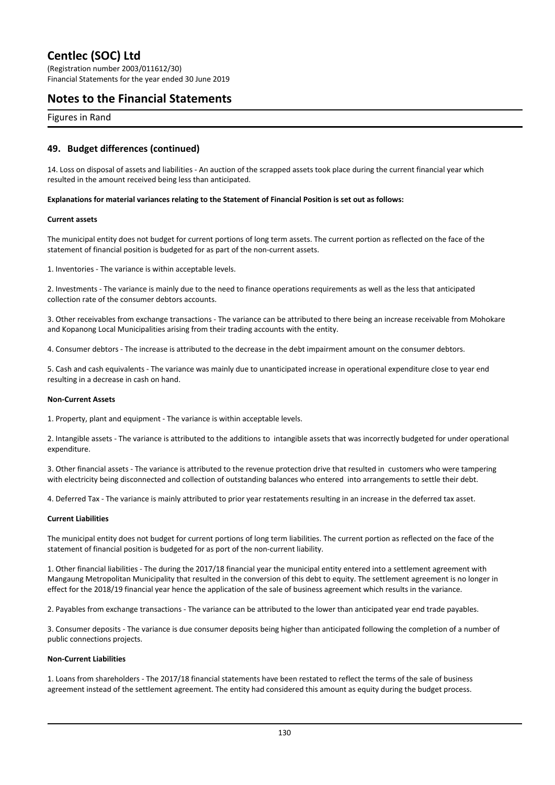(Registration number 2003/011612/30) Financial Statements for the year ended 30 June 2019

# **Notes to the Financial Statements**

Figures in Rand

### **49. Budget differences (continued)**

14. Loss on disposal of assets and liabilities - An auction of the scrapped assets took place during the current financial year which resulted in the amount received being less than anticipated.

### **Explanations for material variances relating to the Statement of Financial Position is set out as follows:**

### **Current assets**

The municipal entity does not budget for current portions of long term assets. The current portion as reflected on the face of the statement of financial position is budgeted for as part of the non-current assets.

1. Inventories - The variance is within acceptable levels.

2. Investments - The variance is mainly due to the need to finance operations requirements as well as the less that anticipated collection rate of the consumer debtors accounts.

3. Other receivables from exchange transactions - The variance can be attributed to there being an increase receivable from Mohokare and Kopanong Local Municipalities arising from their trading accounts with the entity.

4. Consumer debtors - The increase is attributed to the decrease in the debt impairment amount on the consumer debtors.

5. Cash and cash equivalents - The variance was mainly due to unanticipated increase in operational expenditure close to year end resulting in a decrease in cash on hand.

#### **Non-Current Assets**

1. Property, plant and equipment - The variance is within acceptable levels.

2. Intangible assets - The variance is attributed to the additions to intangible assets that was incorrectly budgeted for under operational expenditure.

3. Other financial assets - The variance is attributed to the revenue protection drive that resulted in customers who were tampering with electricity being disconnected and collection of outstanding balances who entered into arrangements to settle their debt.

4. Deferred Tax - The variance is mainly attributed to prior year restatements resulting in an increase in the deferred tax asset.

#### **Current Liabilities**

The municipal entity does not budget for current portions of long term liabilities. The current portion as reflected on the face of the statement of financial position is budgeted for as port of the non-current liability.

1. Other financial liabilities - The during the 2017/18 financial year the municipal entity entered into a settlement agreement with Mangaung Metropolitan Municipality that resulted in the conversion of this debt to equity. The settlement agreement is no longer in effect for the 2018/19 financial year hence the application of the sale of business agreement which results in the variance.

2. Payables from exchange transactions - The variance can be attributed to the lower than anticipated year end trade payables.

3. Consumer deposits - The variance is due consumer deposits being higher than anticipated following the completion of a number of public connections projects.

#### **Non-Current Liabilities**

1. Loans from shareholders - The 2017/18 financial statements have been restated to reflect the terms of the sale of business agreement instead of the settlement agreement. The entity had considered this amount as equity during the budget process.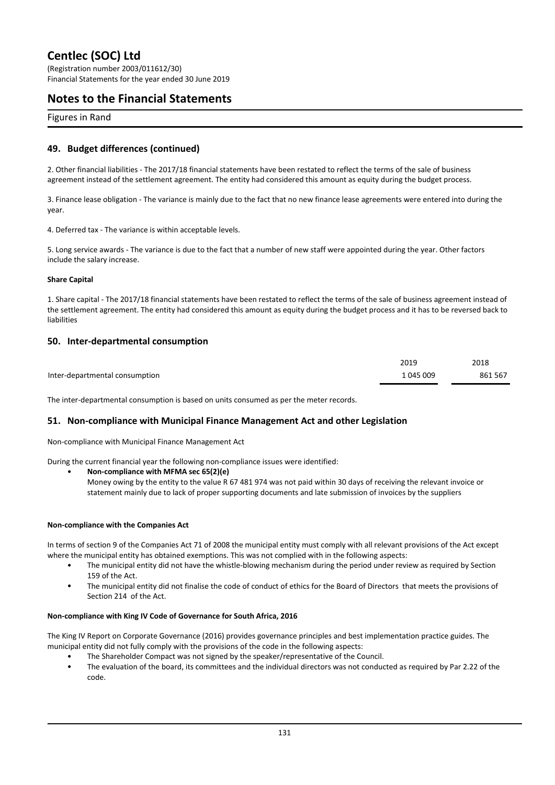(Registration number 2003/011612/30) Financial Statements for the year ended 30 June 2019

# **Notes to the Financial Statements**

### Figures in Rand

### **49. Budget differences (continued)**

2. Other financial liabilities - The 2017/18 financial statements have been restated to reflect the terms of the sale of business agreement instead of the settlement agreement. The entity had considered this amount as equity during the budget process.

3. Finance lease obligation - The variance is mainly due to the fact that no new finance lease agreements were entered into during the year.

4. Deferred tax - The variance is within acceptable levels.

5. Long service awards - The variance is due to the fact that a number of new staff were appointed during the year. Other factors include the salary increase.

### **Share Capital**

1. Share capital - The 2017/18 financial statements have been restated to reflect the terms of the sale of business agreement instead of the settlement agreement. The entity had considered this amount as equity during the budget process and it has to be reversed back to liabilities

### **50. Inter-departmental consumption**

|                                | 2019      | 2018    |
|--------------------------------|-----------|---------|
| Inter-departmental consumption | 1 045 009 | 861 567 |

The inter-departmental consumption is based on units consumed as per the meter records.

### **51. Non-compliance with Municipal Finance Management Act and other Legislation**

Non-compliance with Municipal Finance Management Act

During the current financial year the following non-compliance issues were identified:

 **Non-compliance with MFMA sec 65(2)(e)** Money owing by the entity to the value R 67 481 974 was not paid within 30 days of receiving the relevant invoice or statement mainly due to lack of proper supporting documents and late submission of invoices by the suppliers

### **Non-compliance with the Companies Act**

In terms of section 9 of the Companies Act 71 of 2008 the municipal entity must comply with all relevant provisions of the Act except where the municipal entity has obtained exemptions. This was not complied with in the following aspects:

- The municipal entity did not have the whistle-blowing mechanism during the period under review as required by Section 159 of the Act.
- The municipal entity did not finalise the code of conduct of ethics for the Board of Directors that meets the provisions of Section 214 of the Act.

#### **Non-compliance with King IV Code of Governance for South Africa, 2016**

The King IV Report on Corporate Governance (2016) provides governance principles and best implementation practice guides. The municipal entity did not fully comply with the provisions of the code in the following aspects:

- The Shareholder Compact was not signed by the speaker/representative of the Council.
- The evaluation of the board, its committees and the individual directors was not conducted as required by Par 2.22 of the code.